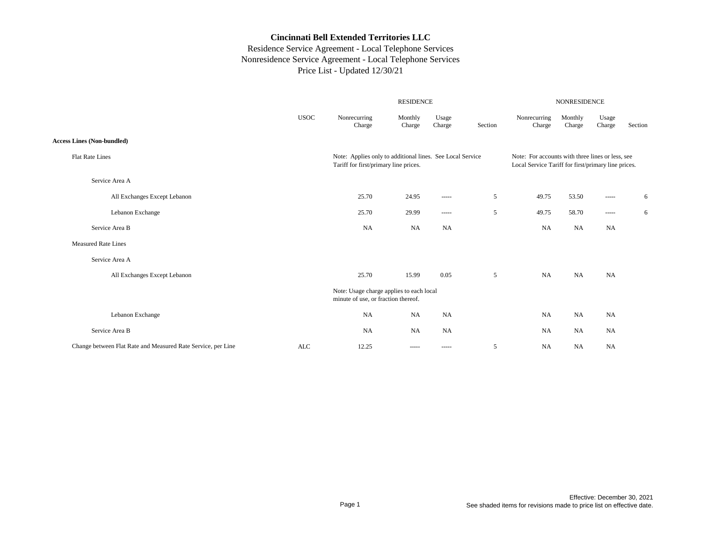|                                                              |             |                                                                                                    | <b>RESIDENCE</b>                                                                                                                                                                                                                                                                                                                                                                                                                                                                       |                                                                                                                                                                                                                                                                                                                                                                                                                                                                                        |         | NONRESIDENCE                                                                                            |                   |                                                                                                                                                                                                                                                                                                                                                                                                                                                                                        |         |
|--------------------------------------------------------------|-------------|----------------------------------------------------------------------------------------------------|----------------------------------------------------------------------------------------------------------------------------------------------------------------------------------------------------------------------------------------------------------------------------------------------------------------------------------------------------------------------------------------------------------------------------------------------------------------------------------------|----------------------------------------------------------------------------------------------------------------------------------------------------------------------------------------------------------------------------------------------------------------------------------------------------------------------------------------------------------------------------------------------------------------------------------------------------------------------------------------|---------|---------------------------------------------------------------------------------------------------------|-------------------|----------------------------------------------------------------------------------------------------------------------------------------------------------------------------------------------------------------------------------------------------------------------------------------------------------------------------------------------------------------------------------------------------------------------------------------------------------------------------------------|---------|
|                                                              | <b>USOC</b> | Nonrecurring<br>Charge                                                                             | Monthly<br>Charge                                                                                                                                                                                                                                                                                                                                                                                                                                                                      | Usage<br>Charge                                                                                                                                                                                                                                                                                                                                                                                                                                                                        | Section | Nonrecurring<br>Charge                                                                                  | Monthly<br>Charge | Usage<br>Charge                                                                                                                                                                                                                                                                                                                                                                                                                                                                        | Section |
| <b>Access Lines (Non-bundled)</b>                            |             |                                                                                                    |                                                                                                                                                                                                                                                                                                                                                                                                                                                                                        |                                                                                                                                                                                                                                                                                                                                                                                                                                                                                        |         |                                                                                                         |                   |                                                                                                                                                                                                                                                                                                                                                                                                                                                                                        |         |
| <b>Flat Rate Lines</b>                                       |             | Note: Applies only to additional lines. See Local Service<br>Tariff for first/primary line prices. |                                                                                                                                                                                                                                                                                                                                                                                                                                                                                        |                                                                                                                                                                                                                                                                                                                                                                                                                                                                                        |         | Note: For accounts with three lines or less, see<br>Local Service Tariff for first/primary line prices. |                   |                                                                                                                                                                                                                                                                                                                                                                                                                                                                                        |         |
| Service Area A                                               |             |                                                                                                    |                                                                                                                                                                                                                                                                                                                                                                                                                                                                                        |                                                                                                                                                                                                                                                                                                                                                                                                                                                                                        |         |                                                                                                         |                   |                                                                                                                                                                                                                                                                                                                                                                                                                                                                                        |         |
| All Exchanges Except Lebanon                                 |             | 25.70                                                                                              | 24.95                                                                                                                                                                                                                                                                                                                                                                                                                                                                                  | 1.1111                                                                                                                                                                                                                                                                                                                                                                                                                                                                                 | 5       | 49.75                                                                                                   | 53.50             | $\begin{array}{cccccccccc} \multicolumn{2}{c}{} & \multicolumn{2}{c}{} & \multicolumn{2}{c}{} & \multicolumn{2}{c}{} & \multicolumn{2}{c}{} & \multicolumn{2}{c}{} & \multicolumn{2}{c}{} & \multicolumn{2}{c}{} & \multicolumn{2}{c}{} & \multicolumn{2}{c}{} & \multicolumn{2}{c}{} & \multicolumn{2}{c}{} & \multicolumn{2}{c}{} & \multicolumn{2}{c}{} & \multicolumn{2}{c}{} & \multicolumn{2}{c}{} & \multicolumn{2}{c}{} & \multicolumn{2}{c}{} & \multicolumn{2}{c}{} & \mult$ | 6       |
| Lebanon Exchange                                             |             | 25.70                                                                                              | 29.99                                                                                                                                                                                                                                                                                                                                                                                                                                                                                  | $\cdots \cdots \cdots$                                                                                                                                                                                                                                                                                                                                                                                                                                                                 | 5       | 49.75                                                                                                   | 58.70             | $\cdots$                                                                                                                                                                                                                                                                                                                                                                                                                                                                               | 6       |
| Service Area B                                               |             | NA                                                                                                 | <b>NA</b>                                                                                                                                                                                                                                                                                                                                                                                                                                                                              | <b>NA</b>                                                                                                                                                                                                                                                                                                                                                                                                                                                                              |         | NA                                                                                                      | NA                | <b>NA</b>                                                                                                                                                                                                                                                                                                                                                                                                                                                                              |         |
| <b>Measured Rate Lines</b>                                   |             |                                                                                                    |                                                                                                                                                                                                                                                                                                                                                                                                                                                                                        |                                                                                                                                                                                                                                                                                                                                                                                                                                                                                        |         |                                                                                                         |                   |                                                                                                                                                                                                                                                                                                                                                                                                                                                                                        |         |
| Service Area A                                               |             |                                                                                                    |                                                                                                                                                                                                                                                                                                                                                                                                                                                                                        |                                                                                                                                                                                                                                                                                                                                                                                                                                                                                        |         |                                                                                                         |                   |                                                                                                                                                                                                                                                                                                                                                                                                                                                                                        |         |
| All Exchanges Except Lebanon                                 |             | 25.70                                                                                              | 15.99                                                                                                                                                                                                                                                                                                                                                                                                                                                                                  | 0.05                                                                                                                                                                                                                                                                                                                                                                                                                                                                                   | 5       | <b>NA</b>                                                                                               | NA                | <b>NA</b>                                                                                                                                                                                                                                                                                                                                                                                                                                                                              |         |
|                                                              |             | Note: Usage charge applies to each local<br>minute of use, or fraction thereof.                    |                                                                                                                                                                                                                                                                                                                                                                                                                                                                                        |                                                                                                                                                                                                                                                                                                                                                                                                                                                                                        |         |                                                                                                         |                   |                                                                                                                                                                                                                                                                                                                                                                                                                                                                                        |         |
| Lebanon Exchange                                             |             | <b>NA</b>                                                                                          | <b>NA</b>                                                                                                                                                                                                                                                                                                                                                                                                                                                                              | <b>NA</b>                                                                                                                                                                                                                                                                                                                                                                                                                                                                              |         | NA                                                                                                      | <b>NA</b>         | NA                                                                                                                                                                                                                                                                                                                                                                                                                                                                                     |         |
| Service Area B                                               |             | <b>NA</b>                                                                                          | <b>NA</b>                                                                                                                                                                                                                                                                                                                                                                                                                                                                              | <b>NA</b>                                                                                                                                                                                                                                                                                                                                                                                                                                                                              |         | <b>NA</b>                                                                                               | NA                | <b>NA</b>                                                                                                                                                                                                                                                                                                                                                                                                                                                                              |         |
| Change between Flat Rate and Measured Rate Service, per Line | ALC         | 12.25                                                                                              | $\begin{array}{cccccccccc} \multicolumn{2}{c}{} & \multicolumn{2}{c}{} & \multicolumn{2}{c}{} & \multicolumn{2}{c}{} & \multicolumn{2}{c}{} & \multicolumn{2}{c}{} & \multicolumn{2}{c}{} & \multicolumn{2}{c}{} & \multicolumn{2}{c}{} & \multicolumn{2}{c}{} & \multicolumn{2}{c}{} & \multicolumn{2}{c}{} & \multicolumn{2}{c}{} & \multicolumn{2}{c}{} & \multicolumn{2}{c}{} & \multicolumn{2}{c}{} & \multicolumn{2}{c}{} & \multicolumn{2}{c}{} & \multicolumn{2}{c}{} & \mult$ | $\begin{array}{cccccccccc} \multicolumn{2}{c}{} & \multicolumn{2}{c}{} & \multicolumn{2}{c}{} & \multicolumn{2}{c}{} & \multicolumn{2}{c}{} & \multicolumn{2}{c}{} & \multicolumn{2}{c}{} & \multicolumn{2}{c}{} & \multicolumn{2}{c}{} & \multicolumn{2}{c}{} & \multicolumn{2}{c}{} & \multicolumn{2}{c}{} & \multicolumn{2}{c}{} & \multicolumn{2}{c}{} & \multicolumn{2}{c}{} & \multicolumn{2}{c}{} & \multicolumn{2}{c}{} & \multicolumn{2}{c}{} & \multicolumn{2}{c}{} & \mult$ | 5       | <b>NA</b>                                                                                               | NA                | <b>NA</b>                                                                                                                                                                                                                                                                                                                                                                                                                                                                              |         |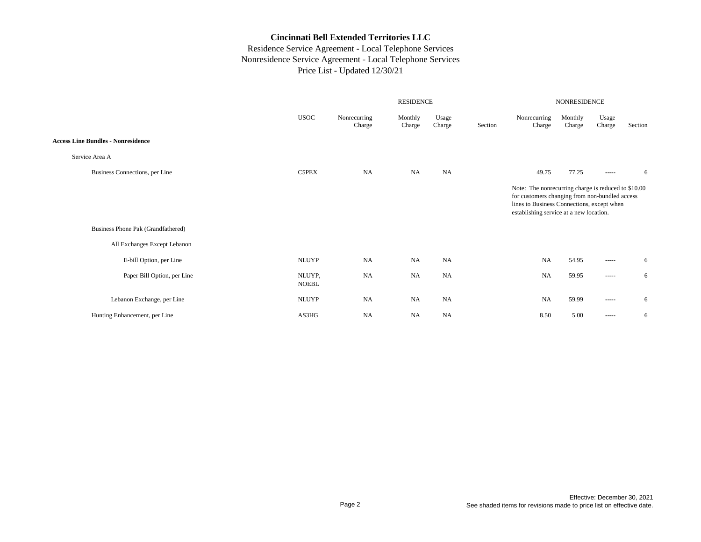|                                                                    |                        |                        | <b>RESIDENCE</b>  |                 | NONRESIDENCE |                                                                                                                                                                                                |                   |                                                                                                                                                                                                                                                                                                                                                                                                                                                                                        |         |
|--------------------------------------------------------------------|------------------------|------------------------|-------------------|-----------------|--------------|------------------------------------------------------------------------------------------------------------------------------------------------------------------------------------------------|-------------------|----------------------------------------------------------------------------------------------------------------------------------------------------------------------------------------------------------------------------------------------------------------------------------------------------------------------------------------------------------------------------------------------------------------------------------------------------------------------------------------|---------|
|                                                                    | <b>USOC</b>            | Nonrecurring<br>Charge | Monthly<br>Charge | Usage<br>Charge | Section      | Nonrecurring<br>Charge                                                                                                                                                                         | Monthly<br>Charge | Usage<br>Charge                                                                                                                                                                                                                                                                                                                                                                                                                                                                        | Section |
| <b>Access Line Bundles - Nonresidence</b>                          |                        |                        |                   |                 |              |                                                                                                                                                                                                |                   |                                                                                                                                                                                                                                                                                                                                                                                                                                                                                        |         |
| Service Area A                                                     |                        |                        |                   |                 |              |                                                                                                                                                                                                |                   |                                                                                                                                                                                                                                                                                                                                                                                                                                                                                        |         |
| Business Connections, per Line                                     | C5PEX                  | <b>NA</b>              | <b>NA</b>         | NA              |              | 49.75                                                                                                                                                                                          | 77.25             | $\begin{array}{cccccccccc} \multicolumn{2}{c}{} & \multicolumn{2}{c}{} & \multicolumn{2}{c}{} & \multicolumn{2}{c}{} & \multicolumn{2}{c}{} & \multicolumn{2}{c}{} & \multicolumn{2}{c}{} & \multicolumn{2}{c}{} & \multicolumn{2}{c}{} & \multicolumn{2}{c}{} & \multicolumn{2}{c}{} & \multicolumn{2}{c}{} & \multicolumn{2}{c}{} & \multicolumn{2}{c}{} & \multicolumn{2}{c}{} & \multicolumn{2}{c}{} & \multicolumn{2}{c}{} & \multicolumn{2}{c}{} & \multicolumn{2}{c}{} & \mult$ | 6       |
| Business Phone Pak (Grandfathered)<br>All Exchanges Except Lebanon |                        |                        |                   |                 |              | Note: The nonrecurring charge is reduced to \$10.00<br>for customers changing from non-bundled access<br>lines to Business Connections, except when<br>establishing service at a new location. |                   |                                                                                                                                                                                                                                                                                                                                                                                                                                                                                        |         |
| E-bill Option, per Line                                            | <b>NLUYP</b>           | <b>NA</b>              | <b>NA</b>         | <b>NA</b>       |              | NA                                                                                                                                                                                             | 54.95             |                                                                                                                                                                                                                                                                                                                                                                                                                                                                                        | 6       |
| Paper Bill Option, per Line                                        | NLUYP,<br><b>NOEBL</b> | <b>NA</b>              | <b>NA</b>         | NA              |              | <b>NA</b>                                                                                                                                                                                      | 59.95             | $\begin{array}{cccccccccc} \multicolumn{2}{c}{} & \multicolumn{2}{c}{} & \multicolumn{2}{c}{} & \multicolumn{2}{c}{} & \multicolumn{2}{c}{} & \multicolumn{2}{c}{} & \multicolumn{2}{c}{} & \multicolumn{2}{c}{} & \multicolumn{2}{c}{} & \multicolumn{2}{c}{} & \multicolumn{2}{c}{} & \multicolumn{2}{c}{} & \multicolumn{2}{c}{} & \multicolumn{2}{c}{} & \multicolumn{2}{c}{} & \multicolumn{2}{c}{} & \multicolumn{2}{c}{} & \multicolumn{2}{c}{} & \multicolumn{2}{c}{} & \mult$ | 6       |
| Lebanon Exchange, per Line                                         | <b>NLUYP</b>           | <b>NA</b>              | <b>NA</b>         | <b>NA</b>       |              | <b>NA</b>                                                                                                                                                                                      | 59.99             | $- - - - -$                                                                                                                                                                                                                                                                                                                                                                                                                                                                            | 6       |
| Hunting Enhancement, per Line                                      | AS3HG                  | <b>NA</b>              | <b>NA</b>         | <b>NA</b>       |              | 8.50                                                                                                                                                                                           | 5.00              | $\begin{array}{cccccccccc} \multicolumn{2}{c}{} & \multicolumn{2}{c}{} & \multicolumn{2}{c}{} & \multicolumn{2}{c}{} & \multicolumn{2}{c}{} & \multicolumn{2}{c}{} & \multicolumn{2}{c}{} & \multicolumn{2}{c}{} & \multicolumn{2}{c}{} & \multicolumn{2}{c}{} & \multicolumn{2}{c}{} & \multicolumn{2}{c}{} & \multicolumn{2}{c}{} & \multicolumn{2}{c}{} & \multicolumn{2}{c}{} & \multicolumn{2}{c}{} & \multicolumn{2}{c}{} & \multicolumn{2}{c}{} & \multicolumn{2}{c}{} & \mult$ | 6       |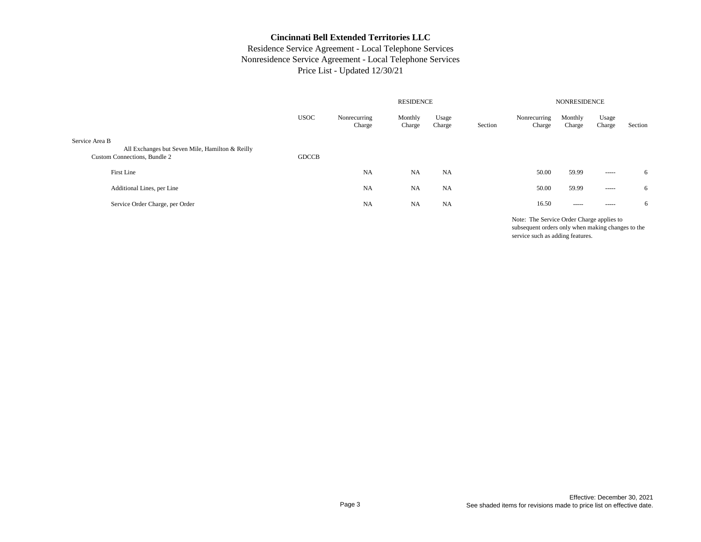# Residence Service Agreement - Local Telephone Services Nonresidence Service Agreement - Local Telephone Services Price List - Updated 12/30/21

|                                                                                                   |              | <b>NONRESIDENCE</b>    |                   |                 |         |                        |                   |                 |         |
|---------------------------------------------------------------------------------------------------|--------------|------------------------|-------------------|-----------------|---------|------------------------|-------------------|-----------------|---------|
|                                                                                                   | <b>USOC</b>  | Nonrecurring<br>Charge | Monthly<br>Charge | Usage<br>Charge | Section | Nonrecurring<br>Charge | Monthly<br>Charge | Usage<br>Charge | Section |
| Service Area B<br>All Exchanges but Seven Mile, Hamilton & Reilly<br>Custom Connections, Bundle 2 | <b>GDCCB</b> |                        |                   |                 |         |                        |                   |                 |         |
| First Line                                                                                        |              | <b>NA</b>              | <b>NA</b>         | NA              |         | 50.00                  | 59.99             | $- - - - -$     | 6       |
| Additional Lines, per Line                                                                        |              | <b>NA</b>              | NA                | <b>NA</b>       |         | 50.00                  | 59.99             | $- - - - -$     | 6       |
| Service Order Charge, per Order                                                                   |              | NA                     | NA                | <b>NA</b>       |         | 16.50                  | $- - - - -$       | -----           | 6       |
|                                                                                                   |              |                        |                   |                 |         |                        |                   |                 |         |

Note: The Service Order Charge applies to subsequent orders only when making changes to the service such as adding features.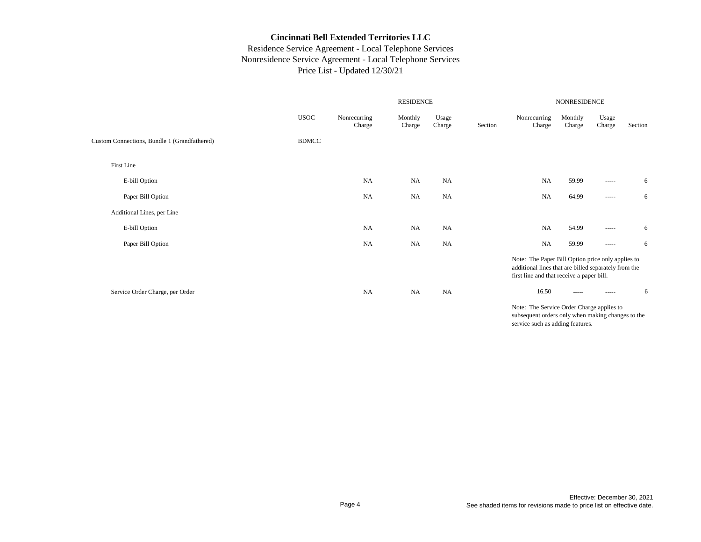# Residence Service Agreement - Local Telephone Services Nonresidence Service Agreement - Local Telephone Services Price List - Updated 12/30/21

|                                              |              |                        | NONRESIDENCE      |                 |         |                                                                                                                                                        |                   |                                                                                                                                                                                                                                                                                                                                                                                                                                                                                        |         |  |  |
|----------------------------------------------|--------------|------------------------|-------------------|-----------------|---------|--------------------------------------------------------------------------------------------------------------------------------------------------------|-------------------|----------------------------------------------------------------------------------------------------------------------------------------------------------------------------------------------------------------------------------------------------------------------------------------------------------------------------------------------------------------------------------------------------------------------------------------------------------------------------------------|---------|--|--|
|                                              | <b>USOC</b>  | Nonrecurring<br>Charge | Monthly<br>Charge | Usage<br>Charge | Section | Nonrecurring<br>Charge                                                                                                                                 | Monthly<br>Charge | Usage<br>Charge                                                                                                                                                                                                                                                                                                                                                                                                                                                                        | Section |  |  |
| Custom Connections, Bundle 1 (Grandfathered) | <b>BDMCC</b> |                        |                   |                 |         |                                                                                                                                                        |                   |                                                                                                                                                                                                                                                                                                                                                                                                                                                                                        |         |  |  |
| First Line                                   |              |                        |                   |                 |         |                                                                                                                                                        |                   |                                                                                                                                                                                                                                                                                                                                                                                                                                                                                        |         |  |  |
| E-bill Option                                |              | NA                     | <b>NA</b>         | <b>NA</b>       |         | <b>NA</b>                                                                                                                                              | 59.99             | $\begin{array}{cccccccccc} \multicolumn{2}{c}{} & \multicolumn{2}{c}{} & \multicolumn{2}{c}{} & \multicolumn{2}{c}{} & \multicolumn{2}{c}{} & \multicolumn{2}{c}{} & \multicolumn{2}{c}{} & \multicolumn{2}{c}{} & \multicolumn{2}{c}{} & \multicolumn{2}{c}{} & \multicolumn{2}{c}{} & \multicolumn{2}{c}{} & \multicolumn{2}{c}{} & \multicolumn{2}{c}{} & \multicolumn{2}{c}{} & \multicolumn{2}{c}{} & \multicolumn{2}{c}{} & \multicolumn{2}{c}{} & \multicolumn{2}{c}{} & \mult$ | 6       |  |  |
| Paper Bill Option                            |              | <b>NA</b>              | <b>NA</b>         | <b>NA</b>       |         | <b>NA</b>                                                                                                                                              | 64.99             | $\begin{array}{cccccccccc} \multicolumn{2}{c}{} & \multicolumn{2}{c}{} & \multicolumn{2}{c}{} & \multicolumn{2}{c}{} & \multicolumn{2}{c}{} & \multicolumn{2}{c}{} & \multicolumn{2}{c}{} & \multicolumn{2}{c}{} & \multicolumn{2}{c}{} & \multicolumn{2}{c}{} & \multicolumn{2}{c}{} & \multicolumn{2}{c}{} & \multicolumn{2}{c}{} & \multicolumn{2}{c}{} & \multicolumn{2}{c}{} & \multicolumn{2}{c}{} & \multicolumn{2}{c}{} & \multicolumn{2}{c}{} & \multicolumn{2}{c}{} & \mult$ | 6       |  |  |
| Additional Lines, per Line                   |              |                        |                   |                 |         |                                                                                                                                                        |                   |                                                                                                                                                                                                                                                                                                                                                                                                                                                                                        |         |  |  |
| E-bill Option                                |              | <b>NA</b>              | <b>NA</b>         | <b>NA</b>       |         | <b>NA</b>                                                                                                                                              | 54.99             | -----                                                                                                                                                                                                                                                                                                                                                                                                                                                                                  | 6       |  |  |
| Paper Bill Option                            |              | NA                     | <b>NA</b>         | NA              |         | NA                                                                                                                                                     | 59.99             | $\begin{array}{cccccccccc} \multicolumn{2}{c}{} & \multicolumn{2}{c}{} & \multicolumn{2}{c}{} & \multicolumn{2}{c}{} & \multicolumn{2}{c}{} & \multicolumn{2}{c}{} & \multicolumn{2}{c}{} & \multicolumn{2}{c}{} & \multicolumn{2}{c}{} & \multicolumn{2}{c}{} & \multicolumn{2}{c}{} & \multicolumn{2}{c}{} & \multicolumn{2}{c}{} & \multicolumn{2}{c}{} & \multicolumn{2}{c}{} & \multicolumn{2}{c}{} & \multicolumn{2}{c}{} & \multicolumn{2}{c}{} & \multicolumn{2}{c}{} & \mult$ | 6       |  |  |
|                                              |              |                        |                   |                 |         | Note: The Paper Bill Option price only applies to<br>additional lines that are billed separately from the<br>first line and that receive a paper bill. |                   |                                                                                                                                                                                                                                                                                                                                                                                                                                                                                        |         |  |  |
| Service Order Charge, per Order              |              | <b>NA</b>              | <b>NA</b>         | <b>NA</b>       |         | 16.50                                                                                                                                                  | $\cdots$          | $- - - - -$                                                                                                                                                                                                                                                                                                                                                                                                                                                                            | 6       |  |  |

Note: The Service Order Charge applies to subsequent orders only when making changes to the service such as adding features.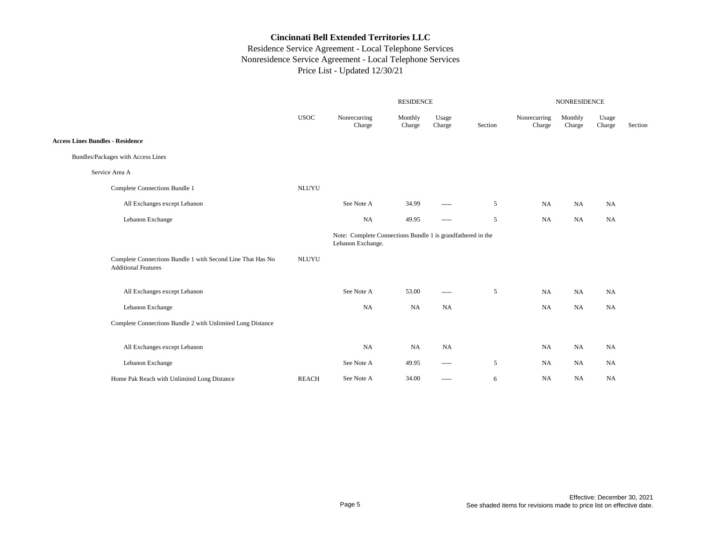|                                                                                          | NONRESIDENCE<br><b>RESIDENCE</b> |                                                                                  |                   |                                                                                                                                                                                                                                                                                                                                                                                                                                                                                        |         |                        |                   |                 |         |  |
|------------------------------------------------------------------------------------------|----------------------------------|----------------------------------------------------------------------------------|-------------------|----------------------------------------------------------------------------------------------------------------------------------------------------------------------------------------------------------------------------------------------------------------------------------------------------------------------------------------------------------------------------------------------------------------------------------------------------------------------------------------|---------|------------------------|-------------------|-----------------|---------|--|
|                                                                                          | <b>USOC</b>                      | Nonrecurring<br>Charge                                                           | Monthly<br>Charge | Usage<br>Charge                                                                                                                                                                                                                                                                                                                                                                                                                                                                        | Section | Nonrecurring<br>Charge | Monthly<br>Charge | Usage<br>Charge | Section |  |
| <b>Access Lines Bundles - Residence</b>                                                  |                                  |                                                                                  |                   |                                                                                                                                                                                                                                                                                                                                                                                                                                                                                        |         |                        |                   |                 |         |  |
| Bundles/Packages with Access Lines                                                       |                                  |                                                                                  |                   |                                                                                                                                                                                                                                                                                                                                                                                                                                                                                        |         |                        |                   |                 |         |  |
| Service Area A                                                                           |                                  |                                                                                  |                   |                                                                                                                                                                                                                                                                                                                                                                                                                                                                                        |         |                        |                   |                 |         |  |
| Complete Connections Bundle 1                                                            | <b>NLUYU</b>                     |                                                                                  |                   |                                                                                                                                                                                                                                                                                                                                                                                                                                                                                        |         |                        |                   |                 |         |  |
| All Exchanges except Lebanon                                                             |                                  | See Note A                                                                       | 34.99             | -----                                                                                                                                                                                                                                                                                                                                                                                                                                                                                  | 5       | NA                     | NA                | NA              |         |  |
| Lebanon Exchange                                                                         |                                  | <b>NA</b>                                                                        | 49.95             | $\begin{array}{cccccccccc} \multicolumn{2}{c}{} & \multicolumn{2}{c}{} & \multicolumn{2}{c}{} & \multicolumn{2}{c}{} & \multicolumn{2}{c}{} & \multicolumn{2}{c}{} & \multicolumn{2}{c}{} & \multicolumn{2}{c}{} & \multicolumn{2}{c}{} & \multicolumn{2}{c}{} & \multicolumn{2}{c}{} & \multicolumn{2}{c}{} & \multicolumn{2}{c}{} & \multicolumn{2}{c}{} & \multicolumn{2}{c}{} & \multicolumn{2}{c}{} & \multicolumn{2}{c}{} & \multicolumn{2}{c}{} & \multicolumn{2}{c}{} & \mult$ | 5       | NA                     | NA                | <b>NA</b>       |         |  |
|                                                                                          |                                  | Note: Complete Connections Bundle 1 is grandfathered in the<br>Lebanon Exchange. |                   |                                                                                                                                                                                                                                                                                                                                                                                                                                                                                        |         |                        |                   |                 |         |  |
| Complete Connections Bundle 1 with Second Line That Has No<br><b>Additional Features</b> | <b>NLUYU</b>                     |                                                                                  |                   |                                                                                                                                                                                                                                                                                                                                                                                                                                                                                        |         |                        |                   |                 |         |  |
| All Exchanges except Lebanon                                                             |                                  | See Note A                                                                       | 53.00             | $\cdots$                                                                                                                                                                                                                                                                                                                                                                                                                                                                               | 5       | NA                     | NA                | NA              |         |  |
| Lebanon Exchange                                                                         |                                  | NA                                                                               | <b>NA</b>         | NA                                                                                                                                                                                                                                                                                                                                                                                                                                                                                     |         | <b>NA</b>              | NA                | <b>NA</b>       |         |  |
| Complete Connections Bundle 2 with Unlimited Long Distance                               |                                  |                                                                                  |                   |                                                                                                                                                                                                                                                                                                                                                                                                                                                                                        |         |                        |                   |                 |         |  |
| All Exchanges except Lebanon                                                             |                                  | NA                                                                               | NA                | <b>NA</b>                                                                                                                                                                                                                                                                                                                                                                                                                                                                              |         | NA                     | NA                | NA              |         |  |
| Lebanon Exchange                                                                         |                                  | See Note A                                                                       | 49.95             | $\cdots \cdots \cdots$                                                                                                                                                                                                                                                                                                                                                                                                                                                                 | 5       | NA                     | NA                | NA              |         |  |
| Home Pak Reach with Unlimited Long Distance                                              | <b>REACH</b>                     | See Note A                                                                       | 34.00             | $\begin{array}{cccccccccc} \multicolumn{2}{c}{} & \multicolumn{2}{c}{} & \multicolumn{2}{c}{} & \multicolumn{2}{c}{} & \multicolumn{2}{c}{} & \multicolumn{2}{c}{} & \multicolumn{2}{c}{} & \multicolumn{2}{c}{} & \multicolumn{2}{c}{} & \multicolumn{2}{c}{} & \multicolumn{2}{c}{} & \multicolumn{2}{c}{} & \multicolumn{2}{c}{} & \multicolumn{2}{c}{} & \multicolumn{2}{c}{} & \multicolumn{2}{c}{} & \multicolumn{2}{c}{} & \multicolumn{2}{c}{} & \multicolumn{2}{c}{} & \mult$ | 6       | NA                     | NA                | NA              |         |  |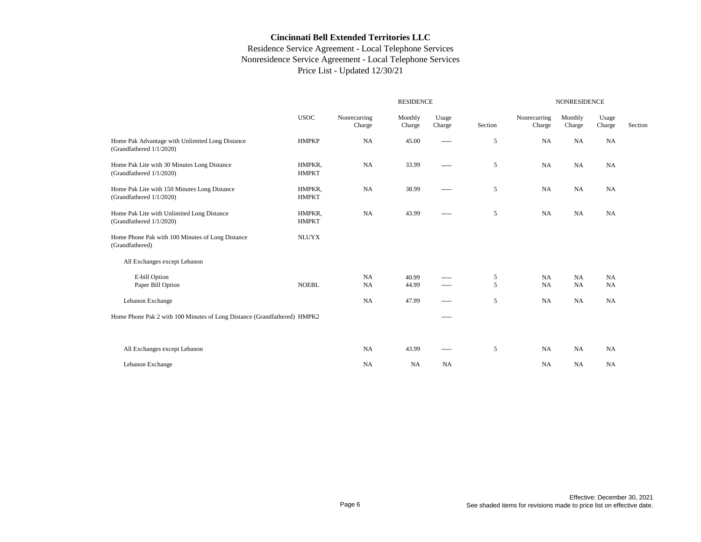|                                                                             |                        |                        |                   | NONRESIDENCE                                                                                                                                                                                                                                                                                                                                                                                                                                                                           |         |                        |                        |                 |         |
|-----------------------------------------------------------------------------|------------------------|------------------------|-------------------|----------------------------------------------------------------------------------------------------------------------------------------------------------------------------------------------------------------------------------------------------------------------------------------------------------------------------------------------------------------------------------------------------------------------------------------------------------------------------------------|---------|------------------------|------------------------|-----------------|---------|
|                                                                             | <b>USOC</b>            | Nonrecurring<br>Charge | Monthly<br>Charge | Usage<br>Charge                                                                                                                                                                                                                                                                                                                                                                                                                                                                        | Section | Nonrecurring<br>Charge | Monthly<br>Charge      | Usage<br>Charge | Section |
| Home Pak Advantage with Unlimited Long Distance<br>(Grandfathered 1/1/2020) | <b>HMPKP</b>           | NA                     | 45.00             | -----                                                                                                                                                                                                                                                                                                                                                                                                                                                                                  | 5       | NA                     | <b>NA</b>              | <b>NA</b>       |         |
| Home Pak Lite with 30 Minutes Long Distance<br>(Grandfathered 1/1/2020)     | HMPKR,<br><b>HMPKT</b> | <b>NA</b>              | 33.99             | -----                                                                                                                                                                                                                                                                                                                                                                                                                                                                                  | 5       | NA                     | <b>NA</b>              | <b>NA</b>       |         |
| Home Pak Lite with 150 Minutes Long Distance<br>(Grandfathered 1/1/2020)    | HMPKR,<br><b>HMPKT</b> | NA                     | 38.99             | -----                                                                                                                                                                                                                                                                                                                                                                                                                                                                                  | 5       | NA                     | NA                     | NA              |         |
| Home Pak Lite with Unlimited Long Distance<br>(Grandfathered 1/1/2020)      | HMPKR,<br><b>HMPKT</b> | NA                     | 43.99             | -----                                                                                                                                                                                                                                                                                                                                                                                                                                                                                  | 5       | NA                     | <b>NA</b>              | <b>NA</b>       |         |
| Home Phone Pak with 100 Minutes of Long Distance<br>(Grandfathered)         | <b>NLUYX</b>           |                        |                   |                                                                                                                                                                                                                                                                                                                                                                                                                                                                                        |         |                        |                        |                 |         |
| All Exchanges except Lebanon                                                |                        |                        |                   |                                                                                                                                                                                                                                                                                                                                                                                                                                                                                        |         |                        |                        |                 |         |
| E-bill Option<br>Paper Bill Option                                          | <b>NOEBL</b>           | NA<br>NA               | 40.99<br>44.99    | $- - - - -$<br>-----                                                                                                                                                                                                                                                                                                                                                                                                                                                                   | 5<br>5  | NA<br><b>NA</b>        | <b>NA</b><br><b>NA</b> | NA<br><b>NA</b> |         |
| Lebanon Exchange                                                            |                        | NA                     | 47.99             | $\begin{array}{cccccccccc} \multicolumn{2}{c}{} & \multicolumn{2}{c}{} & \multicolumn{2}{c}{} & \multicolumn{2}{c}{} & \multicolumn{2}{c}{} & \multicolumn{2}{c}{} & \multicolumn{2}{c}{} & \multicolumn{2}{c}{} & \multicolumn{2}{c}{} & \multicolumn{2}{c}{} & \multicolumn{2}{c}{} & \multicolumn{2}{c}{} & \multicolumn{2}{c}{} & \multicolumn{2}{c}{} & \multicolumn{2}{c}{} & \multicolumn{2}{c}{} & \multicolumn{2}{c}{} & \multicolumn{2}{c}{} & \multicolumn{2}{c}{} & \mult$ | 5       | NA                     | NA                     | NA              |         |
| Home Phone Pak 2 with 100 Minutes of Long Distance (Grandfathered) HMPK2    |                        |                        |                   | $\frac{1}{2}$                                                                                                                                                                                                                                                                                                                                                                                                                                                                          |         |                        |                        |                 |         |
|                                                                             |                        |                        |                   |                                                                                                                                                                                                                                                                                                                                                                                                                                                                                        |         |                        |                        |                 |         |
| All Exchanges except Lebanon                                                |                        | NA                     | 43.99             | $- - - - -$                                                                                                                                                                                                                                                                                                                                                                                                                                                                            | 5       | NA                     | NA                     | <b>NA</b>       |         |
| Lebanon Exchange                                                            |                        | <b>NA</b>              | <b>NA</b>         | NA                                                                                                                                                                                                                                                                                                                                                                                                                                                                                     |         | NA                     | <b>NA</b>              | <b>NA</b>       |         |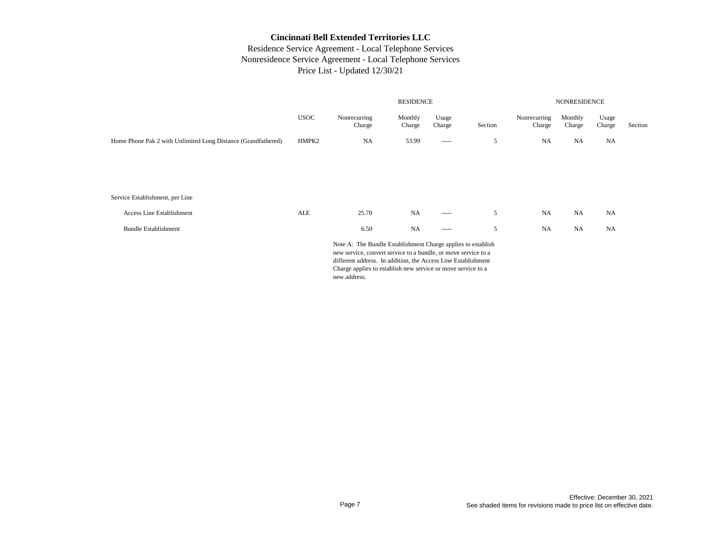# Residence Service Agreement - Local Telephone Services Nonresidence Service Agreement - Local Telephone Services Price List - Updated 12/30/21

|                                                               | <b>RESIDENCE</b> |                                                                                                                                |                   |                 | <b>NONRESIDENCE</b> |                        |                   |                 |         |
|---------------------------------------------------------------|------------------|--------------------------------------------------------------------------------------------------------------------------------|-------------------|-----------------|---------------------|------------------------|-------------------|-----------------|---------|
|                                                               | <b>USOC</b>      | Nonrecurring<br>Charge                                                                                                         | Monthly<br>Charge | Usage<br>Charge | Section             | Nonrecurring<br>Charge | Monthly<br>Charge | Usage<br>Charge | Section |
| Home Phone Pak 2 with Unlimited Long Distance (Grandfathered) | HMPK2            | <b>NA</b>                                                                                                                      | 53.99             | $- - - - -$     | 5                   | <b>NA</b>              | <b>NA</b>         | NA              |         |
|                                                               |                  |                                                                                                                                |                   |                 |                     |                        |                   |                 |         |
|                                                               |                  |                                                                                                                                |                   |                 |                     |                        |                   |                 |         |
| Service Establishment, per Line                               |                  |                                                                                                                                |                   |                 |                     |                        |                   |                 |         |
|                                                               |                  |                                                                                                                                |                   |                 |                     |                        |                   |                 |         |
| Access Line Establishment                                     | ALE              | 25.70                                                                                                                          | NA                | $- - - - -$     | 5                   | <b>NA</b>              | <b>NA</b>         | <b>NA</b>       |         |
| <b>Bundle Establishment</b>                                   |                  | 6.50                                                                                                                           | <b>NA</b>         | $- - - - -$     | 5                   | <b>NA</b>              | <b>NA</b>         | NA              |         |
|                                                               |                  | Note A: The Bundle Establishment Charge applies to establish<br>new service, convert service to a bundle, or move service to a |                   |                 |                     |                        |                   |                 |         |

new service, convert service to a bundle, or move service to a different address. In addition, the Access Line Establishment Charge applies to establish new service or move service to a new address.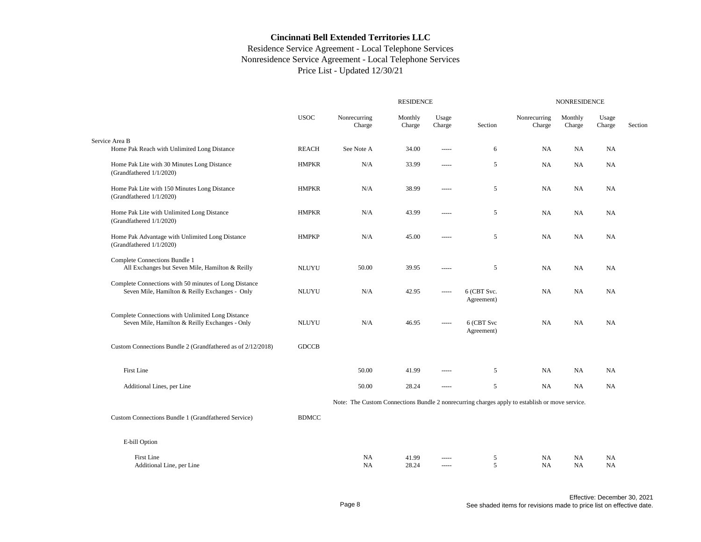|                                                                                                         |              |                                                                                                |                   | <b>NONRESIDENCE</b>  |                           |                        |                   |                        |         |
|---------------------------------------------------------------------------------------------------------|--------------|------------------------------------------------------------------------------------------------|-------------------|----------------------|---------------------------|------------------------|-------------------|------------------------|---------|
|                                                                                                         | <b>USOC</b>  | Nonrecurring<br>Charge                                                                         | Monthly<br>Charge | Usage<br>Charge      | Section                   | Nonrecurring<br>Charge | Monthly<br>Charge | Usage<br>Charge        | Section |
| Service Area B<br>Home Pak Reach with Unlimited Long Distance                                           | <b>REACH</b> | See Note A                                                                                     | 34.00             | $- - - - -$          | 6                         | NA                     | NA                | NA                     |         |
| Home Pak Lite with 30 Minutes Long Distance<br>(Grandfathered 1/1/2020)                                 | <b>HMPKR</b> | N/A                                                                                            | 33.99             | $- - - - -$          | 5                         | NA                     | NA                | <b>NA</b>              |         |
| Home Pak Lite with 150 Minutes Long Distance<br>(Grandfathered 1/1/2020)                                | <b>HMPKR</b> | N/A                                                                                            | 38.99             | $---$                | 5                         | <b>NA</b>              | NA                | <b>NA</b>              |         |
| Home Pak Lite with Unlimited Long Distance<br>(Grandfathered 1/1/2020)                                  | <b>HMPKR</b> | N/A                                                                                            | 43.99             | -----                | 5                         | <b>NA</b>              | NA                | NA                     |         |
| Home Pak Advantage with Unlimited Long Distance<br>(Grandfathered 1/1/2020)                             | <b>HMPKP</b> | N/A                                                                                            | 45.00             | -----                | $\sqrt{5}$                | NA                     | NA                | <b>NA</b>              |         |
| Complete Connections Bundle 1<br>All Exchanges but Seven Mile, Hamilton & Reilly                        | <b>NLUYU</b> | 50.00                                                                                          | 39.95             | -----                | 5                         | NA                     | NA                | NA                     |         |
| Complete Connections with 50 minutes of Long Distance<br>Seven Mile, Hamilton & Reilly Exchanges - Only | <b>NLUYU</b> | N/A                                                                                            | 42.95             | -----                | 6 (CBT Svc.<br>Agreement) | NA                     | NA                | <b>NA</b>              |         |
| Complete Connections with Unlimited Long Distance<br>Seven Mile, Hamilton & Reilly Exchanges - Only     | <b>NLUYU</b> | N/A                                                                                            | 46.95             |                      | 6 (CBT Svc<br>Agreement)  | NA                     | NA                | NA                     |         |
| Custom Connections Bundle 2 (Grandfathered as of 2/12/2018)                                             | <b>GDCCB</b> |                                                                                                |                   |                      |                           |                        |                   |                        |         |
| First Line                                                                                              |              | 50.00                                                                                          | 41.99             | -----                | 5                         | <b>NA</b>              | NA                | <b>NA</b>              |         |
| Additional Lines, per Line                                                                              |              | 50.00                                                                                          | 28.24             | $---$                | 5                         | <b>NA</b>              | NA.               | <b>NA</b>              |         |
|                                                                                                         |              | Note: The Custom Connections Bundle 2 nonrecurring charges apply to establish or move service. |                   |                      |                           |                        |                   |                        |         |
| Custom Connections Bundle 1 (Grandfathered Service)                                                     | <b>BDMCC</b> |                                                                                                |                   |                      |                           |                        |                   |                        |         |
| E-bill Option                                                                                           |              |                                                                                                |                   |                      |                           |                        |                   |                        |         |
| First Line<br>Additional Line, per Line                                                                 |              | <b>NA</b><br><b>NA</b>                                                                         | 41.99<br>28.24    | $- - - - -$<br>$---$ | 5<br>5                    | <b>NA</b><br><b>NA</b> | NA<br>NA          | <b>NA</b><br><b>NA</b> |         |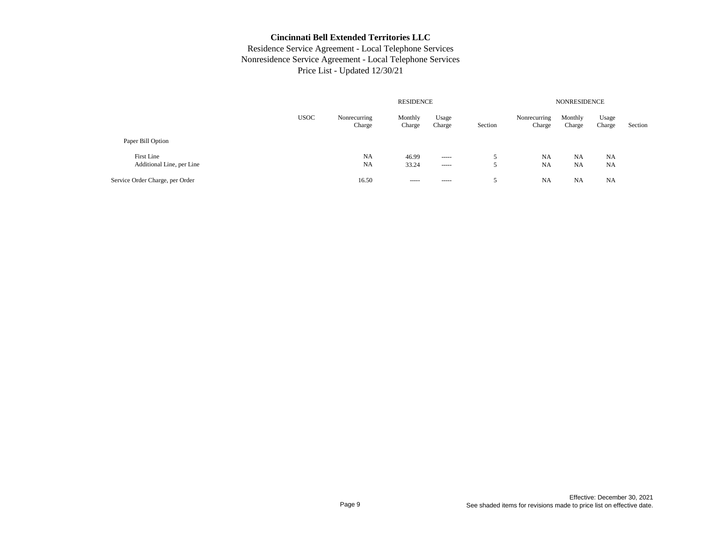|                                         |             | <b>NONRESIDENCE</b>    |                   |                         |         |                        |                        |                        |         |
|-----------------------------------------|-------------|------------------------|-------------------|-------------------------|---------|------------------------|------------------------|------------------------|---------|
|                                         | <b>USOC</b> | Nonrecurring<br>Charge | Monthly<br>Charge | Usage<br>Charge         | Section | Nonrecurring<br>Charge | Monthly<br>Charge      | Usage<br>Charge        | Section |
| Paper Bill Option                       |             |                        |                   |                         |         |                        |                        |                        |         |
| First Line<br>Additional Line, per Line |             | NA<br><b>NA</b>        | 46.99<br>33.24    | $\cdots$<br>$- - - - -$ | ∼<br>J  | NA<br><b>NA</b>        | <b>NA</b><br><b>NA</b> | <b>NA</b><br><b>NA</b> |         |
| Service Order Charge, per Order         |             | 16.50                  | -----             | $- - - - -$             | ∼       | <b>NA</b>              | <b>NA</b>              | <b>NA</b>              |         |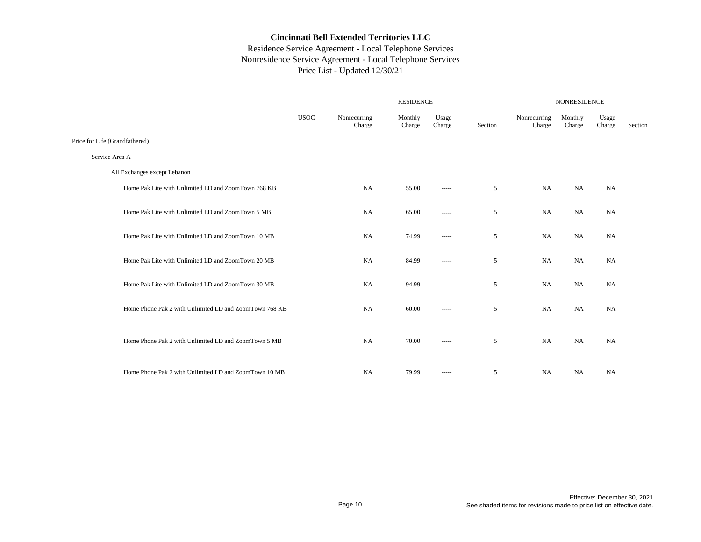|                                                        |             |                        | <b>RESIDENCE</b>  |                        |         |                        |                   | <b>NONRESIDENCE</b> |         |  |  |
|--------------------------------------------------------|-------------|------------------------|-------------------|------------------------|---------|------------------------|-------------------|---------------------|---------|--|--|
|                                                        | <b>USOC</b> | Nonrecurring<br>Charge | Monthly<br>Charge | Usage<br>Charge        | Section | Nonrecurring<br>Charge | Monthly<br>Charge | Usage<br>Charge     | Section |  |  |
| Price for Life (Grandfathered)                         |             |                        |                   |                        |         |                        |                   |                     |         |  |  |
| Service Area A                                         |             |                        |                   |                        |         |                        |                   |                     |         |  |  |
| All Exchanges except Lebanon                           |             |                        |                   |                        |         |                        |                   |                     |         |  |  |
| Home Pak Lite with Unlimited LD and ZoomTown 768 KB    |             | <b>NA</b>              | 55.00             | -----                  | 5       | NA                     | <b>NA</b>         | NA                  |         |  |  |
| Home Pak Lite with Unlimited LD and ZoomTown 5 MB      |             | <b>NA</b>              | 65.00             | -----                  | 5       | NA                     | NA                | NA                  |         |  |  |
| Home Pak Lite with Unlimited LD and ZoomTown 10 MB     |             | <b>NA</b>              | 74.99             | -----                  | 5       | NA                     | NA                | NA                  |         |  |  |
| Home Pak Lite with Unlimited LD and ZoomTown 20 MB     |             | <b>NA</b>              | 84.99             | $\cdots \cdots \cdots$ | 5       | NA                     | NA                | NA                  |         |  |  |
| Home Pak Lite with Unlimited LD and ZoomTown 30 MB     |             | <b>NA</b>              | 94.99             | -----                  | 5       | <b>NA</b>              | <b>NA</b>         | NA                  |         |  |  |
| Home Phone Pak 2 with Unlimited LD and ZoomTown 768 KB |             | <b>NA</b>              | 60.00             | -----                  | 5       | <b>NA</b>              | <b>NA</b>         | NA                  |         |  |  |
| Home Phone Pak 2 with Unlimited LD and ZoomTown 5 MB   |             | <b>NA</b>              | 70.00             | -----                  | 5       | NA                     | <b>NA</b>         | NA                  |         |  |  |
| Home Phone Pak 2 with Unlimited LD and ZoomTown 10 MB  |             | <b>NA</b>              | 79.99             | -----                  | 5       | NA                     | <b>NA</b>         | NA                  |         |  |  |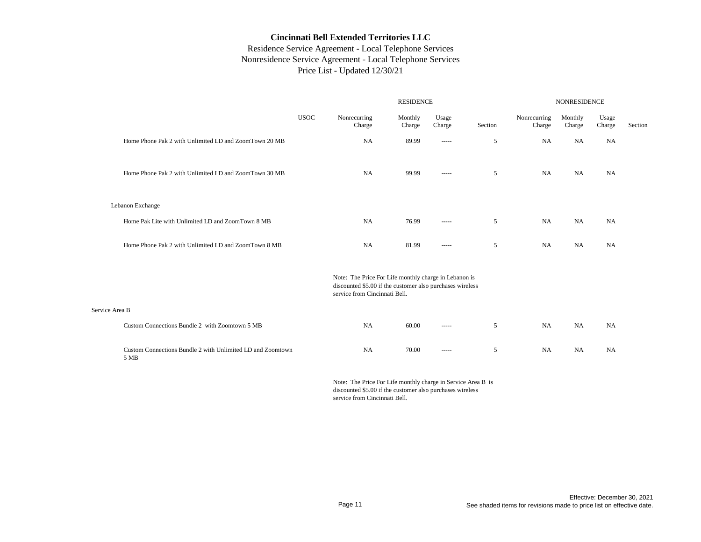# Residence Service Agreement - Local Telephone Services Nonresidence Service Agreement - Local Telephone Services Price List - Updated 12/30/21

|                |                                                                    |             |                                                                                                                                                     | <b>RESIDENCE</b>  |                                                                                                                                                                                                                                                                                                                                                                                                                                                                                        |            |                        | <b>NONRESIDENCE</b> |                 |         |  |
|----------------|--------------------------------------------------------------------|-------------|-----------------------------------------------------------------------------------------------------------------------------------------------------|-------------------|----------------------------------------------------------------------------------------------------------------------------------------------------------------------------------------------------------------------------------------------------------------------------------------------------------------------------------------------------------------------------------------------------------------------------------------------------------------------------------------|------------|------------------------|---------------------|-----------------|---------|--|
|                |                                                                    | <b>USOC</b> | Nonrecurring<br>Charge                                                                                                                              | Monthly<br>Charge | Usage<br>Charge                                                                                                                                                                                                                                                                                                                                                                                                                                                                        | Section    | Nonrecurring<br>Charge | Monthly<br>Charge   | Usage<br>Charge | Section |  |
|                | Home Phone Pak 2 with Unlimited LD and ZoomTown 20 MB              |             | <b>NA</b>                                                                                                                                           | 89.99             | $\cdots$                                                                                                                                                                                                                                                                                                                                                                                                                                                                               | $\sqrt{5}$ | NA                     | <b>NA</b>           | NA              |         |  |
|                | Home Phone Pak 2 with Unlimited LD and ZoomTown 30 MB              |             | <b>NA</b>                                                                                                                                           | 99.99             | $- - - - -$                                                                                                                                                                                                                                                                                                                                                                                                                                                                            | 5          | <b>NA</b>              | <b>NA</b>           | <b>NA</b>       |         |  |
|                | Lebanon Exchange                                                   |             |                                                                                                                                                     |                   |                                                                                                                                                                                                                                                                                                                                                                                                                                                                                        |            |                        |                     |                 |         |  |
|                | Home Pak Lite with Unlimited LD and ZoomTown 8 MB                  |             | <b>NA</b>                                                                                                                                           | 76.99             | 1.1111                                                                                                                                                                                                                                                                                                                                                                                                                                                                                 | 5          | <b>NA</b>              | <b>NA</b>           | <b>NA</b>       |         |  |
|                | Home Phone Pak 2 with Unlimited LD and ZoomTown 8 MB               |             | NA                                                                                                                                                  | 81.99             | 1.1111                                                                                                                                                                                                                                                                                                                                                                                                                                                                                 | 5          | <b>NA</b>              | NA                  | NA              |         |  |
|                |                                                                    |             | Note: The Price For Life monthly charge in Lebanon is<br>discounted \$5.00 if the customer also purchases wireless<br>service from Cincinnati Bell. |                   |                                                                                                                                                                                                                                                                                                                                                                                                                                                                                        |            |                        |                     |                 |         |  |
| Service Area B |                                                                    |             |                                                                                                                                                     |                   |                                                                                                                                                                                                                                                                                                                                                                                                                                                                                        |            |                        |                     |                 |         |  |
|                | Custom Connections Bundle 2 with Zoomtown 5 MB                     |             | NA                                                                                                                                                  | 60.00             | -----                                                                                                                                                                                                                                                                                                                                                                                                                                                                                  | 5          | NA                     | NA                  | NA              |         |  |
|                | Custom Connections Bundle 2 with Unlimited LD and Zoomtown<br>5 MB |             | NA                                                                                                                                                  | 70.00             | $\begin{array}{cccccccccc} \multicolumn{2}{c}{} & \multicolumn{2}{c}{} & \multicolumn{2}{c}{} & \multicolumn{2}{c}{} & \multicolumn{2}{c}{} & \multicolumn{2}{c}{} & \multicolumn{2}{c}{} & \multicolumn{2}{c}{} & \multicolumn{2}{c}{} & \multicolumn{2}{c}{} & \multicolumn{2}{c}{} & \multicolumn{2}{c}{} & \multicolumn{2}{c}{} & \multicolumn{2}{c}{} & \multicolumn{2}{c}{} & \multicolumn{2}{c}{} & \multicolumn{2}{c}{} & \multicolumn{2}{c}{} & \multicolumn{2}{c}{} & \mult$ | 5          | NA                     | <b>NA</b>           | <b>NA</b>       |         |  |

Note: The Price For Life monthly charge in Service Area B is discounted \$5.00 if the customer also purchases wireless service from Cincinnati Bell.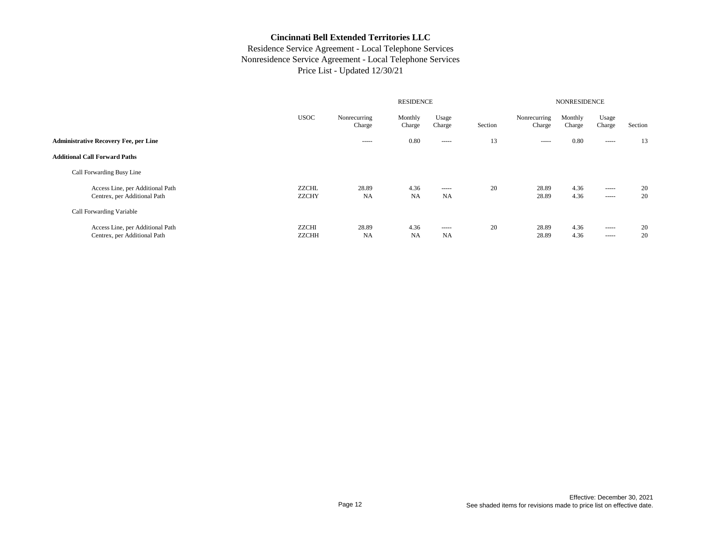|                                                                  |                              |                        | <b>NONRESIDENCE</b> |                                                                                                                                                                                                                                                                                                                                                                                                                                                                                        |         |                        |                   |                         |          |
|------------------------------------------------------------------|------------------------------|------------------------|---------------------|----------------------------------------------------------------------------------------------------------------------------------------------------------------------------------------------------------------------------------------------------------------------------------------------------------------------------------------------------------------------------------------------------------------------------------------------------------------------------------------|---------|------------------------|-------------------|-------------------------|----------|
|                                                                  | <b>USOC</b>                  | Nonrecurring<br>Charge | Monthly<br>Charge   | Usage<br>Charge                                                                                                                                                                                                                                                                                                                                                                                                                                                                        | Section | Nonrecurring<br>Charge | Monthly<br>Charge | Usage<br>Charge         | Section  |
| <b>Administrative Recovery Fee, per Line</b>                     |                              | $- - - - -$            | 0.80                | $\begin{array}{cccccccccc} \multicolumn{2}{c}{} & \multicolumn{2}{c}{} & \multicolumn{2}{c}{} & \multicolumn{2}{c}{} & \multicolumn{2}{c}{} & \multicolumn{2}{c}{} & \multicolumn{2}{c}{} & \multicolumn{2}{c}{} & \multicolumn{2}{c}{} & \multicolumn{2}{c}{} & \multicolumn{2}{c}{} & \multicolumn{2}{c}{} & \multicolumn{2}{c}{} & \multicolumn{2}{c}{} & \multicolumn{2}{c}{} & \multicolumn{2}{c}{} & \multicolumn{2}{c}{} & \multicolumn{2}{c}{} & \multicolumn{2}{c}{} & \mult$ | 13      | -----                  | 0.80              | -----                   | 13       |
| <b>Additional Call Forward Paths</b>                             |                              |                        |                     |                                                                                                                                                                                                                                                                                                                                                                                                                                                                                        |         |                        |                   |                         |          |
| Call Forwarding Busy Line                                        |                              |                        |                     |                                                                                                                                                                                                                                                                                                                                                                                                                                                                                        |         |                        |                   |                         |          |
| Access Line, per Additional Path<br>Centrex, per Additional Path | ZZCHL<br><b>ZZCHY</b>        | 28.89<br><b>NA</b>     | 4.36<br><b>NA</b>   | $- - - - -$<br>NA                                                                                                                                                                                                                                                                                                                                                                                                                                                                      | 20      | 28.89<br>28.89         | 4.36<br>4.36      | $\cdots$<br>-----       | 20<br>20 |
| Call Forwarding Variable                                         |                              |                        |                     |                                                                                                                                                                                                                                                                                                                                                                                                                                                                                        |         |                        |                   |                         |          |
| Access Line, per Additional Path<br>Centrex, per Additional Path | <b>ZZCHI</b><br><b>ZZCHH</b> | 28.89<br><b>NA</b>     | 4.36<br><b>NA</b>   | $\cdots$<br><b>NA</b>                                                                                                                                                                                                                                                                                                                                                                                                                                                                  | 20      | 28.89<br>28.89         | 4.36<br>4.36      | $- - - - -$<br>$\cdots$ | 20<br>20 |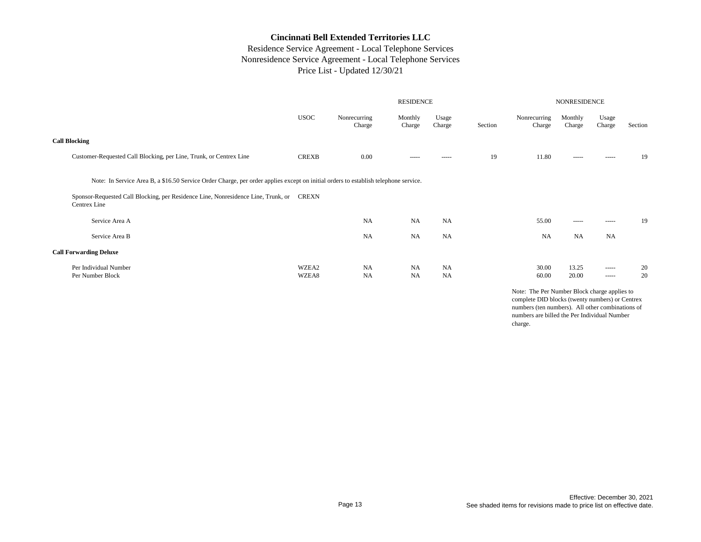# Residence Service Agreement - Local Telephone Services Nonresidence Service Agreement - Local Telephone Services Price List - Updated 12/30/21

|                                                                                                                                     |                |                        | <b>RESIDENCE</b>       |                        | <b>NONRESIDENCE</b> |                        |                   |                            |          |
|-------------------------------------------------------------------------------------------------------------------------------------|----------------|------------------------|------------------------|------------------------|---------------------|------------------------|-------------------|----------------------------|----------|
|                                                                                                                                     | <b>USOC</b>    | Nonrecurring<br>Charge | Monthly<br>Charge      | Usage<br>Charge        | Section             | Nonrecurring<br>Charge | Monthly<br>Charge | Usage<br>Charge            | Section  |
| <b>Call Blocking</b>                                                                                                                |                |                        |                        |                        |                     |                        |                   |                            |          |
| Customer-Requested Call Blocking, per Line, Trunk, or Centrex Line                                                                  | <b>CREXB</b>   | 0.00                   | -----                  | -----                  | 19                  | 11.80                  | -----             | $- - - - -$                | 19       |
| Note: In Service Area B, a \$16.50 Service Order Charge, per order applies except on initial orders to establish telephone service. |                |                        |                        |                        |                     |                        |                   |                            |          |
| Sponsor-Requested Call Blocking, per Residence Line, Nonresidence Line, Trunk, or<br>Centrex Line                                   | CREXN          |                        |                        |                        |                     |                        |                   |                            |          |
| Service Area A                                                                                                                      |                | <b>NA</b>              | <b>NA</b>              | <b>NA</b>              |                     | 55.00                  | $- - - - -$       | $- - - - -$                | 19       |
| Service Area B                                                                                                                      |                | <b>NA</b>              | <b>NA</b>              | <b>NA</b>              |                     | <b>NA</b>              | <b>NA</b>         | <b>NA</b>                  |          |
| <b>Call Forwarding Deluxe</b>                                                                                                       |                |                        |                        |                        |                     |                        |                   |                            |          |
| Per Individual Number<br>Per Number Block                                                                                           | WZEA2<br>WZEA8 | <b>NA</b><br><b>NA</b> | <b>NA</b><br><b>NA</b> | <b>NA</b><br><b>NA</b> |                     | 30.00<br>60.00         | 13.25<br>20.00    | $- - - - -$<br>$- - - - -$ | 20<br>20 |

Note: The Per Number Block charge applies to complete DID blocks (twenty numbers) or Centrex numbers (ten numbers). All other combinations of numbers are billed the Per Individual Number charge.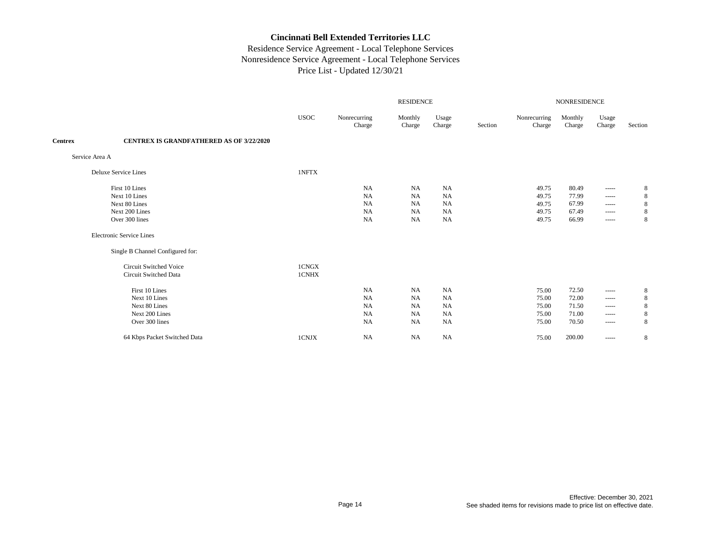|                |                                                 | <b>RESIDENCE</b> |                        |                   |                 |         |                        | NONRESIDENCE      |                                                                                                                                                                                                                                                                                                                                                                                                                                                                                        |         |  |  |
|----------------|-------------------------------------------------|------------------|------------------------|-------------------|-----------------|---------|------------------------|-------------------|----------------------------------------------------------------------------------------------------------------------------------------------------------------------------------------------------------------------------------------------------------------------------------------------------------------------------------------------------------------------------------------------------------------------------------------------------------------------------------------|---------|--|--|
|                |                                                 | <b>USOC</b>      | Nonrecurring<br>Charge | Monthly<br>Charge | Usage<br>Charge | Section | Nonrecurring<br>Charge | Monthly<br>Charge | Usage<br>Charge                                                                                                                                                                                                                                                                                                                                                                                                                                                                        | Section |  |  |
| <b>Centrex</b> | <b>CENTREX IS GRANDFATHERED AS OF 3/22/2020</b> |                  |                        |                   |                 |         |                        |                   |                                                                                                                                                                                                                                                                                                                                                                                                                                                                                        |         |  |  |
|                | Service Area A                                  |                  |                        |                   |                 |         |                        |                   |                                                                                                                                                                                                                                                                                                                                                                                                                                                                                        |         |  |  |
|                | Deluxe Service Lines                            | 1NFTX            |                        |                   |                 |         |                        |                   |                                                                                                                                                                                                                                                                                                                                                                                                                                                                                        |         |  |  |
|                | First 10 Lines                                  |                  | NA                     | <b>NA</b>         | <b>NA</b>       |         | 49.75                  | 80.49             | -----                                                                                                                                                                                                                                                                                                                                                                                                                                                                                  | 8       |  |  |
|                | Next 10 Lines                                   |                  | NA                     | <b>NA</b>         | NA              |         | 49.75                  | 77.99             | $- - - - -$                                                                                                                                                                                                                                                                                                                                                                                                                                                                            | 8       |  |  |
|                | Next 80 Lines                                   |                  | NA                     | <b>NA</b>         | NA              |         | 49.75                  | 67.99             | $\cdots$                                                                                                                                                                                                                                                                                                                                                                                                                                                                               | 8       |  |  |
|                | Next 200 Lines                                  |                  | NA                     | <b>NA</b>         | <b>NA</b>       |         | 49.75                  | 67.49             | $- - - - -$                                                                                                                                                                                                                                                                                                                                                                                                                                                                            | 8       |  |  |
|                | Over 300 lines                                  |                  | <b>NA</b>              | <b>NA</b>         | <b>NA</b>       |         | 49.75                  | 66.99             | -----                                                                                                                                                                                                                                                                                                                                                                                                                                                                                  | 8       |  |  |
|                | <b>Electronic Service Lines</b>                 |                  |                        |                   |                 |         |                        |                   |                                                                                                                                                                                                                                                                                                                                                                                                                                                                                        |         |  |  |
|                | Single B Channel Configured for:                |                  |                        |                   |                 |         |                        |                   |                                                                                                                                                                                                                                                                                                                                                                                                                                                                                        |         |  |  |
|                | Circuit Switched Voice                          | 1CNGX            |                        |                   |                 |         |                        |                   |                                                                                                                                                                                                                                                                                                                                                                                                                                                                                        |         |  |  |
|                | Circuit Switched Data                           | 1CNHX            |                        |                   |                 |         |                        |                   |                                                                                                                                                                                                                                                                                                                                                                                                                                                                                        |         |  |  |
|                | First 10 Lines                                  |                  | NA                     | <b>NA</b>         | <b>NA</b>       |         | 75.00                  | 72.50             | $\begin{array}{cccccccccc} \multicolumn{2}{c}{} & \multicolumn{2}{c}{} & \multicolumn{2}{c}{} & \multicolumn{2}{c}{} & \multicolumn{2}{c}{} & \multicolumn{2}{c}{} & \multicolumn{2}{c}{} & \multicolumn{2}{c}{} & \multicolumn{2}{c}{} & \multicolumn{2}{c}{} & \multicolumn{2}{c}{} & \multicolumn{2}{c}{} & \multicolumn{2}{c}{} & \multicolumn{2}{c}{} & \multicolumn{2}{c}{} & \multicolumn{2}{c}{} & \multicolumn{2}{c}{} & \multicolumn{2}{c}{} & \multicolumn{2}{c}{} & \mult$ | 8       |  |  |
|                | Next 10 Lines                                   |                  | NA                     | <b>NA</b>         | NA              |         | 75.00                  | 72.00             | $\begin{array}{cccccccccc} \multicolumn{2}{c}{} & \multicolumn{2}{c}{} & \multicolumn{2}{c}{} & \multicolumn{2}{c}{} & \multicolumn{2}{c}{} & \multicolumn{2}{c}{} & \multicolumn{2}{c}{} & \multicolumn{2}{c}{} & \multicolumn{2}{c}{} & \multicolumn{2}{c}{} & \multicolumn{2}{c}{} & \multicolumn{2}{c}{} & \multicolumn{2}{c}{} & \multicolumn{2}{c}{} & \multicolumn{2}{c}{} & \multicolumn{2}{c}{} & \multicolumn{2}{c}{} & \multicolumn{2}{c}{} & \multicolumn{2}{c}{} & \mult$ | 8       |  |  |
|                | Next 80 Lines                                   |                  | <b>NA</b>              | <b>NA</b>         | NA              |         | 75.00                  | 71.50             | -----                                                                                                                                                                                                                                                                                                                                                                                                                                                                                  | 8       |  |  |
|                | Next 200 Lines                                  |                  | NA                     | <b>NA</b>         | <b>NA</b>       |         | 75.00                  | 71.00             | $- - - - -$                                                                                                                                                                                                                                                                                                                                                                                                                                                                            | 8       |  |  |
|                | Over 300 lines                                  |                  | <b>NA</b>              | <b>NA</b>         | <b>NA</b>       |         | 75.00                  | 70.50             | $\begin{array}{cccccccccc} \multicolumn{2}{c}{} & \multicolumn{2}{c}{} & \multicolumn{2}{c}{} & \multicolumn{2}{c}{} & \multicolumn{2}{c}{} & \multicolumn{2}{c}{} & \multicolumn{2}{c}{} & \multicolumn{2}{c}{} & \multicolumn{2}{c}{} & \multicolumn{2}{c}{} & \multicolumn{2}{c}{} & \multicolumn{2}{c}{} & \multicolumn{2}{c}{} & \multicolumn{2}{c}{} & \multicolumn{2}{c}{} & \multicolumn{2}{c}{} & \multicolumn{2}{c}{} & \multicolumn{2}{c}{} & \multicolumn{2}{c}{} & \mult$ | 8       |  |  |
|                | 64 Kbps Packet Switched Data                    | 1CNJX            | NA                     | <b>NA</b>         | <b>NA</b>       |         | 75.00                  | 200.00            | $\begin{array}{cccccccccc} \multicolumn{2}{c}{} & \multicolumn{2}{c}{} & \multicolumn{2}{c}{} & \multicolumn{2}{c}{} & \multicolumn{2}{c}{} & \multicolumn{2}{c}{} & \multicolumn{2}{c}{} & \multicolumn{2}{c}{} & \multicolumn{2}{c}{} & \multicolumn{2}{c}{} & \multicolumn{2}{c}{} & \multicolumn{2}{c}{} & \multicolumn{2}{c}{} & \multicolumn{2}{c}{} & \multicolumn{2}{c}{} & \multicolumn{2}{c}{} & \multicolumn{2}{c}{} & \multicolumn{2}{c}{} & \multicolumn{2}{c}{} & \mult$ | 8       |  |  |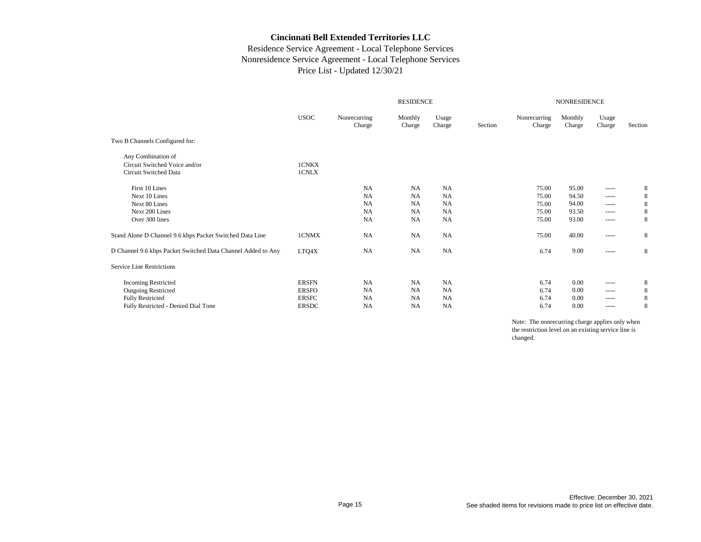# Residence Service Agreement - Local Telephone Services Nonresidence Service Agreement - Local Telephone Services Price List - Updated 12/30/21

|                                                              |              | <b>RESIDENCE</b>       |                   |                 |         |                        | <b>NONRESIDENCE</b> |                                                                                                                                                                                                                                                                                                                                                                                                                                                                                        |         |  |  |
|--------------------------------------------------------------|--------------|------------------------|-------------------|-----------------|---------|------------------------|---------------------|----------------------------------------------------------------------------------------------------------------------------------------------------------------------------------------------------------------------------------------------------------------------------------------------------------------------------------------------------------------------------------------------------------------------------------------------------------------------------------------|---------|--|--|
|                                                              | <b>USOC</b>  | Nonrecurring<br>Charge | Monthly<br>Charge | Usage<br>Charge | Section | Nonrecurring<br>Charge | Monthly<br>Charge   | Usage<br>Charge                                                                                                                                                                                                                                                                                                                                                                                                                                                                        | Section |  |  |
| Two B Channels Configured for:                               |              |                        |                   |                 |         |                        |                     |                                                                                                                                                                                                                                                                                                                                                                                                                                                                                        |         |  |  |
| Any Combination of                                           |              |                        |                   |                 |         |                        |                     |                                                                                                                                                                                                                                                                                                                                                                                                                                                                                        |         |  |  |
| Circuit Switched Voice and/or                                | 1CNKX        |                        |                   |                 |         |                        |                     |                                                                                                                                                                                                                                                                                                                                                                                                                                                                                        |         |  |  |
| Circuit Switched Data                                        | 1CNLX        |                        |                   |                 |         |                        |                     |                                                                                                                                                                                                                                                                                                                                                                                                                                                                                        |         |  |  |
| First 10 Lines                                               |              | <b>NA</b>              | <b>NA</b>         | <b>NA</b>       |         | 75.00                  | 95.00               | -----                                                                                                                                                                                                                                                                                                                                                                                                                                                                                  | 8       |  |  |
| Next 10 Lines                                                |              | <b>NA</b>              | <b>NA</b>         | NA              |         | 75.00                  | 94.50               | $\begin{array}{cccccccccc} \multicolumn{2}{c}{} & \multicolumn{2}{c}{} & \multicolumn{2}{c}{} & \multicolumn{2}{c}{} & \multicolumn{2}{c}{} & \multicolumn{2}{c}{} & \multicolumn{2}{c}{} & \multicolumn{2}{c}{} & \multicolumn{2}{c}{} & \multicolumn{2}{c}{} & \multicolumn{2}{c}{} & \multicolumn{2}{c}{} & \multicolumn{2}{c}{} & \multicolumn{2}{c}{} & \multicolumn{2}{c}{} & \multicolumn{2}{c}{} & \multicolumn{2}{c}{} & \multicolumn{2}{c}{} & \multicolumn{2}{c}{} & \mult$ | 8       |  |  |
| Next 80 Lines                                                |              | <b>NA</b>              | <b>NA</b>         | NA              |         | 75.00                  | 94.00               |                                                                                                                                                                                                                                                                                                                                                                                                                                                                                        | 8       |  |  |
| Next 200 Lines                                               |              | <b>NA</b>              | <b>NA</b>         | NA              |         | 75.00                  | 93.50               | -----                                                                                                                                                                                                                                                                                                                                                                                                                                                                                  | 8       |  |  |
| Over 300 lines                                               |              | <b>NA</b>              | <b>NA</b>         | <b>NA</b>       |         | 75.00                  | 93.00               |                                                                                                                                                                                                                                                                                                                                                                                                                                                                                        | 8       |  |  |
| Stand Alone D Channel 9.6 kbps Packet Switched Data Line     | 1CNMX        | <b>NA</b>              | <b>NA</b>         | <b>NA</b>       |         | 75.00                  | 40.00               | -----                                                                                                                                                                                                                                                                                                                                                                                                                                                                                  | 8       |  |  |
| D Channel 9.6 kbps Packet Switched Data Channel Added to Any | LTQ4X        | <b>NA</b>              | <b>NA</b>         | <b>NA</b>       |         | 6.74                   | 9.00                | -----                                                                                                                                                                                                                                                                                                                                                                                                                                                                                  | 8       |  |  |
| Service Line Restrictions                                    |              |                        |                   |                 |         |                        |                     |                                                                                                                                                                                                                                                                                                                                                                                                                                                                                        |         |  |  |
| <b>Incoming Restricted</b>                                   | <b>ERSFN</b> | <b>NA</b>              | NA                | <b>NA</b>       |         | 6.74                   | 0.00                | -----                                                                                                                                                                                                                                                                                                                                                                                                                                                                                  | 8       |  |  |
| <b>Outgoing Restricted</b>                                   | <b>ERSFO</b> | NA                     | <b>NA</b>         | <b>NA</b>       |         | 6.74                   | 0.00                |                                                                                                                                                                                                                                                                                                                                                                                                                                                                                        | 8       |  |  |
| <b>Fully Restricted</b>                                      | <b>ERSFC</b> | <b>NA</b>              | <b>NA</b>         | NA              |         | 6.74                   | 0.00                | -----                                                                                                                                                                                                                                                                                                                                                                                                                                                                                  | 8       |  |  |
| Fully Restricted - Denied Dial Tone                          | <b>ERSDC</b> | NA                     | <b>NA</b>         | NA              |         | 6.74                   | 0.00                | -----                                                                                                                                                                                                                                                                                                                                                                                                                                                                                  | 8       |  |  |
|                                                              |              |                        |                   |                 |         |                        |                     |                                                                                                                                                                                                                                                                                                                                                                                                                                                                                        |         |  |  |

Note: The nonrecurring charge applies only when the restriction level on an existing service line is changed.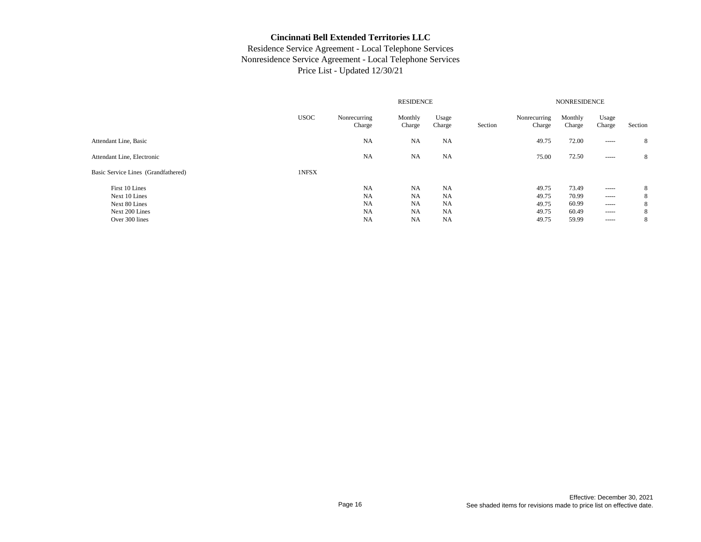| <b>USOC</b> | Nonrecurring<br>Charge | Monthly<br>Charge | Usage<br>Charge | Section                | Nonrecurring<br>Charge | Monthly<br>Charge | Usage<br>Charge                                                                                                                                                                                                                                                                                                                                                                                                                                                                        | Section                         |  |
|-------------|------------------------|-------------------|-----------------|------------------------|------------------------|-------------------|----------------------------------------------------------------------------------------------------------------------------------------------------------------------------------------------------------------------------------------------------------------------------------------------------------------------------------------------------------------------------------------------------------------------------------------------------------------------------------------|---------------------------------|--|
|             | <b>NA</b>              | <b>NA</b>         | <b>NA</b>       |                        | 49.75                  | 72.00             | $\begin{array}{cccccccccc} \multicolumn{2}{c}{} & \multicolumn{2}{c}{} & \multicolumn{2}{c}{} & \multicolumn{2}{c}{} & \multicolumn{2}{c}{} & \multicolumn{2}{c}{} & \multicolumn{2}{c}{} & \multicolumn{2}{c}{} & \multicolumn{2}{c}{} & \multicolumn{2}{c}{} & \multicolumn{2}{c}{} & \multicolumn{2}{c}{} & \multicolumn{2}{c}{} & \multicolumn{2}{c}{} & \multicolumn{2}{c}{} & \multicolumn{2}{c}{} & \multicolumn{2}{c}{} & \multicolumn{2}{c}{} & \multicolumn{2}{c}{} & \mult$ | 8                               |  |
|             | <b>NA</b>              | NA                | NA              |                        | 75.00                  | 72.50             |                                                                                                                                                                                                                                                                                                                                                                                                                                                                                        | 8                               |  |
| 1NFSX       |                        |                   |                 |                        |                        |                   |                                                                                                                                                                                                                                                                                                                                                                                                                                                                                        |                                 |  |
|             | NA                     | NA                | NA              |                        | 49.75                  | 73.49             | $\begin{array}{cccccccccc} \multicolumn{2}{c}{} & \multicolumn{2}{c}{} & \multicolumn{2}{c}{} & \multicolumn{2}{c}{} & \multicolumn{2}{c}{} & \multicolumn{2}{c}{} & \multicolumn{2}{c}{} & \multicolumn{2}{c}{} & \multicolumn{2}{c}{} & \multicolumn{2}{c}{} & \multicolumn{2}{c}{} & \multicolumn{2}{c}{} & \multicolumn{2}{c}{} & \multicolumn{2}{c}{} & \multicolumn{2}{c}{} & \multicolumn{2}{c}{} & \multicolumn{2}{c}{} & \multicolumn{2}{c}{} & \multicolumn{2}{c}{} & \mult$ | 8<br>8                          |  |
|             | <b>NA</b>              | <b>NA</b>         | <b>NA</b>       |                        | 49.75                  | 60.99             | $\begin{array}{cccccccccc} \multicolumn{2}{c}{} & \multicolumn{2}{c}{} & \multicolumn{2}{c}{} & \multicolumn{2}{c}{} & \multicolumn{2}{c}{} & \multicolumn{2}{c}{} & \multicolumn{2}{c}{} & \multicolumn{2}{c}{} & \multicolumn{2}{c}{} & \multicolumn{2}{c}{} & \multicolumn{2}{c}{} & \multicolumn{2}{c}{} & \multicolumn{2}{c}{} & \multicolumn{2}{c}{} & \multicolumn{2}{c}{} & \multicolumn{2}{c}{} & \multicolumn{2}{c}{} & \multicolumn{2}{c}{} & \multicolumn{2}{c}{} & \mult$ | 8                               |  |
|             | <b>NA</b>              | <b>NA</b>         | NA              |                        | 49.75                  | 60.49             | $- - - - -$                                                                                                                                                                                                                                                                                                                                                                                                                                                                            | 8                               |  |
|             | <b>NA</b>              | NA                | NA              |                        | 49.75                  | 59.99             | $- - - - -$                                                                                                                                                                                                                                                                                                                                                                                                                                                                            | 8                               |  |
|             |                        | <b>NA</b>         | NA              | <b>RESIDENCE</b><br>NA |                        | 49.75             | 70.99                                                                                                                                                                                                                                                                                                                                                                                                                                                                                  | <b>NONRESIDENCE</b><br>$\cdots$ |  |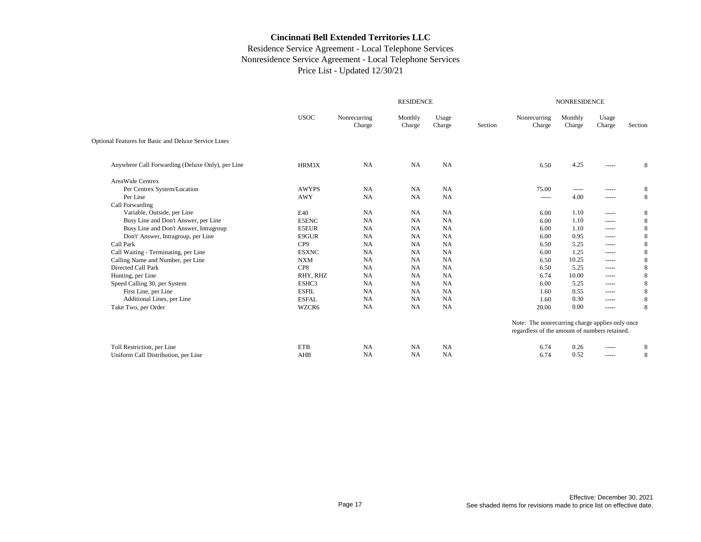|                                                      |                 |                        | <b>RESIDENCE</b>  |                 |         |                                                 | <b>NONRESIDENCE</b> |                                                                                                                                                                                                                                                                                                                                                                                                                                                                                        |         |
|------------------------------------------------------|-----------------|------------------------|-------------------|-----------------|---------|-------------------------------------------------|---------------------|----------------------------------------------------------------------------------------------------------------------------------------------------------------------------------------------------------------------------------------------------------------------------------------------------------------------------------------------------------------------------------------------------------------------------------------------------------------------------------------|---------|
|                                                      | <b>USOC</b>     | Nonrecurring<br>Charge | Monthly<br>Charge | Usage<br>Charge | Section | Nonrecurring<br>Charge                          | Monthly<br>Charge   | Usage<br>Charge                                                                                                                                                                                                                                                                                                                                                                                                                                                                        | Section |
| Optional Features for Basic and Deluxe Service Lines |                 |                        |                   |                 |         |                                                 |                     |                                                                                                                                                                                                                                                                                                                                                                                                                                                                                        |         |
| Anywhere Call Forwarding (Deluxe Only), per Line     | HRM3X           | <b>NA</b>              | <b>NA</b>         | NA              |         | 6.50                                            | 4.25                |                                                                                                                                                                                                                                                                                                                                                                                                                                                                                        | 8       |
| AreaWide Centrex                                     |                 |                        |                   |                 |         |                                                 |                     |                                                                                                                                                                                                                                                                                                                                                                                                                                                                                        |         |
| Per Centrex System/Location                          | <b>AWYPS</b>    | <b>NA</b>              | <b>NA</b>         | NA              |         | 75.00                                           | -----               | -----                                                                                                                                                                                                                                                                                                                                                                                                                                                                                  | 8       |
| Per Line                                             | <b>AWY</b>      | <b>NA</b>              | <b>NA</b>         | NA              |         | -----                                           | 4.00                | -----                                                                                                                                                                                                                                                                                                                                                                                                                                                                                  | 8       |
| Call Forwarding                                      |                 |                        |                   |                 |         |                                                 |                     |                                                                                                                                                                                                                                                                                                                                                                                                                                                                                        |         |
| Variable, Outside, per Line                          | E40             | <b>NA</b>              | <b>NA</b>         | <b>NA</b>       |         | 6.00                                            | 1.10                |                                                                                                                                                                                                                                                                                                                                                                                                                                                                                        | 8       |
| Busy Line and Don't Answer, per Line                 | <b>E5ENC</b>    | <b>NA</b>              | <b>NA</b>         | NA              |         | 6.00                                            | 1.10                |                                                                                                                                                                                                                                                                                                                                                                                                                                                                                        | 8       |
| Busy Line and Don't Answer, Intragroup               | <b>E5EUR</b>    | <b>NA</b>              | <b>NA</b>         | <b>NA</b>       |         | 6.00                                            | 1.10                | $- - - - -$                                                                                                                                                                                                                                                                                                                                                                                                                                                                            | 8       |
| Don't' Answer, Intragroup, per Line                  | E9GUR           | NA                     | <b>NA</b>         | <b>NA</b>       |         | 6.00                                            | 0.95                | -----                                                                                                                                                                                                                                                                                                                                                                                                                                                                                  | 8       |
| Call Park                                            | CP <sub>9</sub> | <b>NA</b>              | <b>NA</b>         | NA              |         | 6.50                                            | 5.25                |                                                                                                                                                                                                                                                                                                                                                                                                                                                                                        | 8       |
| Call Waiting - Terminating, per Line                 | <b>ESXNC</b>    | <b>NA</b>              | <b>NA</b>         | <b>NA</b>       |         | 6.00                                            | 1.25                | $\frac{1}{2}$                                                                                                                                                                                                                                                                                                                                                                                                                                                                          | 8       |
| Calling Name and Number, per Line                    | <b>NXM</b>      | <b>NA</b>              | <b>NA</b>         | <b>NA</b>       |         | 6.50                                            | 10.25               | $- - - - -$                                                                                                                                                                                                                                                                                                                                                                                                                                                                            | 8       |
| Directed Call Park                                   | CP8             | NA                     | <b>NA</b>         | <b>NA</b>       |         | 6.50                                            | 5.25                | $\frac{1}{2}$                                                                                                                                                                                                                                                                                                                                                                                                                                                                          |         |
| Hunting, per Line                                    | RHY, RHZ        | NA                     | <b>NA</b>         | NA              |         | 6.74                                            | 10.00               | -----                                                                                                                                                                                                                                                                                                                                                                                                                                                                                  |         |
| Speed Calling 30, per System                         | ESHC3           | <b>NA</b>              | <b>NA</b>         | NA              |         | 6.00                                            | 5.25                | -----                                                                                                                                                                                                                                                                                                                                                                                                                                                                                  |         |
| First Line, per Line                                 | <b>ESFIL</b>    | <b>NA</b>              | <b>NA</b>         | <b>NA</b>       |         | 1.60                                            | 0.55                | $\frac{1}{2}$                                                                                                                                                                                                                                                                                                                                                                                                                                                                          |         |
| Additional Lines, per Line                           | <b>ESFAL</b>    | <b>NA</b>              | <b>NA</b>         | <b>NA</b>       |         | 1.60                                            | 0.30                | $\begin{array}{cccccccccc} \multicolumn{2}{c}{} & \multicolumn{2}{c}{} & \multicolumn{2}{c}{} & \multicolumn{2}{c}{} & \multicolumn{2}{c}{} & \multicolumn{2}{c}{} & \multicolumn{2}{c}{} & \multicolumn{2}{c}{} & \multicolumn{2}{c}{} & \multicolumn{2}{c}{} & \multicolumn{2}{c}{} & \multicolumn{2}{c}{} & \multicolumn{2}{c}{} & \multicolumn{2}{c}{} & \multicolumn{2}{c}{} & \multicolumn{2}{c}{} & \multicolumn{2}{c}{} & \multicolumn{2}{c}{} & \multicolumn{2}{c}{} & \mult$ | 8       |
| Take Two, per Order                                  | WZCR6           | <b>NA</b>              | <b>NA</b>         | NA              |         | 20.00                                           | 0.00                |                                                                                                                                                                                                                                                                                                                                                                                                                                                                                        | 8       |
|                                                      |                 |                        |                   |                 |         | Note: The nonrecurring charge applies only once |                     |                                                                                                                                                                                                                                                                                                                                                                                                                                                                                        |         |
|                                                      |                 |                        |                   |                 |         | regardless of the amount of numbers retained.   |                     |                                                                                                                                                                                                                                                                                                                                                                                                                                                                                        |         |
| Toll Restriction, per Line                           | <b>ETB</b>      | <b>NA</b>              | <b>NA</b>         | <b>NA</b>       |         | 6.74                                            | 0.26                | -----                                                                                                                                                                                                                                                                                                                                                                                                                                                                                  | 8       |
| Uniform Call Distribution, per Line                  | AHB             | <b>NA</b>              | <b>NA</b>         | <b>NA</b>       |         | 6.74                                            | 0.52                | $\frac{1}{2}$                                                                                                                                                                                                                                                                                                                                                                                                                                                                          | 8       |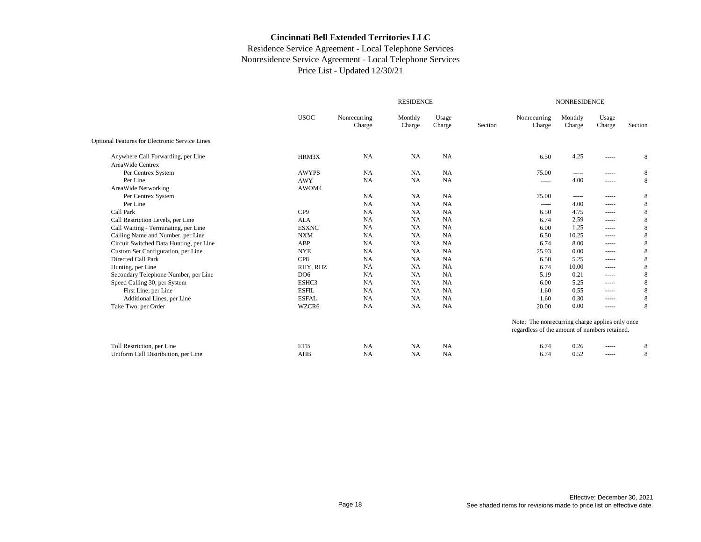|                                                       |                 |                        | <b>RESIDENCE</b>  |                 |         |                                                 | <b>NONRESIDENCE</b> |                                                                                                                                                                                                                                                                                                                                                                                                                                                                                              |         |
|-------------------------------------------------------|-----------------|------------------------|-------------------|-----------------|---------|-------------------------------------------------|---------------------|----------------------------------------------------------------------------------------------------------------------------------------------------------------------------------------------------------------------------------------------------------------------------------------------------------------------------------------------------------------------------------------------------------------------------------------------------------------------------------------------|---------|
|                                                       | <b>USOC</b>     | Nonrecurring<br>Charge | Monthly<br>Charge | Usage<br>Charge | Section | Nonrecurring<br>Charge                          | Monthly<br>Charge   | Usage<br>Charge                                                                                                                                                                                                                                                                                                                                                                                                                                                                              | Section |
| <b>Optional Features for Electronic Service Lines</b> |                 |                        |                   |                 |         |                                                 |                     |                                                                                                                                                                                                                                                                                                                                                                                                                                                                                              |         |
| Anywhere Call Forwarding, per Line                    | HRM3X           | <b>NA</b>              | <b>NA</b>         | <b>NA</b>       |         | 6.50                                            | 4.25                | -----                                                                                                                                                                                                                                                                                                                                                                                                                                                                                        | 8       |
| AreaWide Centrex                                      |                 |                        |                   |                 |         |                                                 |                     |                                                                                                                                                                                                                                                                                                                                                                                                                                                                                              |         |
| Per Centrex System                                    | <b>AWYPS</b>    | <b>NA</b>              | <b>NA</b>         | <b>NA</b>       |         | 75.00                                           | -----               | -----                                                                                                                                                                                                                                                                                                                                                                                                                                                                                        | 8       |
| Per Line                                              | <b>AWY</b>      | NA                     | <b>NA</b>         | NA              |         | -----                                           | 4.00                | -----                                                                                                                                                                                                                                                                                                                                                                                                                                                                                        | 8       |
| AreaWide Networking                                   | AWOM4           |                        |                   |                 |         |                                                 |                     |                                                                                                                                                                                                                                                                                                                                                                                                                                                                                              |         |
| Per Centrex System                                    |                 | NA                     | <b>NA</b>         | <b>NA</b>       |         | 75.00                                           | $\frac{1}{2}$       | -----                                                                                                                                                                                                                                                                                                                                                                                                                                                                                        | 8       |
| Per Line                                              |                 | NA                     | <b>NA</b>         | NA              |         | -----                                           | 4.00                | -----                                                                                                                                                                                                                                                                                                                                                                                                                                                                                        | 8       |
| Call Park                                             | CP <sub>9</sub> | NA                     | <b>NA</b>         | <b>NA</b>       |         | 6.50                                            | 4.75                | -----                                                                                                                                                                                                                                                                                                                                                                                                                                                                                        | 8       |
| Call Restriction Levels, per Line                     | <b>ALA</b>      | NA                     | <b>NA</b>         | <b>NA</b>       |         | 6.74                                            | 2.59                | $\begin{tabular}{cc} \multicolumn{2}{c} {\textbf{1}} & \multicolumn{2}{c} {\textbf{2}} & \multicolumn{2}{c} {\textbf{3}} & \multicolumn{2}{c} {\textbf{4}} & \multicolumn{2}{c} {\textbf{5}} & \multicolumn{2}{c} {\textbf{6}} & \multicolumn{2}{c} {\textbf{7}} & \multicolumn{2}{c} {\textbf{8}} & \multicolumn{2}{c} {\textbf{9}} & \multicolumn{2}{c} {\textbf{1}} & \multicolumn{2}{c} {\textbf{1}} & \multicolumn{2}{c} {\textbf{1}} & \multicolumn{2}{c} {\textbf{1}} & \multicolumn$ | 8       |
| Call Waiting - Terminating, per Line                  | <b>ESXNC</b>    | NA                     | <b>NA</b>         | <b>NA</b>       |         | 6.00                                            | 1.25                | $\begin{tabular}{cc} \multicolumn{2}{c} {\textbf{1}} & \multicolumn{2}{c} {\textbf{2}} & \multicolumn{2}{c} {\textbf{3}} & \multicolumn{2}{c} {\textbf{4}} & \multicolumn{2}{c} {\textbf{5}} & \multicolumn{2}{c} {\textbf{6}} & \multicolumn{2}{c} {\textbf{7}} & \multicolumn{2}{c} {\textbf{8}} & \multicolumn{2}{c} {\textbf{9}} & \multicolumn{2}{c} {\textbf{1}} & \multicolumn{2}{c} {\textbf{1}} & \multicolumn{2}{c} {\textbf{1}} & \multicolumn{2}{c} {\textbf{1}} & \multicolumn$ | 8       |
| Calling Name and Number, per Line                     | <b>NXM</b>      | NA                     | <b>NA</b>         | <b>NA</b>       |         | 6.50                                            | 10.25               | -----                                                                                                                                                                                                                                                                                                                                                                                                                                                                                        | 8       |
| Circuit Switched Data Hunting, per Line               | ABP             | NA                     | <b>NA</b>         | <b>NA</b>       |         | 6.74                                            | 8.00                | $\begin{tabular}{cc} \multicolumn{2}{c} {\textbf{1}} & \multicolumn{2}{c} {\textbf{2}} & \multicolumn{2}{c} {\textbf{3}} & \multicolumn{2}{c} {\textbf{4}} & \multicolumn{2}{c} {\textbf{5}} & \multicolumn{2}{c} {\textbf{6}} & \multicolumn{2}{c} {\textbf{7}} & \multicolumn{2}{c} {\textbf{8}} & \multicolumn{2}{c} {\textbf{9}} & \multicolumn{2}{c} {\textbf{1}} & \multicolumn{2}{c} {\textbf{1}} & \multicolumn{2}{c} {\textbf{1}} & \multicolumn{2}{c} {\textbf{1}} & \multicolumn$ | 8       |
| Custom Set Configuration, per Line                    | <b>NYE</b>      | NA                     | <b>NA</b>         | <b>NA</b>       |         | 25.93                                           | 0.00                | $\begin{tabular}{cc} \multicolumn{2}{c} {\textbf{1}} & \multicolumn{2}{c} {\textbf{2}} & \multicolumn{2}{c} {\textbf{3}} & \multicolumn{2}{c} {\textbf{4}} & \multicolumn{2}{c} {\textbf{5}} & \multicolumn{2}{c} {\textbf{6}} & \multicolumn{2}{c} {\textbf{7}} & \multicolumn{2}{c} {\textbf{8}} & \multicolumn{2}{c} {\textbf{9}} & \multicolumn{2}{c} {\textbf{1}} & \multicolumn{2}{c} {\textbf{1}} & \multicolumn{2}{c} {\textbf{1}} & \multicolumn{2}{c} {\textbf{1}} & \multicolumn$ | 8       |
| Directed Call Park                                    | CP8             | NA                     | <b>NA</b>         | NA              |         | 6.50                                            | 5.25                | $\begin{array}{cccccccccc} \multicolumn{2}{c}{} & \multicolumn{2}{c}{} & \multicolumn{2}{c}{} & \multicolumn{2}{c}{} & \multicolumn{2}{c}{} & \multicolumn{2}{c}{} & \multicolumn{2}{c}{} & \multicolumn{2}{c}{} & \multicolumn{2}{c}{} & \multicolumn{2}{c}{} & \multicolumn{2}{c}{} & \multicolumn{2}{c}{} & \multicolumn{2}{c}{} & \multicolumn{2}{c}{} & \multicolumn{2}{c}{} & \multicolumn{2}{c}{} & \multicolumn{2}{c}{} & \multicolumn{2}{c}{} & \multicolumn{2}{c}{} & \mult$       | 8       |
| Hunting, per Line                                     | RHY, RHZ        | NA                     | <b>NA</b>         | <b>NA</b>       |         | 6.74                                            | 10.00               | -----                                                                                                                                                                                                                                                                                                                                                                                                                                                                                        | 8       |
| Secondary Telephone Number, per Line                  | DO <sub>6</sub> | NA                     | <b>NA</b>         | <b>NA</b>       |         | 5.19                                            | 0.21                | $\begin{tabular}{cc} \multicolumn{2}{c} {\textbf{1}} & \multicolumn{2}{c} {\textbf{2}} & \multicolumn{2}{c} {\textbf{3}} & \multicolumn{2}{c} {\textbf{4}} & \multicolumn{2}{c} {\textbf{5}} & \multicolumn{2}{c} {\textbf{6}} & \multicolumn{2}{c} {\textbf{7}} & \multicolumn{2}{c} {\textbf{8}} & \multicolumn{2}{c} {\textbf{9}} & \multicolumn{2}{c} {\textbf{1}} & \multicolumn{2}{c} {\textbf{1}} & \multicolumn{2}{c} {\textbf{1}} & \multicolumn{2}{c} {\textbf{1}} & \multicolumn$ | 8       |
| Speed Calling 30, per System                          | ESHC3           | <b>NA</b>              | <b>NA</b>         | <b>NA</b>       |         | 6.00                                            | 5.25                | -----                                                                                                                                                                                                                                                                                                                                                                                                                                                                                        | 8       |
| First Line, per Line                                  | <b>ESFIL</b>    | NA                     | <b>NA</b>         | <b>NA</b>       |         | 1.60                                            | 0.55                | $\begin{tabular}{cc} \multicolumn{2}{c} {\textbf{1}} & \multicolumn{2}{c} {\textbf{2}} & \multicolumn{2}{c} {\textbf{3}} & \multicolumn{2}{c} {\textbf{4}} & \multicolumn{2}{c} {\textbf{5}} & \multicolumn{2}{c} {\textbf{6}} & \multicolumn{2}{c} {\textbf{7}} & \multicolumn{2}{c} {\textbf{8}} & \multicolumn{2}{c} {\textbf{9}} & \multicolumn{2}{c} {\textbf{1}} & \multicolumn{2}{c} {\textbf{1}} & \multicolumn{2}{c} {\textbf{1}} & \multicolumn{2}{c} {\textbf{1}} & \multicolumn$ | 8       |
| Additional Lines, per Line                            | <b>ESFAL</b>    | NA                     | <b>NA</b>         | <b>NA</b>       |         | 1.60                                            | 0.30                | -----                                                                                                                                                                                                                                                                                                                                                                                                                                                                                        | 8       |
| Take Two, per Order                                   | WZCR6           | NA                     | <b>NA</b>         | NA              |         | 20.00                                           | 0.00                | $\begin{tabular}{cc} \multicolumn{2}{c} {\textbf{1}} & \multicolumn{2}{c} {\textbf{2}} & \multicolumn{2}{c} {\textbf{3}} & \multicolumn{2}{c} {\textbf{4}} & \multicolumn{2}{c} {\textbf{5}} & \multicolumn{2}{c} {\textbf{6}} & \multicolumn{2}{c} {\textbf{7}} & \multicolumn{2}{c} {\textbf{8}} & \multicolumn{2}{c} {\textbf{9}} & \multicolumn{2}{c} {\textbf{1}} & \multicolumn{2}{c} {\textbf{1}} & \multicolumn{2}{c} {\textbf{1}} & \multicolumn{2}{c} {\textbf{1}} & \multicolumn$ | 8       |
|                                                       |                 |                        |                   |                 |         | Note: The nonrecurring charge applies only once |                     |                                                                                                                                                                                                                                                                                                                                                                                                                                                                                              |         |
|                                                       |                 |                        |                   |                 |         | regardless of the amount of numbers retained.   |                     |                                                                                                                                                                                                                                                                                                                                                                                                                                                                                              |         |
| Toll Restriction, per Line                            | <b>ETB</b>      | <b>NA</b>              | <b>NA</b>         | <b>NA</b>       |         | 6.74                                            | 0.26                | -----                                                                                                                                                                                                                                                                                                                                                                                                                                                                                        | 8       |
| Uniform Call Distribution, per Line                   | AHB             | NA                     | <b>NA</b>         | <b>NA</b>       |         | 6.74                                            | 0.52                | -----                                                                                                                                                                                                                                                                                                                                                                                                                                                                                        | 8       |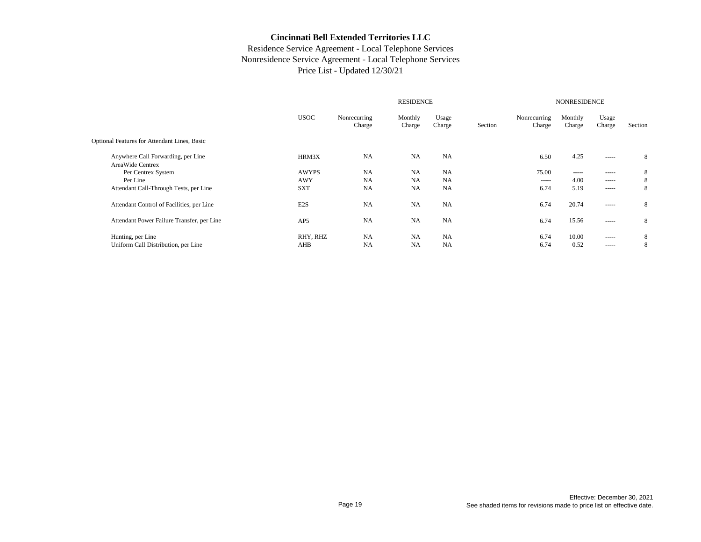|                                                        |                  | <b>RESIDENCE</b>       |                   |                 |         |                        |                   | <b>NONRESIDENCE</b>                                                                                                                                                                                                                                                                                                                                                                                                                                                                    |         |  |  |  |
|--------------------------------------------------------|------------------|------------------------|-------------------|-----------------|---------|------------------------|-------------------|----------------------------------------------------------------------------------------------------------------------------------------------------------------------------------------------------------------------------------------------------------------------------------------------------------------------------------------------------------------------------------------------------------------------------------------------------------------------------------------|---------|--|--|--|
|                                                        | <b>USOC</b>      | Nonrecurring<br>Charge | Monthly<br>Charge | Usage<br>Charge | Section | Nonrecurring<br>Charge | Monthly<br>Charge | Usage<br>Charge                                                                                                                                                                                                                                                                                                                                                                                                                                                                        | Section |  |  |  |
| Optional Features for Attendant Lines, Basic           |                  |                        |                   |                 |         |                        |                   |                                                                                                                                                                                                                                                                                                                                                                                                                                                                                        |         |  |  |  |
| Anywhere Call Forwarding, per Line<br>AreaWide Centrex | HRM3X            | <b>NA</b>              | NA                | <b>NA</b>       |         | 6.50                   | 4.25              | $\begin{array}{cccccccccc} \multicolumn{2}{c}{} & \multicolumn{2}{c}{} & \multicolumn{2}{c}{} & \multicolumn{2}{c}{} & \multicolumn{2}{c}{} & \multicolumn{2}{c}{} & \multicolumn{2}{c}{} & \multicolumn{2}{c}{} & \multicolumn{2}{c}{} & \multicolumn{2}{c}{} & \multicolumn{2}{c}{} & \multicolumn{2}{c}{} & \multicolumn{2}{c}{} & \multicolumn{2}{c}{} & \multicolumn{2}{c}{} & \multicolumn{2}{c}{} & \multicolumn{2}{c}{} & \multicolumn{2}{c}{} & \multicolumn{2}{c}{} & \mult$ | 8       |  |  |  |
| Per Centrex System                                     | <b>AWYPS</b>     | <b>NA</b>              | <b>NA</b>         | <b>NA</b>       |         | 75.00                  | -----             | -----                                                                                                                                                                                                                                                                                                                                                                                                                                                                                  | 8       |  |  |  |
| Per Line                                               | AWY              | <b>NA</b>              | <b>NA</b>         | <b>NA</b>       |         | -----                  | 4.00              | -----                                                                                                                                                                                                                                                                                                                                                                                                                                                                                  | 8       |  |  |  |
| Attendant Call-Through Tests, per Line                 | <b>SXT</b>       | <b>NA</b>              | NA                | <b>NA</b>       |         | 6.74                   | 5.19              | -----                                                                                                                                                                                                                                                                                                                                                                                                                                                                                  | 8       |  |  |  |
| Attendant Control of Facilities, per Line              | E <sub>2</sub> S | <b>NA</b>              | NA                | NA              |         | 6.74                   | 20.74             | -----                                                                                                                                                                                                                                                                                                                                                                                                                                                                                  | 8       |  |  |  |
| Attendant Power Failure Transfer, per Line             | AP <sub>5</sub>  | <b>NA</b>              | NA                | NA              |         | 6.74                   | 15.56             | -----                                                                                                                                                                                                                                                                                                                                                                                                                                                                                  | 8       |  |  |  |
| Hunting, per Line                                      | RHY, RHZ         | <b>NA</b>              | <b>NA</b>         | <b>NA</b>       |         | 6.74                   | 10.00             | -----                                                                                                                                                                                                                                                                                                                                                                                                                                                                                  | 8       |  |  |  |
| Uniform Call Distribution, per Line                    | AHB              | <b>NA</b>              | <b>NA</b>         | <b>NA</b>       |         | 6.74                   | 0.52              | -----                                                                                                                                                                                                                                                                                                                                                                                                                                                                                  | 8       |  |  |  |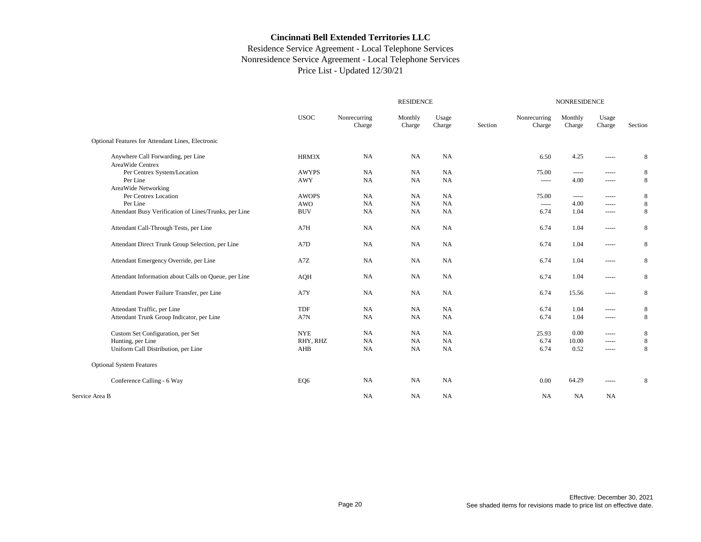|                                                        |              |                        | <b>RESIDENCE</b>  |                 |         | <b>NONRESIDENCE</b>    |                   |                 |             |  |
|--------------------------------------------------------|--------------|------------------------|-------------------|-----------------|---------|------------------------|-------------------|-----------------|-------------|--|
|                                                        | <b>USOC</b>  | Nonrecurring<br>Charge | Monthly<br>Charge | Usage<br>Charge | Section | Nonrecurring<br>Charge | Monthly<br>Charge | Usage<br>Charge | Section     |  |
| Optional Features for Attendant Lines, Electronic      |              |                        |                   |                 |         |                        |                   |                 |             |  |
| Anywhere Call Forwarding, per Line<br>AreaWide Centrex | HRM3X        | <b>NA</b>              | <b>NA</b>         | NA              |         | 6.50                   | 4.25              | -----           | $\,$ 8 $\,$ |  |
| Per Centrex System/Location                            | <b>AWYPS</b> | <b>NA</b>              | <b>NA</b>         | <b>NA</b>       |         | 75.00                  | -----             | -----           | 8           |  |
| Per Line                                               | <b>AWY</b>   | <b>NA</b>              | NA                | <b>NA</b>       |         | -----                  | 4.00              | -----           | 8           |  |
| AreaWide Networking                                    |              |                        |                   |                 |         |                        |                   |                 |             |  |
| Per Centrex Location                                   | <b>AWOPS</b> | <b>NA</b>              | <b>NA</b>         | <b>NA</b>       |         | 75.00                  | -----             | -----           | 8           |  |
| Per Line                                               | <b>AWO</b>   | <b>NA</b>              | NA                | NA              |         | -----                  | 4.00              | $\cdots$        | $\,8\,$     |  |
| Attendant Busy Verification of Lines/Trunks, per Line  | <b>BUV</b>   | <b>NA</b>              | NA                | NA              |         | 6.74                   | 1.04              | -----           | 8           |  |
| Attendant Call-Through Tests, per Line                 | A7H          | <b>NA</b>              | <b>NA</b>         | <b>NA</b>       |         | 6.74                   | 1.04              | $\cdots$        | $\,$ 8 $\,$ |  |
| Attendant Direct Trunk Group Selection, per Line       | A7D          | <b>NA</b>              | <b>NA</b>         | <b>NA</b>       |         | 6.74                   | 1.04              | -----           | 8           |  |
| Attendant Emergency Override, per Line                 | A7Z          | <b>NA</b>              | NA                | <b>NA</b>       |         | 6.74                   | 1.04              | -----           | $\,$ 8 $\,$ |  |
| Attendant Information about Calls on Queue, per Line   | <b>AQH</b>   | <b>NA</b>              | <b>NA</b>         | <b>NA</b>       |         | 6.74                   | 1.04              | -----           | 8           |  |
| Attendant Power Failure Transfer, per Line             | A7Y          | <b>NA</b>              | NA                | <b>NA</b>       |         | 6.74                   | 15.56             | -----           | 8           |  |
| Attendant Traffic, per Line                            | <b>TDF</b>   | <b>NA</b>              | NA                | NA              |         | 6.74                   | 1.04              | -----           | 8           |  |
| Attendant Trunk Group Indicator, per Line              | A7N          | <b>NA</b>              | <b>NA</b>         | NA              |         | 6.74                   | 1.04              | $\cdots$        | 8           |  |
| Custom Set Configuration, per Set                      | <b>NYE</b>   | <b>NA</b>              | <b>NA</b>         | NA              |         | 25.93                  | 0.00              | -----           | 8           |  |
| Hunting, per Line                                      | RHY, RHZ     | <b>NA</b>              | <b>NA</b>         | NA              |         | 6.74                   | 10.00             | $\cdots$        | 8           |  |
| Uniform Call Distribution, per Line                    | AHB          | <b>NA</b>              | NA                | NA              |         | 6.74                   | 0.52              | $\cdots$        | $\,$ 8 $\,$ |  |
| <b>Optional System Features</b>                        |              |                        |                   |                 |         |                        |                   |                 |             |  |
| Conference Calling - 6 Way                             | EQ6          | <b>NA</b>              | NA                | NA              |         | 0.00                   | 64.29             | -----           | 8           |  |
| Service Area B                                         |              | <b>NA</b>              | <b>NA</b>         | <b>NA</b>       |         | <b>NA</b>              | NA                | NA              |             |  |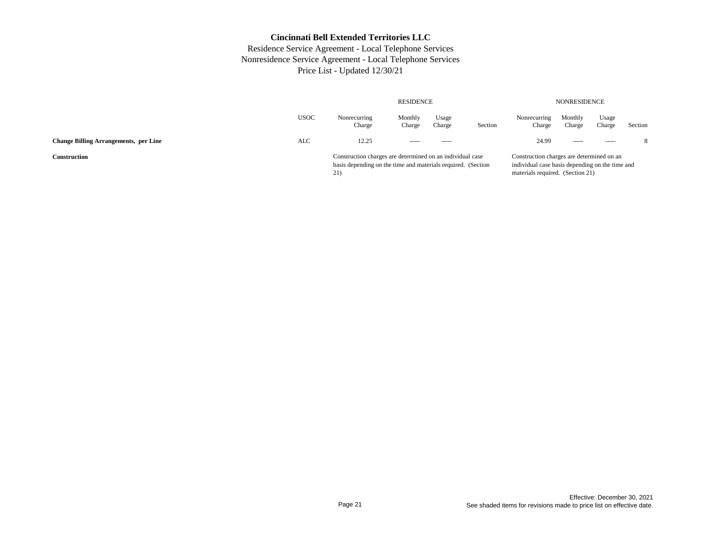|                                              |      |                                                                                                                                  | <b>NONRESIDENCE</b> |                 |         |                                                                                                                                  |                   |                 |         |
|----------------------------------------------|------|----------------------------------------------------------------------------------------------------------------------------------|---------------------|-----------------|---------|----------------------------------------------------------------------------------------------------------------------------------|-------------------|-----------------|---------|
|                                              | USOC | Nonrecurring<br>Charge                                                                                                           | Monthly<br>Charge   | Usage<br>Charge | Section | Nonrecurring<br>Charge                                                                                                           | Monthly<br>Charge | Usage<br>Charge | Section |
| <b>Change Billing Arrangements, per Line</b> | ALC  | 12.25                                                                                                                            | $- - - - -$         | $- - - - -$     |         | 24.99                                                                                                                            | -----             | $- - - - -$     | 8       |
| Construction                                 |      | Construction charges are determined on an individual case<br>basis depending on the time and materials required. (Section<br>21) |                     |                 |         | Construction charges are determined on an<br>individual case basis depending on the time and<br>materials required. (Section 21) |                   |                 |         |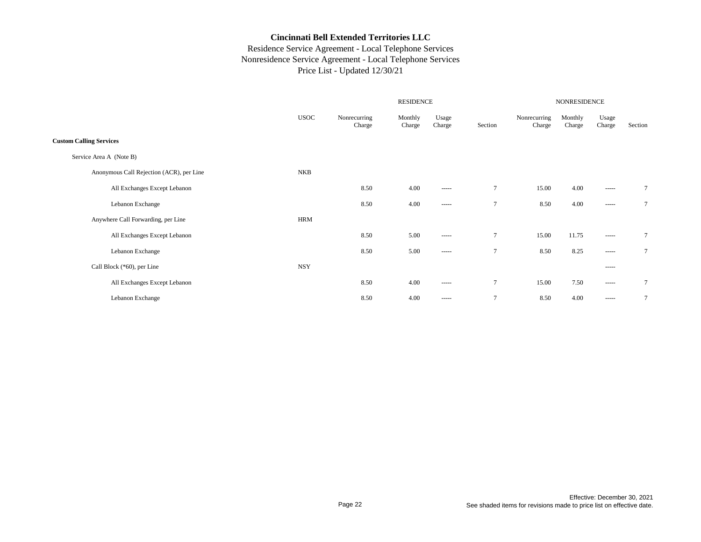|                                          |             |                        |                   | NONRESIDENCE                                                                                                                                                                                                                                                                                                                                                                                                                                                                           |                |                        |                   |                                                                                                                                                                                                                                                                                                                                                                                                                                                                                                |                |
|------------------------------------------|-------------|------------------------|-------------------|----------------------------------------------------------------------------------------------------------------------------------------------------------------------------------------------------------------------------------------------------------------------------------------------------------------------------------------------------------------------------------------------------------------------------------------------------------------------------------------|----------------|------------------------|-------------------|------------------------------------------------------------------------------------------------------------------------------------------------------------------------------------------------------------------------------------------------------------------------------------------------------------------------------------------------------------------------------------------------------------------------------------------------------------------------------------------------|----------------|
|                                          | <b>USOC</b> | Nonrecurring<br>Charge | Monthly<br>Charge | Usage<br>Charge                                                                                                                                                                                                                                                                                                                                                                                                                                                                        | Section        | Nonrecurring<br>Charge | Monthly<br>Charge | Usage<br>Charge                                                                                                                                                                                                                                                                                                                                                                                                                                                                                | Section        |
| <b>Custom Calling Services</b>           |             |                        |                   |                                                                                                                                                                                                                                                                                                                                                                                                                                                                                        |                |                        |                   |                                                                                                                                                                                                                                                                                                                                                                                                                                                                                                |                |
| Service Area A (Note B)                  |             |                        |                   |                                                                                                                                                                                                                                                                                                                                                                                                                                                                                        |                |                        |                   |                                                                                                                                                                                                                                                                                                                                                                                                                                                                                                |                |
| Anonymous Call Rejection (ACR), per Line | <b>NKB</b>  |                        |                   |                                                                                                                                                                                                                                                                                                                                                                                                                                                                                        |                |                        |                   |                                                                                                                                                                                                                                                                                                                                                                                                                                                                                                |                |
| All Exchanges Except Lebanon             |             | 8.50                   | 4.00              | ------                                                                                                                                                                                                                                                                                                                                                                                                                                                                                 | $\overline{7}$ | 15.00                  | 4.00              | $\begin{array}{cccccccccc} \multicolumn{2}{c}{} & \multicolumn{2}{c}{} & \multicolumn{2}{c}{} & \multicolumn{2}{c}{} & \multicolumn{2}{c}{} & \multicolumn{2}{c}{} & \multicolumn{2}{c}{} & \multicolumn{2}{c}{} & \multicolumn{2}{c}{} & \multicolumn{2}{c}{} & \multicolumn{2}{c}{} & \multicolumn{2}{c}{} & \multicolumn{2}{c}{} & \multicolumn{2}{c}{} & \multicolumn{2}{c}{} & \multicolumn{2}{c}{} & \multicolumn{2}{c}{} & \multicolumn{2}{c}{} & \multicolumn{2}{c}{} & \mult$         | $\overline{7}$ |
| Lebanon Exchange                         |             | 8.50                   | 4.00              | $\begin{array}{cccccccccc} \multicolumn{2}{c}{} & \multicolumn{2}{c}{} & \multicolumn{2}{c}{} & \multicolumn{2}{c}{} & \multicolumn{2}{c}{} & \multicolumn{2}{c}{} & \multicolumn{2}{c}{} & \multicolumn{2}{c}{} & \multicolumn{2}{c}{} & \multicolumn{2}{c}{} & \multicolumn{2}{c}{} & \multicolumn{2}{c}{} & \multicolumn{2}{c}{} & \multicolumn{2}{c}{} & \multicolumn{2}{c}{} & \multicolumn{2}{c}{} & \multicolumn{2}{c}{} & \multicolumn{2}{c}{} & \multicolumn{2}{c}{} & \mult$ | $\overline{7}$ | 8.50                   | 4.00              | $- - - - -$                                                                                                                                                                                                                                                                                                                                                                                                                                                                                    | $\overline{7}$ |
| Anywhere Call Forwarding, per Line       | <b>HRM</b>  |                        |                   |                                                                                                                                                                                                                                                                                                                                                                                                                                                                                        |                |                        |                   |                                                                                                                                                                                                                                                                                                                                                                                                                                                                                                |                |
| All Exchanges Except Lebanon             |             | 8.50                   | 5.00              | $- - - - -$                                                                                                                                                                                                                                                                                                                                                                                                                                                                            | $\tau$         | 15.00                  | 11.75             | $\begin{array}{cccccccccc} \multicolumn{2}{c}{} & \multicolumn{2}{c}{} & \multicolumn{2}{c}{} & \multicolumn{2}{c}{} & \multicolumn{2}{c}{} & \multicolumn{2}{c}{} & \multicolumn{2}{c}{} & \multicolumn{2}{c}{} & \multicolumn{2}{c}{} & \multicolumn{2}{c}{} & \multicolumn{2}{c}{} & \multicolumn{2}{c}{} & \multicolumn{2}{c}{} & \multicolumn{2}{c}{} & \multicolumn{2}{c}{} & \multicolumn{2}{c}{} & \multicolumn{2}{c}{} & \multicolumn{2}{c}{} & \multicolumn{2}{c}{} & \mult$         | 7              |
| Lebanon Exchange                         |             | 8.50                   | 5.00              | $\cdots$                                                                                                                                                                                                                                                                                                                                                                                                                                                                               | $\overline{7}$ | 8.50                   | 8.25              | -----                                                                                                                                                                                                                                                                                                                                                                                                                                                                                          | $\overline{7}$ |
| Call Block (*60), per Line               | <b>NSY</b>  |                        |                   |                                                                                                                                                                                                                                                                                                                                                                                                                                                                                        |                |                        |                   | $- - - - -$                                                                                                                                                                                                                                                                                                                                                                                                                                                                                    |                |
| All Exchanges Except Lebanon             |             | 8.50                   | 4.00              | $\begin{tabular}{ccccc} \multicolumn{2}{c}{} & \multicolumn{2}{c}{} & \multicolumn{2}{c}{} & \multicolumn{2}{c}{} & \multicolumn{2}{c}{} & \multicolumn{2}{c}{} & \multicolumn{2}{c}{} & \multicolumn{2}{c}{} & \multicolumn{2}{c}{} & \multicolumn{2}{c}{} & \multicolumn{2}{c}{} & \multicolumn{2}{c}{} & \multicolumn{2}{c}{} & \multicolumn{2}{c}{} & \multicolumn{2}{c}{} & \multicolumn{2}{c}{} & \multicolumn{2}{c}{} & \multicolumn{2}{c}{} & \multicolumn{2}{c}{} & \mult$    | $\overline{7}$ | 15.00                  | 7.50              | $\begin{tabular}{cc} \multicolumn{2}{c} {\textbf{1}} & \multicolumn{2}{c} {\textbf{2}} & \multicolumn{2}{c} {\textbf{3}} & \multicolumn{2}{c} {\textbf{4}} \\ \multicolumn{2}{c} {\textbf{5}} & \multicolumn{2}{c} {\textbf{6}} & \multicolumn{2}{c} {\textbf{7}} & \multicolumn{2}{c} {\textbf{8}} & \multicolumn{2}{c} {\textbf{9}} \\ \multicolumn{2}{c} {\textbf{1}} & \multicolumn{2}{c} {\textbf{1}} & \multicolumn{2}{c} {\textbf{1}} & \multicolumn{2}{c} {\textbf{1}} & \multicolumn$ | 7              |
| Lebanon Exchange                         |             | 8.50                   | 4.00              | $\begin{tabular}{ccccc} \multicolumn{2}{c}{} & \multicolumn{2}{c}{} & \multicolumn{2}{c}{} & \multicolumn{2}{c}{} & \multicolumn{2}{c}{} & \multicolumn{2}{c}{} & \multicolumn{2}{c}{} & \multicolumn{2}{c}{} & \multicolumn{2}{c}{} & \multicolumn{2}{c}{} & \multicolumn{2}{c}{} & \multicolumn{2}{c}{} & \multicolumn{2}{c}{} & \multicolumn{2}{c}{} & \multicolumn{2}{c}{} & \multicolumn{2}{c}{} & \multicolumn{2}{c}{} & \multicolumn{2}{c}{} & \multicolumn{2}{c}{} & \mult$    | $\overline{7}$ | 8.50                   | 4.00              | $\begin{tabular}{cc} \multicolumn{2}{c} {\textbf{1}} & \multicolumn{2}{c} {\textbf{2}} & \multicolumn{2}{c} {\textbf{3}} & \multicolumn{2}{c} {\textbf{4}} \\ \multicolumn{2}{c} {\textbf{5}} & \multicolumn{2}{c} {\textbf{6}} & \multicolumn{2}{c} {\textbf{7}} & \multicolumn{2}{c} {\textbf{8}} & \multicolumn{2}{c} {\textbf{9}} \\ \multicolumn{2}{c} {\textbf{1}} & \multicolumn{2}{c} {\textbf{1}} & \multicolumn{2}{c} {\textbf{1}} & \multicolumn{2}{c} {\textbf{1}} & \multicolumn$ | 7              |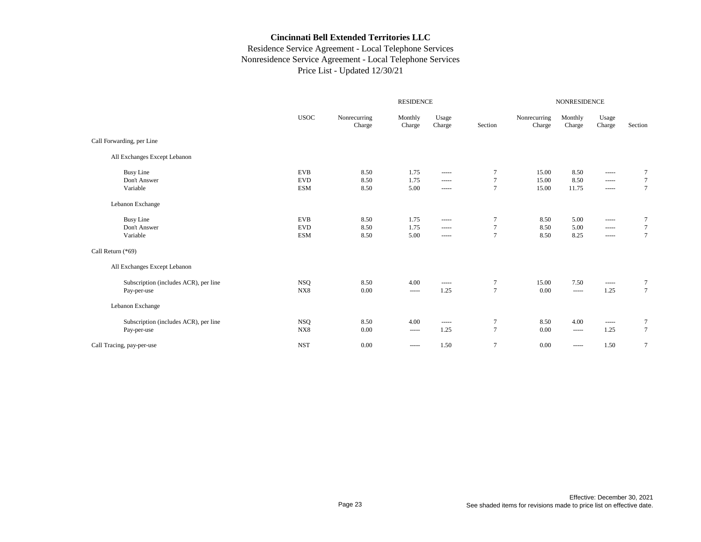|                 |                           | <b>NONRESIDENCE</b> |                                                                                                                                                                                                                                                                                                                                                                                                                                                                                        |                |  |  |
|-----------------|---------------------------|---------------------|----------------------------------------------------------------------------------------------------------------------------------------------------------------------------------------------------------------------------------------------------------------------------------------------------------------------------------------------------------------------------------------------------------------------------------------------------------------------------------------|----------------|--|--|
| Section         | Nonrecurring<br>Charge    | Monthly<br>Charge   | Usage<br>Charge                                                                                                                                                                                                                                                                                                                                                                                                                                                                        | Section        |  |  |
|                 |                           |                     |                                                                                                                                                                                                                                                                                                                                                                                                                                                                                        |                |  |  |
|                 |                           |                     |                                                                                                                                                                                                                                                                                                                                                                                                                                                                                        |                |  |  |
| $\tau$          | 15.00                     | 8.50                |                                                                                                                                                                                                                                                                                                                                                                                                                                                                                        | 7              |  |  |
|                 |                           |                     | $- - - - -$                                                                                                                                                                                                                                                                                                                                                                                                                                                                            | $\tau$         |  |  |
|                 |                           |                     | $\begin{array}{cccccccccc} \multicolumn{2}{c}{} & \multicolumn{2}{c}{} & \multicolumn{2}{c}{} & \multicolumn{2}{c}{} & \multicolumn{2}{c}{} & \multicolumn{2}{c}{} & \multicolumn{2}{c}{} & \multicolumn{2}{c}{} & \multicolumn{2}{c}{} & \multicolumn{2}{c}{} & \multicolumn{2}{c}{} & \multicolumn{2}{c}{} & \multicolumn{2}{c}{} & \multicolumn{2}{c}{} & \multicolumn{2}{c}{} & \multicolumn{2}{c}{} & \multicolumn{2}{c}{} & \multicolumn{2}{c}{} & \multicolumn{2}{c}{} & \mult$ | $\overline{7}$ |  |  |
|                 |                           |                     |                                                                                                                                                                                                                                                                                                                                                                                                                                                                                        |                |  |  |
| $\tau$          | 8.50                      | 5.00                |                                                                                                                                                                                                                                                                                                                                                                                                                                                                                        | $\tau$         |  |  |
| $\overline{7}$  | 8.50                      | 5.00                | -----                                                                                                                                                                                                                                                                                                                                                                                                                                                                                  | $\tau$         |  |  |
| $7\phantom{.0}$ | 8.50                      | 8.25                | $- - - - -$                                                                                                                                                                                                                                                                                                                                                                                                                                                                            | $\overline{7}$ |  |  |
|                 |                           |                     |                                                                                                                                                                                                                                                                                                                                                                                                                                                                                        |                |  |  |
|                 |                           |                     |                                                                                                                                                                                                                                                                                                                                                                                                                                                                                        |                |  |  |
| $\overline{7}$  | 15.00                     | 7.50                | -----                                                                                                                                                                                                                                                                                                                                                                                                                                                                                  | $\tau$         |  |  |
| $\overline{7}$  | 0.00                      | $\cdots$            | 1.25                                                                                                                                                                                                                                                                                                                                                                                                                                                                                   | $\overline{7}$ |  |  |
|                 |                           |                     |                                                                                                                                                                                                                                                                                                                                                                                                                                                                                        |                |  |  |
| $\overline{7}$  | 8.50                      | 4.00                | $\cdots$                                                                                                                                                                                                                                                                                                                                                                                                                                                                               | $\tau$         |  |  |
| $\tau$          | 0.00                      | $\cdots$            | 1.25                                                                                                                                                                                                                                                                                                                                                                                                                                                                                   | $\tau$         |  |  |
| $\overline{7}$  | 0.00                      | -----               | 1.50                                                                                                                                                                                                                                                                                                                                                                                                                                                                                   | $\overline{7}$ |  |  |
|                 | $\tau$<br>$7\phantom{.0}$ | 15.00<br>15.00      | 8.50<br>11.75                                                                                                                                                                                                                                                                                                                                                                                                                                                                          |                |  |  |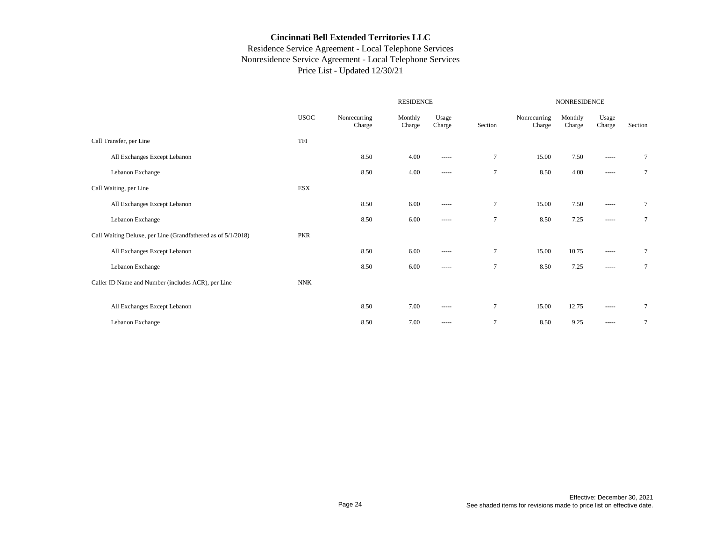|                                                              |             | <b>RESIDENCE</b>       |                   |                                                                                                                                                                                                                                                                                                                                                                                                                                                                                        |                 | NONRESIDENCE           |                   |                                                                                                                                                                                                                                                                                                                                                                                                                                                                                              |         |  |
|--------------------------------------------------------------|-------------|------------------------|-------------------|----------------------------------------------------------------------------------------------------------------------------------------------------------------------------------------------------------------------------------------------------------------------------------------------------------------------------------------------------------------------------------------------------------------------------------------------------------------------------------------|-----------------|------------------------|-------------------|----------------------------------------------------------------------------------------------------------------------------------------------------------------------------------------------------------------------------------------------------------------------------------------------------------------------------------------------------------------------------------------------------------------------------------------------------------------------------------------------|---------|--|
|                                                              | <b>USOC</b> | Nonrecurring<br>Charge | Monthly<br>Charge | Usage<br>Charge                                                                                                                                                                                                                                                                                                                                                                                                                                                                        | Section         | Nonrecurring<br>Charge | Monthly<br>Charge | Usage<br>Charge                                                                                                                                                                                                                                                                                                                                                                                                                                                                              | Section |  |
| Call Transfer, per Line                                      | TFI         |                        |                   |                                                                                                                                                                                                                                                                                                                                                                                                                                                                                        |                 |                        |                   |                                                                                                                                                                                                                                                                                                                                                                                                                                                                                              |         |  |
| All Exchanges Except Lebanon                                 |             | 8.50                   | 4.00              | -----                                                                                                                                                                                                                                                                                                                                                                                                                                                                                  | $\overline{7}$  | 15.00                  | 7.50              | $\begin{array}{cccccccccc} \multicolumn{2}{c}{} & \multicolumn{2}{c}{} & \multicolumn{2}{c}{} & \multicolumn{2}{c}{} & \multicolumn{2}{c}{} & \multicolumn{2}{c}{} & \multicolumn{2}{c}{} & \multicolumn{2}{c}{} & \multicolumn{2}{c}{} & \multicolumn{2}{c}{} & \multicolumn{2}{c}{} & \multicolumn{2}{c}{} & \multicolumn{2}{c}{} & \multicolumn{2}{c}{} & \multicolumn{2}{c}{} & \multicolumn{2}{c}{} & \multicolumn{2}{c}{} & \multicolumn{2}{c}{} & \multicolumn{2}{c}{} & \mult$       | $\tau$  |  |
| Lebanon Exchange                                             |             | 8.50                   | 4.00              | $- - - - -$                                                                                                                                                                                                                                                                                                                                                                                                                                                                            | $\overline{7}$  | 8.50                   | 4.00              | $\begin{array}{cccccccccc} \multicolumn{2}{c}{} & \multicolumn{2}{c}{} & \multicolumn{2}{c}{} & \multicolumn{2}{c}{} & \multicolumn{2}{c}{} & \multicolumn{2}{c}{} & \multicolumn{2}{c}{} & \multicolumn{2}{c}{} & \multicolumn{2}{c}{} & \multicolumn{2}{c}{} & \multicolumn{2}{c}{} & \multicolumn{2}{c}{} & \multicolumn{2}{c}{} & \multicolumn{2}{c}{} & \multicolumn{2}{c}{} & \multicolumn{2}{c}{} & \multicolumn{2}{c}{} & \multicolumn{2}{c}{} & \multicolumn{2}{c}{} & \mult$       | $\tau$  |  |
| Call Waiting, per Line                                       | ESX         |                        |                   |                                                                                                                                                                                                                                                                                                                                                                                                                                                                                        |                 |                        |                   |                                                                                                                                                                                                                                                                                                                                                                                                                                                                                              |         |  |
| All Exchanges Except Lebanon                                 |             | 8.50                   | 6.00              | -----                                                                                                                                                                                                                                                                                                                                                                                                                                                                                  | $\tau$          | 15.00                  | 7.50              | $\cdots$                                                                                                                                                                                                                                                                                                                                                                                                                                                                                     | $\tau$  |  |
| Lebanon Exchange                                             |             | 8.50                   | 6.00              | -----                                                                                                                                                                                                                                                                                                                                                                                                                                                                                  | $\tau$          | 8.50                   | 7.25              |                                                                                                                                                                                                                                                                                                                                                                                                                                                                                              | $\tau$  |  |
| Call Waiting Deluxe, per Line (Grandfathered as of 5/1/2018) | <b>PKR</b>  |                        |                   |                                                                                                                                                                                                                                                                                                                                                                                                                                                                                        |                 |                        |                   |                                                                                                                                                                                                                                                                                                                                                                                                                                                                                              |         |  |
| All Exchanges Except Lebanon                                 |             | 8.50                   | 6.00              | -----                                                                                                                                                                                                                                                                                                                                                                                                                                                                                  | $7\phantom{.0}$ | 15.00                  | 10.75             | $\begin{tabular}{cc} \multicolumn{2}{c} {\textbf{1}} & \multicolumn{2}{c} {\textbf{2}} & \multicolumn{2}{c} {\textbf{3}} & \multicolumn{2}{c} {\textbf{4}} & \multicolumn{2}{c} {\textbf{5}} & \multicolumn{2}{c} {\textbf{6}} & \multicolumn{2}{c} {\textbf{7}} & \multicolumn{2}{c} {\textbf{8}} & \multicolumn{2}{c} {\textbf{9}} & \multicolumn{2}{c} {\textbf{1}} & \multicolumn{2}{c} {\textbf{1}} & \multicolumn{2}{c} {\textbf{1}} & \multicolumn{2}{c} {\textbf{1}} & \multicolumn$ | $\tau$  |  |
| Lebanon Exchange                                             |             | 8.50                   | 6.00              | $\begin{array}{cccccccccc} \multicolumn{2}{c}{} & \multicolumn{2}{c}{} & \multicolumn{2}{c}{} & \multicolumn{2}{c}{} & \multicolumn{2}{c}{} & \multicolumn{2}{c}{} & \multicolumn{2}{c}{} & \multicolumn{2}{c}{} & \multicolumn{2}{c}{} & \multicolumn{2}{c}{} & \multicolumn{2}{c}{} & \multicolumn{2}{c}{} & \multicolumn{2}{c}{} & \multicolumn{2}{c}{} & \multicolumn{2}{c}{} & \multicolumn{2}{c}{} & \multicolumn{2}{c}{} & \multicolumn{2}{c}{} & \multicolumn{2}{c}{} & \mult$ | $\tau$          | 8.50                   | 7.25              | $\begin{array}{cccccccccc} \multicolumn{2}{c}{} & \multicolumn{2}{c}{} & \multicolumn{2}{c}{} & \multicolumn{2}{c}{} & \multicolumn{2}{c}{} & \multicolumn{2}{c}{} & \multicolumn{2}{c}{} & \multicolumn{2}{c}{} & \multicolumn{2}{c}{} & \multicolumn{2}{c}{} & \multicolumn{2}{c}{} & \multicolumn{2}{c}{} & \multicolumn{2}{c}{} & \multicolumn{2}{c}{} & \multicolumn{2}{c}{} & \multicolumn{2}{c}{} & \multicolumn{2}{c}{} & \multicolumn{2}{c}{} & \multicolumn{2}{c}{} & \mult$       | $\tau$  |  |
| Caller ID Name and Number (includes ACR), per Line           | <b>NNK</b>  |                        |                   |                                                                                                                                                                                                                                                                                                                                                                                                                                                                                        |                 |                        |                   |                                                                                                                                                                                                                                                                                                                                                                                                                                                                                              |         |  |
|                                                              |             |                        |                   |                                                                                                                                                                                                                                                                                                                                                                                                                                                                                        |                 |                        |                   |                                                                                                                                                                                                                                                                                                                                                                                                                                                                                              |         |  |
| All Exchanges Except Lebanon                                 |             | 8.50                   | 7.00              | -----                                                                                                                                                                                                                                                                                                                                                                                                                                                                                  | $\overline{7}$  | 15.00                  | 12.75             |                                                                                                                                                                                                                                                                                                                                                                                                                                                                                              | $\tau$  |  |
| Lebanon Exchange                                             |             | 8.50                   | 7.00              | -----                                                                                                                                                                                                                                                                                                                                                                                                                                                                                  | $\overline{7}$  | 8.50                   | 9.25              | $\begin{array}{cccccccccc} \multicolumn{2}{c}{} & \multicolumn{2}{c}{} & \multicolumn{2}{c}{} & \multicolumn{2}{c}{} & \multicolumn{2}{c}{} & \multicolumn{2}{c}{} & \multicolumn{2}{c}{} & \multicolumn{2}{c}{} & \multicolumn{2}{c}{} & \multicolumn{2}{c}{} & \multicolumn{2}{c}{} & \multicolumn{2}{c}{} & \multicolumn{2}{c}{} & \multicolumn{2}{c}{} & \multicolumn{2}{c}{} & \multicolumn{2}{c}{} & \multicolumn{2}{c}{} & \multicolumn{2}{c}{} & \multicolumn{2}{c}{} & \mult$       | $\tau$  |  |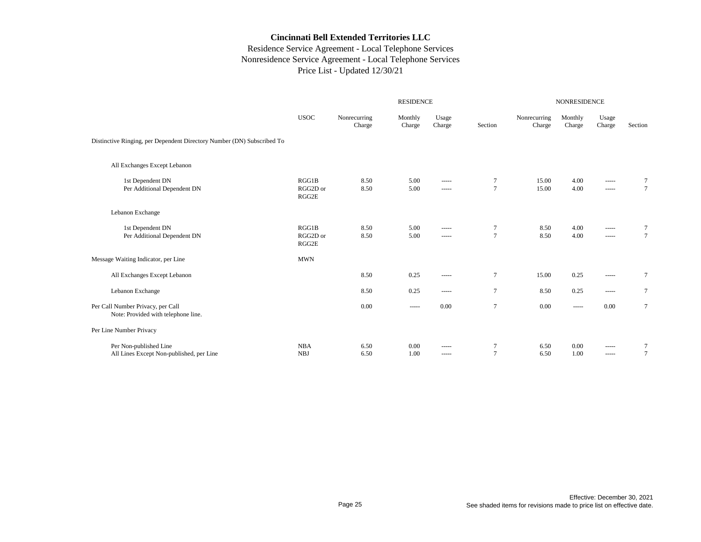|                                                                          |                            |                        |                   | <b>NONRESIDENCE</b>                                                                                                                                                                                                                                                                                                                                                                                                                                                                             |                          |                        |                   |                         |                           |
|--------------------------------------------------------------------------|----------------------------|------------------------|-------------------|-------------------------------------------------------------------------------------------------------------------------------------------------------------------------------------------------------------------------------------------------------------------------------------------------------------------------------------------------------------------------------------------------------------------------------------------------------------------------------------------------|--------------------------|------------------------|-------------------|-------------------------|---------------------------|
|                                                                          | <b>USOC</b>                | Nonrecurring<br>Charge | Monthly<br>Charge | Usage<br>Charge                                                                                                                                                                                                                                                                                                                                                                                                                                                                                 | Section                  | Nonrecurring<br>Charge | Monthly<br>Charge | Usage<br>Charge         | Section                   |
| Distinctive Ringing, per Dependent Directory Number (DN) Subscribed To   |                            |                        |                   |                                                                                                                                                                                                                                                                                                                                                                                                                                                                                                 |                          |                        |                   |                         |                           |
| All Exchanges Except Lebanon                                             |                            |                        |                   |                                                                                                                                                                                                                                                                                                                                                                                                                                                                                                 |                          |                        |                   |                         |                           |
| 1st Dependent DN<br>Per Additional Dependent DN                          | RGG1B<br>RGG2D or<br>RGG2E | 8.50<br>8.50           | 5.00<br>5.00      | -----<br>$- - - - -$                                                                                                                                                                                                                                                                                                                                                                                                                                                                            | $\tau$<br>$\overline{7}$ | 15.00<br>15.00         | 4.00<br>4.00      | -----<br>-----          | $\tau$<br>$7\phantom{.0}$ |
| Lebanon Exchange                                                         |                            |                        |                   |                                                                                                                                                                                                                                                                                                                                                                                                                                                                                                 |                          |                        |                   |                         |                           |
| 1st Dependent DN<br>Per Additional Dependent DN                          | RGG1B<br>RGG2D or<br>RGG2E | 8.50<br>8.50           | 5.00<br>5.00      | -----<br>$\begin{array}{cccccccccc} \multicolumn{2}{c}{} & \multicolumn{2}{c}{} & \multicolumn{2}{c}{} & \multicolumn{2}{c}{} & \multicolumn{2}{c}{} & \multicolumn{2}{c}{} & \multicolumn{2}{c}{} & \multicolumn{2}{c}{} & \multicolumn{2}{c}{} & \multicolumn{2}{c}{} & \multicolumn{2}{c}{} & \multicolumn{2}{c}{} & \multicolumn{2}{c}{} & \multicolumn{2}{c}{} & \multicolumn{2}{c}{} & \multicolumn{2}{c}{} & \multicolumn{2}{c}{} & \multicolumn{2}{c}{} & \multicolumn{2}{c}{} & \mult$ | $\tau$<br>$\overline{7}$ | 8.50<br>8.50           | 4.00<br>4.00      | $\cdots$<br>$- - - - -$ | 7                         |
| Message Waiting Indicator, per Line                                      | <b>MWN</b>                 |                        |                   |                                                                                                                                                                                                                                                                                                                                                                                                                                                                                                 |                          |                        |                   |                         |                           |
| All Exchanges Except Lebanon                                             |                            | 8.50                   | 0.25              | $\begin{array}{cccccccccc} \multicolumn{2}{c}{} & \multicolumn{2}{c}{} & \multicolumn{2}{c}{} & \multicolumn{2}{c}{} & \multicolumn{2}{c}{} & \multicolumn{2}{c}{} & \multicolumn{2}{c}{} & \multicolumn{2}{c}{} & \multicolumn{2}{c}{} & \multicolumn{2}{c}{} & \multicolumn{2}{c}{} & \multicolumn{2}{c}{} & \multicolumn{2}{c}{} & \multicolumn{2}{c}{} & \multicolumn{2}{c}{} & \multicolumn{2}{c}{} & \multicolumn{2}{c}{} & \multicolumn{2}{c}{} & \multicolumn{2}{c}{} & \mult$          | $\tau$                   | 15.00                  | 0.25              | $\cdots$                | $\tau$                    |
| Lebanon Exchange                                                         |                            | 8.50                   | 0.25              | -----                                                                                                                                                                                                                                                                                                                                                                                                                                                                                           | $\overline{7}$           | 8.50                   | 0.25              |                         | $\tau$                    |
| Per Call Number Privacy, per Call<br>Note: Provided with telephone line. |                            | 0.00                   | -----             | 0.00                                                                                                                                                                                                                                                                                                                                                                                                                                                                                            | $\tau$                   | 0.00                   | -----             | 0.00                    | $\tau$                    |
| Per Line Number Privacy                                                  |                            |                        |                   |                                                                                                                                                                                                                                                                                                                                                                                                                                                                                                 |                          |                        |                   |                         |                           |
| Per Non-published Line<br>All Lines Except Non-published, per Line       | <b>NBA</b><br><b>NBJ</b>   | 6.50<br>6.50           | 0.00<br>1.00      | -----<br>-----                                                                                                                                                                                                                                                                                                                                                                                                                                                                                  | 7<br>$\overline{7}$      | 6.50<br>6.50           | 0.00<br>1.00      | -----<br>$- - - - -$    |                           |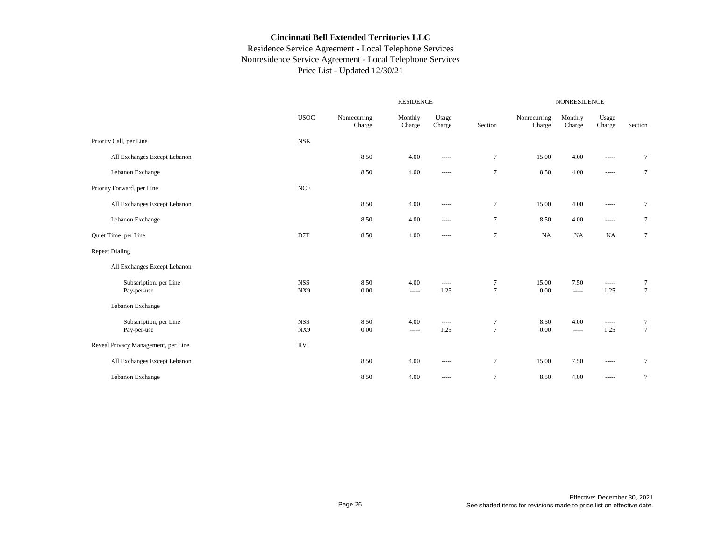|                                       |                   |                        | <b>RESIDENCE</b>  |                 |                          | <b>NONRESIDENCE</b>    |                   |                                                                                                                                                                                                                                                                                                                                                                                                                                                                                        |                  |  |
|---------------------------------------|-------------------|------------------------|-------------------|-----------------|--------------------------|------------------------|-------------------|----------------------------------------------------------------------------------------------------------------------------------------------------------------------------------------------------------------------------------------------------------------------------------------------------------------------------------------------------------------------------------------------------------------------------------------------------------------------------------------|------------------|--|
|                                       | <b>USOC</b>       | Nonrecurring<br>Charge | Monthly<br>Charge | Usage<br>Charge | Section                  | Nonrecurring<br>Charge | Monthly<br>Charge | Usage<br>Charge                                                                                                                                                                                                                                                                                                                                                                                                                                                                        | Section          |  |
| Priority Call, per Line               | <b>NSK</b>        |                        |                   |                 |                          |                        |                   |                                                                                                                                                                                                                                                                                                                                                                                                                                                                                        |                  |  |
| All Exchanges Except Lebanon          |                   | 8.50                   | 4.00              | -----           | $\tau$                   | 15.00                  | 4.00              | $\cdots$                                                                                                                                                                                                                                                                                                                                                                                                                                                                               | $\tau$           |  |
| Lebanon Exchange                      |                   | 8.50                   | 4.00              | -----           | $\tau$                   | 8.50                   | 4.00              | $\cdots$                                                                                                                                                                                                                                                                                                                                                                                                                                                                               | $\tau$           |  |
| Priority Forward, per Line            | <b>NCE</b>        |                        |                   |                 |                          |                        |                   |                                                                                                                                                                                                                                                                                                                                                                                                                                                                                        |                  |  |
| All Exchanges Except Lebanon          |                   | 8.50                   | 4.00              | -----           | $\tau$                   | 15.00                  | 4.00              | $\begin{array}{cccccccccc} \multicolumn{2}{c}{} & \multicolumn{2}{c}{} & \multicolumn{2}{c}{} & \multicolumn{2}{c}{} & \multicolumn{2}{c}{} & \multicolumn{2}{c}{} & \multicolumn{2}{c}{} & \multicolumn{2}{c}{} & \multicolumn{2}{c}{} & \multicolumn{2}{c}{} & \multicolumn{2}{c}{} & \multicolumn{2}{c}{} & \multicolumn{2}{c}{} & \multicolumn{2}{c}{} & \multicolumn{2}{c}{} & \multicolumn{2}{c}{} & \multicolumn{2}{c}{} & \multicolumn{2}{c}{} & \multicolumn{2}{c}{} & \mult$ | $\tau$           |  |
| Lebanon Exchange                      |                   | 8.50                   | 4.00              | -----           | $\tau$                   | 8.50                   | 4.00              | $\cdots$                                                                                                                                                                                                                                                                                                                                                                                                                                                                               | $\tau$           |  |
| Quiet Time, per Line                  | D7T               | 8.50                   | 4.00              | -----           | $\overline{7}$           | <b>NA</b>              | <b>NA</b>         | NA                                                                                                                                                                                                                                                                                                                                                                                                                                                                                     | $\tau$           |  |
| <b>Repeat Dialing</b>                 |                   |                        |                   |                 |                          |                        |                   |                                                                                                                                                                                                                                                                                                                                                                                                                                                                                        |                  |  |
| All Exchanges Except Lebanon          |                   |                        |                   |                 |                          |                        |                   |                                                                                                                                                                                                                                                                                                                                                                                                                                                                                        |                  |  |
| Subscription, per Line<br>Pay-per-use | <b>NSS</b><br>NX9 | 8.50<br>0.00           | 4.00<br>-----     | -----<br>1.25   | $\tau$<br>$\overline{7}$ | 15.00<br>0.00          | 7.50<br>$\cdots$  | $\cdots$<br>1.25                                                                                                                                                                                                                                                                                                                                                                                                                                                                       | $\tau$<br>$\tau$ |  |
| Lebanon Exchange                      |                   |                        |                   |                 |                          |                        |                   |                                                                                                                                                                                                                                                                                                                                                                                                                                                                                        |                  |  |
| Subscription, per Line<br>Pay-per-use | <b>NSS</b><br>NX9 | 8.50<br>0.00           | 4.00<br>-----     | -----<br>1.25   | $\tau$<br>$\tau$         | 8.50<br>$0.00\,$       | 4.00<br>-----     | $\cdots$<br>1.25                                                                                                                                                                                                                                                                                                                                                                                                                                                                       | $\tau$<br>$\tau$ |  |
| Reveal Privacy Management, per Line   | <b>RVL</b>        |                        |                   |                 |                          |                        |                   |                                                                                                                                                                                                                                                                                                                                                                                                                                                                                        |                  |  |
| All Exchanges Except Lebanon          |                   | 8.50                   | 4.00              | -----           | $\overline{7}$           | 15.00                  | 7.50              | $\cdots$                                                                                                                                                                                                                                                                                                                                                                                                                                                                               | $\tau$           |  |
| Lebanon Exchange                      |                   | 8.50                   | 4.00              | -----           | $\overline{7}$           | 8.50                   | 4.00              |                                                                                                                                                                                                                                                                                                                                                                                                                                                                                        | $\tau$           |  |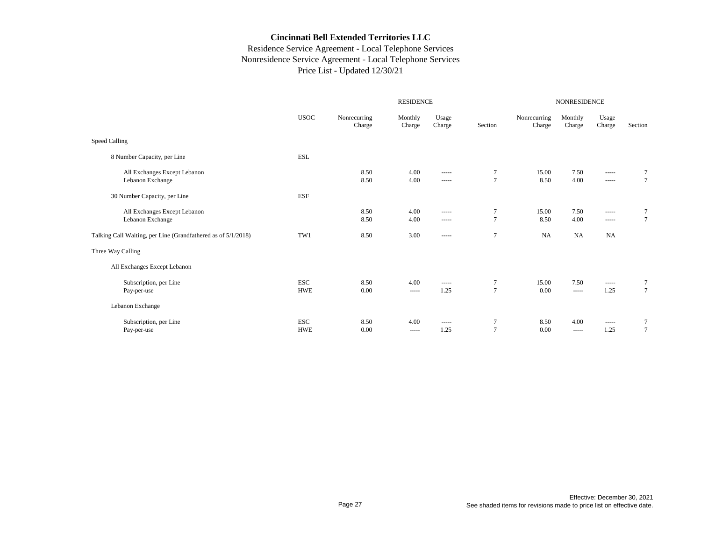|                          |                                                               |                     |                                                                                                                                                                                                                                                                                                                                                                                                                                                                                                                                                                                                                                                                                                                                                                                                                                                                                                                                                                                  | NONRESIDENCE             |                        |                   |                                                                                                                                                                                                                                                                                                                                                                                                                                                                                                       |                                    |
|--------------------------|---------------------------------------------------------------|---------------------|----------------------------------------------------------------------------------------------------------------------------------------------------------------------------------------------------------------------------------------------------------------------------------------------------------------------------------------------------------------------------------------------------------------------------------------------------------------------------------------------------------------------------------------------------------------------------------------------------------------------------------------------------------------------------------------------------------------------------------------------------------------------------------------------------------------------------------------------------------------------------------------------------------------------------------------------------------------------------------|--------------------------|------------------------|-------------------|-------------------------------------------------------------------------------------------------------------------------------------------------------------------------------------------------------------------------------------------------------------------------------------------------------------------------------------------------------------------------------------------------------------------------------------------------------------------------------------------------------|------------------------------------|
| <b>USOC</b>              | Nonrecurring<br>Charge                                        | Monthly<br>Charge   | Usage<br>Charge                                                                                                                                                                                                                                                                                                                                                                                                                                                                                                                                                                                                                                                                                                                                                                                                                                                                                                                                                                  | Section                  | Nonrecurring<br>Charge | Monthly<br>Charge | Usage<br>Charge                                                                                                                                                                                                                                                                                                                                                                                                                                                                                       | Section                            |
|                          |                                                               |                     |                                                                                                                                                                                                                                                                                                                                                                                                                                                                                                                                                                                                                                                                                                                                                                                                                                                                                                                                                                                  |                          |                        |                   |                                                                                                                                                                                                                                                                                                                                                                                                                                                                                                       |                                    |
| <b>ESL</b>               |                                                               |                     |                                                                                                                                                                                                                                                                                                                                                                                                                                                                                                                                                                                                                                                                                                                                                                                                                                                                                                                                                                                  |                          |                        |                   |                                                                                                                                                                                                                                                                                                                                                                                                                                                                                                       |                                    |
|                          | 8.50<br>8.50                                                  | 4.00<br>4.00        | -----<br>$\begin{array}{cccccccccc} \multicolumn{2}{c}{} & \multicolumn{2}{c}{} & \multicolumn{2}{c}{} & \multicolumn{2}{c}{} & \multicolumn{2}{c}{} & \multicolumn{2}{c}{} & \multicolumn{2}{c}{} & \multicolumn{2}{c}{} & \multicolumn{2}{c}{} & \multicolumn{2}{c}{} & \multicolumn{2}{c}{} & \multicolumn{2}{c}{} & \multicolumn{2}{c}{} & \multicolumn{2}{c}{} & \multicolumn{2}{c}{} & \multicolumn{2}{c}{} & \multicolumn{2}{c}{} & \multicolumn{2}{c}{} & \multicolumn{2}{c}{} & \mult$                                                                                                                                                                                                                                                                                                                                                                                                                                                                                  | $\tau$<br>$\overline{7}$ | 15.00<br>8.50          | 7.50<br>4.00      | -----<br>$\begin{array}{cccccccccc} \multicolumn{2}{c}{} & \multicolumn{2}{c}{} & \multicolumn{2}{c}{} & \multicolumn{2}{c}{} & \multicolumn{2}{c}{} & \multicolumn{2}{c}{} & \multicolumn{2}{c}{} & \multicolumn{2}{c}{} & \multicolumn{2}{c}{} & \multicolumn{2}{c}{} & \multicolumn{2}{c}{} & \multicolumn{2}{c}{} & \multicolumn{2}{c}{} & \multicolumn{2}{c}{} & \multicolumn{2}{c}{} & \multicolumn{2}{c}{} & \multicolumn{2}{c}{} & \multicolumn{2}{c}{} & \multicolumn{2}{c}{} & \mult$       | 7<br>$\overline{7}$                |
| <b>ESF</b>               |                                                               |                     |                                                                                                                                                                                                                                                                                                                                                                                                                                                                                                                                                                                                                                                                                                                                                                                                                                                                                                                                                                                  |                          |                        |                   |                                                                                                                                                                                                                                                                                                                                                                                                                                                                                                       |                                    |
|                          | 8.50<br>8.50                                                  | 4.00<br>4.00        | $\begin{array}{cccccccccc} \multicolumn{2}{c}{} & \multicolumn{2}{c}{} & \multicolumn{2}{c}{} & \multicolumn{2}{c}{} & \multicolumn{2}{c}{} & \multicolumn{2}{c}{} & \multicolumn{2}{c}{} & \multicolumn{2}{c}{} & \multicolumn{2}{c}{} & \multicolumn{2}{c}{} & \multicolumn{2}{c}{} & \multicolumn{2}{c}{} & \multicolumn{2}{c}{} & \multicolumn{2}{c}{} & \multicolumn{2}{c}{} & \multicolumn{2}{c}{} & \multicolumn{2}{c}{} & \multicolumn{2}{c}{} & \multicolumn{2}{c}{} & \mult$<br>$\begin{array}{cccccccccc} \multicolumn{2}{c}{} & \multicolumn{2}{c}{} & \multicolumn{2}{c}{} & \multicolumn{2}{c}{} & \multicolumn{2}{c}{} & \multicolumn{2}{c}{} & \multicolumn{2}{c}{} & \multicolumn{2}{c}{} & \multicolumn{2}{c}{} & \multicolumn{2}{c}{} & \multicolumn{2}{c}{} & \multicolumn{2}{c}{} & \multicolumn{2}{c}{} & \multicolumn{2}{c}{} & \multicolumn{2}{c}{} & \multicolumn{2}{c}{} & \multicolumn{2}{c}{} & \multicolumn{2}{c}{} & \multicolumn{2}{c}{} & \mult$ | $\tau$<br>$\overline{7}$ | 15.00<br>8.50          | 7.50<br>4.00      | -----<br>$\begin{tabular}{cc} \multicolumn{2}{c} {\textbf{1}} & \multicolumn{2}{c} {\textbf{2}} & \multicolumn{2}{c} {\textbf{3}} & \multicolumn{2}{c} {\textbf{4}} & \multicolumn{2}{c} {\textbf{5}} & \multicolumn{2}{c} {\textbf{6}} & \multicolumn{2}{c} {\textbf{7}} & \multicolumn{2}{c} {\textbf{8}} & \multicolumn{2}{c} {\textbf{9}} & \multicolumn{2}{c} {\textbf{1}} & \multicolumn{2}{c} {\textbf{1}} & \multicolumn{2}{c} {\textbf{1}} & \multicolumn{2}{c} {\textbf{1}} & \multicolumn$ | 7<br>$\overline{7}$                |
| TW1                      | 8.50                                                          | 3.00                | $\begin{array}{cccccccccc} \multicolumn{2}{c}{} & \multicolumn{2}{c}{} & \multicolumn{2}{c}{} & \multicolumn{2}{c}{} & \multicolumn{2}{c}{} & \multicolumn{2}{c}{} & \multicolumn{2}{c}{} & \multicolumn{2}{c}{} & \multicolumn{2}{c}{} & \multicolumn{2}{c}{} & \multicolumn{2}{c}{} & \multicolumn{2}{c}{} & \multicolumn{2}{c}{} & \multicolumn{2}{c}{} & \multicolumn{2}{c}{} & \multicolumn{2}{c}{} & \multicolumn{2}{c}{} & \multicolumn{2}{c}{} & \multicolumn{2}{c}{} & \mult$                                                                                                                                                                                                                                                                                                                                                                                                                                                                                           | $\overline{7}$           | NA                     | <b>NA</b>         | <b>NA</b>                                                                                                                                                                                                                                                                                                                                                                                                                                                                                             |                                    |
|                          |                                                               |                     |                                                                                                                                                                                                                                                                                                                                                                                                                                                                                                                                                                                                                                                                                                                                                                                                                                                                                                                                                                                  |                          |                        |                   |                                                                                                                                                                                                                                                                                                                                                                                                                                                                                                       |                                    |
|                          |                                                               |                     |                                                                                                                                                                                                                                                                                                                                                                                                                                                                                                                                                                                                                                                                                                                                                                                                                                                                                                                                                                                  |                          |                        |                   |                                                                                                                                                                                                                                                                                                                                                                                                                                                                                                       |                                    |
| <b>ESC</b><br><b>HWE</b> | 8.50<br>0.00                                                  | 4.00<br>-----       | $\begin{array}{cccccccccc} \multicolumn{2}{c}{} & \multicolumn{2}{c}{} & \multicolumn{2}{c}{} & \multicolumn{2}{c}{} & \multicolumn{2}{c}{} & \multicolumn{2}{c}{} & \multicolumn{2}{c}{} & \multicolumn{2}{c}{} & \multicolumn{2}{c}{} & \multicolumn{2}{c}{} & \multicolumn{2}{c}{} & \multicolumn{2}{c}{} & \multicolumn{2}{c}{} & \multicolumn{2}{c}{} & \multicolumn{2}{c}{} & \multicolumn{2}{c}{} & \multicolumn{2}{c}{} & \multicolumn{2}{c}{} & \multicolumn{2}{c}{} & \mult$<br>1.25                                                                                                                                                                                                                                                                                                                                                                                                                                                                                   | $\tau$<br>$\overline{7}$ | 15.00<br>0.00          | 7.50<br>$\cdots$  | -----<br>1.25                                                                                                                                                                                                                                                                                                                                                                                                                                                                                         | $\boldsymbol{7}$<br>$\overline{7}$ |
|                          |                                                               |                     |                                                                                                                                                                                                                                                                                                                                                                                                                                                                                                                                                                                                                                                                                                                                                                                                                                                                                                                                                                                  |                          |                        |                   |                                                                                                                                                                                                                                                                                                                                                                                                                                                                                                       |                                    |
| <b>ESC</b><br><b>HWE</b> | 8.50<br>0.00                                                  | 4.00<br>$- - - - -$ | -----<br>1.25                                                                                                                                                                                                                                                                                                                                                                                                                                                                                                                                                                                                                                                                                                                                                                                                                                                                                                                                                                    | $\tau$<br>$\overline{7}$ | 8.50<br>0.00           | 4.00<br>-----     | $\begin{array}{cccccccccc} \multicolumn{2}{c}{} & \multicolumn{2}{c}{} & \multicolumn{2}{c}{} & \multicolumn{2}{c}{} & \multicolumn{2}{c}{} & \multicolumn{2}{c}{} & \multicolumn{2}{c}{} & \multicolumn{2}{c}{} & \multicolumn{2}{c}{} & \multicolumn{2}{c}{} & \multicolumn{2}{c}{} & \multicolumn{2}{c}{} & \multicolumn{2}{c}{} & \multicolumn{2}{c}{} & \multicolumn{2}{c}{} & \multicolumn{2}{c}{} & \multicolumn{2}{c}{} & \multicolumn{2}{c}{} & \multicolumn{2}{c}{} & \mult$<br>1.25        | $\overline{7}$<br>$\overline{7}$   |
|                          | Talking Call Waiting, per Line (Grandfathered as of 5/1/2018) |                     |                                                                                                                                                                                                                                                                                                                                                                                                                                                                                                                                                                                                                                                                                                                                                                                                                                                                                                                                                                                  | <b>RESIDENCE</b>         |                        |                   |                                                                                                                                                                                                                                                                                                                                                                                                                                                                                                       |                                    |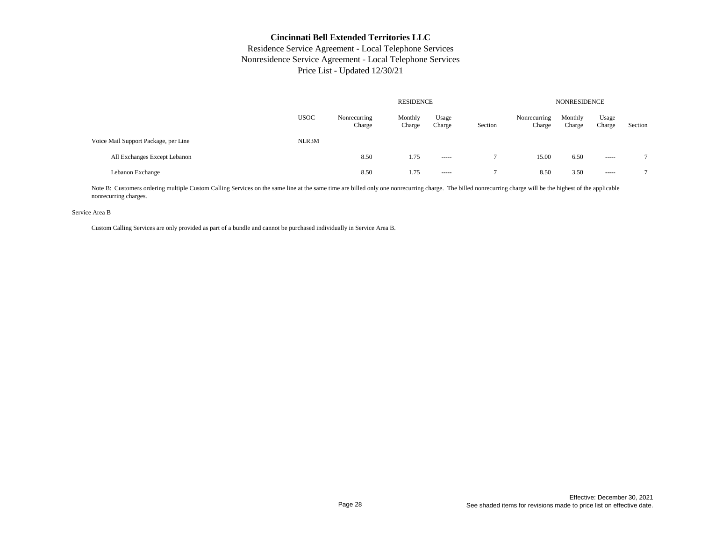# Residence Service Agreement - Local Telephone Services Nonresidence Service Agreement - Local Telephone Services Price List - Updated 12/30/21

|                                      |             |                        | <b>NONRESIDENCE</b> |                 |         |                        |                   |                 |                |
|--------------------------------------|-------------|------------------------|---------------------|-----------------|---------|------------------------|-------------------|-----------------|----------------|
|                                      | <b>USOC</b> | Nonrecurring<br>Charge | Monthly<br>Charge   | Usage<br>Charge | Section | Nonrecurring<br>Charge | Monthly<br>Charge | Usage<br>Charge | Section        |
| Voice Mail Support Package, per Line | NLR3M       |                        |                     |                 |         |                        |                   |                 |                |
| All Exchanges Except Lebanon         |             | 8.50                   | 1.75                | $- - - - -$     |         | 15.00                  | 6.50              | ------          | $\overline{a}$ |
| Lebanon Exchange                     |             | 8.50                   | 1.75                | $- - - - -$     |         | 8.50                   | 3.50              | ------          | $\overline{ }$ |

Note B: Customers ordering multiple Custom Calling Services on the same line at the same time are billed only one nonrecurring charge. The billed nonrecurring charge will be the highest of the applicable nonrecurring charges.

#### Service Area B

Custom Calling Services are only provided as part of a bundle and cannot be purchased individually in Service Area B.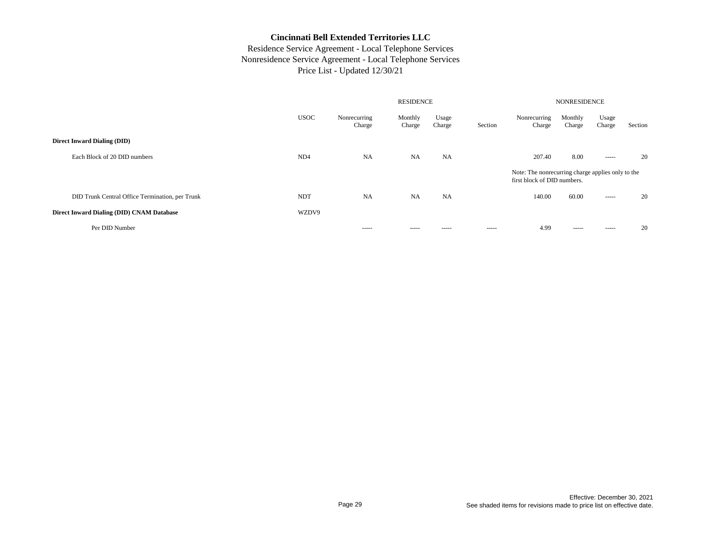|                                                 |                 | <b>RESIDENCE</b>       |                   |                 |         |                                                                                  | <b>NONRESIDENCE</b> |                 |         |  |  |
|-------------------------------------------------|-----------------|------------------------|-------------------|-----------------|---------|----------------------------------------------------------------------------------|---------------------|-----------------|---------|--|--|
|                                                 | <b>USOC</b>     | Nonrecurring<br>Charge | Monthly<br>Charge | Usage<br>Charge | Section | Nonrecurring<br>Charge                                                           | Monthly<br>Charge   | Usage<br>Charge | Section |  |  |
| <b>Direct Inward Dialing (DID)</b>              |                 |                        |                   |                 |         |                                                                                  |                     |                 |         |  |  |
| Each Block of 20 DID numbers                    | ND <sub>4</sub> | <b>NA</b>              | <b>NA</b>         | NA              |         | 207.40                                                                           | 8.00                | $- - - - -$     | 20      |  |  |
|                                                 |                 |                        |                   |                 |         | Note: The nonrecurring charge applies only to the<br>first block of DID numbers. |                     |                 |         |  |  |
| DID Trunk Central Office Termination, per Trunk | <b>NDT</b>      | <b>NA</b>              | <b>NA</b>         | <b>NA</b>       |         | 140.00                                                                           | 60.00               | $- - - - -$     | 20      |  |  |
| Direct Inward Dialing (DID) CNAM Database       | WZDV9           |                        |                   |                 |         |                                                                                  |                     |                 |         |  |  |
| Per DID Number                                  |                 | -----                  | -----             | -----           | -----   | 4.99                                                                             | -----               | -----           | 20      |  |  |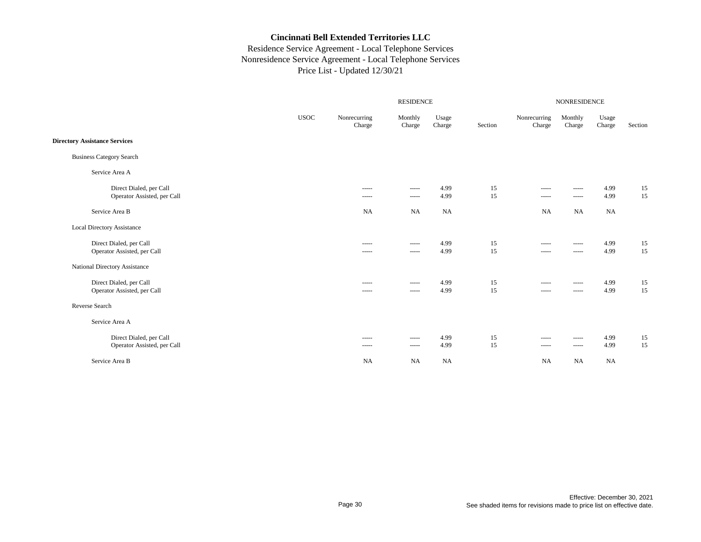|                                                        | RESIDENCE<br><b>NONRESIDENCE</b> |                                                                                                                                                                                                                                                                                                                                                                                                                                                                                                       |                                                                                                                                                                                                                                                                                                                                                                                                                                                                                                                                                                                                                                                                                                                                                                                                                                                                                                                                                                                  |                 |          |                                                                                                                                                                                                                                                                                                                                                                                                                                                                                                       |                                                                                                                                                                                                                                                                                                                                                                                                                                                                                                                                                                                                                                                                                                                                                                                                                                                                                                                                                                                  |                         |          |
|--------------------------------------------------------|----------------------------------|-------------------------------------------------------------------------------------------------------------------------------------------------------------------------------------------------------------------------------------------------------------------------------------------------------------------------------------------------------------------------------------------------------------------------------------------------------------------------------------------------------|----------------------------------------------------------------------------------------------------------------------------------------------------------------------------------------------------------------------------------------------------------------------------------------------------------------------------------------------------------------------------------------------------------------------------------------------------------------------------------------------------------------------------------------------------------------------------------------------------------------------------------------------------------------------------------------------------------------------------------------------------------------------------------------------------------------------------------------------------------------------------------------------------------------------------------------------------------------------------------|-----------------|----------|-------------------------------------------------------------------------------------------------------------------------------------------------------------------------------------------------------------------------------------------------------------------------------------------------------------------------------------------------------------------------------------------------------------------------------------------------------------------------------------------------------|----------------------------------------------------------------------------------------------------------------------------------------------------------------------------------------------------------------------------------------------------------------------------------------------------------------------------------------------------------------------------------------------------------------------------------------------------------------------------------------------------------------------------------------------------------------------------------------------------------------------------------------------------------------------------------------------------------------------------------------------------------------------------------------------------------------------------------------------------------------------------------------------------------------------------------------------------------------------------------|-------------------------|----------|
|                                                        | <b>USOC</b>                      | Nonrecurring<br>Charge                                                                                                                                                                                                                                                                                                                                                                                                                                                                                | Monthly<br>Charge                                                                                                                                                                                                                                                                                                                                                                                                                                                                                                                                                                                                                                                                                                                                                                                                                                                                                                                                                                | Usage<br>Charge | Section  | Nonrecurring<br>Charge                                                                                                                                                                                                                                                                                                                                                                                                                                                                                | Monthly<br>Charge                                                                                                                                                                                                                                                                                                                                                                                                                                                                                                                                                                                                                                                                                                                                                                                                                                                                                                                                                                | Usage<br>${\it Charge}$ | Section  |
| <b>Directory Assistance Services</b>                   |                                  |                                                                                                                                                                                                                                                                                                                                                                                                                                                                                                       |                                                                                                                                                                                                                                                                                                                                                                                                                                                                                                                                                                                                                                                                                                                                                                                                                                                                                                                                                                                  |                 |          |                                                                                                                                                                                                                                                                                                                                                                                                                                                                                                       |                                                                                                                                                                                                                                                                                                                                                                                                                                                                                                                                                                                                                                                                                                                                                                                                                                                                                                                                                                                  |                         |          |
| <b>Business Category Search</b>                        |                                  |                                                                                                                                                                                                                                                                                                                                                                                                                                                                                                       |                                                                                                                                                                                                                                                                                                                                                                                                                                                                                                                                                                                                                                                                                                                                                                                                                                                                                                                                                                                  |                 |          |                                                                                                                                                                                                                                                                                                                                                                                                                                                                                                       |                                                                                                                                                                                                                                                                                                                                                                                                                                                                                                                                                                                                                                                                                                                                                                                                                                                                                                                                                                                  |                         |          |
| Service Area A                                         |                                  |                                                                                                                                                                                                                                                                                                                                                                                                                                                                                                       |                                                                                                                                                                                                                                                                                                                                                                                                                                                                                                                                                                                                                                                                                                                                                                                                                                                                                                                                                                                  |                 |          |                                                                                                                                                                                                                                                                                                                                                                                                                                                                                                       |                                                                                                                                                                                                                                                                                                                                                                                                                                                                                                                                                                                                                                                                                                                                                                                                                                                                                                                                                                                  |                         |          |
| Direct Dialed, per Call<br>Operator Assisted, per Call |                                  | -----<br>-----                                                                                                                                                                                                                                                                                                                                                                                                                                                                                        | $\begin{array}{cccccccccc} \multicolumn{2}{c}{} & \multicolumn{2}{c}{} & \multicolumn{2}{c}{} & \multicolumn{2}{c}{} & \multicolumn{2}{c}{} & \multicolumn{2}{c}{} & \multicolumn{2}{c}{} & \multicolumn{2}{c}{} & \multicolumn{2}{c}{} & \multicolumn{2}{c}{} & \multicolumn{2}{c}{} & \multicolumn{2}{c}{} & \multicolumn{2}{c}{} & \multicolumn{2}{c}{} & \multicolumn{2}{c}{} & \multicolumn{2}{c}{} & \multicolumn{2}{c}{} & \multicolumn{2}{c}{} & \multicolumn{2}{c}{} & \mult$<br>$\begin{array}{cccccccccc} \multicolumn{2}{c}{} & \multicolumn{2}{c}{} & \multicolumn{2}{c}{} & \multicolumn{2}{c}{} & \multicolumn{2}{c}{} & \multicolumn{2}{c}{} & \multicolumn{2}{c}{} & \multicolumn{2}{c}{} & \multicolumn{2}{c}{} & \multicolumn{2}{c}{} & \multicolumn{2}{c}{} & \multicolumn{2}{c}{} & \multicolumn{2}{c}{} & \multicolumn{2}{c}{} & \multicolumn{2}{c}{} & \multicolumn{2}{c}{} & \multicolumn{2}{c}{} & \multicolumn{2}{c}{} & \multicolumn{2}{c}{} & \mult$ | 4.99<br>4.99    | 15<br>15 | $- - - - -$<br>$\begin{array}{cccccccccc} \multicolumn{2}{c}{} & \multicolumn{2}{c}{} & \multicolumn{2}{c}{} & \multicolumn{2}{c}{} & \multicolumn{2}{c}{} & \multicolumn{2}{c}{} & \multicolumn{2}{c}{} & \multicolumn{2}{c}{} & \multicolumn{2}{c}{} & \multicolumn{2}{c}{} & \multicolumn{2}{c}{} & \multicolumn{2}{c}{} & \multicolumn{2}{c}{} & \multicolumn{2}{c}{} & \multicolumn{2}{c}{} & \multicolumn{2}{c}{} & \multicolumn{2}{c}{} & \multicolumn{2}{c}{} & \multicolumn{2}{c}{} & \mult$ | -----<br>-----                                                                                                                                                                                                                                                                                                                                                                                                                                                                                                                                                                                                                                                                                                                                                                                                                                                                                                                                                                   | 4.99<br>4.99            | 15<br>15 |
| Service Area B                                         |                                  | <b>NA</b>                                                                                                                                                                                                                                                                                                                                                                                                                                                                                             | <b>NA</b>                                                                                                                                                                                                                                                                                                                                                                                                                                                                                                                                                                                                                                                                                                                                                                                                                                                                                                                                                                        | NA              |          | <b>NA</b>                                                                                                                                                                                                                                                                                                                                                                                                                                                                                             | NA                                                                                                                                                                                                                                                                                                                                                                                                                                                                                                                                                                                                                                                                                                                                                                                                                                                                                                                                                                               | <b>NA</b>               |          |
| Local Directory Assistance                             |                                  |                                                                                                                                                                                                                                                                                                                                                                                                                                                                                                       |                                                                                                                                                                                                                                                                                                                                                                                                                                                                                                                                                                                                                                                                                                                                                                                                                                                                                                                                                                                  |                 |          |                                                                                                                                                                                                                                                                                                                                                                                                                                                                                                       |                                                                                                                                                                                                                                                                                                                                                                                                                                                                                                                                                                                                                                                                                                                                                                                                                                                                                                                                                                                  |                         |          |
| Direct Dialed, per Call<br>Operator Assisted, per Call |                                  | $- - - - -$<br>$\cdots$                                                                                                                                                                                                                                                                                                                                                                                                                                                                               | $\cdots \cdots \cdots$<br>$\begin{array}{cccccccccc} \multicolumn{2}{c}{} & \multicolumn{2}{c}{} & \multicolumn{2}{c}{} & \multicolumn{2}{c}{} & \multicolumn{2}{c}{} & \multicolumn{2}{c}{} & \multicolumn{2}{c}{} & \multicolumn{2}{c}{} & \multicolumn{2}{c}{} & \multicolumn{2}{c}{} & \multicolumn{2}{c}{} & \multicolumn{2}{c}{} & \multicolumn{2}{c}{} & \multicolumn{2}{c}{} & \multicolumn{2}{c}{} & \multicolumn{2}{c}{} & \multicolumn{2}{c}{} & \multicolumn{2}{c}{} & \multicolumn{2}{c}{} & \mult$                                                                                                                                                                                                                                                                                                                                                                                                                                                                 | 4.99<br>4.99    | 15<br>15 | $- - - - -$<br>$\begin{array}{cccccccccc} \multicolumn{2}{c}{} & \multicolumn{2}{c}{} & \multicolumn{2}{c}{} & \multicolumn{2}{c}{} & \multicolumn{2}{c}{} & \multicolumn{2}{c}{} & \multicolumn{2}{c}{} & \multicolumn{2}{c}{} & \multicolumn{2}{c}{} & \multicolumn{2}{c}{} & \multicolumn{2}{c}{} & \multicolumn{2}{c}{} & \multicolumn{2}{c}{} & \multicolumn{2}{c}{} & \multicolumn{2}{c}{} & \multicolumn{2}{c}{} & \multicolumn{2}{c}{} & \multicolumn{2}{c}{} & \multicolumn{2}{c}{} & \mult$ | $- - - - -$<br>$\begin{array}{cccccccccc} \multicolumn{2}{c}{} & \multicolumn{2}{c}{} & \multicolumn{2}{c}{} & \multicolumn{2}{c}{} & \multicolumn{2}{c}{} & \multicolumn{2}{c}{} & \multicolumn{2}{c}{} & \multicolumn{2}{c}{} & \multicolumn{2}{c}{} & \multicolumn{2}{c}{} & \multicolumn{2}{c}{} & \multicolumn{2}{c}{} & \multicolumn{2}{c}{} & \multicolumn{2}{c}{} & \multicolumn{2}{c}{} & \multicolumn{2}{c}{} & \multicolumn{2}{c}{} & \multicolumn{2}{c}{} & \multicolumn{2}{c}{} & \mult$                                                                                                                                                                                                                                                                                                                                                                                                                                                                            | 4.99<br>4.99            | 15<br>15 |
| National Directory Assistance                          |                                  |                                                                                                                                                                                                                                                                                                                                                                                                                                                                                                       |                                                                                                                                                                                                                                                                                                                                                                                                                                                                                                                                                                                                                                                                                                                                                                                                                                                                                                                                                                                  |                 |          |                                                                                                                                                                                                                                                                                                                                                                                                                                                                                                       |                                                                                                                                                                                                                                                                                                                                                                                                                                                                                                                                                                                                                                                                                                                                                                                                                                                                                                                                                                                  |                         |          |
| Direct Dialed, per Call<br>Operator Assisted, per Call |                                  | $\cdots$<br>$\cdots$                                                                                                                                                                                                                                                                                                                                                                                                                                                                                  | -----<br>$\begin{array}{cccccccccc} \multicolumn{2}{c}{} & \multicolumn{2}{c}{} & \multicolumn{2}{c}{} & \multicolumn{2}{c}{} & \multicolumn{2}{c}{} & \multicolumn{2}{c}{} & \multicolumn{2}{c}{} & \multicolumn{2}{c}{} & \multicolumn{2}{c}{} & \multicolumn{2}{c}{} & \multicolumn{2}{c}{} & \multicolumn{2}{c}{} & \multicolumn{2}{c}{} & \multicolumn{2}{c}{} & \multicolumn{2}{c}{} & \multicolumn{2}{c}{} & \multicolumn{2}{c}{} & \multicolumn{2}{c}{} & \multicolumn{2}{c}{} & \mult$                                                                                                                                                                                                                                                                                                                                                                                                                                                                                  | 4.99<br>4.99    | 15<br>15 | $- - - - -$<br>$\begin{array}{cccccccccc} \multicolumn{2}{c}{} & \multicolumn{2}{c}{} & \multicolumn{2}{c}{} & \multicolumn{2}{c}{} & \multicolumn{2}{c}{} & \multicolumn{2}{c}{} & \multicolumn{2}{c}{} & \multicolumn{2}{c}{} & \multicolumn{2}{c}{} & \multicolumn{2}{c}{} & \multicolumn{2}{c}{} & \multicolumn{2}{c}{} & \multicolumn{2}{c}{} & \multicolumn{2}{c}{} & \multicolumn{2}{c}{} & \multicolumn{2}{c}{} & \multicolumn{2}{c}{} & \multicolumn{2}{c}{} & \multicolumn{2}{c}{} & \mult$ | $\begin{array}{cccccccccc} \multicolumn{2}{c}{} & \multicolumn{2}{c}{} & \multicolumn{2}{c}{} & \multicolumn{2}{c}{} & \multicolumn{2}{c}{} & \multicolumn{2}{c}{} & \multicolumn{2}{c}{} & \multicolumn{2}{c}{} & \multicolumn{2}{c}{} & \multicolumn{2}{c}{} & \multicolumn{2}{c}{} & \multicolumn{2}{c}{} & \multicolumn{2}{c}{} & \multicolumn{2}{c}{} & \multicolumn{2}{c}{} & \multicolumn{2}{c}{} & \multicolumn{2}{c}{} & \multicolumn{2}{c}{} & \multicolumn{2}{c}{} & \mult$<br>$\begin{array}{cccccccccc} \multicolumn{2}{c}{} & \multicolumn{2}{c}{} & \multicolumn{2}{c}{} & \multicolumn{2}{c}{} & \multicolumn{2}{c}{} & \multicolumn{2}{c}{} & \multicolumn{2}{c}{} & \multicolumn{2}{c}{} & \multicolumn{2}{c}{} & \multicolumn{2}{c}{} & \multicolumn{2}{c}{} & \multicolumn{2}{c}{} & \multicolumn{2}{c}{} & \multicolumn{2}{c}{} & \multicolumn{2}{c}{} & \multicolumn{2}{c}{} & \multicolumn{2}{c}{} & \multicolumn{2}{c}{} & \multicolumn{2}{c}{} & \mult$ | 4.99<br>4.99            | 15<br>15 |
| Reverse Search                                         |                                  |                                                                                                                                                                                                                                                                                                                                                                                                                                                                                                       |                                                                                                                                                                                                                                                                                                                                                                                                                                                                                                                                                                                                                                                                                                                                                                                                                                                                                                                                                                                  |                 |          |                                                                                                                                                                                                                                                                                                                                                                                                                                                                                                       |                                                                                                                                                                                                                                                                                                                                                                                                                                                                                                                                                                                                                                                                                                                                                                                                                                                                                                                                                                                  |                         |          |
| Service Area A                                         |                                  |                                                                                                                                                                                                                                                                                                                                                                                                                                                                                                       |                                                                                                                                                                                                                                                                                                                                                                                                                                                                                                                                                                                                                                                                                                                                                                                                                                                                                                                                                                                  |                 |          |                                                                                                                                                                                                                                                                                                                                                                                                                                                                                                       |                                                                                                                                                                                                                                                                                                                                                                                                                                                                                                                                                                                                                                                                                                                                                                                                                                                                                                                                                                                  |                         |          |
| Direct Dialed, per Call<br>Operator Assisted, per Call |                                  | $- - - - -$<br>$\begin{array}{cccccccccc} \multicolumn{2}{c}{} & \multicolumn{2}{c}{} & \multicolumn{2}{c}{} & \multicolumn{2}{c}{} & \multicolumn{2}{c}{} & \multicolumn{2}{c}{} & \multicolumn{2}{c}{} & \multicolumn{2}{c}{} & \multicolumn{2}{c}{} & \multicolumn{2}{c}{} & \multicolumn{2}{c}{} & \multicolumn{2}{c}{} & \multicolumn{2}{c}{} & \multicolumn{2}{c}{} & \multicolumn{2}{c}{} & \multicolumn{2}{c}{} & \multicolumn{2}{c}{} & \multicolumn{2}{c}{} & \multicolumn{2}{c}{} & \mult$ | -----<br>$\begin{array}{cccccccccc} \multicolumn{2}{c}{} & \multicolumn{2}{c}{} & \multicolumn{2}{c}{} & \multicolumn{2}{c}{} & \multicolumn{2}{c}{} & \multicolumn{2}{c}{} & \multicolumn{2}{c}{} & \multicolumn{2}{c}{} & \multicolumn{2}{c}{} & \multicolumn{2}{c}{} & \multicolumn{2}{c}{} & \multicolumn{2}{c}{} & \multicolumn{2}{c}{} & \multicolumn{2}{c}{} & \multicolumn{2}{c}{} & \multicolumn{2}{c}{} & \multicolumn{2}{c}{} & \multicolumn{2}{c}{} & \multicolumn{2}{c}{} & \mult$                                                                                                                                                                                                                                                                                                                                                                                                                                                                                  | 4.99<br>4.99    | 15<br>15 | $- - - - -$<br>$\begin{array}{cccccccccc} \multicolumn{2}{c}{} & \multicolumn{2}{c}{} & \multicolumn{2}{c}{} & \multicolumn{2}{c}{} & \multicolumn{2}{c}{} & \multicolumn{2}{c}{} & \multicolumn{2}{c}{} & \multicolumn{2}{c}{} & \multicolumn{2}{c}{} & \multicolumn{2}{c}{} & \multicolumn{2}{c}{} & \multicolumn{2}{c}{} & \multicolumn{2}{c}{} & \multicolumn{2}{c}{} & \multicolumn{2}{c}{} & \multicolumn{2}{c}{} & \multicolumn{2}{c}{} & \multicolumn{2}{c}{} & \multicolumn{2}{c}{} & \mult$ | -----<br>-----                                                                                                                                                                                                                                                                                                                                                                                                                                                                                                                                                                                                                                                                                                                                                                                                                                                                                                                                                                   | 4.99<br>4.99            | 15<br>15 |
| Service Area B                                         |                                  | <b>NA</b>                                                                                                                                                                                                                                                                                                                                                                                                                                                                                             | <b>NA</b>                                                                                                                                                                                                                                                                                                                                                                                                                                                                                                                                                                                                                                                                                                                                                                                                                                                                                                                                                                        | <b>NA</b>       |          | <b>NA</b>                                                                                                                                                                                                                                                                                                                                                                                                                                                                                             | <b>NA</b>                                                                                                                                                                                                                                                                                                                                                                                                                                                                                                                                                                                                                                                                                                                                                                                                                                                                                                                                                                        | <b>NA</b>               |          |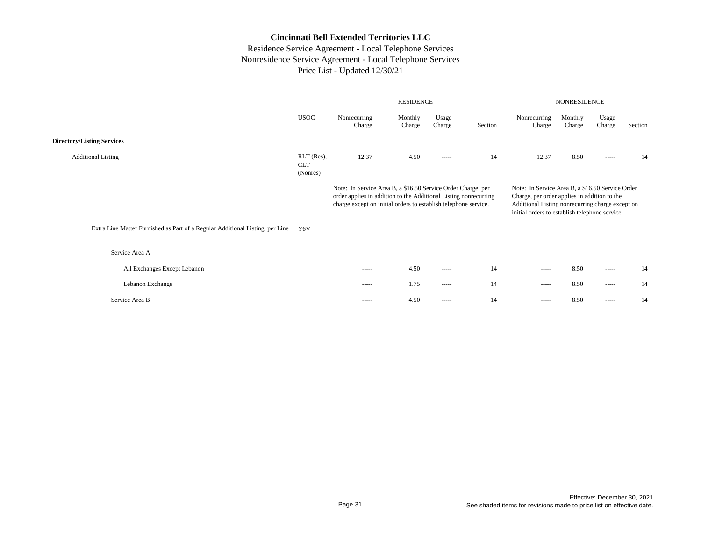|                                                                               |                                      |                                                                                                                                                                                                     | <b>RESIDENCE</b>  |                                                                                                                                                                                                                                                                                                                                                                                                                                                                                        | <b>NONRESIDENCE</b> |                                                                                                                                                                                                                                                                                                                                                                                                                                                                                        |                   |                                                                                                                                                                                                                                                                                                                                                                                                                                                                                        |         |
|-------------------------------------------------------------------------------|--------------------------------------|-----------------------------------------------------------------------------------------------------------------------------------------------------------------------------------------------------|-------------------|----------------------------------------------------------------------------------------------------------------------------------------------------------------------------------------------------------------------------------------------------------------------------------------------------------------------------------------------------------------------------------------------------------------------------------------------------------------------------------------|---------------------|----------------------------------------------------------------------------------------------------------------------------------------------------------------------------------------------------------------------------------------------------------------------------------------------------------------------------------------------------------------------------------------------------------------------------------------------------------------------------------------|-------------------|----------------------------------------------------------------------------------------------------------------------------------------------------------------------------------------------------------------------------------------------------------------------------------------------------------------------------------------------------------------------------------------------------------------------------------------------------------------------------------------|---------|
|                                                                               | <b>USOC</b>                          | Nonrecurring<br>Charge                                                                                                                                                                              | Monthly<br>Charge | Usage<br>Charge                                                                                                                                                                                                                                                                                                                                                                                                                                                                        | Section             | Nonrecurring<br>Charge                                                                                                                                                                                                                                                                                                                                                                                                                                                                 | Monthly<br>Charge | Usage<br>Charge                                                                                                                                                                                                                                                                                                                                                                                                                                                                        | Section |
| <b>Directory/Listing Services</b>                                             |                                      |                                                                                                                                                                                                     |                   |                                                                                                                                                                                                                                                                                                                                                                                                                                                                                        |                     |                                                                                                                                                                                                                                                                                                                                                                                                                                                                                        |                   |                                                                                                                                                                                                                                                                                                                                                                                                                                                                                        |         |
| <b>Additional Listing</b>                                                     | RLT (Res),<br><b>CLT</b><br>(Nonres) | 12.37                                                                                                                                                                                               | 4.50              | -----                                                                                                                                                                                                                                                                                                                                                                                                                                                                                  | 14                  | 12.37                                                                                                                                                                                                                                                                                                                                                                                                                                                                                  | 8.50              | $\begin{array}{cccccccccc} \multicolumn{2}{c}{} & \multicolumn{2}{c}{} & \multicolumn{2}{c}{} & \multicolumn{2}{c}{} & \multicolumn{2}{c}{} & \multicolumn{2}{c}{} & \multicolumn{2}{c}{} & \multicolumn{2}{c}{} & \multicolumn{2}{c}{} & \multicolumn{2}{c}{} & \multicolumn{2}{c}{} & \multicolumn{2}{c}{} & \multicolumn{2}{c}{} & \multicolumn{2}{c}{} & \multicolumn{2}{c}{} & \multicolumn{2}{c}{} & \multicolumn{2}{c}{} & \multicolumn{2}{c}{} & \multicolumn{2}{c}{} & \mult$ | 14      |
|                                                                               |                                      | Note: In Service Area B, a \$16.50 Service Order Charge, per<br>order applies in addition to the Additional Listing nonrecurring<br>charge except on initial orders to establish telephone service. |                   |                                                                                                                                                                                                                                                                                                                                                                                                                                                                                        |                     | Note: In Service Area B, a \$16.50 Service Order<br>Charge, per order applies in addition to the<br>Additional Listing nonrecurring charge except on<br>initial orders to establish telephone service.                                                                                                                                                                                                                                                                                 |                   |                                                                                                                                                                                                                                                                                                                                                                                                                                                                                        |         |
| Extra Line Matter Furnished as Part of a Regular Additional Listing, per Line | Y6V                                  |                                                                                                                                                                                                     |                   |                                                                                                                                                                                                                                                                                                                                                                                                                                                                                        |                     |                                                                                                                                                                                                                                                                                                                                                                                                                                                                                        |                   |                                                                                                                                                                                                                                                                                                                                                                                                                                                                                        |         |
| Service Area A                                                                |                                      |                                                                                                                                                                                                     |                   |                                                                                                                                                                                                                                                                                                                                                                                                                                                                                        |                     |                                                                                                                                                                                                                                                                                                                                                                                                                                                                                        |                   |                                                                                                                                                                                                                                                                                                                                                                                                                                                                                        |         |
| All Exchanges Except Lebanon                                                  |                                      | $- - - - -$                                                                                                                                                                                         | 4.50              | $\begin{array}{cccccccccc} \multicolumn{2}{c}{} & \multicolumn{2}{c}{} & \multicolumn{2}{c}{} & \multicolumn{2}{c}{} & \multicolumn{2}{c}{} & \multicolumn{2}{c}{} & \multicolumn{2}{c}{} & \multicolumn{2}{c}{} & \multicolumn{2}{c}{} & \multicolumn{2}{c}{} & \multicolumn{2}{c}{} & \multicolumn{2}{c}{} & \multicolumn{2}{c}{} & \multicolumn{2}{c}{} & \multicolumn{2}{c}{} & \multicolumn{2}{c}{} & \multicolumn{2}{c}{} & \multicolumn{2}{c}{} & \multicolumn{2}{c}{} & \mult$ | 14                  | $\begin{array}{cccccccccc} \multicolumn{2}{c}{} & \multicolumn{2}{c}{} & \multicolumn{2}{c}{} & \multicolumn{2}{c}{} & \multicolumn{2}{c}{} & \multicolumn{2}{c}{} & \multicolumn{2}{c}{} & \multicolumn{2}{c}{} & \multicolumn{2}{c}{} & \multicolumn{2}{c}{} & \multicolumn{2}{c}{} & \multicolumn{2}{c}{} & \multicolumn{2}{c}{} & \multicolumn{2}{c}{} & \multicolumn{2}{c}{} & \multicolumn{2}{c}{} & \multicolumn{2}{c}{} & \multicolumn{2}{c}{} & \multicolumn{2}{c}{} & \mult$ | 8.50              | $\begin{array}{cccccccccc} \multicolumn{2}{c}{} & \multicolumn{2}{c}{} & \multicolumn{2}{c}{} & \multicolumn{2}{c}{} & \multicolumn{2}{c}{} & \multicolumn{2}{c}{} & \multicolumn{2}{c}{} & \multicolumn{2}{c}{} & \multicolumn{2}{c}{} & \multicolumn{2}{c}{} & \multicolumn{2}{c}{} & \multicolumn{2}{c}{} & \multicolumn{2}{c}{} & \multicolumn{2}{c}{} & \multicolumn{2}{c}{} & \multicolumn{2}{c}{} & \multicolumn{2}{c}{} & \multicolumn{2}{c}{} & \multicolumn{2}{c}{} & \mult$ | 14      |
| Lebanon Exchange                                                              |                                      | $- - - - -$                                                                                                                                                                                         | 1.75              | $\begin{array}{cccccccccc} \multicolumn{2}{c}{} & \multicolumn{2}{c}{} & \multicolumn{2}{c}{} & \multicolumn{2}{c}{} & \multicolumn{2}{c}{} & \multicolumn{2}{c}{} & \multicolumn{2}{c}{} & \multicolumn{2}{c}{} & \multicolumn{2}{c}{} & \multicolumn{2}{c}{} & \multicolumn{2}{c}{} & \multicolumn{2}{c}{} & \multicolumn{2}{c}{} & \multicolumn{2}{c}{} & \multicolumn{2}{c}{} & \multicolumn{2}{c}{} & \multicolumn{2}{c}{} & \multicolumn{2}{c}{} & \multicolumn{2}{c}{} & \mult$ | 14                  | $- - - - -$                                                                                                                                                                                                                                                                                                                                                                                                                                                                            | 8.50              | $\begin{array}{cccccccccc} \multicolumn{2}{c}{} & \multicolumn{2}{c}{} & \multicolumn{2}{c}{} & \multicolumn{2}{c}{} & \multicolumn{2}{c}{} & \multicolumn{2}{c}{} & \multicolumn{2}{c}{} & \multicolumn{2}{c}{} & \multicolumn{2}{c}{} & \multicolumn{2}{c}{} & \multicolumn{2}{c}{} & \multicolumn{2}{c}{} & \multicolumn{2}{c}{} & \multicolumn{2}{c}{} & \multicolumn{2}{c}{} & \multicolumn{2}{c}{} & \multicolumn{2}{c}{} & \multicolumn{2}{c}{} & \multicolumn{2}{c}{} & \mult$ | 14      |
| Service Area B                                                                |                                      | $- - - - -$                                                                                                                                                                                         | 4.50              | $- - - - -$                                                                                                                                                                                                                                                                                                                                                                                                                                                                            | 14                  | $- - - - -$                                                                                                                                                                                                                                                                                                                                                                                                                                                                            | 8.50              | $- - - - -$                                                                                                                                                                                                                                                                                                                                                                                                                                                                            | 14      |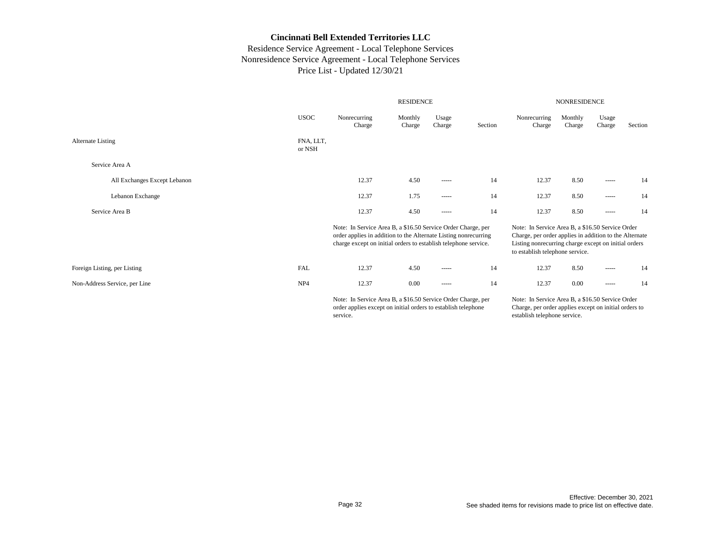# Residence Service Agreement - Local Telephone Services Nonresidence Service Agreement - Local Telephone Services Price List - Updated 12/30/21

|                               |                     |                                                                                                                                                                                                    | <b>RESIDENCE</b>  |                                                                                                                                                                                                                                                                                                                                                                                                                                                                                        | <b>NONRESIDENCE</b> |                                                                                                                                                                                                       |                   |                 |         |
|-------------------------------|---------------------|----------------------------------------------------------------------------------------------------------------------------------------------------------------------------------------------------|-------------------|----------------------------------------------------------------------------------------------------------------------------------------------------------------------------------------------------------------------------------------------------------------------------------------------------------------------------------------------------------------------------------------------------------------------------------------------------------------------------------------|---------------------|-------------------------------------------------------------------------------------------------------------------------------------------------------------------------------------------------------|-------------------|-----------------|---------|
|                               | <b>USOC</b>         | Nonrecurring<br>Charge                                                                                                                                                                             | Monthly<br>Charge | Usage<br>Charge                                                                                                                                                                                                                                                                                                                                                                                                                                                                        | Section             | Nonrecurring<br>Charge                                                                                                                                                                                | Monthly<br>Charge | Usage<br>Charge | Section |
| Alternate Listing             | FNA, LLT,<br>or NSH |                                                                                                                                                                                                    |                   |                                                                                                                                                                                                                                                                                                                                                                                                                                                                                        |                     |                                                                                                                                                                                                       |                   |                 |         |
| Service Area A                |                     |                                                                                                                                                                                                    |                   |                                                                                                                                                                                                                                                                                                                                                                                                                                                                                        |                     |                                                                                                                                                                                                       |                   |                 |         |
| All Exchanges Except Lebanon  |                     | 12.37                                                                                                                                                                                              | 4.50              | $\begin{array}{cccccccccc} \multicolumn{2}{c}{} & \multicolumn{2}{c}{} & \multicolumn{2}{c}{} & \multicolumn{2}{c}{} & \multicolumn{2}{c}{} & \multicolumn{2}{c}{} & \multicolumn{2}{c}{} & \multicolumn{2}{c}{} & \multicolumn{2}{c}{} & \multicolumn{2}{c}{} & \multicolumn{2}{c}{} & \multicolumn{2}{c}{} & \multicolumn{2}{c}{} & \multicolumn{2}{c}{} & \multicolumn{2}{c}{} & \multicolumn{2}{c}{} & \multicolumn{2}{c}{} & \multicolumn{2}{c}{} & \multicolumn{2}{c}{} & \mult$ | 14                  | 12.37                                                                                                                                                                                                 | 8.50              | -----           | 14      |
| Lebanon Exchange              |                     | 12.37                                                                                                                                                                                              | 1.75              | $\begin{array}{cccccccccc} \multicolumn{2}{c}{} & \multicolumn{2}{c}{} & \multicolumn{2}{c}{} & \multicolumn{2}{c}{} & \multicolumn{2}{c}{} & \multicolumn{2}{c}{} & \multicolumn{2}{c}{} & \multicolumn{2}{c}{} & \multicolumn{2}{c}{} & \multicolumn{2}{c}{} & \multicolumn{2}{c}{} & \multicolumn{2}{c}{} & \multicolumn{2}{c}{} & \multicolumn{2}{c}{} & \multicolumn{2}{c}{} & \multicolumn{2}{c}{} & \multicolumn{2}{c}{} & \multicolumn{2}{c}{} & \multicolumn{2}{c}{} & \mult$ | 14                  | 12.37                                                                                                                                                                                                 | 8.50              | -----           | 14      |
| Service Area B                |                     | 12.37                                                                                                                                                                                              | 4.50              | $\begin{array}{cccccccccc} \multicolumn{2}{c}{} & \multicolumn{2}{c}{} & \multicolumn{2}{c}{} & \multicolumn{2}{c}{} & \multicolumn{2}{c}{} & \multicolumn{2}{c}{} & \multicolumn{2}{c}{} & \multicolumn{2}{c}{} & \multicolumn{2}{c}{} & \multicolumn{2}{c}{} & \multicolumn{2}{c}{} & \multicolumn{2}{c}{} & \multicolumn{2}{c}{} & \multicolumn{2}{c}{} & \multicolumn{2}{c}{} & \multicolumn{2}{c}{} & \multicolumn{2}{c}{} & \multicolumn{2}{c}{} & \multicolumn{2}{c}{} & \mult$ | 14                  | 12.37                                                                                                                                                                                                 | 8.50              | -----           | 14      |
|                               |                     | Note: In Service Area B, a \$16.50 Service Order Charge, per<br>order applies in addition to the Alternate Listing nonrecurring<br>charge except on initial orders to establish telephone service. |                   |                                                                                                                                                                                                                                                                                                                                                                                                                                                                                        |                     | Note: In Service Area B, a \$16.50 Service Order<br>Charge, per order applies in addition to the Alternate<br>Listing nonrecurring charge except on initial orders<br>to establish telephone service. |                   |                 |         |
| Foreign Listing, per Listing  | <b>FAL</b>          | 12.37                                                                                                                                                                                              | 4.50              | $\cdots$                                                                                                                                                                                                                                                                                                                                                                                                                                                                               | 14                  | 12.37                                                                                                                                                                                                 | 8.50              | -----           | 14      |
| Non-Address Service, per Line | NP <sub>4</sub>     | 12.37                                                                                                                                                                                              | 0.00              | -----                                                                                                                                                                                                                                                                                                                                                                                                                                                                                  | 14                  | 12.37                                                                                                                                                                                                 | $0.00\,$          | -----           | 14      |
|                               |                     | Note: In Service Area B, a \$16.50 Service Order Charge, per                                                                                                                                       |                   |                                                                                                                                                                                                                                                                                                                                                                                                                                                                                        |                     | Note: In Service Area B, a \$16.50 Service Order                                                                                                                                                      |                   |                 |         |

Note: In Service Area B, a \$16.50 Service Order Charge, per order applies except on initial orders to establish telephone service.

Note: In Service Area B, a \$16.50 Service Order Charge, per order applies except on initial orders to establish telephone service.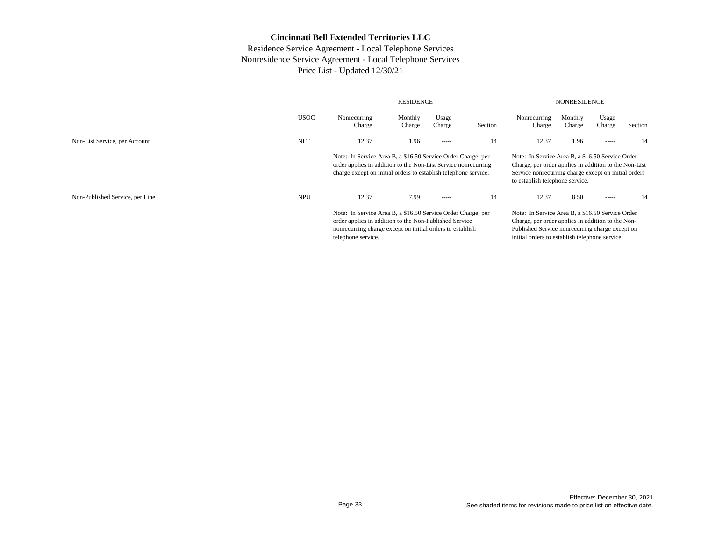|                                 | <b>RESIDENCE</b> |                                                                                                                                                                                                           |                                                                                                                                                                                                            |                 |         | <b>NONRESIDENCE</b>                                                                                                                                                                                  |                   |                 |         |  |  |
|---------------------------------|------------------|-----------------------------------------------------------------------------------------------------------------------------------------------------------------------------------------------------------|------------------------------------------------------------------------------------------------------------------------------------------------------------------------------------------------------------|-----------------|---------|------------------------------------------------------------------------------------------------------------------------------------------------------------------------------------------------------|-------------------|-----------------|---------|--|--|
|                                 | <b>USOC</b>      | Nonrecurring<br>Charge                                                                                                                                                                                    | Monthly<br>Charge                                                                                                                                                                                          | Usage<br>Charge | Section | Nonrecurring<br>Charge                                                                                                                                                                               | Monthly<br>Charge | Usage<br>Charge | Section |  |  |
| Non-List Service, per Account   | <b>NLT</b>       | 12.37                                                                                                                                                                                                     | 1.96                                                                                                                                                                                                       | $- - - - -$     | 14      | 12.37                                                                                                                                                                                                | 1.96              | -----           | 14      |  |  |
|                                 |                  | Note: In Service Area B, a \$16.50 Service Order Charge, per<br>order applies in addition to the Non-List Service nonrecurring<br>charge except on initial orders to establish telephone service.         |                                                                                                                                                                                                            |                 |         | Note: In Service Area B, a \$16.50 Service Order<br>Charge, per order applies in addition to the Non-List<br>Service nonrecurring charge except on initial orders<br>to establish telephone service. |                   |                 |         |  |  |
| Non-Published Service, per Line | <b>NPU</b>       | 12.37                                                                                                                                                                                                     | 7.99                                                                                                                                                                                                       | $- - - - -$     | 14      | 12.37                                                                                                                                                                                                | 8.50              | -----           | 14      |  |  |
|                                 |                  | Note: In Service Area B, a \$16.50 Service Order Charge, per<br>order applies in addition to the Non-Published Service<br>nonrecurring charge except on initial orders to establish<br>telephone service. | Note: In Service Area B, a \$16.50 Service Order<br>Charge, per order applies in addition to the Non-<br>Published Service nonrecurring charge except on<br>initial orders to establish telephone service. |                 |         |                                                                                                                                                                                                      |                   |                 |         |  |  |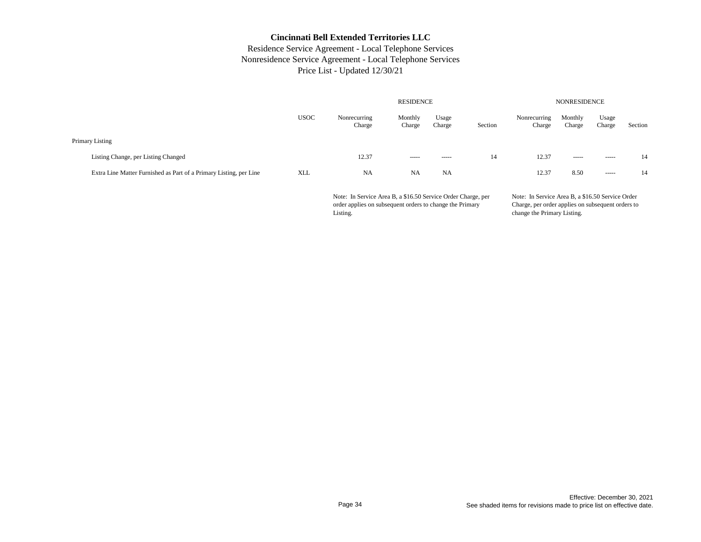### Residence Service Agreement - Local Telephone Services Nonresidence Service Agreement - Local Telephone Services Price List - Updated 12/30/21

|                                     |                                                                    | <b>RESIDENCE</b> |                        |                   |                 |         | <b>NONRESIDENCE</b>    |                   |                 |         |  |  |
|-------------------------------------|--------------------------------------------------------------------|------------------|------------------------|-------------------|-----------------|---------|------------------------|-------------------|-----------------|---------|--|--|
|                                     |                                                                    | <b>USOC</b>      | Nonrecurring<br>Charge | Monthly<br>Charge | Usage<br>Charge | Section | Nonrecurring<br>Charge | Monthly<br>Charge | Usage<br>Charge | Section |  |  |
| Primary Listing                     |                                                                    |                  |                        |                   |                 |         |                        |                   |                 |         |  |  |
| Listing Change, per Listing Changed |                                                                    |                  | 12.37                  | $- - - - -$       | ------          | 14      | 12.37                  | $- - - - -$       |                 | 14      |  |  |
|                                     | Extra Line Matter Furnished as Part of a Primary Listing, per Line | <b>XLL</b>       | <b>NA</b>              | <b>NA</b>         | <b>NA</b>       |         | 12.37                  | 8.50              | $- - - - -$     | 14      |  |  |

Note: In Service Area B, a \$16.50 Service Order Charge, per order applies on subsequent orders to change the Primary Listing.

Note: In Service Area B, a \$16.50 Service Order Charge, per order applies on subsequent orders to change the Primary Listing.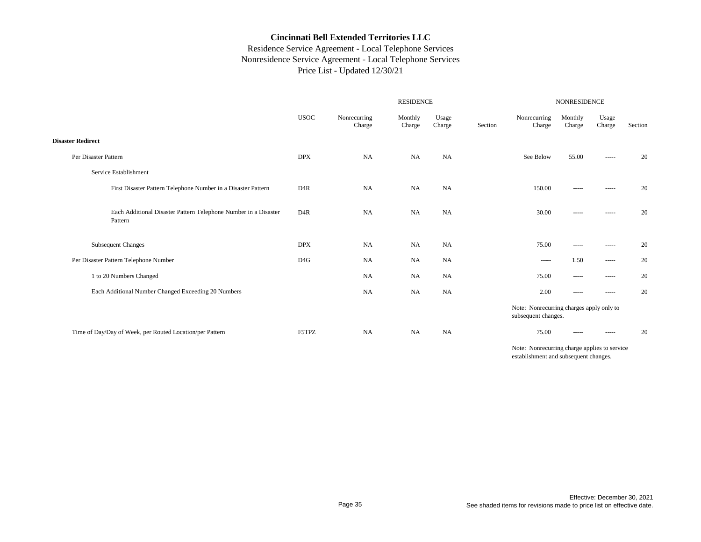# Residence Service Agreement - Local Telephone Services Nonresidence Service Agreement - Local Telephone Services Price List - Updated 12/30/21

|                                                                            | <b>RESIDENCE</b> |                        |                   |                 |         | NONRESIDENCE                                                                                           |                                                                                                                                                                                                                                                                                                                                                                                                                                                                                        |                                                                                                                                                                                                                                                                                                                                                                                                                                                                                                |         |  |
|----------------------------------------------------------------------------|------------------|------------------------|-------------------|-----------------|---------|--------------------------------------------------------------------------------------------------------|----------------------------------------------------------------------------------------------------------------------------------------------------------------------------------------------------------------------------------------------------------------------------------------------------------------------------------------------------------------------------------------------------------------------------------------------------------------------------------------|------------------------------------------------------------------------------------------------------------------------------------------------------------------------------------------------------------------------------------------------------------------------------------------------------------------------------------------------------------------------------------------------------------------------------------------------------------------------------------------------|---------|--|
|                                                                            | <b>USOC</b>      | Nonrecurring<br>Charge | Monthly<br>Charge | Usage<br>Charge | Section | Nonrecurring<br>Charge                                                                                 | Monthly<br>Charge                                                                                                                                                                                                                                                                                                                                                                                                                                                                      | Usage<br>Charge                                                                                                                                                                                                                                                                                                                                                                                                                                                                                | Section |  |
| <b>Disaster Redirect</b>                                                   |                  |                        |                   |                 |         |                                                                                                        |                                                                                                                                                                                                                                                                                                                                                                                                                                                                                        |                                                                                                                                                                                                                                                                                                                                                                                                                                                                                                |         |  |
| Per Disaster Pattern                                                       | <b>DPX</b>       | <b>NA</b>              | NA                | <b>NA</b>       |         | See Below                                                                                              | 55.00                                                                                                                                                                                                                                                                                                                                                                                                                                                                                  | $\begin{array}{cccccccccc} \multicolumn{2}{c}{} & \multicolumn{2}{c}{} & \multicolumn{2}{c}{} & \multicolumn{2}{c}{} & \multicolumn{2}{c}{} & \multicolumn{2}{c}{} & \multicolumn{2}{c}{} & \multicolumn{2}{c}{} & \multicolumn{2}{c}{} & \multicolumn{2}{c}{} & \multicolumn{2}{c}{} & \multicolumn{2}{c}{} & \multicolumn{2}{c}{} & \multicolumn{2}{c}{} & \multicolumn{2}{c}{} & \multicolumn{2}{c}{} & \multicolumn{2}{c}{} & \multicolumn{2}{c}{} & \multicolumn{2}{c}{} & \mult$         | 20      |  |
| Service Establishment                                                      |                  |                        |                   |                 |         |                                                                                                        |                                                                                                                                                                                                                                                                                                                                                                                                                                                                                        |                                                                                                                                                                                                                                                                                                                                                                                                                                                                                                |         |  |
| First Disaster Pattern Telephone Number in a Disaster Pattern              | D <sub>4</sub> R | <b>NA</b>              | <b>NA</b>         | NA              |         | 150.00                                                                                                 | $\begin{array}{cccccccccc} \multicolumn{2}{c}{} & \multicolumn{2}{c}{} & \multicolumn{2}{c}{} & \multicolumn{2}{c}{} & \multicolumn{2}{c}{} & \multicolumn{2}{c}{} & \multicolumn{2}{c}{} & \multicolumn{2}{c}{} & \multicolumn{2}{c}{} & \multicolumn{2}{c}{} & \multicolumn{2}{c}{} & \multicolumn{2}{c}{} & \multicolumn{2}{c}{} & \multicolumn{2}{c}{} & \multicolumn{2}{c}{} & \multicolumn{2}{c}{} & \multicolumn{2}{c}{} & \multicolumn{2}{c}{} & \multicolumn{2}{c}{} & \mult$ | -----                                                                                                                                                                                                                                                                                                                                                                                                                                                                                          | 20      |  |
| Each Additional Disaster Pattern Telephone Number in a Disaster<br>Pattern | D <sub>4</sub> R | <b>NA</b>              | <b>NA</b>         | NA              |         | 30.00                                                                                                  | -----                                                                                                                                                                                                                                                                                                                                                                                                                                                                                  | -----                                                                                                                                                                                                                                                                                                                                                                                                                                                                                          | 20      |  |
| Subsequent Changes                                                         | <b>DPX</b>       | NA                     | <b>NA</b>         | NA              |         | 75.00                                                                                                  | $\cdots \cdots \cdots$                                                                                                                                                                                                                                                                                                                                                                                                                                                                 | -----                                                                                                                                                                                                                                                                                                                                                                                                                                                                                          | 20      |  |
| Per Disaster Pattern Telephone Number                                      | D4G              | <b>NA</b>              | <b>NA</b>         | NA              |         | -----                                                                                                  | 1.50                                                                                                                                                                                                                                                                                                                                                                                                                                                                                   | $\cdots$                                                                                                                                                                                                                                                                                                                                                                                                                                                                                       | 20      |  |
| 1 to 20 Numbers Changed                                                    |                  | NA                     | NA                | NA              |         | 75.00                                                                                                  | -----                                                                                                                                                                                                                                                                                                                                                                                                                                                                                  | -----                                                                                                                                                                                                                                                                                                                                                                                                                                                                                          | 20      |  |
| Each Additional Number Changed Exceeding 20 Numbers                        |                  | <b>NA</b>              | <b>NA</b>         | NA              |         | 2.00                                                                                                   | -----                                                                                                                                                                                                                                                                                                                                                                                                                                                                                  | $\begin{tabular}{cc} \multicolumn{2}{c} {\textbf{1}} & \multicolumn{2}{c} {\textbf{1}} & \multicolumn{2}{c} {\textbf{1}} & \multicolumn{2}{c} {\textbf{1}} \\ \multicolumn{2}{c} {\textbf{2}} & \multicolumn{2}{c} {\textbf{3}} & \multicolumn{2}{c} {\textbf{4}} & \multicolumn{2}{c} {\textbf{5}} & \multicolumn{2}{c} {\textbf{6}} \\ \multicolumn{2}{c} {\textbf{4}} & \multicolumn{2}{c} {\textbf{5}} & \multicolumn{2}{c} {\textbf{6}} & \multicolumn{2}{c} {\textbf{6}} & \multicolumn$ | 20      |  |
|                                                                            |                  |                        |                   |                 |         | Note: Nonrecurring charges apply only to<br>subsequent changes.                                        |                                                                                                                                                                                                                                                                                                                                                                                                                                                                                        |                                                                                                                                                                                                                                                                                                                                                                                                                                                                                                |         |  |
| Time of Day/Day of Week, per Routed Location/per Pattern                   | F5TPZ            | NA                     | <b>NA</b>         | NA              |         | 75.00                                                                                                  | -----                                                                                                                                                                                                                                                                                                                                                                                                                                                                                  | $\begin{tabular}{cc} \multicolumn{2}{c} {\textbf{1}} & \multicolumn{2}{c} {\textbf{1}} & \multicolumn{2}{c} {\textbf{1}} & \multicolumn{2}{c} {\textbf{1}} \\ \multicolumn{2}{c} {\textbf{2}} & \multicolumn{2}{c} {\textbf{3}} & \multicolumn{2}{c} {\textbf{4}} & \multicolumn{2}{c} {\textbf{5}} & \multicolumn{2}{c} {\textbf{6}} \\ \multicolumn{2}{c} {\textbf{4}} & \multicolumn{2}{c} {\textbf{5}} & \multicolumn{2}{c} {\textbf{6}} & \multicolumn{2}{c} {\textbf{6}} & \multicolumn$ | 20      |  |
|                                                                            |                  |                        |                   |                 |         | $\mathbf{M}$ and $\mathbf{M}$ are the set of $\mathbf{M}$ and $\mathbf{M}$ are the set of $\mathbf{M}$ |                                                                                                                                                                                                                                                                                                                                                                                                                                                                                        |                                                                                                                                                                                                                                                                                                                                                                                                                                                                                                |         |  |

Note: Nonrecurring charge applies to service establishment and subsequent changes.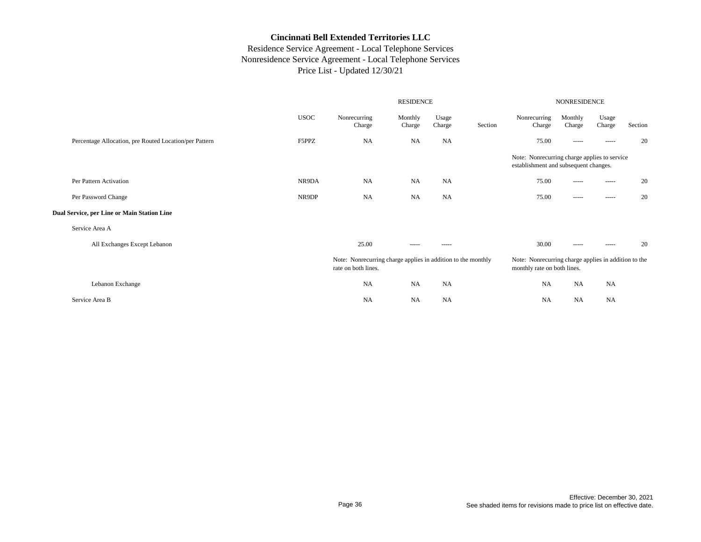|                                                        |             |                                                                                     | NONRESIDENCE      |                 |         |                                                                                       |                   |                 |         |
|--------------------------------------------------------|-------------|-------------------------------------------------------------------------------------|-------------------|-----------------|---------|---------------------------------------------------------------------------------------|-------------------|-----------------|---------|
|                                                        | <b>USOC</b> | Nonrecurring<br>Charge                                                              | Monthly<br>Charge | Usage<br>Charge | Section | Nonrecurring<br>Charge                                                                | Monthly<br>Charge | Usage<br>Charge | Section |
| Percentage Allocation, pre Routed Location/per Pattern | F5PPZ       | <b>NA</b>                                                                           | <b>NA</b>         | <b>NA</b>       |         | 75.00                                                                                 | -----             | -----           | 20      |
|                                                        |             |                                                                                     |                   |                 |         | Note: Nonrecurring charge applies to service<br>establishment and subsequent changes. |                   |                 |         |
| Per Pattern Activation                                 | NR9DA       | <b>NA</b>                                                                           | <b>NA</b>         | <b>NA</b>       |         | 75.00                                                                                 | -----             | -----           | 20      |
| Per Password Change                                    | NR9DP       | <b>NA</b>                                                                           | <b>NA</b>         | <b>NA</b>       |         | 75.00                                                                                 | -----             | -----           | 20      |
| Dual Service, per Line or Main Station Line            |             |                                                                                     |                   |                 |         |                                                                                       |                   |                 |         |
| Service Area A                                         |             |                                                                                     |                   |                 |         |                                                                                       |                   |                 |         |
| All Exchanges Except Lebanon                           |             | 25.00                                                                               | -----             | -----           |         | 30.00                                                                                 | -----             | -----           | 20      |
|                                                        |             | Note: Nonrecurring charge applies in addition to the monthly<br>rate on both lines. |                   |                 |         | Note: Nonrecurring charge applies in addition to the<br>monthly rate on both lines.   |                   |                 |         |
| Lebanon Exchange                                       |             | NA                                                                                  | <b>NA</b>         | NA              |         | NA                                                                                    | <b>NA</b>         | <b>NA</b>       |         |
| Service Area B                                         |             | <b>NA</b>                                                                           | <b>NA</b>         | <b>NA</b>       |         | <b>NA</b>                                                                             | <b>NA</b>         | <b>NA</b>       |         |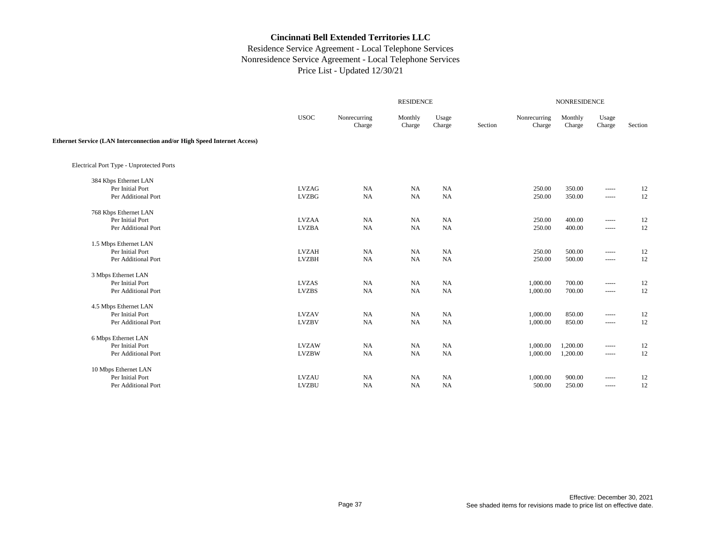|                                                                          |              |                        | NONRESIDENCE      |                 |         |                        |                   |                        |         |
|--------------------------------------------------------------------------|--------------|------------------------|-------------------|-----------------|---------|------------------------|-------------------|------------------------|---------|
|                                                                          | <b>USOC</b>  | Nonrecurring<br>Charge | Monthly<br>Charge | Usage<br>Charge | Section | Nonrecurring<br>Charge | Monthly<br>Charge | Usage<br>Charge        | Section |
| Ethernet Service (LAN Interconnection and/or High Speed Internet Access) |              |                        |                   |                 |         |                        |                   |                        |         |
| Electrical Port Type - Unprotected Ports                                 |              |                        |                   |                 |         |                        |                   |                        |         |
| 384 Kbps Ethernet LAN                                                    |              |                        |                   |                 |         |                        |                   |                        |         |
| Per Initial Port                                                         | <b>LVZAG</b> | NA                     | <b>NA</b>         | <b>NA</b>       |         | 250.00                 | 350.00            | $- - - - -$            | 12      |
| Per Additional Port                                                      | <b>LVZBG</b> | NA                     | <b>NA</b>         | <b>NA</b>       |         | 250.00                 | 350.00            | $\cdots \cdots \cdots$ | 12      |
| 768 Kbps Ethernet LAN                                                    |              |                        |                   |                 |         |                        |                   |                        |         |
| Per Initial Port                                                         | <b>LVZAA</b> | NA                     | <b>NA</b>         | <b>NA</b>       |         | 250.00                 | 400.00            | $\cdots \cdots \cdots$ | 12      |
| Per Additional Port                                                      | <b>LVZBA</b> | <b>NA</b>              | <b>NA</b>         | <b>NA</b>       |         | 250.00                 | 400.00            | $- - - - -$            | 12      |
| 1.5 Mbps Ethernet LAN                                                    |              |                        |                   |                 |         |                        |                   |                        |         |
| Per Initial Port                                                         | <b>LVZAH</b> | NA                     | <b>NA</b>         | NA              |         | 250.00                 | 500.00            | $\cdots \cdots \cdots$ | 12      |
| Per Additional Port                                                      | <b>LVZBH</b> | NA                     | NA                | NA              |         | 250.00                 | 500.00            | $\cdots \cdots \cdots$ | 12      |
| 3 Mbps Ethernet LAN                                                      |              |                        |                   |                 |         |                        |                   |                        |         |
| Per Initial Port                                                         | <b>LVZAS</b> | NA                     | <b>NA</b>         | NA              |         | 1,000.00               | 700.00            | $\cdots \cdots \cdots$ | 12      |
| Per Additional Port                                                      | <b>LVZBS</b> | NA                     | <b>NA</b>         | <b>NA</b>       |         | 1,000.00               | 700.00            | $\cdots \cdots \cdots$ | 12      |
| 4.5 Mbps Ethernet LAN                                                    |              |                        |                   |                 |         |                        |                   |                        |         |
| Per Initial Port                                                         | <b>LVZAV</b> | NA                     | <b>NA</b>         | NA              |         | 1,000.00               | 850.00            | -----                  | 12      |
| Per Additional Port                                                      | <b>LVZBV</b> | NA                     | NA                | NA              |         | 1,000.00               | 850.00            | $\cdots \cdots \cdots$ | 12      |
| 6 Mbps Ethernet LAN                                                      |              |                        |                   |                 |         |                        |                   |                        |         |
| Per Initial Port                                                         | <b>LVZAW</b> | NA                     | NA                | NA              |         | 1,000.00               | 1,200.00          | $\cdots \cdots \cdots$ | 12      |
| Per Additional Port                                                      | <b>LVZBW</b> | <b>NA</b>              | <b>NA</b>         | NA              |         | 1,000.00               | 1,200.00          | -----                  | 12      |
| 10 Mbps Ethernet LAN                                                     |              |                        |                   |                 |         |                        |                   |                        |         |
| Per Initial Port                                                         | <b>LVZAU</b> | NA                     | <b>NA</b>         | <b>NA</b>       |         | 1,000.00               | 900.00            | $- - - - -$            | 12      |
| Per Additional Port                                                      | <b>LVZBU</b> | NA                     | <b>NA</b>         | <b>NA</b>       |         | 500.00                 | 250.00            | $\cdots \cdots \cdots$ | 12      |
|                                                                          |              |                        |                   |                 |         |                        |                   |                        |         |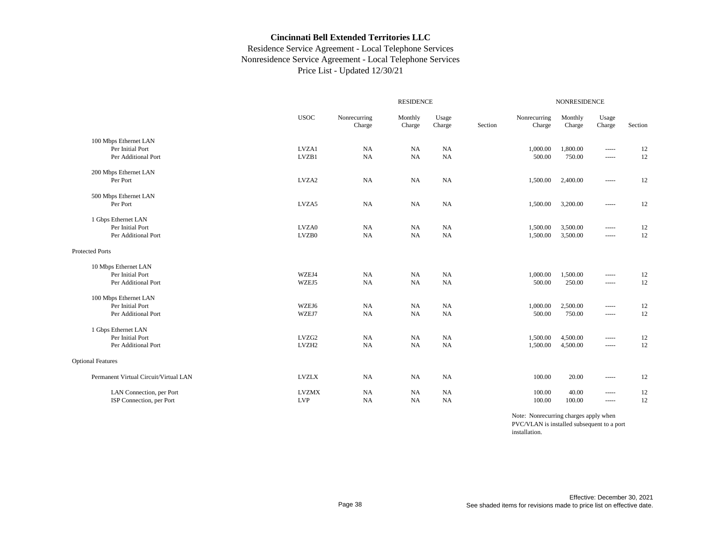## Residence Service Agreement - Local Telephone Services Nonresidence Service Agreement - Local Telephone Services Price List - Updated 12/30/21

|                                       |                   | <b>RESIDENCE</b>       |                   |                 |         |                        | <b>NONRESIDENCE</b> |                                                                                                                                                                                                                                                                                                                                                                                                                                                                                        |         |  |  |
|---------------------------------------|-------------------|------------------------|-------------------|-----------------|---------|------------------------|---------------------|----------------------------------------------------------------------------------------------------------------------------------------------------------------------------------------------------------------------------------------------------------------------------------------------------------------------------------------------------------------------------------------------------------------------------------------------------------------------------------------|---------|--|--|
|                                       | <b>USOC</b>       | Nonrecurring<br>Charge | Monthly<br>Charge | Usage<br>Charge | Section | Nonrecurring<br>Charge | Monthly<br>Charge   | Usage<br>Charge                                                                                                                                                                                                                                                                                                                                                                                                                                                                        | Section |  |  |
| 100 Mbps Ethernet LAN                 |                   |                        |                   |                 |         |                        |                     |                                                                                                                                                                                                                                                                                                                                                                                                                                                                                        |         |  |  |
| Per Initial Port                      | LVZA1             | NA                     | <b>NA</b>         | <b>NA</b>       |         | 1,000.00               | 1,800.00            | $\cdots$                                                                                                                                                                                                                                                                                                                                                                                                                                                                               | 12      |  |  |
| Per Additional Port                   | LVZB1             | NA                     | NA                | <b>NA</b>       |         | 500.00                 | 750.00              | $\cdots$                                                                                                                                                                                                                                                                                                                                                                                                                                                                               | 12      |  |  |
| 200 Mbps Ethernet LAN                 |                   |                        |                   |                 |         |                        |                     |                                                                                                                                                                                                                                                                                                                                                                                                                                                                                        |         |  |  |
| Per Port                              | LVZA2             | <b>NA</b>              | <b>NA</b>         | <b>NA</b>       |         | 1,500.00               | 2,400.00            | $\cdots$                                                                                                                                                                                                                                                                                                                                                                                                                                                                               | 12      |  |  |
| 500 Mbps Ethernet LAN                 |                   |                        |                   |                 |         |                        |                     |                                                                                                                                                                                                                                                                                                                                                                                                                                                                                        |         |  |  |
| Per Port                              | LVZA5             | <b>NA</b>              | <b>NA</b>         | <b>NA</b>       |         | 1,500.00               | 3,200.00            | $\cdots$                                                                                                                                                                                                                                                                                                                                                                                                                                                                               | 12      |  |  |
| 1 Gbps Ethernet LAN                   |                   |                        |                   |                 |         |                        |                     |                                                                                                                                                                                                                                                                                                                                                                                                                                                                                        |         |  |  |
| Per Initial Port                      | LVZA0             | NA                     | <b>NA</b>         | <b>NA</b>       |         | 1,500.00               | 3,500.00            | $\cdots$                                                                                                                                                                                                                                                                                                                                                                                                                                                                               | 12      |  |  |
| Per Additional Port                   | LVZB0             | NA                     | NA                | <b>NA</b>       |         | 1,500.00               | 3,500.00            | $\cdots$                                                                                                                                                                                                                                                                                                                                                                                                                                                                               | 12      |  |  |
| <b>Protected Ports</b>                |                   |                        |                   |                 |         |                        |                     |                                                                                                                                                                                                                                                                                                                                                                                                                                                                                        |         |  |  |
| 10 Mbps Ethernet LAN                  |                   |                        |                   |                 |         |                        |                     |                                                                                                                                                                                                                                                                                                                                                                                                                                                                                        |         |  |  |
| Per Initial Port                      | WZEJ4             | NA                     | <b>NA</b>         | <b>NA</b>       |         | 1,000.00               | 1,500.00            |                                                                                                                                                                                                                                                                                                                                                                                                                                                                                        | 12      |  |  |
| Per Additional Port                   | WZEJ5             | <b>NA</b>              | NA                | <b>NA</b>       |         | 500.00                 | 250.00              | $\cdots$                                                                                                                                                                                                                                                                                                                                                                                                                                                                               | 12      |  |  |
| 100 Mbps Ethernet LAN                 |                   |                        |                   |                 |         |                        |                     |                                                                                                                                                                                                                                                                                                                                                                                                                                                                                        |         |  |  |
| Per Initial Port                      | WZEJ6             | NA                     | <b>NA</b>         | <b>NA</b>       |         | 1,000.00               | 2,500.00            | $\cdots$                                                                                                                                                                                                                                                                                                                                                                                                                                                                               | 12      |  |  |
| Per Additional Port                   | WZEJ7             | NA                     | <b>NA</b>         | NA              |         | 500.00                 | 750.00              | $\cdots$                                                                                                                                                                                                                                                                                                                                                                                                                                                                               | 12      |  |  |
| 1 Gbps Ethernet LAN                   |                   |                        |                   |                 |         |                        |                     |                                                                                                                                                                                                                                                                                                                                                                                                                                                                                        |         |  |  |
| Per Initial Port                      | LVZG <sub>2</sub> | NA                     | <b>NA</b>         | <b>NA</b>       |         | 1,500.00               | 4,500.00            | $\begin{array}{cccccccccc} \multicolumn{2}{c}{} & \multicolumn{2}{c}{} & \multicolumn{2}{c}{} & \multicolumn{2}{c}{} & \multicolumn{2}{c}{} & \multicolumn{2}{c}{} & \multicolumn{2}{c}{} & \multicolumn{2}{c}{} & \multicolumn{2}{c}{} & \multicolumn{2}{c}{} & \multicolumn{2}{c}{} & \multicolumn{2}{c}{} & \multicolumn{2}{c}{} & \multicolumn{2}{c}{} & \multicolumn{2}{c}{} & \multicolumn{2}{c}{} & \multicolumn{2}{c}{} & \multicolumn{2}{c}{} & \multicolumn{2}{c}{} & \mult$ | 12      |  |  |
| Per Additional Port                   | LVZH <sub>2</sub> | <b>NA</b>              | NA                | <b>NA</b>       |         | 1,500.00               | 4,500.00            | $\cdots$                                                                                                                                                                                                                                                                                                                                                                                                                                                                               | 12      |  |  |
| <b>Optional Features</b>              |                   |                        |                   |                 |         |                        |                     |                                                                                                                                                                                                                                                                                                                                                                                                                                                                                        |         |  |  |
| Permanent Virtual Circuit/Virtual LAN | <b>LVZLX</b>      | NA                     | <b>NA</b>         | <b>NA</b>       |         | 100.00                 | 20.00               | $\cdots$                                                                                                                                                                                                                                                                                                                                                                                                                                                                               | 12      |  |  |
| LAN Connection, per Port              | <b>LVZMX</b>      | <b>NA</b>              | <b>NA</b>         | <b>NA</b>       |         | 100.00                 | 40.00               | $\cdots$                                                                                                                                                                                                                                                                                                                                                                                                                                                                               | 12      |  |  |
| ISP Connection, per Port              | <b>LVP</b>        | <b>NA</b>              | <b>NA</b>         | <b>NA</b>       |         | 100.00                 | 100.00              | $\cdots$                                                                                                                                                                                                                                                                                                                                                                                                                                                                               | 12      |  |  |

Note: Nonrecurring charges apply when PVC/VLAN is installed subsequent to a port installation.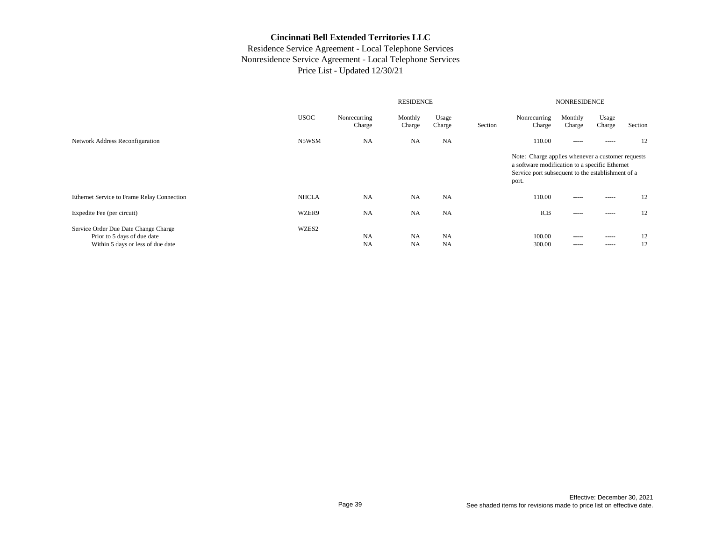|                                                                                                          |              | <b>NONRESIDENCE</b>    |                        |                        |         |                                                                                                                                                                   |                            |                 |          |
|----------------------------------------------------------------------------------------------------------|--------------|------------------------|------------------------|------------------------|---------|-------------------------------------------------------------------------------------------------------------------------------------------------------------------|----------------------------|-----------------|----------|
|                                                                                                          | <b>USOC</b>  | Nonrecurring<br>Charge | Monthly<br>Charge      | Usage<br>Charge        | Section | Nonrecurring<br>Charge                                                                                                                                            | Monthly<br>Charge          | Usage<br>Charge | Section  |
| Network Address Reconfiguration                                                                          | N5WSM        | <b>NA</b>              | <b>NA</b>              | <b>NA</b>              |         | 110.00                                                                                                                                                            | $- - - - -$                | -----           | 12       |
|                                                                                                          |              |                        |                        |                        |         | Note: Charge applies whenever a customer requests<br>a software modification to a specific Ethernet<br>Service port subsequent to the establishment of a<br>port. |                            |                 |          |
| Ethernet Service to Frame Relay Connection                                                               | <b>NHCLA</b> | NA                     | <b>NA</b>              | NA                     |         | 110.00                                                                                                                                                            | $- - - - -$                | -----           | 12       |
| Expedite Fee (per circuit)                                                                               | WZER9        | <b>NA</b>              | <b>NA</b>              | <b>NA</b>              |         | ICB                                                                                                                                                               | $- - - - -$                | -----           | 12       |
| Service Order Due Date Change Charge<br>Prior to 5 days of due date<br>Within 5 days or less of due date | WZES2        | NA<br><b>NA</b>        | <b>NA</b><br><b>NA</b> | <b>NA</b><br><b>NA</b> |         | 100.00<br>300.00                                                                                                                                                  | $- - - - -$<br>$- - - - -$ | -----<br>-----  | 12<br>12 |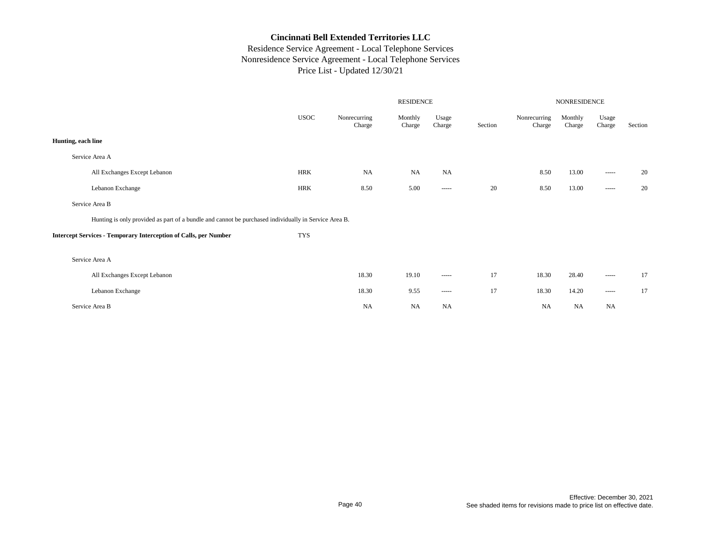|                                                                                                      |             |                        |                   | NONRESIDENCE           |         |                        |                   |                                                                                                                                                                                                                                                                                                                                                                                                                                                                                        |         |
|------------------------------------------------------------------------------------------------------|-------------|------------------------|-------------------|------------------------|---------|------------------------|-------------------|----------------------------------------------------------------------------------------------------------------------------------------------------------------------------------------------------------------------------------------------------------------------------------------------------------------------------------------------------------------------------------------------------------------------------------------------------------------------------------------|---------|
|                                                                                                      | <b>USOC</b> | Nonrecurring<br>Charge | Monthly<br>Charge | Usage<br>Charge        | Section | Nonrecurring<br>Charge | Monthly<br>Charge | Usage<br>Charge                                                                                                                                                                                                                                                                                                                                                                                                                                                                        | Section |
| Hunting, each line                                                                                   |             |                        |                   |                        |         |                        |                   |                                                                                                                                                                                                                                                                                                                                                                                                                                                                                        |         |
| Service Area A                                                                                       |             |                        |                   |                        |         |                        |                   |                                                                                                                                                                                                                                                                                                                                                                                                                                                                                        |         |
| All Exchanges Except Lebanon                                                                         | HRK         | NA                     | <b>NA</b>         | <b>NA</b>              |         | 8.50                   | 13.00             | $\begin{array}{cccccccccc} \multicolumn{2}{c}{} & \multicolumn{2}{c}{} & \multicolumn{2}{c}{} & \multicolumn{2}{c}{} & \multicolumn{2}{c}{} & \multicolumn{2}{c}{} & \multicolumn{2}{c}{} & \multicolumn{2}{c}{} & \multicolumn{2}{c}{} & \multicolumn{2}{c}{} & \multicolumn{2}{c}{} & \multicolumn{2}{c}{} & \multicolumn{2}{c}{} & \multicolumn{2}{c}{} & \multicolumn{2}{c}{} & \multicolumn{2}{c}{} & \multicolumn{2}{c}{} & \multicolumn{2}{c}{} & \multicolumn{2}{c}{} & \mult$ | 20      |
| Lebanon Exchange                                                                                     | <b>HRK</b>  | 8.50                   | 5.00              | $\cdots \cdots \cdots$ | 20      | 8.50                   | 13.00             | $\cdots$                                                                                                                                                                                                                                                                                                                                                                                                                                                                               | 20      |
| Service Area B                                                                                       |             |                        |                   |                        |         |                        |                   |                                                                                                                                                                                                                                                                                                                                                                                                                                                                                        |         |
| Hunting is only provided as part of a bundle and cannot be purchased individually in Service Area B. |             |                        |                   |                        |         |                        |                   |                                                                                                                                                                                                                                                                                                                                                                                                                                                                                        |         |
| <b>Intercept Services - Temporary Interception of Calls, per Number</b>                              | <b>TYS</b>  |                        |                   |                        |         |                        |                   |                                                                                                                                                                                                                                                                                                                                                                                                                                                                                        |         |
| Service Area A                                                                                       |             |                        |                   |                        |         |                        |                   |                                                                                                                                                                                                                                                                                                                                                                                                                                                                                        |         |
| All Exchanges Except Lebanon                                                                         |             | 18.30                  | 19.10             | -----                  | 17      | 18.30                  | 28.40             | $\cdots$                                                                                                                                                                                                                                                                                                                                                                                                                                                                               | 17      |
| Lebanon Exchange                                                                                     |             | 18.30                  | 9.55              | $- - - - -$            | 17      | 18.30                  | 14.20             | $\begin{array}{cccccccccc} \multicolumn{2}{c}{} & \multicolumn{2}{c}{} & \multicolumn{2}{c}{} & \multicolumn{2}{c}{} & \multicolumn{2}{c}{} & \multicolumn{2}{c}{} & \multicolumn{2}{c}{} & \multicolumn{2}{c}{} & \multicolumn{2}{c}{} & \multicolumn{2}{c}{} & \multicolumn{2}{c}{} & \multicolumn{2}{c}{} & \multicolumn{2}{c}{} & \multicolumn{2}{c}{} & \multicolumn{2}{c}{} & \multicolumn{2}{c}{} & \multicolumn{2}{c}{} & \multicolumn{2}{c}{} & \multicolumn{2}{c}{} & \mult$ | 17      |
| Service Area B                                                                                       |             | NA                     | NA                | <b>NA</b>              |         | <b>NA</b>              | NA                | <b>NA</b>                                                                                                                                                                                                                                                                                                                                                                                                                                                                              |         |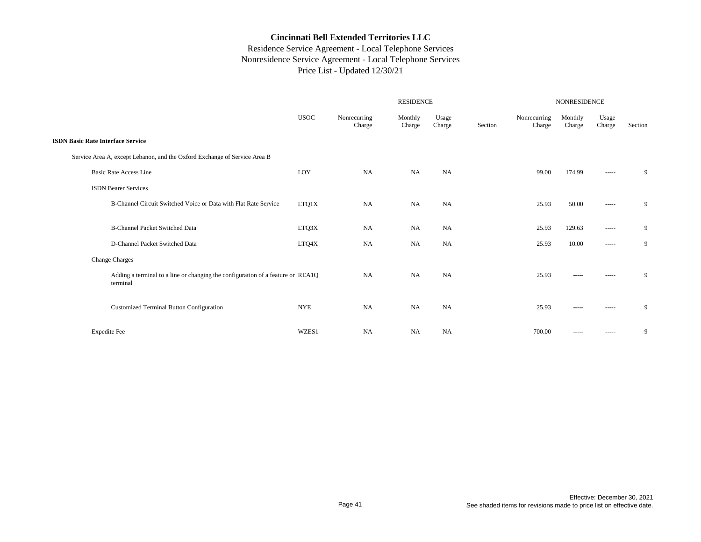|                                                                                             |             |                        | NONRESIDENCE      |                 |         |                        |                   |                                                                                                                                                                                                                                                                                                                                                                                                                                                                                        |         |
|---------------------------------------------------------------------------------------------|-------------|------------------------|-------------------|-----------------|---------|------------------------|-------------------|----------------------------------------------------------------------------------------------------------------------------------------------------------------------------------------------------------------------------------------------------------------------------------------------------------------------------------------------------------------------------------------------------------------------------------------------------------------------------------------|---------|
|                                                                                             | <b>USOC</b> | Nonrecurring<br>Charge | Monthly<br>Charge | Usage<br>Charge | Section | Nonrecurring<br>Charge | Monthly<br>Charge | Usage<br>Charge                                                                                                                                                                                                                                                                                                                                                                                                                                                                        | Section |
| <b>ISDN Basic Rate Interface Service</b>                                                    |             |                        |                   |                 |         |                        |                   |                                                                                                                                                                                                                                                                                                                                                                                                                                                                                        |         |
| Service Area A, except Lebanon, and the Oxford Exchange of Service Area B                   |             |                        |                   |                 |         |                        |                   |                                                                                                                                                                                                                                                                                                                                                                                                                                                                                        |         |
| <b>Basic Rate Access Line</b>                                                               | LOY         | <b>NA</b>              | <b>NA</b>         | NA              |         | 99.00                  | 174.99            | $\begin{array}{cccccccccc} \multicolumn{2}{c}{} & \multicolumn{2}{c}{} & \multicolumn{2}{c}{} & \multicolumn{2}{c}{} & \multicolumn{2}{c}{} & \multicolumn{2}{c}{} & \multicolumn{2}{c}{} & \multicolumn{2}{c}{} & \multicolumn{2}{c}{} & \multicolumn{2}{c}{} & \multicolumn{2}{c}{} & \multicolumn{2}{c}{} & \multicolumn{2}{c}{} & \multicolumn{2}{c}{} & \multicolumn{2}{c}{} & \multicolumn{2}{c}{} & \multicolumn{2}{c}{} & \multicolumn{2}{c}{} & \multicolumn{2}{c}{} & \mult$ | 9       |
| <b>ISDN</b> Bearer Services                                                                 |             |                        |                   |                 |         |                        |                   |                                                                                                                                                                                                                                                                                                                                                                                                                                                                                        |         |
| B-Channel Circuit Switched Voice or Data with Flat Rate Service                             | LTQ1X       | <b>NA</b>              | <b>NA</b>         | NA              |         | 25.93                  | 50.00             | $\begin{array}{cccccccccc} \multicolumn{2}{c}{} & \multicolumn{2}{c}{} & \multicolumn{2}{c}{} & \multicolumn{2}{c}{} & \multicolumn{2}{c}{} & \multicolumn{2}{c}{} & \multicolumn{2}{c}{} & \multicolumn{2}{c}{} & \multicolumn{2}{c}{} & \multicolumn{2}{c}{} & \multicolumn{2}{c}{} & \multicolumn{2}{c}{} & \multicolumn{2}{c}{} & \multicolumn{2}{c}{} & \multicolumn{2}{c}{} & \multicolumn{2}{c}{} & \multicolumn{2}{c}{} & \multicolumn{2}{c}{} & \multicolumn{2}{c}{} & \mult$ | 9       |
|                                                                                             |             |                        |                   |                 |         |                        |                   |                                                                                                                                                                                                                                                                                                                                                                                                                                                                                        |         |
| <b>B-Channel Packet Switched Data</b>                                                       | LTQ3X       | <b>NA</b>              | NA                | NA              |         | 25.93                  | 129.63            | $\begin{array}{cccccccccc} \multicolumn{2}{c}{} & \multicolumn{2}{c}{} & \multicolumn{2}{c}{} & \multicolumn{2}{c}{} & \multicolumn{2}{c}{} & \multicolumn{2}{c}{} & \multicolumn{2}{c}{} & \multicolumn{2}{c}{} & \multicolumn{2}{c}{} & \multicolumn{2}{c}{} & \multicolumn{2}{c}{} & \multicolumn{2}{c}{} & \multicolumn{2}{c}{} & \multicolumn{2}{c}{} & \multicolumn{2}{c}{} & \multicolumn{2}{c}{} & \multicolumn{2}{c}{} & \multicolumn{2}{c}{} & \multicolumn{2}{c}{} & \mult$ | 9       |
| D-Channel Packet Switched Data                                                              | LTQ4X       | NA                     | NA                | NA              |         | 25.93                  | 10.00             | $\begin{array}{cccccccccc} \multicolumn{2}{c}{} & \multicolumn{2}{c}{} & \multicolumn{2}{c}{} & \multicolumn{2}{c}{} & \multicolumn{2}{c}{} & \multicolumn{2}{c}{} & \multicolumn{2}{c}{} & \multicolumn{2}{c}{} & \multicolumn{2}{c}{} & \multicolumn{2}{c}{} & \multicolumn{2}{c}{} & \multicolumn{2}{c}{} & \multicolumn{2}{c}{} & \multicolumn{2}{c}{} & \multicolumn{2}{c}{} & \multicolumn{2}{c}{} & \multicolumn{2}{c}{} & \multicolumn{2}{c}{} & \multicolumn{2}{c}{} & \mult$ | 9       |
| <b>Change Charges</b>                                                                       |             |                        |                   |                 |         |                        |                   |                                                                                                                                                                                                                                                                                                                                                                                                                                                                                        |         |
| Adding a terminal to a line or changing the configuration of a feature or REA1Q<br>terminal |             | <b>NA</b>              | <b>NA</b>         | <b>NA</b>       |         | 25.93                  | -----             | -----                                                                                                                                                                                                                                                                                                                                                                                                                                                                                  | 9       |
| Customized Terminal Button Configuration                                                    | <b>NYE</b>  | <b>NA</b>              | <b>NA</b>         | <b>NA</b>       |         | 25.93                  | -----             | -----                                                                                                                                                                                                                                                                                                                                                                                                                                                                                  | 9       |
| <b>Expedite Fee</b>                                                                         | WZES1       | <b>NA</b>              | NA                | NA              |         | 700.00                 | -----             | $\begin{array}{cccccccccc} \multicolumn{2}{c}{} & \multicolumn{2}{c}{} & \multicolumn{2}{c}{} & \multicolumn{2}{c}{} & \multicolumn{2}{c}{} & \multicolumn{2}{c}{} & \multicolumn{2}{c}{} & \multicolumn{2}{c}{} & \multicolumn{2}{c}{} & \multicolumn{2}{c}{} & \multicolumn{2}{c}{} & \multicolumn{2}{c}{} & \multicolumn{2}{c}{} & \multicolumn{2}{c}{} & \multicolumn{2}{c}{} & \multicolumn{2}{c}{} & \multicolumn{2}{c}{} & \multicolumn{2}{c}{} & \multicolumn{2}{c}{} & \mult$ | 9       |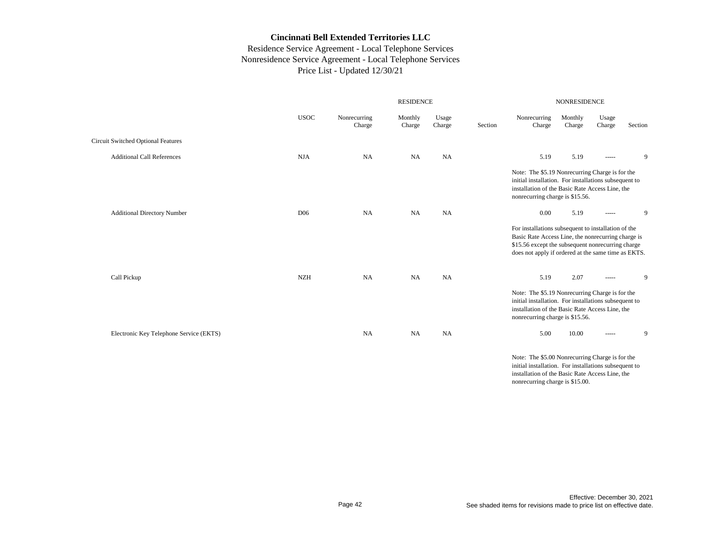## Residence Service Agreement - Local Telephone Services Nonresidence Service Agreement - Local Telephone Services Price List - Updated 12/30/21

|                                           |                 |                        | <b>RESIDENCE</b>  |                 | <b>NONRESIDENCE</b> |                                                                                                                                                                                                                       |                   |                 |         |  |
|-------------------------------------------|-----------------|------------------------|-------------------|-----------------|---------------------|-----------------------------------------------------------------------------------------------------------------------------------------------------------------------------------------------------------------------|-------------------|-----------------|---------|--|
|                                           | <b>USOC</b>     | Nonrecurring<br>Charge | Monthly<br>Charge | Usage<br>Charge | Section             | Nonrecurring<br>Charge                                                                                                                                                                                                | Monthly<br>Charge | Usage<br>Charge | Section |  |
| <b>Circuit Switched Optional Features</b> |                 |                        |                   |                 |                     |                                                                                                                                                                                                                       |                   |                 |         |  |
| <b>Additional Call References</b>         | <b>NJA</b>      | <b>NA</b>              | <b>NA</b>         | <b>NA</b>       |                     | 5.19                                                                                                                                                                                                                  | 5.19              | -----           | 9       |  |
|                                           |                 |                        |                   |                 |                     | Note: The \$5.19 Nonrecurring Charge is for the<br>initial installation. For installations subsequent to<br>installation of the Basic Rate Access Line, the<br>nonrecurring charge is \$15.56.                        |                   |                 |         |  |
| <b>Additional Directory Number</b>        | D <sub>06</sub> | <b>NA</b>              | <b>NA</b>         | <b>NA</b>       |                     | 0.00                                                                                                                                                                                                                  | 5.19              | -----           | 9       |  |
|                                           |                 |                        |                   |                 |                     | For installations subsequent to installation of the<br>Basic Rate Access Line, the nonrecurring charge is<br>\$15.56 except the subsequent nonrecurring charge<br>does not apply if ordered at the same time as EKTS. |                   |                 |         |  |
| Call Pickup                               | <b>NZH</b>      | <b>NA</b>              | NA                | <b>NA</b>       |                     | 5.19                                                                                                                                                                                                                  | 2.07              | -----           | 9       |  |
|                                           |                 |                        |                   |                 |                     | Note: The \$5.19 Nonrecurring Charge is for the<br>initial installation. For installations subsequent to<br>installation of the Basic Rate Access Line, the<br>nonrecurring charge is \$15.56.                        |                   |                 |         |  |
| Electronic Key Telephone Service (EKTS)   |                 | <b>NA</b>              | <b>NA</b>         | <b>NA</b>       |                     | 5.00                                                                                                                                                                                                                  | 10.00             | -----           | 9       |  |
|                                           |                 |                        |                   |                 |                     | Note: The \$5.00 Nonrecurring Charge is for the<br>Statebol Sanda Haddan - Theodorae Haddana and an annual de                                                                                                         |                   |                 |         |  |

initial installation. For installations subsequent to installation of the Basic Rate Access Line, the nonrecurring charge is \$15.00.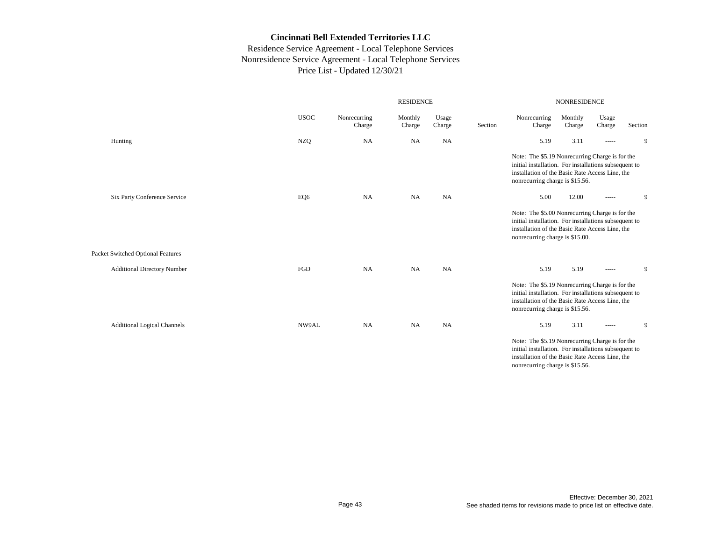|                                    |             |                        |                   | NONRESIDENCE    |         |                                                                                                                                                                                                |                   |                 |         |
|------------------------------------|-------------|------------------------|-------------------|-----------------|---------|------------------------------------------------------------------------------------------------------------------------------------------------------------------------------------------------|-------------------|-----------------|---------|
|                                    | <b>USOC</b> | Nonrecurring<br>Charge | Monthly<br>Charge | Usage<br>Charge | Section | Nonrecurring<br>Charge                                                                                                                                                                         | Monthly<br>Charge | Usage<br>Charge | Section |
| Hunting                            | <b>NZQ</b>  | <b>NA</b>              | <b>NA</b>         | <b>NA</b>       |         | 5.19                                                                                                                                                                                           | 3.11              | -----           | 9       |
|                                    |             |                        |                   |                 |         | Note: The \$5.19 Nonrecurring Charge is for the<br>initial installation. For installations subsequent to<br>installation of the Basic Rate Access Line, the<br>nonrecurring charge is \$15.56. |                   |                 |         |
| Six Party Conference Service       | EQ6         | <b>NA</b>              | <b>NA</b>         | <b>NA</b>       |         | 5.00                                                                                                                                                                                           | 12.00             | -----           | 9       |
|                                    |             |                        |                   |                 |         | Note: The \$5.00 Nonrecurring Charge is for the<br>initial installation. For installations subsequent to<br>installation of the Basic Rate Access Line, the<br>nonrecurring charge is \$15.00. |                   |                 |         |
| Packet Switched Optional Features  |             |                        |                   |                 |         |                                                                                                                                                                                                |                   |                 |         |
| <b>Additional Directory Number</b> | FGD         | NA                     | <b>NA</b>         | <b>NA</b>       |         | 5.19                                                                                                                                                                                           | 5.19              | -----           | 9       |
|                                    |             |                        |                   |                 |         | Note: The \$5.19 Nonrecurring Charge is for the<br>initial installation. For installations subsequent to<br>installation of the Basic Rate Access Line, the<br>nonrecurring charge is \$15.56. |                   |                 |         |
| <b>Additional Logical Channels</b> | NW9AL       | NA                     | <b>NA</b>         | <b>NA</b>       |         | 5.19                                                                                                                                                                                           | 3.11              | $\cdots$        | 9       |
|                                    |             |                        |                   |                 |         | Note: The \$5.19 Nonrecurring Charge is for the<br>initial installation. For installations subsequent to<br>installation of the Basic Rate Access Line, the<br>nonrecurring charge is \$15.56. |                   |                 |         |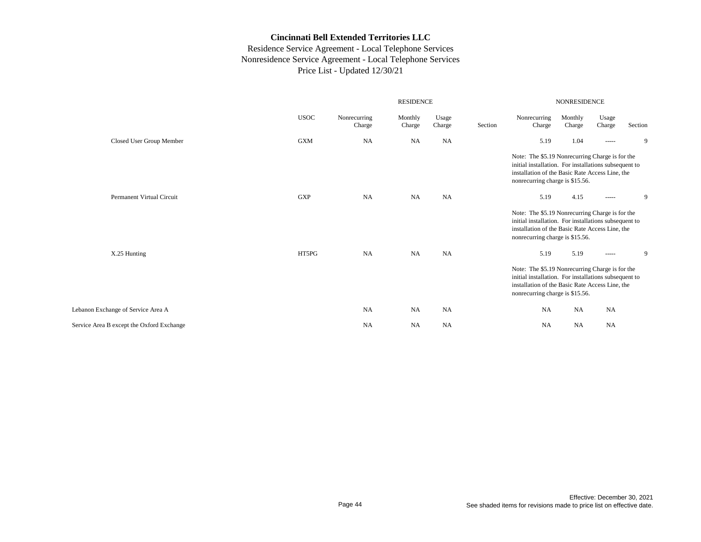|                                           |             |                        | <b>NONRESIDENCE</b> |                 |         |                                                                                                                                                                                                |                   |                                                                                                                                                                                                                                                                                                                                                                                                                                                                                        |         |
|-------------------------------------------|-------------|------------------------|---------------------|-----------------|---------|------------------------------------------------------------------------------------------------------------------------------------------------------------------------------------------------|-------------------|----------------------------------------------------------------------------------------------------------------------------------------------------------------------------------------------------------------------------------------------------------------------------------------------------------------------------------------------------------------------------------------------------------------------------------------------------------------------------------------|---------|
|                                           | <b>USOC</b> | Nonrecurring<br>Charge | Monthly<br>Charge   | Usage<br>Charge | Section | Nonrecurring<br>Charge                                                                                                                                                                         | Monthly<br>Charge | Usage<br>Charge                                                                                                                                                                                                                                                                                                                                                                                                                                                                        | Section |
| Closed User Group Member                  | <b>GXM</b>  | <b>NA</b>              | NA                  | <b>NA</b>       |         | 5.19                                                                                                                                                                                           | 1.04              | -----                                                                                                                                                                                                                                                                                                                                                                                                                                                                                  | 9       |
|                                           |             |                        |                     |                 |         | Note: The \$5.19 Nonrecurring Charge is for the<br>initial installation. For installations subsequent to<br>installation of the Basic Rate Access Line, the<br>nonrecurring charge is \$15.56. |                   |                                                                                                                                                                                                                                                                                                                                                                                                                                                                                        |         |
| Permanent Virtual Circuit                 | <b>GXP</b>  | <b>NA</b>              | NA                  | <b>NA</b>       |         | 5.19                                                                                                                                                                                           | 4.15              | $\begin{array}{cccccccccc} \multicolumn{2}{c}{} & \multicolumn{2}{c}{} & \multicolumn{2}{c}{} & \multicolumn{2}{c}{} & \multicolumn{2}{c}{} & \multicolumn{2}{c}{} & \multicolumn{2}{c}{} & \multicolumn{2}{c}{} & \multicolumn{2}{c}{} & \multicolumn{2}{c}{} & \multicolumn{2}{c}{} & \multicolumn{2}{c}{} & \multicolumn{2}{c}{} & \multicolumn{2}{c}{} & \multicolumn{2}{c}{} & \multicolumn{2}{c}{} & \multicolumn{2}{c}{} & \multicolumn{2}{c}{} & \multicolumn{2}{c}{} & \mult$ | 9       |
|                                           |             |                        |                     |                 |         | Note: The \$5.19 Nonrecurring Charge is for the<br>initial installation. For installations subsequent to<br>installation of the Basic Rate Access Line, the<br>nonrecurring charge is \$15.56. |                   |                                                                                                                                                                                                                                                                                                                                                                                                                                                                                        |         |
| X.25 Hunting                              | HT5PG       | <b>NA</b>              | NA                  | <b>NA</b>       |         | 5.19                                                                                                                                                                                           | 5.19              | $\begin{array}{cccccccccc} \multicolumn{2}{c}{} & \multicolumn{2}{c}{} & \multicolumn{2}{c}{} & \multicolumn{2}{c}{} & \multicolumn{2}{c}{} & \multicolumn{2}{c}{} & \multicolumn{2}{c}{} & \multicolumn{2}{c}{} & \multicolumn{2}{c}{} & \multicolumn{2}{c}{} & \multicolumn{2}{c}{} & \multicolumn{2}{c}{} & \multicolumn{2}{c}{} & \multicolumn{2}{c}{} & \multicolumn{2}{c}{} & \multicolumn{2}{c}{} & \multicolumn{2}{c}{} & \multicolumn{2}{c}{} & \multicolumn{2}{c}{} & \mult$ | 9       |
|                                           |             |                        |                     |                 |         | Note: The \$5.19 Nonrecurring Charge is for the<br>initial installation. For installations subsequent to<br>installation of the Basic Rate Access Line, the<br>nonrecurring charge is \$15.56. |                   |                                                                                                                                                                                                                                                                                                                                                                                                                                                                                        |         |
| Lebanon Exchange of Service Area A        |             | <b>NA</b>              | <b>NA</b>           | <b>NA</b>       |         | <b>NA</b>                                                                                                                                                                                      | <b>NA</b>         | <b>NA</b>                                                                                                                                                                                                                                                                                                                                                                                                                                                                              |         |
| Service Area B except the Oxford Exchange |             | <b>NA</b>              | <b>NA</b>           | <b>NA</b>       |         | NA                                                                                                                                                                                             | <b>NA</b>         | <b>NA</b>                                                                                                                                                                                                                                                                                                                                                                                                                                                                              |         |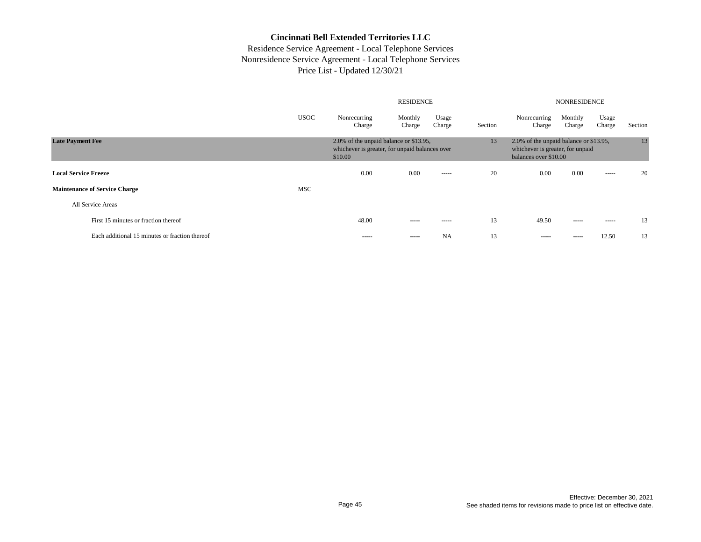|                                                |             |                                                                                                     | <b>RESIDENCE</b>  | <b>NONRESIDENCE</b> |                                                                                                           |                        |                   |                 |         |
|------------------------------------------------|-------------|-----------------------------------------------------------------------------------------------------|-------------------|---------------------|-----------------------------------------------------------------------------------------------------------|------------------------|-------------------|-----------------|---------|
|                                                | <b>USOC</b> | Nonrecurring<br>Charge                                                                              | Monthly<br>Charge | Usage<br>Charge     | Section                                                                                                   | Nonrecurring<br>Charge | Monthly<br>Charge | Usage<br>Charge | Section |
| <b>Late Payment Fee</b>                        |             | 2.0% of the unpaid balance or \$13.95,<br>whichever is greater, for unpaid balances over<br>\$10.00 |                   |                     | 13<br>2.0% of the unpaid balance or \$13.95,<br>whichever is greater, for unpaid<br>balances over \$10.00 |                        |                   |                 |         |
| <b>Local Service Freeze</b>                    |             | 0.00                                                                                                | 0.00              | $- - - - -$         | 20                                                                                                        | 0.00                   | 0.00              | $\frac{1}{2}$   | 20      |
| <b>Maintenance of Service Charge</b>           | <b>MSC</b>  |                                                                                                     |                   |                     |                                                                                                           |                        |                   |                 |         |
| All Service Areas                              |             |                                                                                                     |                   |                     |                                                                                                           |                        |                   |                 |         |
| First 15 minutes or fraction thereof           |             | 48.00                                                                                               | $- - - - -$       | $- - - - -$         | 13                                                                                                        | 49.50                  | $- - - - -$       | $- - - - -$     | 13      |
| Each additional 15 minutes or fraction thereof |             | $- - - - -$                                                                                         | $- - - - -$       | NA                  | 13                                                                                                        | $- - - - -$            | -----             | 12.50           | 13      |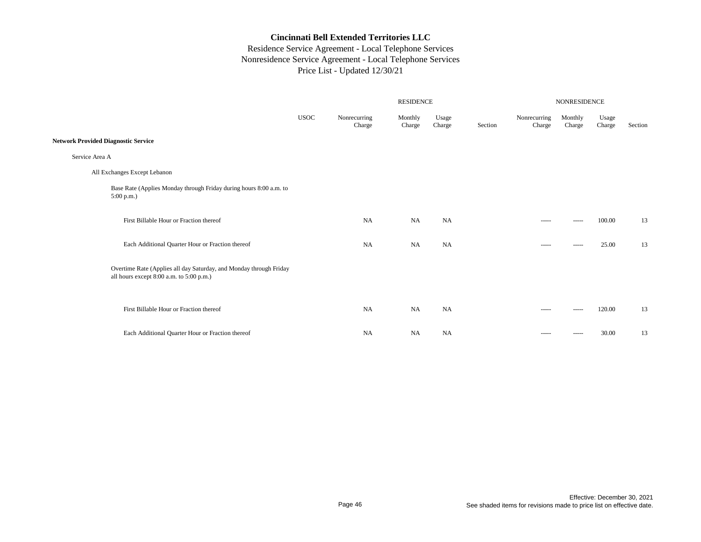|                                                                                                                | RESIDENCE   |                        |                   |                 |         |                        | NONRESIDENCE      |                 |         |  |  |  |
|----------------------------------------------------------------------------------------------------------------|-------------|------------------------|-------------------|-----------------|---------|------------------------|-------------------|-----------------|---------|--|--|--|
|                                                                                                                | <b>USOC</b> | Nonrecurring<br>Charge | Monthly<br>Charge | Usage<br>Charge | Section | Nonrecurring<br>Charge | Monthly<br>Charge | Usage<br>Charge | Section |  |  |  |
| <b>Network Provided Diagnostic Service</b>                                                                     |             |                        |                   |                 |         |                        |                   |                 |         |  |  |  |
| Service Area A                                                                                                 |             |                        |                   |                 |         |                        |                   |                 |         |  |  |  |
| All Exchanges Except Lebanon                                                                                   |             |                        |                   |                 |         |                        |                   |                 |         |  |  |  |
| Base Rate (Applies Monday through Friday during hours 8:00 a.m. to<br>$5:00$ p.m.)                             |             |                        |                   |                 |         |                        |                   |                 |         |  |  |  |
| First Billable Hour or Fraction thereof                                                                        |             | <b>NA</b>              | <b>NA</b>         | NA              |         | -----                  | -----             | 100.00          | 13      |  |  |  |
| Each Additional Quarter Hour or Fraction thereof                                                               |             | <b>NA</b>              | <b>NA</b>         | NA              |         | -----                  | -----             | 25.00           | 13      |  |  |  |
| Overtime Rate (Applies all day Saturday, and Monday through Friday<br>all hours except 8:00 a.m. to 5:00 p.m.) |             |                        |                   |                 |         |                        |                   |                 |         |  |  |  |
| First Billable Hour or Fraction thereof                                                                        |             | NA                     | NA                | NA              |         | -----                  |                   | 120.00          | 13      |  |  |  |
| Each Additional Quarter Hour or Fraction thereof                                                               |             | <b>NA</b>              | <b>NA</b>         | NA              |         | -----                  | -----             | 30.00           | 13      |  |  |  |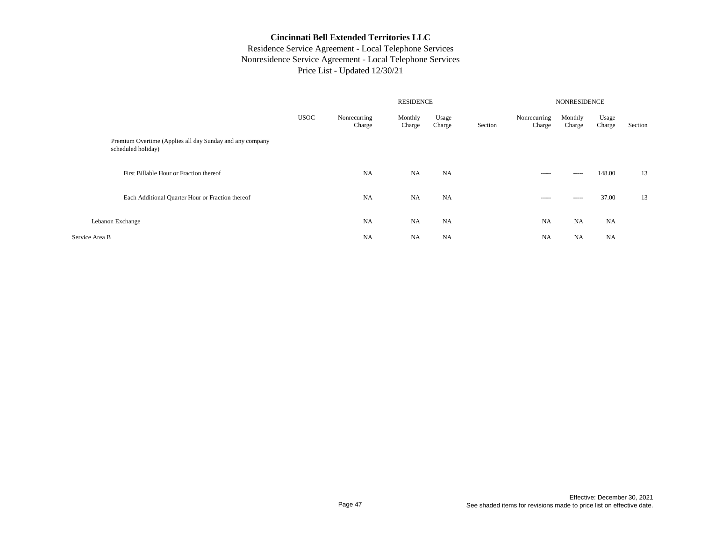|                                                                                |             |                        | <b>NONRESIDENCE</b> |                 |         |                        |                   |                 |         |
|--------------------------------------------------------------------------------|-------------|------------------------|---------------------|-----------------|---------|------------------------|-------------------|-----------------|---------|
|                                                                                | <b>USOC</b> | Nonrecurring<br>Charge | Monthly<br>Charge   | Usage<br>Charge | Section | Nonrecurring<br>Charge | Monthly<br>Charge | Usage<br>Charge | Section |
| Premium Overtime (Applies all day Sunday and any company<br>scheduled holiday) |             |                        |                     |                 |         |                        |                   |                 |         |
| First Billable Hour or Fraction thereof                                        |             | <b>NA</b>              | <b>NA</b>           | NA              |         | $- - - - -$            | $- - - - -$       | 148.00          | 13      |
| Each Additional Quarter Hour or Fraction thereof                               |             | <b>NA</b>              | <b>NA</b>           | NA              |         | $- - - - -$            | $- - - - -$       | 37.00           | 13      |
| Lebanon Exchange                                                               |             | <b>NA</b>              | <b>NA</b>           | NA              |         | <b>NA</b>              | <b>NA</b>         | <b>NA</b>       |         |
| Service Area B                                                                 |             | <b>NA</b>              | <b>NA</b>           | <b>NA</b>       |         | <b>NA</b>              | <b>NA</b>         | <b>NA</b>       |         |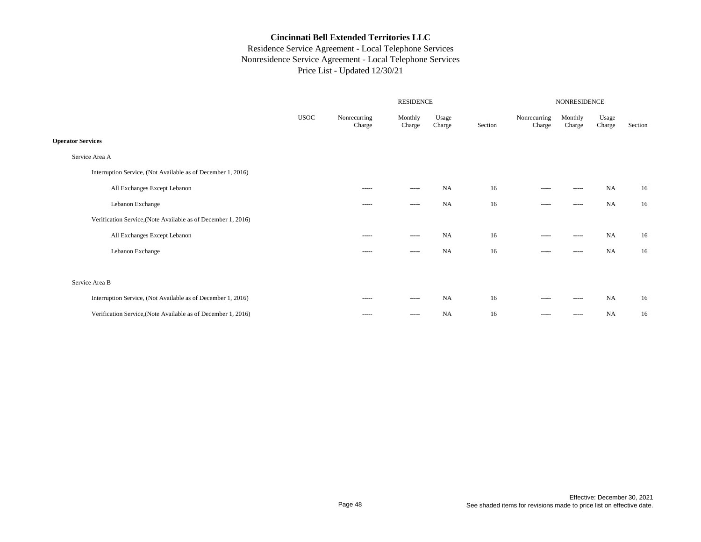|             |                                                                                                                                                                                                                                                                                                                                                                                                                                                                                        | NONRESIDENCE                                                                                                                                                                                                                                                                                                                                                                                                                                                                           |                 |                  |                                                                                                                                                                                                                                                                                                                                                                                                                                                                                        |                   |                 |         |
|-------------|----------------------------------------------------------------------------------------------------------------------------------------------------------------------------------------------------------------------------------------------------------------------------------------------------------------------------------------------------------------------------------------------------------------------------------------------------------------------------------------|----------------------------------------------------------------------------------------------------------------------------------------------------------------------------------------------------------------------------------------------------------------------------------------------------------------------------------------------------------------------------------------------------------------------------------------------------------------------------------------|-----------------|------------------|----------------------------------------------------------------------------------------------------------------------------------------------------------------------------------------------------------------------------------------------------------------------------------------------------------------------------------------------------------------------------------------------------------------------------------------------------------------------------------------|-------------------|-----------------|---------|
| <b>USOC</b> | Nonrecurring<br>Charge                                                                                                                                                                                                                                                                                                                                                                                                                                                                 | Monthly<br>Charge                                                                                                                                                                                                                                                                                                                                                                                                                                                                      | Usage<br>Charge | Section          | Nonrecurring<br>Charge                                                                                                                                                                                                                                                                                                                                                                                                                                                                 | Monthly<br>Charge | Usage<br>Charge | Section |
|             |                                                                                                                                                                                                                                                                                                                                                                                                                                                                                        |                                                                                                                                                                                                                                                                                                                                                                                                                                                                                        |                 |                  |                                                                                                                                                                                                                                                                                                                                                                                                                                                                                        |                   |                 |         |
|             |                                                                                                                                                                                                                                                                                                                                                                                                                                                                                        |                                                                                                                                                                                                                                                                                                                                                                                                                                                                                        |                 |                  |                                                                                                                                                                                                                                                                                                                                                                                                                                                                                        |                   |                 |         |
|             |                                                                                                                                                                                                                                                                                                                                                                                                                                                                                        |                                                                                                                                                                                                                                                                                                                                                                                                                                                                                        |                 |                  |                                                                                                                                                                                                                                                                                                                                                                                                                                                                                        |                   |                 |         |
|             | $\begin{array}{cccccccccc} \multicolumn{2}{c}{} & \multicolumn{2}{c}{} & \multicolumn{2}{c}{} & \multicolumn{2}{c}{} & \multicolumn{2}{c}{} & \multicolumn{2}{c}{} & \multicolumn{2}{c}{} & \multicolumn{2}{c}{} & \multicolumn{2}{c}{} & \multicolumn{2}{c}{} & \multicolumn{2}{c}{} & \multicolumn{2}{c}{} & \multicolumn{2}{c}{} & \multicolumn{2}{c}{} & \multicolumn{2}{c}{} & \multicolumn{2}{c}{} & \multicolumn{2}{c}{} & \multicolumn{2}{c}{} & \multicolumn{2}{c}{} & \mult$ | $\begin{array}{cccccccccc} \multicolumn{2}{c}{} & \multicolumn{2}{c}{} & \multicolumn{2}{c}{} & \multicolumn{2}{c}{} & \multicolumn{2}{c}{} & \multicolumn{2}{c}{} & \multicolumn{2}{c}{} & \multicolumn{2}{c}{} & \multicolumn{2}{c}{} & \multicolumn{2}{c}{} & \multicolumn{2}{c}{} & \multicolumn{2}{c}{} & \multicolumn{2}{c}{} & \multicolumn{2}{c}{} & \multicolumn{2}{c}{} & \multicolumn{2}{c}{} & \multicolumn{2}{c}{} & \multicolumn{2}{c}{} & \multicolumn{2}{c}{} & \mult$ | <b>NA</b>       | 16               | $\begin{array}{cccccccccc} \multicolumn{2}{c}{} & \multicolumn{2}{c}{} & \multicolumn{2}{c}{} & \multicolumn{2}{c}{} & \multicolumn{2}{c}{} & \multicolumn{2}{c}{} & \multicolumn{2}{c}{} & \multicolumn{2}{c}{} & \multicolumn{2}{c}{} & \multicolumn{2}{c}{} & \multicolumn{2}{c}{} & \multicolumn{2}{c}{} & \multicolumn{2}{c}{} & \multicolumn{2}{c}{} & \multicolumn{2}{c}{} & \multicolumn{2}{c}{} & \multicolumn{2}{c}{} & \multicolumn{2}{c}{} & \multicolumn{2}{c}{} & \mult$ | -----             | <b>NA</b>       | 16      |
|             | $\begin{array}{cccccccccc} \multicolumn{2}{c}{} & \multicolumn{2}{c}{} & \multicolumn{2}{c}{} & \multicolumn{2}{c}{} & \multicolumn{2}{c}{} & \multicolumn{2}{c}{} & \multicolumn{2}{c}{} & \multicolumn{2}{c}{} & \multicolumn{2}{c}{} & \multicolumn{2}{c}{} & \multicolumn{2}{c}{} & \multicolumn{2}{c}{} & \multicolumn{2}{c}{} & \multicolumn{2}{c}{} & \multicolumn{2}{c}{} & \multicolumn{2}{c}{} & \multicolumn{2}{c}{} & \multicolumn{2}{c}{} & \multicolumn{2}{c}{} & \mult$ | -----                                                                                                                                                                                                                                                                                                                                                                                                                                                                                  | <b>NA</b>       | 16               | $\begin{array}{cccccccccc} \multicolumn{2}{c}{} & \multicolumn{2}{c}{} & \multicolumn{2}{c}{} & \multicolumn{2}{c}{} & \multicolumn{2}{c}{} & \multicolumn{2}{c}{} & \multicolumn{2}{c}{} & \multicolumn{2}{c}{} & \multicolumn{2}{c}{} & \multicolumn{2}{c}{} & \multicolumn{2}{c}{} & \multicolumn{2}{c}{} & \multicolumn{2}{c}{} & \multicolumn{2}{c}{} & \multicolumn{2}{c}{} & \multicolumn{2}{c}{} & \multicolumn{2}{c}{} & \multicolumn{2}{c}{} & \multicolumn{2}{c}{} & \mult$ | -----             | <b>NA</b>       | 16      |
|             |                                                                                                                                                                                                                                                                                                                                                                                                                                                                                        |                                                                                                                                                                                                                                                                                                                                                                                                                                                                                        |                 |                  |                                                                                                                                                                                                                                                                                                                                                                                                                                                                                        |                   |                 |         |
|             | -----                                                                                                                                                                                                                                                                                                                                                                                                                                                                                  | -----                                                                                                                                                                                                                                                                                                                                                                                                                                                                                  | <b>NA</b>       | 16               | $- - - - -$                                                                                                                                                                                                                                                                                                                                                                                                                                                                            | -----             | <b>NA</b>       | 16      |
|             | -----                                                                                                                                                                                                                                                                                                                                                                                                                                                                                  | -----                                                                                                                                                                                                                                                                                                                                                                                                                                                                                  | <b>NA</b>       | 16               | $\cdots$                                                                                                                                                                                                                                                                                                                                                                                                                                                                               | -----             | NA              | 16      |
|             |                                                                                                                                                                                                                                                                                                                                                                                                                                                                                        |                                                                                                                                                                                                                                                                                                                                                                                                                                                                                        |                 |                  |                                                                                                                                                                                                                                                                                                                                                                                                                                                                                        |                   |                 |         |
|             |                                                                                                                                                                                                                                                                                                                                                                                                                                                                                        |                                                                                                                                                                                                                                                                                                                                                                                                                                                                                        |                 |                  |                                                                                                                                                                                                                                                                                                                                                                                                                                                                                        |                   |                 |         |
|             | $\begin{array}{cccccccccc} \multicolumn{2}{c}{} & \multicolumn{2}{c}{} & \multicolumn{2}{c}{} & \multicolumn{2}{c}{} & \multicolumn{2}{c}{} & \multicolumn{2}{c}{} & \multicolumn{2}{c}{} & \multicolumn{2}{c}{} & \multicolumn{2}{c}{} & \multicolumn{2}{c}{} & \multicolumn{2}{c}{} & \multicolumn{2}{c}{} & \multicolumn{2}{c}{} & \multicolumn{2}{c}{} & \multicolumn{2}{c}{} & \multicolumn{2}{c}{} & \multicolumn{2}{c}{} & \multicolumn{2}{c}{} & \multicolumn{2}{c}{} & \mult$ | $\begin{array}{cccccccccc} \multicolumn{2}{c}{} & \multicolumn{2}{c}{} & \multicolumn{2}{c}{} & \multicolumn{2}{c}{} & \multicolumn{2}{c}{} & \multicolumn{2}{c}{} & \multicolumn{2}{c}{} & \multicolumn{2}{c}{} & \multicolumn{2}{c}{} & \multicolumn{2}{c}{} & \multicolumn{2}{c}{} & \multicolumn{2}{c}{} & \multicolumn{2}{c}{} & \multicolumn{2}{c}{} & \multicolumn{2}{c}{} & \multicolumn{2}{c}{} & \multicolumn{2}{c}{} & \multicolumn{2}{c}{} & \multicolumn{2}{c}{} & \mult$ | <b>NA</b>       | 16               | $\begin{array}{cccccccccc} \multicolumn{2}{c}{} & \multicolumn{2}{c}{} & \multicolumn{2}{c}{} & \multicolumn{2}{c}{} & \multicolumn{2}{c}{} & \multicolumn{2}{c}{} & \multicolumn{2}{c}{} & \multicolumn{2}{c}{} & \multicolumn{2}{c}{} & \multicolumn{2}{c}{} & \multicolumn{2}{c}{} & \multicolumn{2}{c}{} & \multicolumn{2}{c}{} & \multicolumn{2}{c}{} & \multicolumn{2}{c}{} & \multicolumn{2}{c}{} & \multicolumn{2}{c}{} & \multicolumn{2}{c}{} & \multicolumn{2}{c}{} & \mult$ | ------            | <b>NA</b>       | 16      |
|             | $- - - - -$                                                                                                                                                                                                                                                                                                                                                                                                                                                                            | $\begin{array}{cccccccccc} \multicolumn{2}{c}{} & \multicolumn{2}{c}{} & \multicolumn{2}{c}{} & \multicolumn{2}{c}{} & \multicolumn{2}{c}{} & \multicolumn{2}{c}{} & \multicolumn{2}{c}{} & \multicolumn{2}{c}{} & \multicolumn{2}{c}{} & \multicolumn{2}{c}{} & \multicolumn{2}{c}{} & \multicolumn{2}{c}{} & \multicolumn{2}{c}{} & \multicolumn{2}{c}{} & \multicolumn{2}{c}{} & \multicolumn{2}{c}{} & \multicolumn{2}{c}{} & \multicolumn{2}{c}{} & \multicolumn{2}{c}{} & \mult$ | <b>NA</b>       | 16               | $- - - - -$                                                                                                                                                                                                                                                                                                                                                                                                                                                                            | -----             | <b>NA</b>       | 16      |
|             |                                                                                                                                                                                                                                                                                                                                                                                                                                                                                        |                                                                                                                                                                                                                                                                                                                                                                                                                                                                                        |                 | <b>RESIDENCE</b> |                                                                                                                                                                                                                                                                                                                                                                                                                                                                                        |                   |                 |         |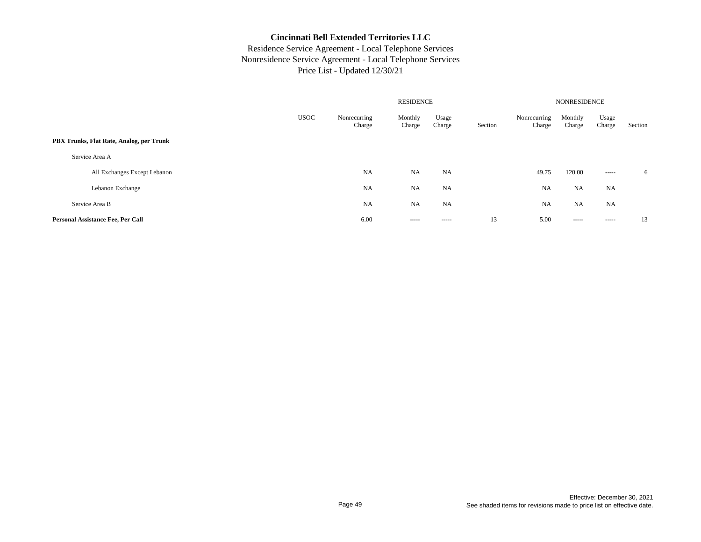|                                          |             |                        |                   | <b>NONRESIDENCE</b> |         |                        |                   |                 |         |
|------------------------------------------|-------------|------------------------|-------------------|---------------------|---------|------------------------|-------------------|-----------------|---------|
|                                          | <b>USOC</b> | Nonrecurring<br>Charge | Monthly<br>Charge | Usage<br>Charge     | Section | Nonrecurring<br>Charge | Monthly<br>Charge | Usage<br>Charge | Section |
| PBX Trunks, Flat Rate, Analog, per Trunk |             |                        |                   |                     |         |                        |                   |                 |         |
| Service Area A                           |             |                        |                   |                     |         |                        |                   |                 |         |
| All Exchanges Except Lebanon             |             | <b>NA</b>              | <b>NA</b>         | <b>NA</b>           |         | 49.75                  | 120.00            | $- - - - -$     | 6       |
| Lebanon Exchange                         |             | <b>NA</b>              | <b>NA</b>         | <b>NA</b>           |         | <b>NA</b>              | NA                | <b>NA</b>       |         |
| Service Area B                           |             | <b>NA</b>              | NA                | NA                  |         | <b>NA</b>              | NA                | <b>NA</b>       |         |
| Personal Assistance Fee, Per Call        |             | 6.00                   | -----             | $- - - - -$         | 13      | 5.00                   | -----             | $- - - - -$     | 13      |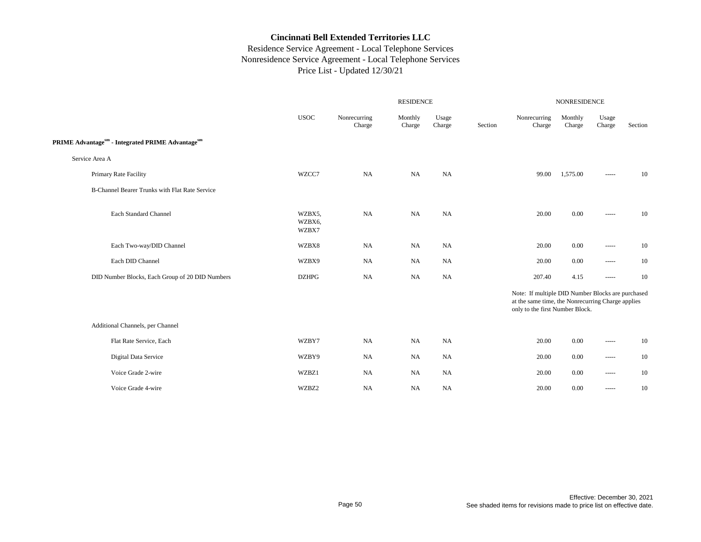|                                                                          |                           | <b>NONRESIDENCE</b>    |                   |                 |         |                                                                                                                                           |                   |                        |         |
|--------------------------------------------------------------------------|---------------------------|------------------------|-------------------|-----------------|---------|-------------------------------------------------------------------------------------------------------------------------------------------|-------------------|------------------------|---------|
|                                                                          | <b>USOC</b>               | Nonrecurring<br>Charge | Monthly<br>Charge | Usage<br>Charge | Section | Nonrecurring<br>Charge                                                                                                                    | Monthly<br>Charge | Usage<br>Charge        | Section |
| PRIME Advantage <sup>sm</sup> - Integrated PRIME Advantage <sup>sm</sup> |                           |                        |                   |                 |         |                                                                                                                                           |                   |                        |         |
| Service Area A                                                           |                           |                        |                   |                 |         |                                                                                                                                           |                   |                        |         |
| Primary Rate Facility                                                    | WZCC7                     | <b>NA</b>              | <b>NA</b>         | <b>NA</b>       |         | 99.00                                                                                                                                     | 1,575.00          | -----                  | 10      |
| B-Channel Bearer Trunks with Flat Rate Service                           |                           |                        |                   |                 |         |                                                                                                                                           |                   |                        |         |
| Each Standard Channel                                                    | WZBX5,<br>WZBX6,<br>WZBX7 | NA                     | NA                | NA              |         | 20.00                                                                                                                                     | 0.00              | $\cdots \cdots \cdots$ | 10      |
| Each Two-way/DID Channel                                                 | WZBX8                     | NA                     | <b>NA</b>         | NA              |         | 20.00                                                                                                                                     | 0.00              | $\cdots \cdots \cdots$ | 10      |
| Each DID Channel                                                         | WZBX9                     | <b>NA</b>              | <b>NA</b>         | NA              |         | 20.00                                                                                                                                     | 0.00              | $\cdots \cdots \cdots$ | $10\,$  |
| DID Number Blocks, Each Group of 20 DID Numbers                          | <b>DZHPG</b>              | NA                     | <b>NA</b>         | NA              |         | 207.40                                                                                                                                    | 4.15              | $\cdots \cdots \cdots$ | 10      |
|                                                                          |                           |                        |                   |                 |         | Note: If multiple DID Number Blocks are purchased<br>at the same time, the Nonrecurring Charge applies<br>only to the first Number Block. |                   |                        |         |
| Additional Channels, per Channel                                         |                           |                        |                   |                 |         |                                                                                                                                           |                   |                        |         |
| Flat Rate Service, Each                                                  | WZBY7                     | NA                     | <b>NA</b>         | NA              |         | 20.00                                                                                                                                     | $0.00\,$          | $\cdots$               | 10      |
| Digital Data Service                                                     | WZBY9                     | <b>NA</b>              | <b>NA</b>         | NA              |         | 20.00                                                                                                                                     | 0.00              | $\cdots \cdots \cdots$ | $10\,$  |
| Voice Grade 2-wire                                                       | WZBZ1                     | <b>NA</b>              | <b>NA</b>         | NA              |         | 20.00                                                                                                                                     | 0.00              | $\cdots \cdots \cdots$ | 10      |
| Voice Grade 4-wire                                                       | WZBZ2                     | NA                     | <b>NA</b>         | NA              |         | 20.00                                                                                                                                     | 0.00              | $\cdots \cdots \cdots$ | 10      |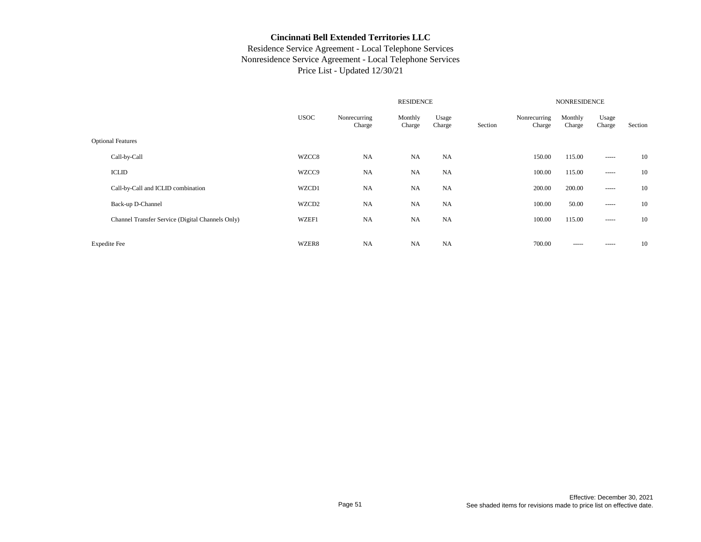|                                                  |             | <b>NONRESIDENCE</b>    |                   |                 |         |                        |                   |                                                                                                                                                                                                                                                                                                                                                                                                                                                                                        |         |
|--------------------------------------------------|-------------|------------------------|-------------------|-----------------|---------|------------------------|-------------------|----------------------------------------------------------------------------------------------------------------------------------------------------------------------------------------------------------------------------------------------------------------------------------------------------------------------------------------------------------------------------------------------------------------------------------------------------------------------------------------|---------|
|                                                  | <b>USOC</b> | Nonrecurring<br>Charge | Monthly<br>Charge | Usage<br>Charge | Section | Nonrecurring<br>Charge | Monthly<br>Charge | Usage<br>Charge                                                                                                                                                                                                                                                                                                                                                                                                                                                                        | Section |
| <b>Optional Features</b>                         |             |                        |                   |                 |         |                        |                   |                                                                                                                                                                                                                                                                                                                                                                                                                                                                                        |         |
| Call-by-Call                                     | WZCC8       | <b>NA</b>              | <b>NA</b>         | <b>NA</b>       |         | 150.00                 | 115.00            |                                                                                                                                                                                                                                                                                                                                                                                                                                                                                        | 10      |
| <b>ICLID</b>                                     | WZCC9       | <b>NA</b>              | <b>NA</b>         | <b>NA</b>       |         | 100.00                 | 115.00            | $\begin{array}{cccccccccc} \multicolumn{2}{c}{} & \multicolumn{2}{c}{} & \multicolumn{2}{c}{} & \multicolumn{2}{c}{} & \multicolumn{2}{c}{} & \multicolumn{2}{c}{} & \multicolumn{2}{c}{} & \multicolumn{2}{c}{} & \multicolumn{2}{c}{} & \multicolumn{2}{c}{} & \multicolumn{2}{c}{} & \multicolumn{2}{c}{} & \multicolumn{2}{c}{} & \multicolumn{2}{c}{} & \multicolumn{2}{c}{} & \multicolumn{2}{c}{} & \multicolumn{2}{c}{} & \multicolumn{2}{c}{} & \multicolumn{2}{c}{} & \mult$ | 10      |
| Call-by-Call and ICLID combination               | WZCD1       | NA                     | <b>NA</b>         | <b>NA</b>       |         | 200.00                 | 200.00            |                                                                                                                                                                                                                                                                                                                                                                                                                                                                                        | 10      |
| Back-up D-Channel                                | WZCD2       | <b>NA</b>              | <b>NA</b>         | <b>NA</b>       |         | 100.00                 | 50.00             |                                                                                                                                                                                                                                                                                                                                                                                                                                                                                        | 10      |
| Channel Transfer Service (Digital Channels Only) | WZEF1       | <b>NA</b>              | <b>NA</b>         | <b>NA</b>       |         | 100.00                 | 115.00            | $- - - - -$                                                                                                                                                                                                                                                                                                                                                                                                                                                                            | 10      |
| <b>Expedite</b> Fee                              | WZER8       | <b>NA</b>              | <b>NA</b>         | NA              |         | 700.00                 | -----             | $- - - - -$                                                                                                                                                                                                                                                                                                                                                                                                                                                                            | 10      |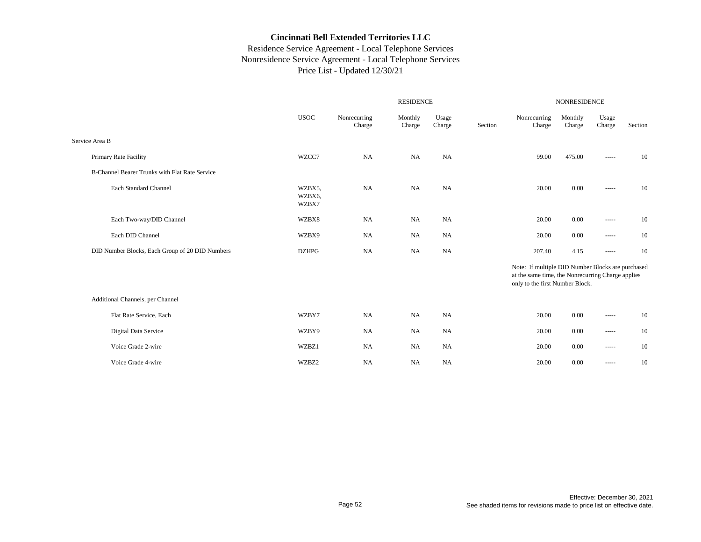|                                                 |                           | <b>RESIDENCE</b>       |                   |                 |         |                                                                                                                                           | <b>NONRESIDENCE</b> |                        |         |  |  |
|-------------------------------------------------|---------------------------|------------------------|-------------------|-----------------|---------|-------------------------------------------------------------------------------------------------------------------------------------------|---------------------|------------------------|---------|--|--|
|                                                 | <b>USOC</b>               | Nonrecurring<br>Charge | Monthly<br>Charge | Usage<br>Charge | Section | Nonrecurring<br>Charge                                                                                                                    | Monthly<br>Charge   | Usage<br>Charge        | Section |  |  |
| Service Area B                                  |                           |                        |                   |                 |         |                                                                                                                                           |                     |                        |         |  |  |
| Primary Rate Facility                           | WZCC7                     | NA                     | <b>NA</b>         | <b>NA</b>       |         | 99.00                                                                                                                                     | 475.00              | $1 - 1 - 1 = 1$        | 10      |  |  |
| B-Channel Bearer Trunks with Flat Rate Service  |                           |                        |                   |                 |         |                                                                                                                                           |                     |                        |         |  |  |
| Each Standard Channel                           | WZBX5,<br>WZBX6,<br>WZBX7 | <b>NA</b>              | NA                | NA              |         | 20.00                                                                                                                                     | 0.00                | -----                  | 10      |  |  |
| Each Two-way/DID Channel                        | WZBX8                     | <b>NA</b>              | NA                | <b>NA</b>       |         | 20.00                                                                                                                                     | 0.00                | $\cdots \cdots \cdots$ | 10      |  |  |
| Each DID Channel                                | WZBX9                     | <b>NA</b>              | <b>NA</b>         | <b>NA</b>       |         | 20.00                                                                                                                                     | 0.00                | -----                  | 10      |  |  |
| DID Number Blocks, Each Group of 20 DID Numbers | <b>DZHPG</b>              | <b>NA</b>              | <b>NA</b>         | <b>NA</b>       |         | 207.40                                                                                                                                    | 4.15                | -----                  | 10      |  |  |
|                                                 |                           |                        |                   |                 |         | Note: If multiple DID Number Blocks are purchased<br>at the same time, the Nonrecurring Charge applies<br>only to the first Number Block. |                     |                        |         |  |  |
| Additional Channels, per Channel                |                           |                        |                   |                 |         |                                                                                                                                           |                     |                        |         |  |  |
| Flat Rate Service, Each                         | WZBY7                     | NA                     | <b>NA</b>         | <b>NA</b>       |         | 20.00                                                                                                                                     | 0.00                | -----                  | 10      |  |  |
| Digital Data Service                            | WZBY9                     | <b>NA</b>              | NA                | <b>NA</b>       |         | 20.00                                                                                                                                     | 0.00                | -----                  | 10      |  |  |
| Voice Grade 2-wire                              | WZBZ1                     | <b>NA</b>              | <b>NA</b>         | <b>NA</b>       |         | 20.00                                                                                                                                     | 0.00                | $\cdots \cdots \cdots$ | 10      |  |  |
| Voice Grade 4-wire                              | WZBZ2                     | <b>NA</b>              | NA                | <b>NA</b>       |         | 20.00                                                                                                                                     | 0.00                | ------                 | 10      |  |  |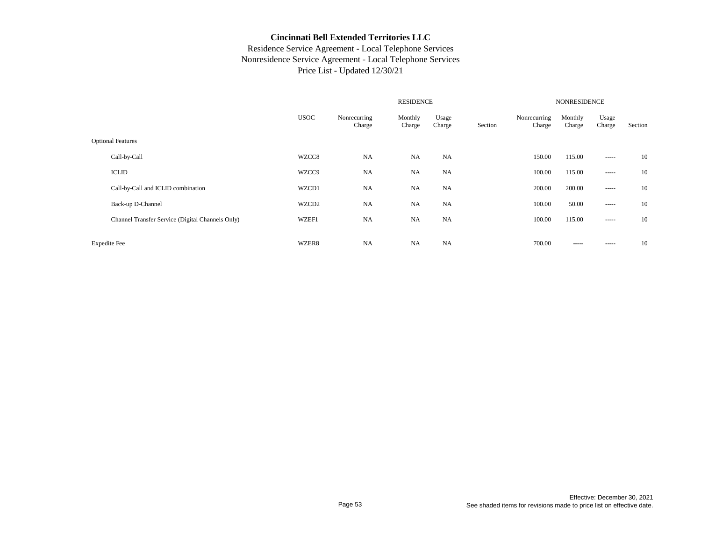|                                                  |             |                        | <b>NONRESIDENCE</b> |                 |         |                        |                   |                 |         |
|--------------------------------------------------|-------------|------------------------|---------------------|-----------------|---------|------------------------|-------------------|-----------------|---------|
|                                                  | <b>USOC</b> | Nonrecurring<br>Charge | Monthly<br>Charge   | Usage<br>Charge | Section | Nonrecurring<br>Charge | Monthly<br>Charge | Usage<br>Charge | Section |
| <b>Optional Features</b>                         |             |                        |                     |                 |         |                        |                   |                 |         |
| Call-by-Call                                     | WZCC8       | NA                     | <b>NA</b>           | <b>NA</b>       |         | 150.00                 | 115.00            |                 | 10      |
| <b>ICLID</b>                                     | WZCC9       | <b>NA</b>              | <b>NA</b>           | <b>NA</b>       |         | 100.00                 | 115.00            | $- - - - -$     | 10      |
| Call-by-Call and ICLID combination               | WZCD1       | NA                     | <b>NA</b>           | <b>NA</b>       |         | 200.00                 | 200.00            | $\frac{1}{2}$   | 10      |
| Back-up D-Channel                                | WZCD2       | NA                     | <b>NA</b>           | <b>NA</b>       |         | 100.00                 | 50.00             |                 | 10      |
| Channel Transfer Service (Digital Channels Only) | WZEF1       | <b>NA</b>              | <b>NA</b>           | <b>NA</b>       |         | 100.00                 | 115.00            | $\cdots$        | 10      |
| <b>Expedite</b> Fee                              | WZER8       | <b>NA</b>              | <b>NA</b>           | <b>NA</b>       |         | 700.00                 | -----             | -----           | 10      |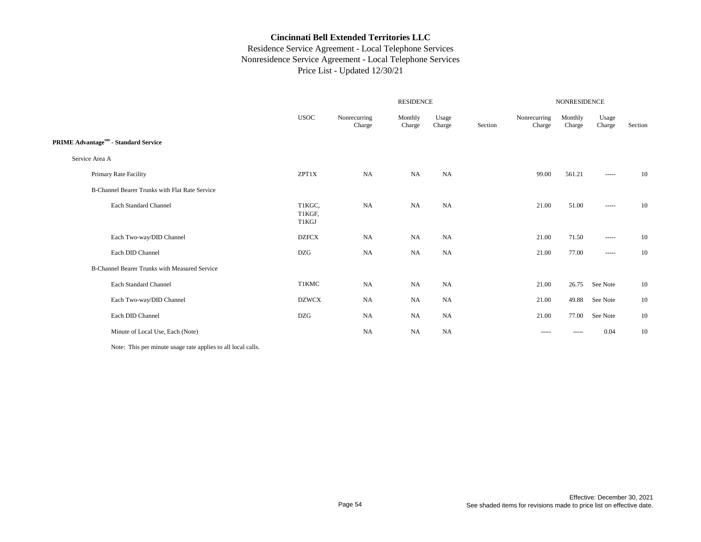## Residence Service Agreement - Local Telephone Services Nonresidence Service Agreement - Local Telephone Services Price List - Updated 12/30/21

|                                                |                           |                        | <b>RESIDENCE</b>  |                 | <b>NONRESIDENCE</b> |                                                                                                                                                                                                                                                                                                                                                                                                                                                                                        |                                                                                                                                                                                                                                                                                                                                                                                                                                                                                        |                                                                                                                                                                                                                                                                                                                                                                                                                                                                                        |         |  |
|------------------------------------------------|---------------------------|------------------------|-------------------|-----------------|---------------------|----------------------------------------------------------------------------------------------------------------------------------------------------------------------------------------------------------------------------------------------------------------------------------------------------------------------------------------------------------------------------------------------------------------------------------------------------------------------------------------|----------------------------------------------------------------------------------------------------------------------------------------------------------------------------------------------------------------------------------------------------------------------------------------------------------------------------------------------------------------------------------------------------------------------------------------------------------------------------------------|----------------------------------------------------------------------------------------------------------------------------------------------------------------------------------------------------------------------------------------------------------------------------------------------------------------------------------------------------------------------------------------------------------------------------------------------------------------------------------------|---------|--|
|                                                | <b>USOC</b>               | Nonrecurring<br>Charge | Monthly<br>Charge | Usage<br>Charge | Section             | Nonrecurring<br>Charge                                                                                                                                                                                                                                                                                                                                                                                                                                                                 | Monthly<br>Charge                                                                                                                                                                                                                                                                                                                                                                                                                                                                      | Usage<br>Charge                                                                                                                                                                                                                                                                                                                                                                                                                                                                        | Section |  |
| <b>PRIME Advantagesm</b> - Standard Service    |                           |                        |                   |                 |                     |                                                                                                                                                                                                                                                                                                                                                                                                                                                                                        |                                                                                                                                                                                                                                                                                                                                                                                                                                                                                        |                                                                                                                                                                                                                                                                                                                                                                                                                                                                                        |         |  |
| Service Area A                                 |                           |                        |                   |                 |                     |                                                                                                                                                                                                                                                                                                                                                                                                                                                                                        |                                                                                                                                                                                                                                                                                                                                                                                                                                                                                        |                                                                                                                                                                                                                                                                                                                                                                                                                                                                                        |         |  |
| Primary Rate Facility                          | ZPT1X                     | <b>NA</b>              | NA                | NA              |                     | 99.00                                                                                                                                                                                                                                                                                                                                                                                                                                                                                  | 561.21                                                                                                                                                                                                                                                                                                                                                                                                                                                                                 | $-----1$                                                                                                                                                                                                                                                                                                                                                                                                                                                                               | 10      |  |
| B-Channel Bearer Trunks with Flat Rate Service |                           |                        |                   |                 |                     |                                                                                                                                                                                                                                                                                                                                                                                                                                                                                        |                                                                                                                                                                                                                                                                                                                                                                                                                                                                                        |                                                                                                                                                                                                                                                                                                                                                                                                                                                                                        |         |  |
| <b>Each Standard Channel</b>                   | T1KGC,<br>T1KGF,<br>T1KGJ | <b>NA</b>              | NA                | NA              |                     | 21.00                                                                                                                                                                                                                                                                                                                                                                                                                                                                                  | 51.00                                                                                                                                                                                                                                                                                                                                                                                                                                                                                  | $\cdots \cdots \cdots$                                                                                                                                                                                                                                                                                                                                                                                                                                                                 | 10      |  |
| Each Two-way/DID Channel                       | <b>DZFCX</b>              | NA                     | <b>NA</b>         | NA              |                     | 21.00                                                                                                                                                                                                                                                                                                                                                                                                                                                                                  | 71.50                                                                                                                                                                                                                                                                                                                                                                                                                                                                                  | $\begin{array}{cccccccccc} \multicolumn{2}{c}{} & \multicolumn{2}{c}{} & \multicolumn{2}{c}{} & \multicolumn{2}{c}{} & \multicolumn{2}{c}{} & \multicolumn{2}{c}{} & \multicolumn{2}{c}{} & \multicolumn{2}{c}{} & \multicolumn{2}{c}{} & \multicolumn{2}{c}{} & \multicolumn{2}{c}{} & \multicolumn{2}{c}{} & \multicolumn{2}{c}{} & \multicolumn{2}{c}{} & \multicolumn{2}{c}{} & \multicolumn{2}{c}{} & \multicolumn{2}{c}{} & \multicolumn{2}{c}{} & \multicolumn{2}{c}{} & \mult$ | 10      |  |
| Each DID Channel                               | <b>DZG</b>                | NA                     | NA                | NA              |                     | 21.00                                                                                                                                                                                                                                                                                                                                                                                                                                                                                  | 77.00                                                                                                                                                                                                                                                                                                                                                                                                                                                                                  | $\cdots \cdots \cdots$                                                                                                                                                                                                                                                                                                                                                                                                                                                                 | 10      |  |
| B-Channel Bearer Trunks with Measured Service  |                           |                        |                   |                 |                     |                                                                                                                                                                                                                                                                                                                                                                                                                                                                                        |                                                                                                                                                                                                                                                                                                                                                                                                                                                                                        |                                                                                                                                                                                                                                                                                                                                                                                                                                                                                        |         |  |
| Each Standard Channel                          | T1KMC                     | NA                     | NA                | NA              |                     | 21.00                                                                                                                                                                                                                                                                                                                                                                                                                                                                                  | 26.75                                                                                                                                                                                                                                                                                                                                                                                                                                                                                  | See Note                                                                                                                                                                                                                                                                                                                                                                                                                                                                               | 10      |  |
| Each Two-way/DID Channel                       | <b>DZWCX</b>              | NA                     | NA                | NA              |                     | 21.00                                                                                                                                                                                                                                                                                                                                                                                                                                                                                  | 49.88                                                                                                                                                                                                                                                                                                                                                                                                                                                                                  | See Note                                                                                                                                                                                                                                                                                                                                                                                                                                                                               | 10      |  |
| Each DID Channel                               | DZG                       | NA                     | NA                | NA              |                     | 21.00                                                                                                                                                                                                                                                                                                                                                                                                                                                                                  | 77.00                                                                                                                                                                                                                                                                                                                                                                                                                                                                                  | See Note                                                                                                                                                                                                                                                                                                                                                                                                                                                                               | 10      |  |
| Minute of Local Use, Each (Note)               |                           | NA                     | NA                | NA              |                     | $\begin{array}{cccccccccc} \multicolumn{2}{c}{} & \multicolumn{2}{c}{} & \multicolumn{2}{c}{} & \multicolumn{2}{c}{} & \multicolumn{2}{c}{} & \multicolumn{2}{c}{} & \multicolumn{2}{c}{} & \multicolumn{2}{c}{} & \multicolumn{2}{c}{} & \multicolumn{2}{c}{} & \multicolumn{2}{c}{} & \multicolumn{2}{c}{} & \multicolumn{2}{c}{} & \multicolumn{2}{c}{} & \multicolumn{2}{c}{} & \multicolumn{2}{c}{} & \multicolumn{2}{c}{} & \multicolumn{2}{c}{} & \multicolumn{2}{c}{} & \mult$ | $\begin{array}{cccccccccc} \multicolumn{2}{c}{} & \multicolumn{2}{c}{} & \multicolumn{2}{c}{} & \multicolumn{2}{c}{} & \multicolumn{2}{c}{} & \multicolumn{2}{c}{} & \multicolumn{2}{c}{} & \multicolumn{2}{c}{} & \multicolumn{2}{c}{} & \multicolumn{2}{c}{} & \multicolumn{2}{c}{} & \multicolumn{2}{c}{} & \multicolumn{2}{c}{} & \multicolumn{2}{c}{} & \multicolumn{2}{c}{} & \multicolumn{2}{c}{} & \multicolumn{2}{c}{} & \multicolumn{2}{c}{} & \multicolumn{2}{c}{} & \mult$ | 0.04                                                                                                                                                                                                                                                                                                                                                                                                                                                                                   | 10      |  |
|                                                |                           |                        |                   |                 |                     |                                                                                                                                                                                                                                                                                                                                                                                                                                                                                        |                                                                                                                                                                                                                                                                                                                                                                                                                                                                                        |                                                                                                                                                                                                                                                                                                                                                                                                                                                                                        |         |  |

Note: This per minute usage rate applies to all local calls.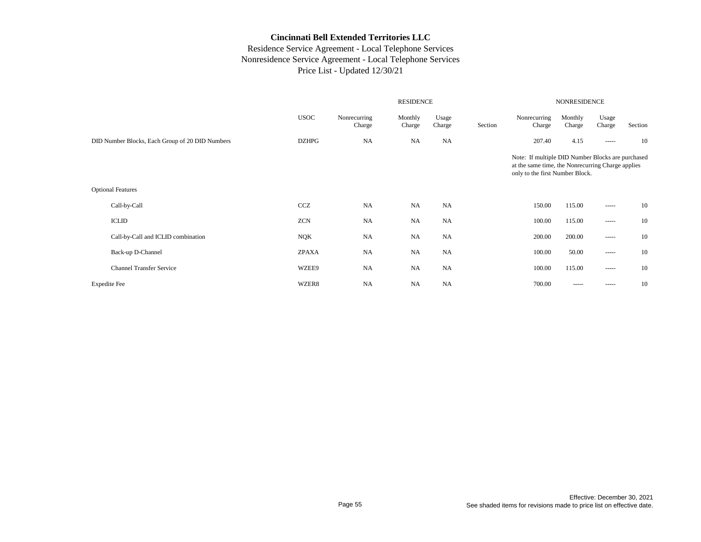|                                                 |              |                        | <b>NONRESIDENCE</b> |                 |         |                                                                                                                                           |                   |                 |         |
|-------------------------------------------------|--------------|------------------------|---------------------|-----------------|---------|-------------------------------------------------------------------------------------------------------------------------------------------|-------------------|-----------------|---------|
|                                                 | <b>USOC</b>  | Nonrecurring<br>Charge | Monthly<br>Charge   | Usage<br>Charge | Section | Nonrecurring<br>Charge                                                                                                                    | Monthly<br>Charge | Usage<br>Charge | Section |
| DID Number Blocks, Each Group of 20 DID Numbers | <b>DZHPG</b> | <b>NA</b>              | <b>NA</b>           | NA              |         | 207.40                                                                                                                                    | 4.15              | -----           | 10      |
|                                                 |              |                        |                     |                 |         | Note: If multiple DID Number Blocks are purchased<br>at the same time, the Nonrecurring Charge applies<br>only to the first Number Block. |                   |                 |         |
| <b>Optional Features</b>                        |              |                        |                     |                 |         |                                                                                                                                           |                   |                 |         |
| Call-by-Call                                    | CCZ          | <b>NA</b>              | <b>NA</b>           | <b>NA</b>       |         | 150.00                                                                                                                                    | 115.00            | -----           | 10      |
| <b>ICLID</b>                                    | <b>ZCN</b>   | NA                     | <b>NA</b>           | <b>NA</b>       |         | 100.00                                                                                                                                    | 115.00            | -----           | 10      |
| Call-by-Call and ICLID combination              | <b>NQK</b>   | <b>NA</b>              | <b>NA</b>           | NA              |         | 200.00                                                                                                                                    | 200.00            | -----           | 10      |
| Back-up D-Channel                               | <b>ZPAXA</b> | <b>NA</b>              | <b>NA</b>           | NA              |         | 100.00                                                                                                                                    | 50.00             | -----           | 10      |
| <b>Channel Transfer Service</b>                 | WZEE9        | NA                     | <b>NA</b>           | NA              |         | 100.00                                                                                                                                    | 115.00            | -----           | 10      |
| <b>Expedite Fee</b>                             | WZER8        | <b>NA</b>              | <b>NA</b>           | <b>NA</b>       |         | 700.00                                                                                                                                    | -----             | -----           | 10      |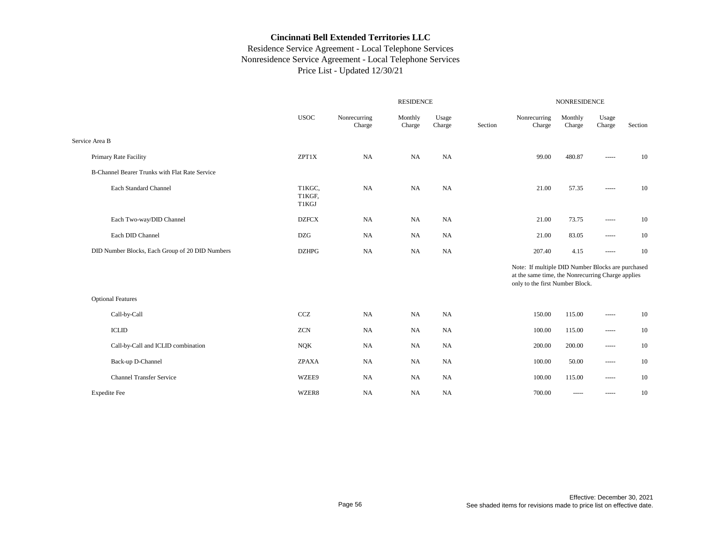|                                                 | <b>RESIDENCE</b>          |                        |                   |                 |         | NONRESIDENCE                                                                                                                              |                   |                 |         |  |  |
|-------------------------------------------------|---------------------------|------------------------|-------------------|-----------------|---------|-------------------------------------------------------------------------------------------------------------------------------------------|-------------------|-----------------|---------|--|--|
|                                                 | <b>USOC</b>               | Nonrecurring<br>Charge | Monthly<br>Charge | Usage<br>Charge | Section | Nonrecurring<br>Charge                                                                                                                    | Monthly<br>Charge | Usage<br>Charge | Section |  |  |
| Service Area B                                  |                           |                        |                   |                 |         |                                                                                                                                           |                   |                 |         |  |  |
| Primary Rate Facility                           | ZPT1X                     | <b>NA</b>              | <b>NA</b>         | NA              |         | 99.00                                                                                                                                     | 480.87            | -----           | 10      |  |  |
| B-Channel Bearer Trunks with Flat Rate Service  |                           |                        |                   |                 |         |                                                                                                                                           |                   |                 |         |  |  |
| Each Standard Channel                           | T1KGC,<br>T1KGF,<br>T1KGJ | <b>NA</b>              | NA                | NA              |         | 21.00                                                                                                                                     | 57.35             | -----           | 10      |  |  |
| Each Two-way/DID Channel                        | <b>DZFCX</b>              | <b>NA</b>              | <b>NA</b>         | NA              |         | 21.00                                                                                                                                     | 73.75             | -----           | 10      |  |  |
| Each DID Channel                                | <b>DZG</b>                | <b>NA</b>              | NA                | NA              |         | 21.00                                                                                                                                     | 83.05             | -----           | 10      |  |  |
| DID Number Blocks, Each Group of 20 DID Numbers | <b>DZHPG</b>              | <b>NA</b>              | <b>NA</b>         | NA              |         | 207.40                                                                                                                                    | 4.15              | -----           | 10      |  |  |
|                                                 |                           |                        |                   |                 |         | Note: If multiple DID Number Blocks are purchased<br>at the same time, the Nonrecurring Charge applies<br>only to the first Number Block. |                   |                 |         |  |  |
| <b>Optional Features</b>                        |                           |                        |                   |                 |         |                                                                                                                                           |                   |                 |         |  |  |
| Call-by-Call                                    | CCZ                       | <b>NA</b>              | <b>NA</b>         | NA              |         | 150.00                                                                                                                                    | 115.00            | -----           | 10      |  |  |
| <b>ICLID</b>                                    | <b>ZCN</b>                | <b>NA</b>              | NA                | NA              |         | 100.00                                                                                                                                    | 115.00            | -----           | 10      |  |  |
| Call-by-Call and ICLID combination              | <b>NQK</b>                | <b>NA</b>              | NA                | NA              |         | 200.00                                                                                                                                    | 200.00            | -----           | 10      |  |  |
| Back-up D-Channel                               | <b>ZPAXA</b>              | <b>NA</b>              | NA                | NA              |         | 100.00                                                                                                                                    | 50.00             | -----           | 10      |  |  |
| <b>Channel Transfer Service</b>                 | WZEE9                     | <b>NA</b>              | NA                | NA              |         | 100.00                                                                                                                                    | 115.00            | -----           | 10      |  |  |
| <b>Expedite Fee</b>                             | WZER8                     | <b>NA</b>              | <b>NA</b>         | <b>NA</b>       |         | 700.00                                                                                                                                    | $\cdots$          | -----           | 10      |  |  |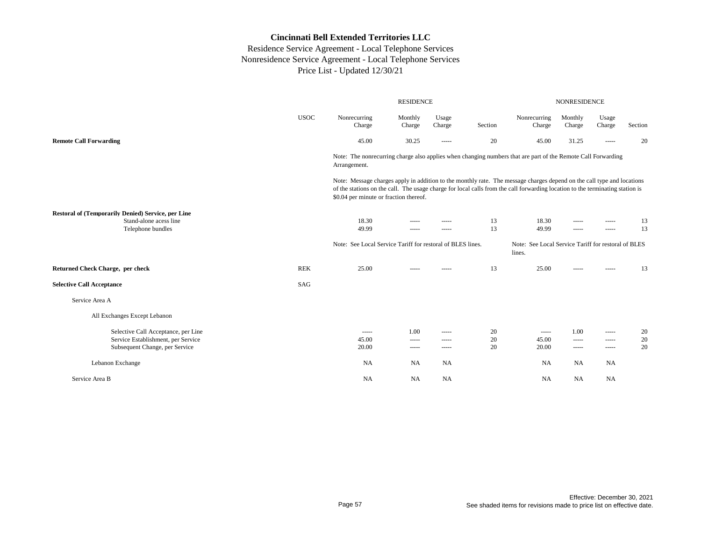|                                                                                                   |             |                                                                                                                                                                                                                                                                                                                                                                                                                                                                                        | <b>RESIDENCE</b>     |                                                                                                                                                                                                                                                                                                                                                                                                                                                                                                 |          | <b>NONRESIDENCE</b>                                           |                   |                 |          |  |
|---------------------------------------------------------------------------------------------------|-------------|----------------------------------------------------------------------------------------------------------------------------------------------------------------------------------------------------------------------------------------------------------------------------------------------------------------------------------------------------------------------------------------------------------------------------------------------------------------------------------------|----------------------|-------------------------------------------------------------------------------------------------------------------------------------------------------------------------------------------------------------------------------------------------------------------------------------------------------------------------------------------------------------------------------------------------------------------------------------------------------------------------------------------------|----------|---------------------------------------------------------------|-------------------|-----------------|----------|--|
|                                                                                                   | <b>USOC</b> | Nonrecurring<br>Charge                                                                                                                                                                                                                                                                                                                                                                                                                                                                 | Monthly<br>Charge    | Usage<br>Charge                                                                                                                                                                                                                                                                                                                                                                                                                                                                                 | Section  | Nonrecurring<br>Charge                                        | Monthly<br>Charge | Usage<br>Charge | Section  |  |
| <b>Remote Call Forwarding</b>                                                                     |             | 45.00                                                                                                                                                                                                                                                                                                                                                                                                                                                                                  | 30.25                | -----                                                                                                                                                                                                                                                                                                                                                                                                                                                                                           | 20       | 45.00                                                         | 31.25             | $\cdots$        | 20       |  |
|                                                                                                   |             | Note: The nonrecurring charge also applies when changing numbers that are part of the Remote Call Forwarding<br>Arrangement.                                                                                                                                                                                                                                                                                                                                                           |                      |                                                                                                                                                                                                                                                                                                                                                                                                                                                                                                 |          |                                                               |                   |                 |          |  |
|                                                                                                   |             | Note: Message charges apply in addition to the monthly rate. The message charges depend on the call type and locations<br>of the stations on the call. The usage charge for local calls from the call forwarding location to the terminating station is<br>\$0.04 per minute or fraction thereof.                                                                                                                                                                                      |                      |                                                                                                                                                                                                                                                                                                                                                                                                                                                                                                 |          |                                                               |                   |                 |          |  |
| Restoral of (Temporarily Denied) Service, per Line<br>Stand-alone acess line<br>Telephone bundles |             | 18.30<br>49.99                                                                                                                                                                                                                                                                                                                                                                                                                                                                         | -----<br>-----       | $- - - - -$<br>$- - - - -$                                                                                                                                                                                                                                                                                                                                                                                                                                                                      | 13<br>13 | 18.30<br>49.99                                                | -----<br>-----    | -----<br>-----  | 13<br>13 |  |
|                                                                                                   |             | Note: See Local Service Tariff for restoral of BLES lines.                                                                                                                                                                                                                                                                                                                                                                                                                             |                      |                                                                                                                                                                                                                                                                                                                                                                                                                                                                                                 |          | Note: See Local Service Tariff for restoral of BLES<br>lines. |                   |                 |          |  |
| <b>Returned Check Charge, per check</b>                                                           | <b>REK</b>  | 25.00                                                                                                                                                                                                                                                                                                                                                                                                                                                                                  |                      |                                                                                                                                                                                                                                                                                                                                                                                                                                                                                                 | 13       | 25.00                                                         | -----             | -----           | 13       |  |
| <b>Selective Call Acceptance</b>                                                                  | SAG         |                                                                                                                                                                                                                                                                                                                                                                                                                                                                                        |                      |                                                                                                                                                                                                                                                                                                                                                                                                                                                                                                 |          |                                                               |                   |                 |          |  |
| Service Area A                                                                                    |             |                                                                                                                                                                                                                                                                                                                                                                                                                                                                                        |                      |                                                                                                                                                                                                                                                                                                                                                                                                                                                                                                 |          |                                                               |                   |                 |          |  |
| All Exchanges Except Lebanon                                                                      |             |                                                                                                                                                                                                                                                                                                                                                                                                                                                                                        |                      |                                                                                                                                                                                                                                                                                                                                                                                                                                                                                                 |          |                                                               |                   |                 |          |  |
| Selective Call Acceptance, per Line                                                               |             | $\begin{array}{cccccccccc} \multicolumn{2}{c}{} & \multicolumn{2}{c}{} & \multicolumn{2}{c}{} & \multicolumn{2}{c}{} & \multicolumn{2}{c}{} & \multicolumn{2}{c}{} & \multicolumn{2}{c}{} & \multicolumn{2}{c}{} & \multicolumn{2}{c}{} & \multicolumn{2}{c}{} & \multicolumn{2}{c}{} & \multicolumn{2}{c}{} & \multicolumn{2}{c}{} & \multicolumn{2}{c}{} & \multicolumn{2}{c}{} & \multicolumn{2}{c}{} & \multicolumn{2}{c}{} & \multicolumn{2}{c}{} & \multicolumn{2}{c}{} & \mult$ | 1.00                 | $- - - - -$                                                                                                                                                                                                                                                                                                                                                                                                                                                                                     | 20       | $- - - - -$                                                   | 1.00              | -----           | 20       |  |
| Service Establishment, per Service<br>Subsequent Change, per Service                              |             | 45.00<br>20.00                                                                                                                                                                                                                                                                                                                                                                                                                                                                         | -----<br>$- - - - -$ | -----<br>$\begin{array}{cccccccccc} \multicolumn{2}{c}{} & \multicolumn{2}{c}{} & \multicolumn{2}{c}{} & \multicolumn{2}{c}{} & \multicolumn{2}{c}{} & \multicolumn{2}{c}{} & \multicolumn{2}{c}{} & \multicolumn{2}{c}{} & \multicolumn{2}{c}{} & \multicolumn{2}{c}{} & \multicolumn{2}{c}{} & \multicolumn{2}{c}{} & \multicolumn{2}{c}{} & \multicolumn{2}{c}{} & \multicolumn{2}{c}{} & \multicolumn{2}{c}{} & \multicolumn{2}{c}{} & \multicolumn{2}{c}{} & \multicolumn{2}{c}{} & \mult$ | 20<br>20 | 45.00<br>20.00                                                | -----<br>-----    | -----<br>-----  | 20<br>20 |  |
| Lebanon Exchange                                                                                  |             | <b>NA</b>                                                                                                                                                                                                                                                                                                                                                                                                                                                                              | NA                   | <b>NA</b>                                                                                                                                                                                                                                                                                                                                                                                                                                                                                       |          | <b>NA</b>                                                     | NA                | NA              |          |  |
| Service Area B                                                                                    |             | NA                                                                                                                                                                                                                                                                                                                                                                                                                                                                                     | <b>NA</b>            | NA                                                                                                                                                                                                                                                                                                                                                                                                                                                                                              |          | NA                                                            | NA                | NA              |          |  |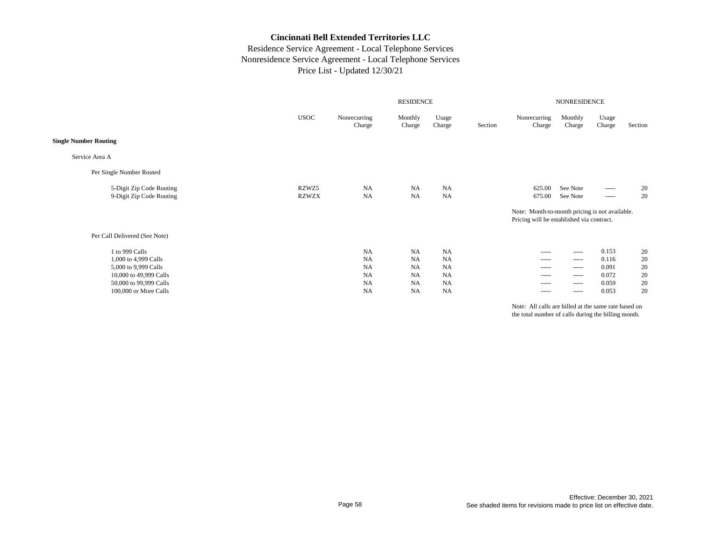## Residence Service Agreement - Local Telephone Services Nonresidence Service Agreement - Local Telephone Services Price List - Updated 12/30/21

|                               |              |                        |                   | NONRESIDENCE    |         |                                                                                             |                   |                                                                                                                                                                                                                                                                                                                                                                                                                                                                                        |         |
|-------------------------------|--------------|------------------------|-------------------|-----------------|---------|---------------------------------------------------------------------------------------------|-------------------|----------------------------------------------------------------------------------------------------------------------------------------------------------------------------------------------------------------------------------------------------------------------------------------------------------------------------------------------------------------------------------------------------------------------------------------------------------------------------------------|---------|
|                               | <b>USOC</b>  | Nonrecurring<br>Charge | Monthly<br>Charge | Usage<br>Charge | Section | Nonrecurring<br>Charge                                                                      | Monthly<br>Charge | Usage<br>Charge                                                                                                                                                                                                                                                                                                                                                                                                                                                                        | Section |
| <b>Single Number Routing</b>  |              |                        |                   |                 |         |                                                                                             |                   |                                                                                                                                                                                                                                                                                                                                                                                                                                                                                        |         |
| Service Area A                |              |                        |                   |                 |         |                                                                                             |                   |                                                                                                                                                                                                                                                                                                                                                                                                                                                                                        |         |
| Per Single Number Routed      |              |                        |                   |                 |         |                                                                                             |                   |                                                                                                                                                                                                                                                                                                                                                                                                                                                                                        |         |
| 5-Digit Zip Code Routing      | RZWZ5        | <b>NA</b>              | <b>NA</b>         | <b>NA</b>       |         | 625.00                                                                                      | See Note          | $\begin{array}{cccccccccc} \multicolumn{2}{c}{} & \multicolumn{2}{c}{} & \multicolumn{2}{c}{} & \multicolumn{2}{c}{} & \multicolumn{2}{c}{} & \multicolumn{2}{c}{} & \multicolumn{2}{c}{} & \multicolumn{2}{c}{} & \multicolumn{2}{c}{} & \multicolumn{2}{c}{} & \multicolumn{2}{c}{} & \multicolumn{2}{c}{} & \multicolumn{2}{c}{} & \multicolumn{2}{c}{} & \multicolumn{2}{c}{} & \multicolumn{2}{c}{} & \multicolumn{2}{c}{} & \multicolumn{2}{c}{} & \multicolumn{2}{c}{} & \mult$ | 20      |
| 9-Digit Zip Code Routing      | <b>RZWZX</b> | <b>NA</b>              | <b>NA</b>         | <b>NA</b>       |         | 675.00                                                                                      | See Note          | ------                                                                                                                                                                                                                                                                                                                                                                                                                                                                                 | 20      |
|                               |              |                        |                   |                 |         | Note: Month-to-month pricing is not available.<br>Pricing will be established via contract. |                   |                                                                                                                                                                                                                                                                                                                                                                                                                                                                                        |         |
| Per Call Delivered (See Note) |              |                        |                   |                 |         |                                                                                             |                   |                                                                                                                                                                                                                                                                                                                                                                                                                                                                                        |         |
| 1 to 999 Calls                |              | <b>NA</b>              | <b>NA</b>         | <b>NA</b>       |         | $- - - - -$                                                                                 | $- - - - -$       | 0.153                                                                                                                                                                                                                                                                                                                                                                                                                                                                                  | 20      |
| 1,000 to 4,999 Calls          |              | <b>NA</b>              | <b>NA</b>         | <b>NA</b>       |         | $- - - - -$                                                                                 | $- - - - -$       | 0.116                                                                                                                                                                                                                                                                                                                                                                                                                                                                                  | 20      |
| 5,000 to 9,999 Calls          |              | <b>NA</b>              | <b>NA</b>         | <b>NA</b>       |         | -----                                                                                       | $- - - - -$       | 0.091                                                                                                                                                                                                                                                                                                                                                                                                                                                                                  | 20      |
| 10,000 to 49,999 Calls        |              | <b>NA</b>              | <b>NA</b>         | <b>NA</b>       |         | $- - - - -$                                                                                 | -----             | 0.072                                                                                                                                                                                                                                                                                                                                                                                                                                                                                  | 20      |
| 50,000 to 99,999 Calls        |              | <b>NA</b>              | <b>NA</b>         | <b>NA</b>       |         | $- - - - -$                                                                                 | $- - - - -$       | 0.059                                                                                                                                                                                                                                                                                                                                                                                                                                                                                  | 20      |
| 100,000 or More Calls         |              | <b>NA</b>              | <b>NA</b>         | <b>NA</b>       |         | $- - - - -$                                                                                 | $- - - - -$       | 0.053                                                                                                                                                                                                                                                                                                                                                                                                                                                                                  | 20      |
|                               |              |                        |                   |                 |         |                                                                                             |                   |                                                                                                                                                                                                                                                                                                                                                                                                                                                                                        |         |

Note: All calls are billed at the same rate based on the total number of calls during the billing month.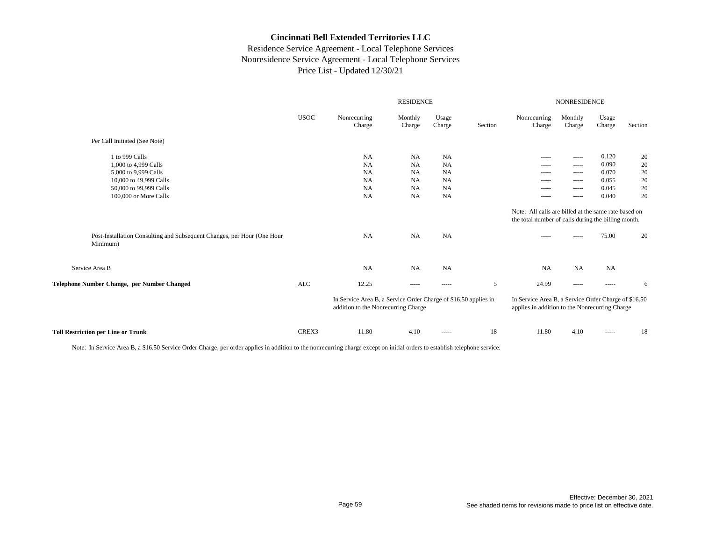## Residence Service Agreement - Local Telephone Services Nonresidence Service Agreement - Local Telephone Services Price List - Updated 12/30/21

|                                                                                     |             | <b>RESIDENCE</b>                                                                                       |                   |                                                                                                                                                                                                                                                                                                                                                                                                                                                                                        | <b>NONRESIDENCE</b> |                                                                                                                                                                                                                                                                                                                                                                                                                                                                                        |                                                                                                                                                                                                                                                                                                                                                                                                                                                                                        |                                                                                                                                                                                                                                                                                                                                                                                                                                                                                        |         |
|-------------------------------------------------------------------------------------|-------------|--------------------------------------------------------------------------------------------------------|-------------------|----------------------------------------------------------------------------------------------------------------------------------------------------------------------------------------------------------------------------------------------------------------------------------------------------------------------------------------------------------------------------------------------------------------------------------------------------------------------------------------|---------------------|----------------------------------------------------------------------------------------------------------------------------------------------------------------------------------------------------------------------------------------------------------------------------------------------------------------------------------------------------------------------------------------------------------------------------------------------------------------------------------------|----------------------------------------------------------------------------------------------------------------------------------------------------------------------------------------------------------------------------------------------------------------------------------------------------------------------------------------------------------------------------------------------------------------------------------------------------------------------------------------|----------------------------------------------------------------------------------------------------------------------------------------------------------------------------------------------------------------------------------------------------------------------------------------------------------------------------------------------------------------------------------------------------------------------------------------------------------------------------------------|---------|
|                                                                                     | <b>USOC</b> | Nonrecurring<br>Charge                                                                                 | Monthly<br>Charge | Usage<br>Charge                                                                                                                                                                                                                                                                                                                                                                                                                                                                        | Section             | Nonrecurring<br>Charge                                                                                                                                                                                                                                                                                                                                                                                                                                                                 | Monthly<br>Charge                                                                                                                                                                                                                                                                                                                                                                                                                                                                      | Usage<br>Charge                                                                                                                                                                                                                                                                                                                                                                                                                                                                        | Section |
| Per Call Initiated (See Note)                                                       |             |                                                                                                        |                   |                                                                                                                                                                                                                                                                                                                                                                                                                                                                                        |                     |                                                                                                                                                                                                                                                                                                                                                                                                                                                                                        |                                                                                                                                                                                                                                                                                                                                                                                                                                                                                        |                                                                                                                                                                                                                                                                                                                                                                                                                                                                                        |         |
| 1 to 999 Calls                                                                      |             | NA                                                                                                     | NA                | <b>NA</b>                                                                                                                                                                                                                                                                                                                                                                                                                                                                              |                     | $\begin{array}{cccccccccc} \multicolumn{2}{c}{} & \multicolumn{2}{c}{} & \multicolumn{2}{c}{} & \multicolumn{2}{c}{} & \multicolumn{2}{c}{} & \multicolumn{2}{c}{} & \multicolumn{2}{c}{} & \multicolumn{2}{c}{} & \multicolumn{2}{c}{} & \multicolumn{2}{c}{} & \multicolumn{2}{c}{} & \multicolumn{2}{c}{} & \multicolumn{2}{c}{} & \multicolumn{2}{c}{} & \multicolumn{2}{c}{} & \multicolumn{2}{c}{} & \multicolumn{2}{c}{} & \multicolumn{2}{c}{} & \multicolumn{2}{c}{} & \mult$ | ------                                                                                                                                                                                                                                                                                                                                                                                                                                                                                 | 0.120                                                                                                                                                                                                                                                                                                                                                                                                                                                                                  | 20      |
| 1,000 to 4,999 Calls                                                                |             | NA                                                                                                     | NA                | <b>NA</b>                                                                                                                                                                                                                                                                                                                                                                                                                                                                              |                     | $\begin{array}{cccccccccc} \multicolumn{2}{c}{} & \multicolumn{2}{c}{} & \multicolumn{2}{c}{} & \multicolumn{2}{c}{} & \multicolumn{2}{c}{} & \multicolumn{2}{c}{} & \multicolumn{2}{c}{} & \multicolumn{2}{c}{} & \multicolumn{2}{c}{} & \multicolumn{2}{c}{} & \multicolumn{2}{c}{} & \multicolumn{2}{c}{} & \multicolumn{2}{c}{} & \multicolumn{2}{c}{} & \multicolumn{2}{c}{} & \multicolumn{2}{c}{} & \multicolumn{2}{c}{} & \multicolumn{2}{c}{} & \multicolumn{2}{c}{} & \mult$ | $\begin{array}{cccccccccc} \multicolumn{2}{c}{} & \multicolumn{2}{c}{} & \multicolumn{2}{c}{} & \multicolumn{2}{c}{} & \multicolumn{2}{c}{} & \multicolumn{2}{c}{} & \multicolumn{2}{c}{} & \multicolumn{2}{c}{} & \multicolumn{2}{c}{} & \multicolumn{2}{c}{} & \multicolumn{2}{c}{} & \multicolumn{2}{c}{} & \multicolumn{2}{c}{} & \multicolumn{2}{c}{} & \multicolumn{2}{c}{} & \multicolumn{2}{c}{} & \multicolumn{2}{c}{} & \multicolumn{2}{c}{} & \multicolumn{2}{c}{} & \mult$ | 0.090                                                                                                                                                                                                                                                                                                                                                                                                                                                                                  | 20      |
| 5,000 to 9,999 Calls                                                                |             | NA                                                                                                     | <b>NA</b>         | <b>NA</b>                                                                                                                                                                                                                                                                                                                                                                                                                                                                              |                     | ------                                                                                                                                                                                                                                                                                                                                                                                                                                                                                 | ------                                                                                                                                                                                                                                                                                                                                                                                                                                                                                 | 0.070                                                                                                                                                                                                                                                                                                                                                                                                                                                                                  | 20      |
| 10,000 to 49,999 Calls                                                              |             | NA                                                                                                     | <b>NA</b>         | <b>NA</b>                                                                                                                                                                                                                                                                                                                                                                                                                                                                              |                     | -----                                                                                                                                                                                                                                                                                                                                                                                                                                                                                  | -----                                                                                                                                                                                                                                                                                                                                                                                                                                                                                  | 0.055                                                                                                                                                                                                                                                                                                                                                                                                                                                                                  | 20      |
| 50,000 to 99,999 Calls                                                              |             | NA                                                                                                     | <b>NA</b>         | <b>NA</b>                                                                                                                                                                                                                                                                                                                                                                                                                                                                              |                     | -----                                                                                                                                                                                                                                                                                                                                                                                                                                                                                  | -----                                                                                                                                                                                                                                                                                                                                                                                                                                                                                  | 0.045                                                                                                                                                                                                                                                                                                                                                                                                                                                                                  | 20      |
| 100,000 or More Calls                                                               |             | NA                                                                                                     | <b>NA</b>         | <b>NA</b>                                                                                                                                                                                                                                                                                                                                                                                                                                                                              |                     | -----                                                                                                                                                                                                                                                                                                                                                                                                                                                                                  | -----                                                                                                                                                                                                                                                                                                                                                                                                                                                                                  | 0.040                                                                                                                                                                                                                                                                                                                                                                                                                                                                                  | 20      |
|                                                                                     |             |                                                                                                        |                   |                                                                                                                                                                                                                                                                                                                                                                                                                                                                                        |                     | Note: All calls are billed at the same rate based on                                                                                                                                                                                                                                                                                                                                                                                                                                   |                                                                                                                                                                                                                                                                                                                                                                                                                                                                                        |                                                                                                                                                                                                                                                                                                                                                                                                                                                                                        |         |
|                                                                                     |             |                                                                                                        |                   |                                                                                                                                                                                                                                                                                                                                                                                                                                                                                        |                     | the total number of calls during the billing month.                                                                                                                                                                                                                                                                                                                                                                                                                                    |                                                                                                                                                                                                                                                                                                                                                                                                                                                                                        |                                                                                                                                                                                                                                                                                                                                                                                                                                                                                        |         |
| Post-Installation Consulting and Subsequent Changes, per Hour (One Hour<br>Minimum) |             | NA                                                                                                     | NA                | NA                                                                                                                                                                                                                                                                                                                                                                                                                                                                                     |                     | ------                                                                                                                                                                                                                                                                                                                                                                                                                                                                                 |                                                                                                                                                                                                                                                                                                                                                                                                                                                                                        | 75.00                                                                                                                                                                                                                                                                                                                                                                                                                                                                                  | 20      |
| Service Area B                                                                      |             | <b>NA</b>                                                                                              | <b>NA</b>         | <b>NA</b>                                                                                                                                                                                                                                                                                                                                                                                                                                                                              |                     | NA                                                                                                                                                                                                                                                                                                                                                                                                                                                                                     | <b>NA</b>                                                                                                                                                                                                                                                                                                                                                                                                                                                                              | <b>NA</b>                                                                                                                                                                                                                                                                                                                                                                                                                                                                              |         |
| Telephone Number Change, per Number Changed                                         | ALC         | 12.25                                                                                                  | -----             | -----                                                                                                                                                                                                                                                                                                                                                                                                                                                                                  | 5                   | 24.99                                                                                                                                                                                                                                                                                                                                                                                                                                                                                  | ------                                                                                                                                                                                                                                                                                                                                                                                                                                                                                 | -----                                                                                                                                                                                                                                                                                                                                                                                                                                                                                  | 6       |
|                                                                                     |             | In Service Area B, a Service Order Charge of \$16.50 applies in<br>addition to the Nonrecurring Charge |                   |                                                                                                                                                                                                                                                                                                                                                                                                                                                                                        |                     | In Service Area B, a Service Order Charge of \$16.50<br>applies in addition to the Nonrecurring Charge                                                                                                                                                                                                                                                                                                                                                                                 |                                                                                                                                                                                                                                                                                                                                                                                                                                                                                        |                                                                                                                                                                                                                                                                                                                                                                                                                                                                                        |         |
| <b>Toll Restriction per Line or Trunk</b>                                           | CREX3       | 11.80                                                                                                  | 4.10              | $\begin{array}{cccccccccc} \multicolumn{2}{c}{} & \multicolumn{2}{c}{} & \multicolumn{2}{c}{} & \multicolumn{2}{c}{} & \multicolumn{2}{c}{} & \multicolumn{2}{c}{} & \multicolumn{2}{c}{} & \multicolumn{2}{c}{} & \multicolumn{2}{c}{} & \multicolumn{2}{c}{} & \multicolumn{2}{c}{} & \multicolumn{2}{c}{} & \multicolumn{2}{c}{} & \multicolumn{2}{c}{} & \multicolumn{2}{c}{} & \multicolumn{2}{c}{} & \multicolumn{2}{c}{} & \multicolumn{2}{c}{} & \multicolumn{2}{c}{} & \mult$ | 18                  | 11.80                                                                                                                                                                                                                                                                                                                                                                                                                                                                                  | 4.10                                                                                                                                                                                                                                                                                                                                                                                                                                                                                   | $\begin{array}{cccccccccc} \multicolumn{2}{c}{} & \multicolumn{2}{c}{} & \multicolumn{2}{c}{} & \multicolumn{2}{c}{} & \multicolumn{2}{c}{} & \multicolumn{2}{c}{} & \multicolumn{2}{c}{} & \multicolumn{2}{c}{} & \multicolumn{2}{c}{} & \multicolumn{2}{c}{} & \multicolumn{2}{c}{} & \multicolumn{2}{c}{} & \multicolumn{2}{c}{} & \multicolumn{2}{c}{} & \multicolumn{2}{c}{} & \multicolumn{2}{c}{} & \multicolumn{2}{c}{} & \multicolumn{2}{c}{} & \multicolumn{2}{c}{} & \mult$ | 18      |

Note: In Service Area B, a \$16.50 Service Order Charge, per order applies in addition to the nonrecurring charge except on initial orders to establish telephone service.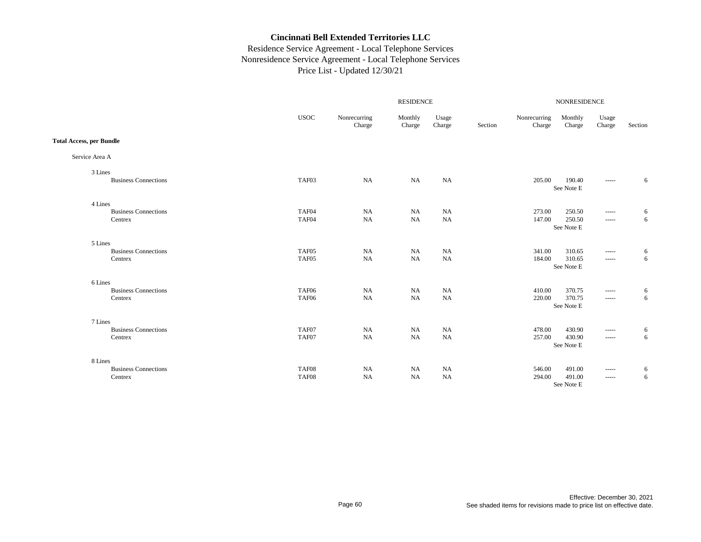|                                 |             | RESIDENCE              |                   |                 |         |                        |                      | NONRESIDENCE                                                                                                                                                                                                                                                                                                                                                                                                                                                                           |         |  |  |
|---------------------------------|-------------|------------------------|-------------------|-----------------|---------|------------------------|----------------------|----------------------------------------------------------------------------------------------------------------------------------------------------------------------------------------------------------------------------------------------------------------------------------------------------------------------------------------------------------------------------------------------------------------------------------------------------------------------------------------|---------|--|--|
|                                 | <b>USOC</b> | Nonrecurring<br>Charge | Monthly<br>Charge | Usage<br>Charge | Section | Nonrecurring<br>Charge | Monthly<br>Charge    | Usage<br>Charge                                                                                                                                                                                                                                                                                                                                                                                                                                                                        | Section |  |  |
| <b>Total Access, per Bundle</b> |             |                        |                   |                 |         |                        |                      |                                                                                                                                                                                                                                                                                                                                                                                                                                                                                        |         |  |  |
| Service Area A                  |             |                        |                   |                 |         |                        |                      |                                                                                                                                                                                                                                                                                                                                                                                                                                                                                        |         |  |  |
| 3 Lines                         |             |                        |                   |                 |         |                        |                      |                                                                                                                                                                                                                                                                                                                                                                                                                                                                                        |         |  |  |
| <b>Business Connections</b>     | TAF03       | <b>NA</b>              | NA                | NA              |         | 205.00                 | 190.40<br>See Note E | -----                                                                                                                                                                                                                                                                                                                                                                                                                                                                                  | 6       |  |  |
| 4 Lines                         |             |                        |                   |                 |         |                        |                      |                                                                                                                                                                                                                                                                                                                                                                                                                                                                                        |         |  |  |
| <b>Business Connections</b>     | TAF04       | NA                     | NA                | NA              |         | 273.00                 | 250.50               | $- - - - -$                                                                                                                                                                                                                                                                                                                                                                                                                                                                            | 6       |  |  |
| Centrex                         | TAF04       | NA                     | NA                | NA              |         | 147.00                 | 250.50<br>See Note E | $\begin{array}{cccccccccc} \multicolumn{2}{c}{} & \multicolumn{2}{c}{} & \multicolumn{2}{c}{} & \multicolumn{2}{c}{} & \multicolumn{2}{c}{} & \multicolumn{2}{c}{} & \multicolumn{2}{c}{} & \multicolumn{2}{c}{} & \multicolumn{2}{c}{} & \multicolumn{2}{c}{} & \multicolumn{2}{c}{} & \multicolumn{2}{c}{} & \multicolumn{2}{c}{} & \multicolumn{2}{c}{} & \multicolumn{2}{c}{} & \multicolumn{2}{c}{} & \multicolumn{2}{c}{} & \multicolumn{2}{c}{} & \multicolumn{2}{c}{} & \mult$ | 6       |  |  |
| 5 Lines                         |             |                        |                   |                 |         |                        |                      |                                                                                                                                                                                                                                                                                                                                                                                                                                                                                        |         |  |  |
| <b>Business Connections</b>     | TAF05       | <b>NA</b>              | NA                | NA              |         | 341.00                 | 310.65               | $\cdots \cdots \cdots$                                                                                                                                                                                                                                                                                                                                                                                                                                                                 | 6       |  |  |
| Centrex                         | TAF05       | NA                     | <b>NA</b>         | NA              |         | 184.00                 | 310.65<br>See Note E | $\cdots \cdots \cdots$                                                                                                                                                                                                                                                                                                                                                                                                                                                                 | 6       |  |  |
|                                 |             |                        |                   |                 |         |                        |                      |                                                                                                                                                                                                                                                                                                                                                                                                                                                                                        |         |  |  |
| 6 Lines                         |             |                        |                   |                 |         |                        |                      |                                                                                                                                                                                                                                                                                                                                                                                                                                                                                        |         |  |  |
| <b>Business Connections</b>     | TAF06       | <b>NA</b>              | <b>NA</b>         | NA              |         | 410.00                 | 370.75               | -----                                                                                                                                                                                                                                                                                                                                                                                                                                                                                  | 6       |  |  |
| Centrex                         | TAF06       | NA                     | NA                | NA              |         | 220.00                 | 370.75<br>See Note E | -----                                                                                                                                                                                                                                                                                                                                                                                                                                                                                  | 6       |  |  |
| 7 Lines                         |             |                        |                   |                 |         |                        |                      |                                                                                                                                                                                                                                                                                                                                                                                                                                                                                        |         |  |  |
| <b>Business Connections</b>     | TAF07       | NA                     | NA                | NA              |         | 478.00                 | 430.90               | -----                                                                                                                                                                                                                                                                                                                                                                                                                                                                                  | 6       |  |  |
| Centrex                         | TAF07       | NA                     | NA                | NA              |         | 257.00                 | 430.90               | $-----1$                                                                                                                                                                                                                                                                                                                                                                                                                                                                               | 6       |  |  |
|                                 |             |                        |                   |                 |         |                        | See Note E           |                                                                                                                                                                                                                                                                                                                                                                                                                                                                                        |         |  |  |
| 8 Lines                         |             |                        |                   |                 |         |                        |                      |                                                                                                                                                                                                                                                                                                                                                                                                                                                                                        |         |  |  |
| <b>Business Connections</b>     | TAF08       | NA                     | NA                | NA              |         | 546.00                 | 491.00               | $-----1$                                                                                                                                                                                                                                                                                                                                                                                                                                                                               | 6       |  |  |
| Centrex                         | TAF08       | NA                     | NA                | $_{\rm NA}$     |         | 294.00                 | 491.00               | $-----1$                                                                                                                                                                                                                                                                                                                                                                                                                                                                               | 6       |  |  |
|                                 |             |                        |                   |                 |         |                        | See Note E           |                                                                                                                                                                                                                                                                                                                                                                                                                                                                                        |         |  |  |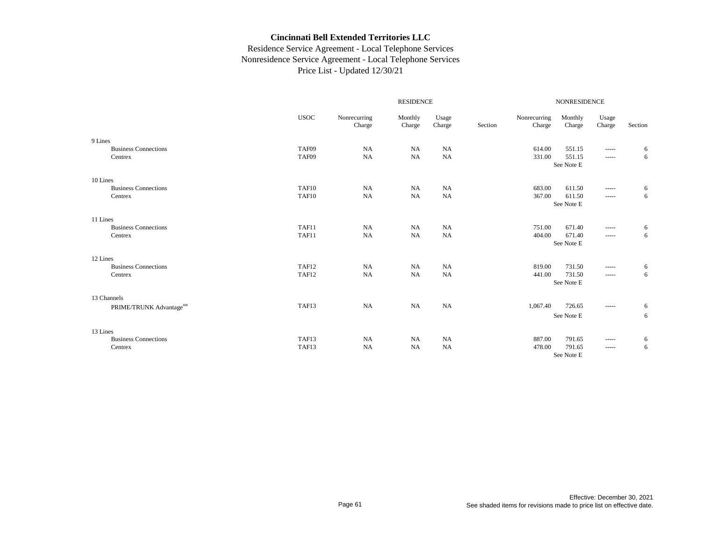|                             |             |                        | <b>RESIDENCE</b>  |                 | <b>NONRESIDENCE</b> |                        |                   |                 |         |
|-----------------------------|-------------|------------------------|-------------------|-----------------|---------------------|------------------------|-------------------|-----------------|---------|
|                             | <b>USOC</b> | Nonrecurring<br>Charge | Monthly<br>Charge | Usage<br>Charge | Section             | Nonrecurring<br>Charge | Monthly<br>Charge | Usage<br>Charge | Section |
| 9 Lines                     |             |                        |                   |                 |                     |                        |                   |                 |         |
| <b>Business Connections</b> | TAF09       | NA                     | <b>NA</b>         | <b>NA</b>       |                     | 614.00                 | 551.15            | -----           | 6       |
| Centrex                     | TAF09       | NA                     | <b>NA</b>         | NA              |                     | 331.00                 | 551.15            | -----           | 6       |
|                             |             |                        |                   |                 |                     |                        | See Note E        |                 |         |
| 10 Lines                    |             |                        |                   |                 |                     |                        |                   |                 |         |
| <b>Business Connections</b> | TAF10       | NA                     | NA                | <b>NA</b>       |                     | 683.00                 | 611.50            | -----           | 6       |
| Centrex                     | TAF10       | NA                     | NA                | <b>NA</b>       |                     | 367.00                 | 611.50            | -----           | 6       |
|                             |             |                        |                   |                 |                     |                        | See Note E        |                 |         |
| 11 Lines                    |             |                        |                   |                 |                     |                        |                   |                 |         |
| <b>Business Connections</b> | TAF11       | NA                     | <b>NA</b>         | <b>NA</b>       |                     | 751.00                 | 671.40            | -----           | 6       |
| Centrex                     | TAF11       | NA                     | NA                | <b>NA</b>       |                     | 404.00                 | 671.40            | -----           | 6       |
|                             |             |                        |                   |                 |                     |                        | See Note E        |                 |         |
| 12 Lines                    |             |                        |                   |                 |                     |                        |                   |                 |         |
| <b>Business Connections</b> | TAF12       | <b>NA</b>              | NA                | <b>NA</b>       |                     | 819.00                 | 731.50            | -----           | 6       |
| Centrex                     | TAF12       | NA                     | <b>NA</b>         | <b>NA</b>       |                     | 441.00                 | 731.50            | -----           | 6       |
|                             |             |                        |                   |                 |                     |                        | See Note E        |                 |         |
| 13 Channels                 |             |                        |                   |                 |                     |                        |                   |                 |         |
| PRIME/TRUNK Advantagesm     | TAF13       | NA                     | NA                | NA              |                     | 1,067.40               | 726.65            | -----           | 6       |
|                             |             |                        |                   |                 |                     |                        | See Note E        |                 | 6       |
| 13 Lines                    |             |                        |                   |                 |                     |                        |                   |                 |         |
| <b>Business Connections</b> | TAF13       | <b>NA</b>              | NA                | <b>NA</b>       |                     | 887.00                 | 791.65            | -----           | 6       |
| Centrex                     | TAF13       | <b>NA</b>              | <b>NA</b>         | <b>NA</b>       |                     | 478.00                 | 791.65            | -----           | 6       |
|                             |             |                        |                   |                 |                     |                        | See Note E        |                 |         |
|                             |             |                        |                   |                 |                     |                        |                   |                 |         |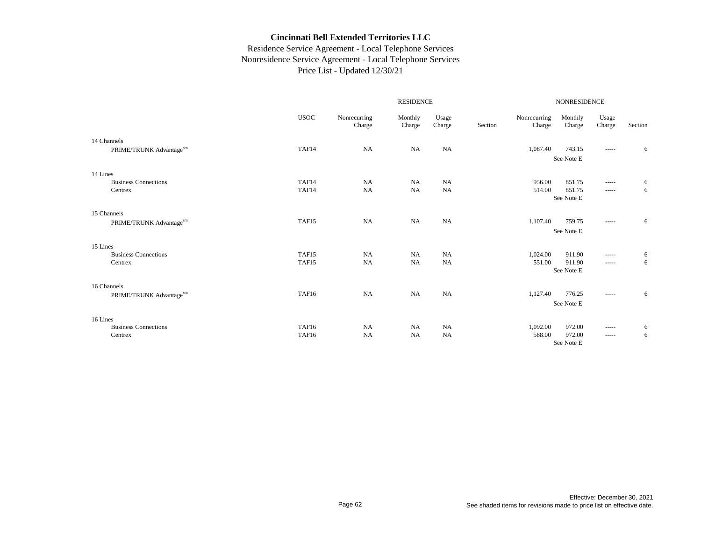|                             |             |                        | <b>RESIDENCE</b>  |                 |         | <b>NONRESIDENCE</b>    |                      |                                                                                                                                                                                                                                                                                                                                                                                                                                                                                        |         |  |
|-----------------------------|-------------|------------------------|-------------------|-----------------|---------|------------------------|----------------------|----------------------------------------------------------------------------------------------------------------------------------------------------------------------------------------------------------------------------------------------------------------------------------------------------------------------------------------------------------------------------------------------------------------------------------------------------------------------------------------|---------|--|
|                             | <b>USOC</b> | Nonrecurring<br>Charge | Monthly<br>Charge | Usage<br>Charge | Section | Nonrecurring<br>Charge | Monthly<br>Charge    | Usage<br>Charge                                                                                                                                                                                                                                                                                                                                                                                                                                                                        | Section |  |
| 14 Channels                 |             |                        |                   |                 |         |                        |                      |                                                                                                                                                                                                                                                                                                                                                                                                                                                                                        |         |  |
| PRIME/TRUNK Advantagesm     | TAF14       | NA                     | <b>NA</b>         | NA              |         | 1,087.40               | 743.15               | $\cdots$                                                                                                                                                                                                                                                                                                                                                                                                                                                                               | 6       |  |
|                             |             |                        |                   |                 |         |                        | See Note E           |                                                                                                                                                                                                                                                                                                                                                                                                                                                                                        |         |  |
| 14 Lines                    |             |                        |                   |                 |         |                        |                      |                                                                                                                                                                                                                                                                                                                                                                                                                                                                                        |         |  |
| <b>Business Connections</b> | TAF14       | NA                     | <b>NA</b>         | NA              |         | 956.00                 | 851.75               | $\cdots$                                                                                                                                                                                                                                                                                                                                                                                                                                                                               | 6       |  |
| Centrex                     | TAF14       | NA                     | <b>NA</b>         | NA              |         | 514.00                 | 851.75               | -----                                                                                                                                                                                                                                                                                                                                                                                                                                                                                  | 6       |  |
|                             |             |                        |                   |                 |         |                        | See Note E           |                                                                                                                                                                                                                                                                                                                                                                                                                                                                                        |         |  |
| 15 Channels                 |             |                        |                   |                 |         |                        |                      |                                                                                                                                                                                                                                                                                                                                                                                                                                                                                        |         |  |
| PRIME/TRUNK Advantagesm     | TAF15       | NA                     | <b>NA</b>         | NA              |         | 1,107.40               | 759.75               | $\cdots$                                                                                                                                                                                                                                                                                                                                                                                                                                                                               | 6       |  |
|                             |             |                        |                   |                 |         |                        | See Note E           |                                                                                                                                                                                                                                                                                                                                                                                                                                                                                        |         |  |
| 15 Lines                    |             |                        |                   |                 |         |                        |                      |                                                                                                                                                                                                                                                                                                                                                                                                                                                                                        |         |  |
| <b>Business Connections</b> | TAF15       | <b>NA</b>              | <b>NA</b>         | NA              |         | 1,024.00               | 911.90               | $\cdots$                                                                                                                                                                                                                                                                                                                                                                                                                                                                               | 6       |  |
| Centrex                     | TAF15       | <b>NA</b>              | <b>NA</b>         | NA              |         | 551.00                 | 911.90               | $\begin{array}{cccccccccc} \multicolumn{2}{c}{} & \multicolumn{2}{c}{} & \multicolumn{2}{c}{} & \multicolumn{2}{c}{} & \multicolumn{2}{c}{} & \multicolumn{2}{c}{} & \multicolumn{2}{c}{} & \multicolumn{2}{c}{} & \multicolumn{2}{c}{} & \multicolumn{2}{c}{} & \multicolumn{2}{c}{} & \multicolumn{2}{c}{} & \multicolumn{2}{c}{} & \multicolumn{2}{c}{} & \multicolumn{2}{c}{} & \multicolumn{2}{c}{} & \multicolumn{2}{c}{} & \multicolumn{2}{c}{} & \multicolumn{2}{c}{} & \mult$ | 6       |  |
|                             |             |                        |                   |                 |         |                        | See Note E           |                                                                                                                                                                                                                                                                                                                                                                                                                                                                                        |         |  |
| 16 Channels                 |             |                        |                   |                 |         |                        |                      |                                                                                                                                                                                                                                                                                                                                                                                                                                                                                        |         |  |
| PRIME/TRUNK Advantagesm     | TAF16       | NA                     | <b>NA</b>         | NA              |         | 1,127.40               | 776.25               | -----                                                                                                                                                                                                                                                                                                                                                                                                                                                                                  | 6       |  |
|                             |             |                        |                   |                 |         |                        | See Note E           |                                                                                                                                                                                                                                                                                                                                                                                                                                                                                        |         |  |
| 16 Lines                    |             |                        |                   |                 |         |                        |                      |                                                                                                                                                                                                                                                                                                                                                                                                                                                                                        |         |  |
| <b>Business Connections</b> | TAF16       | <b>NA</b>              | <b>NA</b>         | NA              |         | 1,092.00               | 972.00               | $- - - - -$                                                                                                                                                                                                                                                                                                                                                                                                                                                                            | 6       |  |
| Centrex                     | TAF16       | <b>NA</b>              | <b>NA</b>         | <b>NA</b>       |         | 588.00                 | 972.00<br>See Note E | -----                                                                                                                                                                                                                                                                                                                                                                                                                                                                                  | 6       |  |
|                             |             |                        |                   |                 |         |                        |                      |                                                                                                                                                                                                                                                                                                                                                                                                                                                                                        |         |  |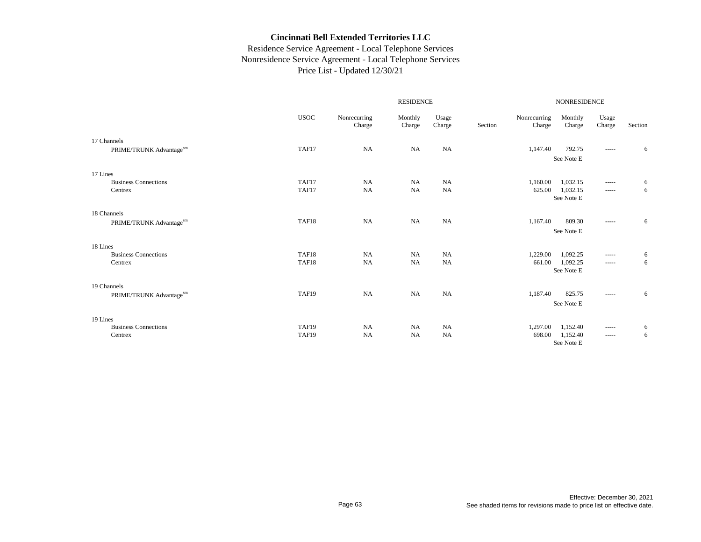|                             |             |                        |                   | NONRESIDENCE    |         |                        |                   |                                                                                                                                                                                                                                                                                                                                                                                                                                                                                        |         |
|-----------------------------|-------------|------------------------|-------------------|-----------------|---------|------------------------|-------------------|----------------------------------------------------------------------------------------------------------------------------------------------------------------------------------------------------------------------------------------------------------------------------------------------------------------------------------------------------------------------------------------------------------------------------------------------------------------------------------------|---------|
|                             | <b>USOC</b> | Nonrecurring<br>Charge | Monthly<br>Charge | Usage<br>Charge | Section | Nonrecurring<br>Charge | Monthly<br>Charge | Usage<br>Charge                                                                                                                                                                                                                                                                                                                                                                                                                                                                        | Section |
| 17 Channels                 |             |                        |                   |                 |         |                        |                   |                                                                                                                                                                                                                                                                                                                                                                                                                                                                                        |         |
| PRIME/TRUNK Advantagesm     | TAF17       | NA                     | <b>NA</b>         | NA              |         | 1,147.40               | 792.75            | $\cdots$                                                                                                                                                                                                                                                                                                                                                                                                                                                                               | 6       |
|                             |             |                        |                   |                 |         |                        | See Note E        |                                                                                                                                                                                                                                                                                                                                                                                                                                                                                        |         |
| 17 Lines                    |             |                        |                   |                 |         |                        |                   |                                                                                                                                                                                                                                                                                                                                                                                                                                                                                        |         |
| <b>Business Connections</b> | TAF17       | NA                     | <b>NA</b>         | NA              |         | 1,160.00               | 1,032.15          | $\cdots$                                                                                                                                                                                                                                                                                                                                                                                                                                                                               | 6       |
| Centrex                     | TAF17       | NA                     | <b>NA</b>         | NA              |         | 625.00                 | 1,032.15          | -----                                                                                                                                                                                                                                                                                                                                                                                                                                                                                  | 6       |
|                             |             |                        |                   |                 |         |                        | See Note E        |                                                                                                                                                                                                                                                                                                                                                                                                                                                                                        |         |
| 18 Channels                 |             |                        |                   |                 |         |                        |                   |                                                                                                                                                                                                                                                                                                                                                                                                                                                                                        |         |
| PRIME/TRUNK Advantagesm     | TAF18       | NA                     | <b>NA</b>         | NA              |         | 1,167.40               | 809.30            | $\cdots$                                                                                                                                                                                                                                                                                                                                                                                                                                                                               | 6       |
|                             |             |                        |                   |                 |         |                        | See Note E        |                                                                                                                                                                                                                                                                                                                                                                                                                                                                                        |         |
| 18 Lines                    |             |                        |                   |                 |         |                        |                   |                                                                                                                                                                                                                                                                                                                                                                                                                                                                                        |         |
| <b>Business Connections</b> | TAF18       | <b>NA</b>              | <b>NA</b>         | NA              |         | 1,229.00               | 1,092.25          | $\cdots$                                                                                                                                                                                                                                                                                                                                                                                                                                                                               | 6       |
| Centrex                     | TAF18       | <b>NA</b>              | <b>NA</b>         | NA              |         | 661.00                 | 1,092.25          | $\begin{array}{cccccccccc} \multicolumn{2}{c}{} & \multicolumn{2}{c}{} & \multicolumn{2}{c}{} & \multicolumn{2}{c}{} & \multicolumn{2}{c}{} & \multicolumn{2}{c}{} & \multicolumn{2}{c}{} & \multicolumn{2}{c}{} & \multicolumn{2}{c}{} & \multicolumn{2}{c}{} & \multicolumn{2}{c}{} & \multicolumn{2}{c}{} & \multicolumn{2}{c}{} & \multicolumn{2}{c}{} & \multicolumn{2}{c}{} & \multicolumn{2}{c}{} & \multicolumn{2}{c}{} & \multicolumn{2}{c}{} & \multicolumn{2}{c}{} & \mult$ | 6       |
|                             |             |                        |                   |                 |         |                        | See Note E        |                                                                                                                                                                                                                                                                                                                                                                                                                                                                                        |         |
| 19 Channels                 |             |                        |                   |                 |         |                        |                   |                                                                                                                                                                                                                                                                                                                                                                                                                                                                                        |         |
| PRIME/TRUNK Advantagesm     | TAF19       | NA                     | <b>NA</b>         | NA              |         | 1,187.40               | 825.75            | -----                                                                                                                                                                                                                                                                                                                                                                                                                                                                                  | 6       |
|                             |             |                        |                   |                 |         |                        | See Note E        |                                                                                                                                                                                                                                                                                                                                                                                                                                                                                        |         |
| 19 Lines                    |             |                        |                   |                 |         |                        |                   |                                                                                                                                                                                                                                                                                                                                                                                                                                                                                        |         |
| <b>Business Connections</b> | TAF19       | <b>NA</b>              | <b>NA</b>         | NA              |         | 1,297.00               | 1,152.40          | $- - - - -$                                                                                                                                                                                                                                                                                                                                                                                                                                                                            | 6       |
| Centrex                     | TAF19       | <b>NA</b>              | <b>NA</b>         | <b>NA</b>       |         | 698.00                 | 1,152.40          | -----                                                                                                                                                                                                                                                                                                                                                                                                                                                                                  | 6       |
|                             |             |                        |                   |                 |         |                        | See Note E        |                                                                                                                                                                                                                                                                                                                                                                                                                                                                                        |         |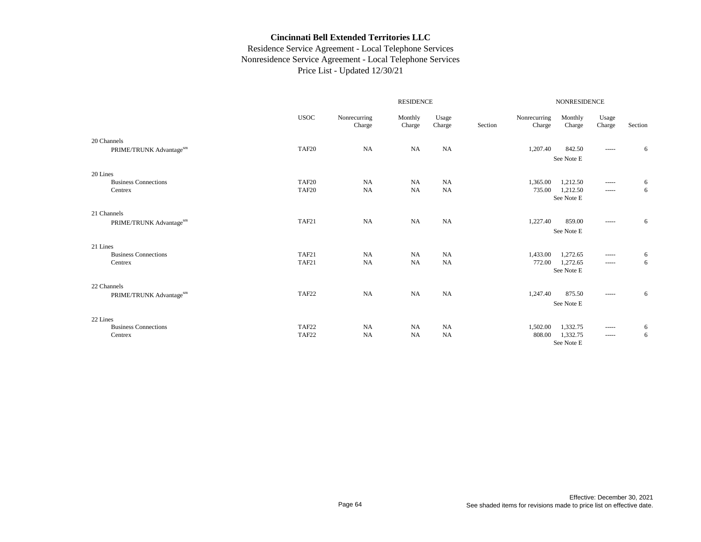|                             |             |                        |                   | NONRESIDENCE    |         |                        |                   |                 |         |
|-----------------------------|-------------|------------------------|-------------------|-----------------|---------|------------------------|-------------------|-----------------|---------|
|                             | <b>USOC</b> | Nonrecurring<br>Charge | Monthly<br>Charge | Usage<br>Charge | Section | Nonrecurring<br>Charge | Monthly<br>Charge | Usage<br>Charge | Section |
| 20 Channels                 |             |                        |                   |                 |         |                        |                   |                 |         |
| PRIME/TRUNK Advantagesm     | TAF20       | NA                     | NA                | NA              |         | 1,207.40               | 842.50            | -----           | 6       |
|                             |             |                        |                   |                 |         |                        | See Note E        |                 |         |
| 20 Lines                    |             |                        |                   |                 |         |                        |                   |                 |         |
| <b>Business Connections</b> | TAF20       | NA                     | <b>NA</b>         | <b>NA</b>       |         | 1,365.00               | 1,212.50          | -----           | 6       |
| Centrex                     | TAF20       | NA                     | NA                | NA              |         | 735.00                 | 1,212.50          | -----           | 6       |
|                             |             |                        |                   |                 |         |                        | See Note E        |                 |         |
| 21 Channels                 |             |                        |                   |                 |         |                        |                   |                 |         |
| PRIME/TRUNK Advantagesm     | TAF21       | NA                     | NA                | NA              |         | 1,227.40               | 859.00            | -----           | 6       |
|                             |             |                        |                   |                 |         |                        | See Note E        |                 |         |
| 21 Lines                    |             |                        |                   |                 |         |                        |                   |                 |         |
| <b>Business Connections</b> | TAF21       | <b>NA</b>              | <b>NA</b>         | <b>NA</b>       |         | 1,433.00               | 1,272.65          | -----           | 6       |
| Centrex                     | TAF21       | <b>NA</b>              | NA                | <b>NA</b>       |         | 772.00                 | 1,272.65          | -----           | 6       |
|                             |             |                        |                   |                 |         |                        | See Note E        |                 |         |
| 22 Channels                 |             |                        |                   |                 |         |                        |                   |                 |         |
| PRIME/TRUNK Advantagesm     | TAF22       | NA                     | NA                | <b>NA</b>       |         | 1,247.40               | 875.50            | -----           | 6       |
|                             |             |                        |                   |                 |         |                        | See Note E        |                 |         |
| 22 Lines                    |             |                        |                   |                 |         |                        |                   |                 |         |
| <b>Business Connections</b> | TAF22       | NA                     | <b>NA</b>         | <b>NA</b>       |         | 1,502.00               | 1,332.75          | -----           | 6       |
| Centrex                     | TAF22       | NA                     | <b>NA</b>         | <b>NA</b>       |         | 808.00                 | 1,332.75          | -----           | 6       |
|                             |             |                        |                   |                 |         |                        | See Note E        |                 |         |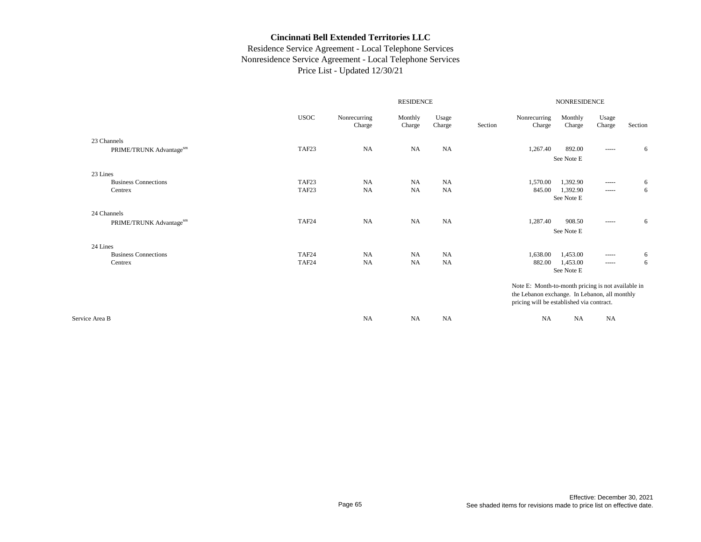|                             |                   | <b>RESIDENCE</b>       |                   |                 |         |                                                    | <b>NONRESIDENCE</b> |                 |         |  |  |
|-----------------------------|-------------------|------------------------|-------------------|-----------------|---------|----------------------------------------------------|---------------------|-----------------|---------|--|--|
|                             | <b>USOC</b>       | Nonrecurring<br>Charge | Monthly<br>Charge | Usage<br>Charge | Section | Nonrecurring<br>Charge                             | Monthly<br>Charge   | Usage<br>Charge | Section |  |  |
| 23 Channels                 |                   |                        |                   |                 |         |                                                    |                     |                 |         |  |  |
| PRIME/TRUNK Advantagesm     | TAF <sub>23</sub> | <b>NA</b>              | <b>NA</b>         | <b>NA</b>       |         | 1,267.40                                           | 892.00              | -----           | 6       |  |  |
|                             |                   |                        |                   |                 |         |                                                    | See Note E          |                 |         |  |  |
| 23 Lines                    |                   |                        |                   |                 |         |                                                    |                     |                 |         |  |  |
| <b>Business Connections</b> | TAF <sub>23</sub> | NA                     | <b>NA</b>         | <b>NA</b>       |         | 1,570.00                                           | 1,392.90            |                 | 6       |  |  |
| Centrex                     | TAF23             | <b>NA</b>              | <b>NA</b>         | <b>NA</b>       |         | 845.00                                             | 1,392.90            |                 | 6       |  |  |
|                             |                   |                        |                   |                 |         |                                                    | See Note E          |                 |         |  |  |
| 24 Channels                 |                   |                        |                   |                 |         |                                                    |                     |                 |         |  |  |
| PRIME/TRUNK Advantagesm     | TAF24             | NA                     | <b>NA</b>         | <b>NA</b>       |         | 1,287.40                                           | 908.50              | -----           | 6       |  |  |
|                             |                   |                        |                   |                 |         |                                                    | See Note E          |                 |         |  |  |
| 24 Lines                    |                   |                        |                   |                 |         |                                                    |                     |                 |         |  |  |
| <b>Business Connections</b> | TAF24             | NA                     | <b>NA</b>         | NA              |         | 1,638.00                                           | 1,453.00            | -----           | 6       |  |  |
| Centrex                     | TAF24             | NA                     | <b>NA</b>         | <b>NA</b>       |         | 882.00                                             | 1,453.00            |                 | 6       |  |  |
|                             |                   |                        |                   |                 |         |                                                    | See Note E          |                 |         |  |  |
|                             |                   |                        |                   |                 |         | Note E: Month-to-month pricing is not available in |                     |                 |         |  |  |
|                             |                   |                        |                   |                 |         | the Lebanon exchange. In Lebanon, all monthly      |                     |                 |         |  |  |
|                             |                   |                        |                   |                 |         | pricing will be established via contract.          |                     |                 |         |  |  |
| Service Area B              |                   | <b>NA</b>              | <b>NA</b>         | <b>NA</b>       |         | <b>NA</b>                                          | <b>NA</b>           | <b>NA</b>       |         |  |  |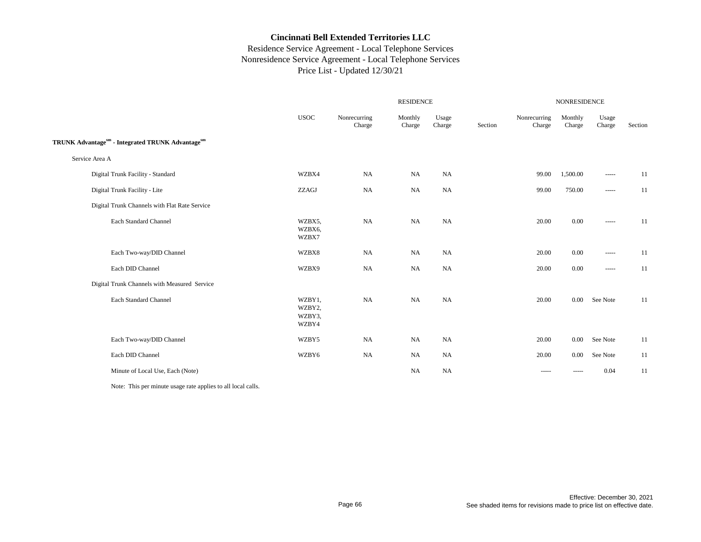## Residence Service Agreement - Local Telephone Services Nonresidence Service Agreement - Local Telephone Services Price List - Updated 12/30/21

|                                                  |                                     |                        |                   | <b>NONRESIDENCE</b> |         |                                                                                                                                                                                                                                                                                                                                                                                                                                                                                        |                   |                        |         |
|--------------------------------------------------|-------------------------------------|------------------------|-------------------|---------------------|---------|----------------------------------------------------------------------------------------------------------------------------------------------------------------------------------------------------------------------------------------------------------------------------------------------------------------------------------------------------------------------------------------------------------------------------------------------------------------------------------------|-------------------|------------------------|---------|
|                                                  | <b>USOC</b>                         | Nonrecurring<br>Charge | Monthly<br>Charge | Usage<br>Charge     | Section | Nonrecurring<br>Charge                                                                                                                                                                                                                                                                                                                                                                                                                                                                 | Monthly<br>Charge | Usage<br>Charge        | Section |
| TRUNK Advantagesm - Integrated TRUNK Advantagesm |                                     |                        |                   |                     |         |                                                                                                                                                                                                                                                                                                                                                                                                                                                                                        |                   |                        |         |
| Service Area A                                   |                                     |                        |                   |                     |         |                                                                                                                                                                                                                                                                                                                                                                                                                                                                                        |                   |                        |         |
| Digital Trunk Facility - Standard                | WZBX4                               | <b>NA</b>              | <b>NA</b>         | <b>NA</b>           |         | 99.00                                                                                                                                                                                                                                                                                                                                                                                                                                                                                  | 1,500.00          | -----                  | 11      |
| Digital Trunk Facility - Lite                    | ZZAGJ                               | NA                     | <b>NA</b>         | NA                  |         | 99.00                                                                                                                                                                                                                                                                                                                                                                                                                                                                                  | 750.00            |                        | 11      |
| Digital Trunk Channels with Flat Rate Service    |                                     |                        |                   |                     |         |                                                                                                                                                                                                                                                                                                                                                                                                                                                                                        |                   |                        |         |
| Each Standard Channel                            | WZBX5,<br>WZBX6,<br>WZBX7           | $_{\rm NA}$            | NA                | NA                  |         | 20.00                                                                                                                                                                                                                                                                                                                                                                                                                                                                                  | $0.00\,$          | -----                  | 11      |
| Each Two-way/DID Channel                         | WZBX8                               | <b>NA</b>              | <b>NA</b>         | <b>NA</b>           |         | 20.00                                                                                                                                                                                                                                                                                                                                                                                                                                                                                  | 0.00              | $\cdots \cdots \cdots$ | 11      |
| Each DID Channel                                 | WZBX9                               | NA                     | NA                | NA                  |         | 20.00                                                                                                                                                                                                                                                                                                                                                                                                                                                                                  | 0.00              | $\cdots \cdots \cdots$ | 11      |
| Digital Trunk Channels with Measured Service     |                                     |                        |                   |                     |         |                                                                                                                                                                                                                                                                                                                                                                                                                                                                                        |                   |                        |         |
| Each Standard Channel                            | WZBY1,<br>WZBY2,<br>WZBY3,<br>WZBY4 | <b>NA</b>              | NA                | NA                  |         | 20.00                                                                                                                                                                                                                                                                                                                                                                                                                                                                                  | $0.00\,$          | See Note               | 11      |
| Each Two-way/DID Channel                         | WZBY5                               | <b>NA</b>              | NA                | NA                  |         | 20.00                                                                                                                                                                                                                                                                                                                                                                                                                                                                                  | $0.00\,$          | See Note               | 11      |
| Each DID Channel                                 | WZBY6                               | NA                     | NA                | NA                  |         | 20.00                                                                                                                                                                                                                                                                                                                                                                                                                                                                                  | $0.00\,$          | See Note               | 11      |
| Minute of Local Use, Each (Note)                 |                                     |                        | <b>NA</b>         | NA                  |         | $\begin{array}{cccccccccc} \multicolumn{2}{c}{} & \multicolumn{2}{c}{} & \multicolumn{2}{c}{} & \multicolumn{2}{c}{} & \multicolumn{2}{c}{} & \multicolumn{2}{c}{} & \multicolumn{2}{c}{} & \multicolumn{2}{c}{} & \multicolumn{2}{c}{} & \multicolumn{2}{c}{} & \multicolumn{2}{c}{} & \multicolumn{2}{c}{} & \multicolumn{2}{c}{} & \multicolumn{2}{c}{} & \multicolumn{2}{c}{} & \multicolumn{2}{c}{} & \multicolumn{2}{c}{} & \multicolumn{2}{c}{} & \multicolumn{2}{c}{} & \mult$ | -----             | 0.04                   | 11      |

Note: This per minute usage rate applies to all local calls.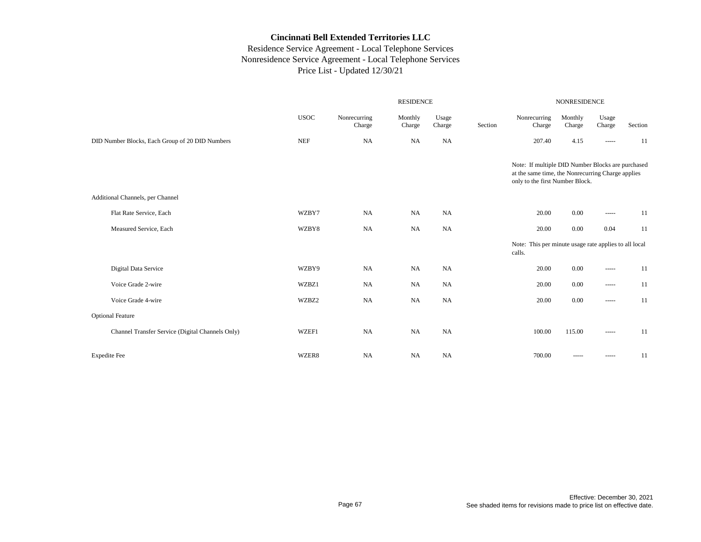|                                                  | <b>RESIDENCE</b>     |                        |                   |                 |         | <b>NONRESIDENCE</b>                                                                                                                       |                   |                 |         |  |  |
|--------------------------------------------------|----------------------|------------------------|-------------------|-----------------|---------|-------------------------------------------------------------------------------------------------------------------------------------------|-------------------|-----------------|---------|--|--|
|                                                  | <b>USOC</b>          | Nonrecurring<br>Charge | Monthly<br>Charge | Usage<br>Charge | Section | Nonrecurring<br>Charge                                                                                                                    | Monthly<br>Charge | Usage<br>Charge | Section |  |  |
| DID Number Blocks, Each Group of 20 DID Numbers  | $\operatorname{NEF}$ | NA                     | NA                | <b>NA</b>       |         | 207.40                                                                                                                                    | 4.15              | -----           | 11      |  |  |
|                                                  |                      |                        |                   |                 |         | Note: If multiple DID Number Blocks are purchased<br>at the same time, the Nonrecurring Charge applies<br>only to the first Number Block. |                   |                 |         |  |  |
| Additional Channels, per Channel                 |                      |                        |                   |                 |         |                                                                                                                                           |                   |                 |         |  |  |
| Flat Rate Service, Each                          | WZBY7                | NA                     | <b>NA</b>         | <b>NA</b>       |         | 20.00                                                                                                                                     | 0.00              | -----           | 11      |  |  |
| Measured Service, Each                           | WZBY8                | NA                     | NA                | <b>NA</b>       |         | 20.00                                                                                                                                     | 0.00              | 0.04            | 11      |  |  |
|                                                  |                      |                        |                   |                 |         | Note: This per minute usage rate applies to all local<br>calls.                                                                           |                   |                 |         |  |  |
| Digital Data Service                             | WZBY9                | NA                     | <b>NA</b>         | <b>NA</b>       |         | 20.00                                                                                                                                     | 0.00              | -----           | 11      |  |  |
| Voice Grade 2-wire                               | WZBZ1                | NA                     | <b>NA</b>         | <b>NA</b>       |         | 20.00                                                                                                                                     | 0.00              | -----           | 11      |  |  |
| Voice Grade 4-wire                               | WZBZ2                | NA                     | NA                | <b>NA</b>       |         | 20.00                                                                                                                                     | 0.00              | -----           | 11      |  |  |
| <b>Optional Feature</b>                          |                      |                        |                   |                 |         |                                                                                                                                           |                   |                 |         |  |  |
| Channel Transfer Service (Digital Channels Only) | WZEF1                | NA                     | <b>NA</b>         | NA              |         | 100.00                                                                                                                                    | 115.00            | -----           | 11      |  |  |
| <b>Expedite Fee</b>                              | WZER8                | <b>NA</b>              | <b>NA</b>         | <b>NA</b>       |         | 700.00                                                                                                                                    |                   | -----           | 11      |  |  |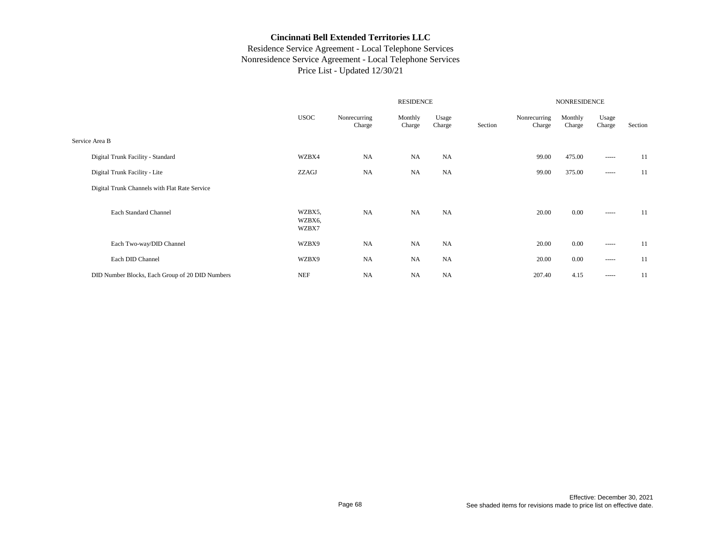|                                                 |                           | <b>NONRESIDENCE</b>    |                   |                 |         |                        |                   |                                                                                                                                                                                                                                                                                                                                                                                                                                                                                        |         |
|-------------------------------------------------|---------------------------|------------------------|-------------------|-----------------|---------|------------------------|-------------------|----------------------------------------------------------------------------------------------------------------------------------------------------------------------------------------------------------------------------------------------------------------------------------------------------------------------------------------------------------------------------------------------------------------------------------------------------------------------------------------|---------|
|                                                 | <b>USOC</b>               | Nonrecurring<br>Charge | Monthly<br>Charge | Usage<br>Charge | Section | Nonrecurring<br>Charge | Monthly<br>Charge | Usage<br>Charge                                                                                                                                                                                                                                                                                                                                                                                                                                                                        | Section |
| Service Area B                                  |                           |                        |                   |                 |         |                        |                   |                                                                                                                                                                                                                                                                                                                                                                                                                                                                                        |         |
| Digital Trunk Facility - Standard               | WZBX4                     | <b>NA</b>              | <b>NA</b>         | <b>NA</b>       |         | 99.00                  | 475.00            | -----                                                                                                                                                                                                                                                                                                                                                                                                                                                                                  | 11      |
| Digital Trunk Facility - Lite                   | ZZAGJ                     | <b>NA</b>              | <b>NA</b>         | <b>NA</b>       |         | 99.00                  | 375.00            | $\cdots$                                                                                                                                                                                                                                                                                                                                                                                                                                                                               | 11      |
| Digital Trunk Channels with Flat Rate Service   |                           |                        |                   |                 |         |                        |                   |                                                                                                                                                                                                                                                                                                                                                                                                                                                                                        |         |
| Each Standard Channel                           | WZBX5,<br>WZBX6,<br>WZBX7 | <b>NA</b>              | <b>NA</b>         | <b>NA</b>       |         | 20.00                  | 0.00              | $\begin{array}{cccccccccc} \multicolumn{2}{c}{} & \multicolumn{2}{c}{} & \multicolumn{2}{c}{} & \multicolumn{2}{c}{} & \multicolumn{2}{c}{} & \multicolumn{2}{c}{} & \multicolumn{2}{c}{} & \multicolumn{2}{c}{} & \multicolumn{2}{c}{} & \multicolumn{2}{c}{} & \multicolumn{2}{c}{} & \multicolumn{2}{c}{} & \multicolumn{2}{c}{} & \multicolumn{2}{c}{} & \multicolumn{2}{c}{} & \multicolumn{2}{c}{} & \multicolumn{2}{c}{} & \multicolumn{2}{c}{} & \multicolumn{2}{c}{} & \mult$ | 11      |
| Each Two-way/DID Channel                        | WZBX9                     | <b>NA</b>              | <b>NA</b>         | <b>NA</b>       |         | 20.00                  | 0.00              | ------                                                                                                                                                                                                                                                                                                                                                                                                                                                                                 | 11      |
| Each DID Channel                                | WZBX9                     | <b>NA</b>              | <b>NA</b>         | <b>NA</b>       |         | 20.00                  | 0.00              | -----                                                                                                                                                                                                                                                                                                                                                                                                                                                                                  | 11      |
| DID Number Blocks, Each Group of 20 DID Numbers | <b>NEF</b>                | <b>NA</b>              | <b>NA</b>         | <b>NA</b>       |         | 207.40                 | 4.15              | -----                                                                                                                                                                                                                                                                                                                                                                                                                                                                                  | 11      |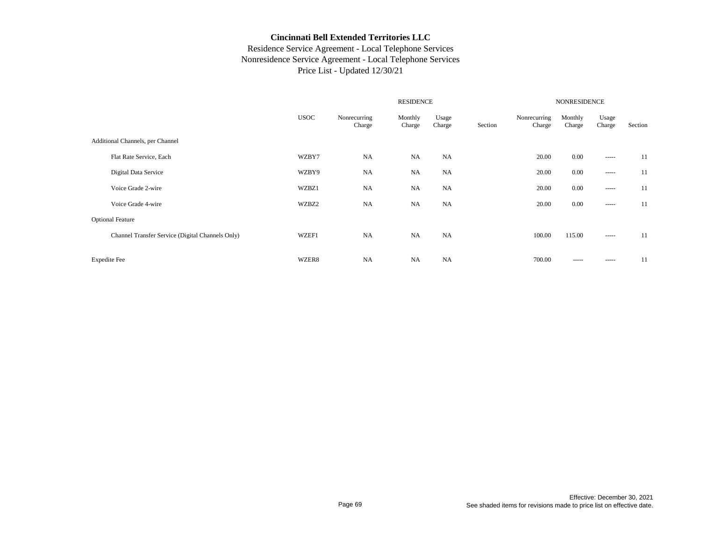|                                                  |             |                        | <b>NONRESIDENCE</b> |                 |         |                        |                   |                 |         |
|--------------------------------------------------|-------------|------------------------|---------------------|-----------------|---------|------------------------|-------------------|-----------------|---------|
|                                                  | <b>USOC</b> | Nonrecurring<br>Charge | Monthly<br>Charge   | Usage<br>Charge | Section | Nonrecurring<br>Charge | Monthly<br>Charge | Usage<br>Charge | Section |
| Additional Channels, per Channel                 |             |                        |                     |                 |         |                        |                   |                 |         |
| Flat Rate Service, Each                          | WZBY7       | <b>NA</b>              | <b>NA</b>           | <b>NA</b>       |         | 20.00                  | 0.00              |                 | 11      |
| Digital Data Service                             | WZBY9       | <b>NA</b>              | <b>NA</b>           | <b>NA</b>       |         | 20.00                  | 0.00              |                 | 11      |
| Voice Grade 2-wire                               | WZBZ1       | <b>NA</b>              | <b>NA</b>           | <b>NA</b>       |         | 20.00                  | 0.00              |                 | 11      |
| Voice Grade 4-wire                               | WZBZ2       | <b>NA</b>              | <b>NA</b>           | <b>NA</b>       |         | 20.00                  | 0.00              |                 | 11      |
| <b>Optional Feature</b>                          |             |                        |                     |                 |         |                        |                   |                 |         |
| Channel Transfer Service (Digital Channels Only) | WZEF1       | <b>NA</b>              | <b>NA</b>           | <b>NA</b>       |         | 100.00                 | 115.00            |                 | 11      |
| <b>Expedite Fee</b>                              | WZER8       | <b>NA</b>              | <b>NA</b>           | <b>NA</b>       |         | 700.00                 | -----             | $- - - - -$     | 11      |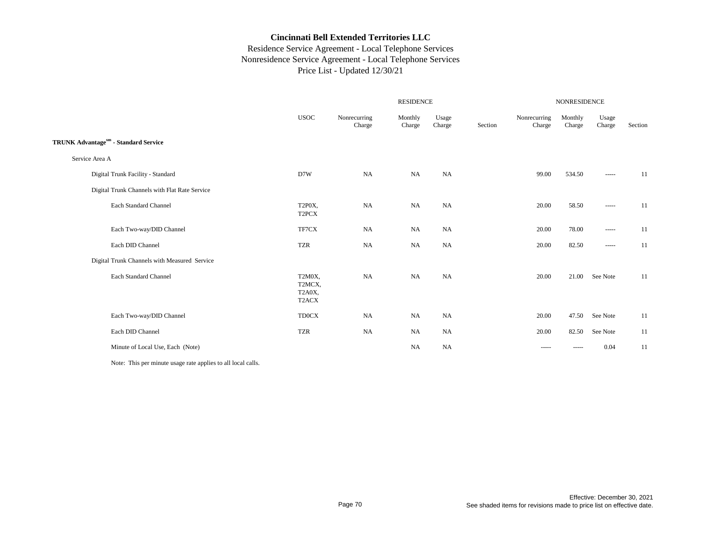## Residence Service Agreement - Local Telephone Services Nonresidence Service Agreement - Local Telephone Services Price List - Updated 12/30/21

|                                               |                                     |                        |                   | <b>NONRESIDENCE</b> |         |                        |                   |                                                                                                                                                                                                                                                                                                                                                                                                                                                                                        |         |
|-----------------------------------------------|-------------------------------------|------------------------|-------------------|---------------------|---------|------------------------|-------------------|----------------------------------------------------------------------------------------------------------------------------------------------------------------------------------------------------------------------------------------------------------------------------------------------------------------------------------------------------------------------------------------------------------------------------------------------------------------------------------------|---------|
|                                               | <b>USOC</b>                         | Nonrecurring<br>Charge | Monthly<br>Charge | Usage<br>Charge     | Section | Nonrecurring<br>Charge | Monthly<br>Charge | Usage<br>Charge                                                                                                                                                                                                                                                                                                                                                                                                                                                                        | Section |
| TRUNK Advantagesm - Standard Service          |                                     |                        |                   |                     |         |                        |                   |                                                                                                                                                                                                                                                                                                                                                                                                                                                                                        |         |
| Service Area A                                |                                     |                        |                   |                     |         |                        |                   |                                                                                                                                                                                                                                                                                                                                                                                                                                                                                        |         |
| Digital Trunk Facility - Standard             | D7W                                 | NA                     | NA                | NA                  |         | 99.00                  | 534.50            | -----                                                                                                                                                                                                                                                                                                                                                                                                                                                                                  | 11      |
| Digital Trunk Channels with Flat Rate Service |                                     |                        |                   |                     |         |                        |                   |                                                                                                                                                                                                                                                                                                                                                                                                                                                                                        |         |
| Each Standard Channel                         | T2P0X,<br>T <sub>2</sub> PCX        | NA                     | NA                | <b>NA</b>           |         | 20.00                  | 58.50             | $\begin{array}{cccccccccc} \multicolumn{2}{c}{} & \multicolumn{2}{c}{} & \multicolumn{2}{c}{} & \multicolumn{2}{c}{} & \multicolumn{2}{c}{} & \multicolumn{2}{c}{} & \multicolumn{2}{c}{} & \multicolumn{2}{c}{} & \multicolumn{2}{c}{} & \multicolumn{2}{c}{} & \multicolumn{2}{c}{} & \multicolumn{2}{c}{} & \multicolumn{2}{c}{} & \multicolumn{2}{c}{} & \multicolumn{2}{c}{} & \multicolumn{2}{c}{} & \multicolumn{2}{c}{} & \multicolumn{2}{c}{} & \multicolumn{2}{c}{} & \mult$ | 11      |
| Each Two-way/DID Channel                      | TF7CX                               | <b>NA</b>              | <b>NA</b>         | <b>NA</b>           |         | 20.00                  | 78.00             | $- - - - -$                                                                                                                                                                                                                                                                                                                                                                                                                                                                            | 11      |
| Each DID Channel                              | <b>TZR</b>                          | NA                     | NA                | <b>NA</b>           |         | 20.00                  | 82.50             | -----                                                                                                                                                                                                                                                                                                                                                                                                                                                                                  | 11      |
| Digital Trunk Channels with Measured Service  |                                     |                        |                   |                     |         |                        |                   |                                                                                                                                                                                                                                                                                                                                                                                                                                                                                        |         |
| Each Standard Channel                         | T2M0X,<br>T2MCX.<br>T2A0X,<br>T2ACX | <b>NA</b>              | <b>NA</b>         | <b>NA</b>           |         | 20.00                  | 21.00             | See Note                                                                                                                                                                                                                                                                                                                                                                                                                                                                               | 11      |
| Each Two-way/DID Channel                      | <b>TD0CX</b>                        | NA                     | NA                | NA                  |         | 20.00                  | 47.50             | See Note                                                                                                                                                                                                                                                                                                                                                                                                                                                                               | 11      |
| Each DID Channel                              | <b>TZR</b>                          | <b>NA</b>              | NA                | <b>NA</b>           |         | 20.00                  | 82.50             | See Note                                                                                                                                                                                                                                                                                                                                                                                                                                                                               | 11      |
| Minute of Local Use, Each (Note)              |                                     |                        | <b>NA</b>         | NA                  |         | -----                  | -----             | 0.04                                                                                                                                                                                                                                                                                                                                                                                                                                                                                   | 11      |

Note: This per minute usage rate applies to all local calls.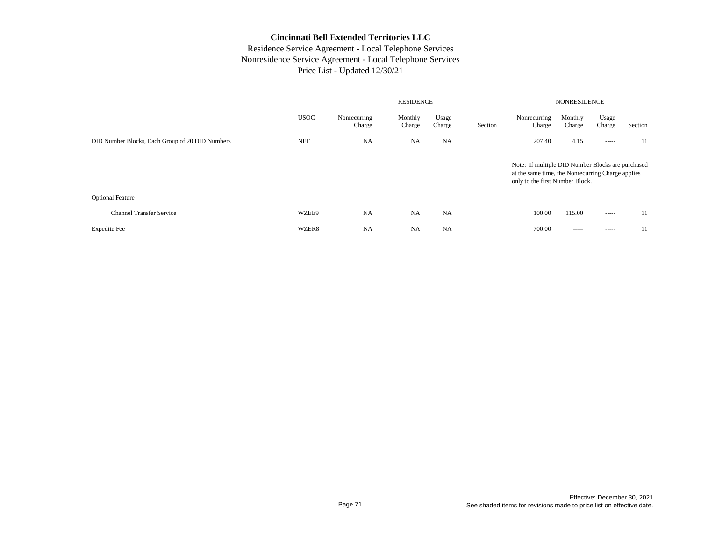|                                                 | <b>RESIDENCE</b> |                        |                   |                 |         | <b>NONRESIDENCE</b>                                                                                                                       |                   |                 |         |  |  |  |
|-------------------------------------------------|------------------|------------------------|-------------------|-----------------|---------|-------------------------------------------------------------------------------------------------------------------------------------------|-------------------|-----------------|---------|--|--|--|
|                                                 | <b>USOC</b>      | Nonrecurring<br>Charge | Monthly<br>Charge | Usage<br>Charge | Section | Nonrecurring<br>Charge                                                                                                                    | Monthly<br>Charge | Usage<br>Charge | Section |  |  |  |
| DID Number Blocks, Each Group of 20 DID Numbers | <b>NEF</b>       | <b>NA</b>              | <b>NA</b>         | <b>NA</b>       |         | 207.40                                                                                                                                    | 4.15              | -----           | 11      |  |  |  |
|                                                 |                  |                        |                   |                 |         | Note: If multiple DID Number Blocks are purchased<br>at the same time, the Nonrecurring Charge applies<br>only to the first Number Block. |                   |                 |         |  |  |  |
| <b>Optional Feature</b>                         |                  |                        |                   |                 |         |                                                                                                                                           |                   |                 |         |  |  |  |
| <b>Channel Transfer Service</b>                 | WZEE9            | <b>NA</b>              | <b>NA</b>         | <b>NA</b>       |         | 100.00                                                                                                                                    | 115.00            | -----           | 11      |  |  |  |
| <b>Expedite Fee</b>                             | WZER8            | <b>NA</b>              | <b>NA</b>         | <b>NA</b>       |         | 700.00                                                                                                                                    | -----             | -----           | 11      |  |  |  |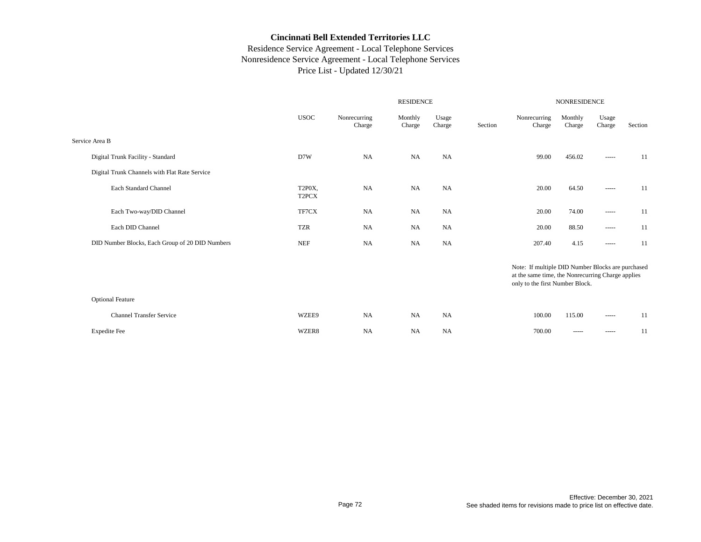|                                                 | <b>RESIDENCE</b>             |                        |                   |                 |         | NONRESIDENCE                                                                                                                              |                   |                                                                                                                                                                                                                                                                                                                                                                                                                                                                                        |         |  |  |
|-------------------------------------------------|------------------------------|------------------------|-------------------|-----------------|---------|-------------------------------------------------------------------------------------------------------------------------------------------|-------------------|----------------------------------------------------------------------------------------------------------------------------------------------------------------------------------------------------------------------------------------------------------------------------------------------------------------------------------------------------------------------------------------------------------------------------------------------------------------------------------------|---------|--|--|
|                                                 | <b>USOC</b>                  | Nonrecurring<br>Charge | Monthly<br>Charge | Usage<br>Charge | Section | Nonrecurring<br>Charge                                                                                                                    | Monthly<br>Charge | Usage<br>Charge                                                                                                                                                                                                                                                                                                                                                                                                                                                                        | Section |  |  |
| Service Area B                                  |                              |                        |                   |                 |         |                                                                                                                                           |                   |                                                                                                                                                                                                                                                                                                                                                                                                                                                                                        |         |  |  |
| Digital Trunk Facility - Standard               | D7W                          | <b>NA</b>              | <b>NA</b>         | NA              |         | 99.00                                                                                                                                     | 456.02            | $- - - - -$                                                                                                                                                                                                                                                                                                                                                                                                                                                                            | 11      |  |  |
| Digital Trunk Channels with Flat Rate Service   |                              |                        |                   |                 |         |                                                                                                                                           |                   |                                                                                                                                                                                                                                                                                                                                                                                                                                                                                        |         |  |  |
| Each Standard Channel                           | T2P0X,<br>T <sub>2</sub> PCX | <b>NA</b>              | NA                | <b>NA</b>       |         | 20.00                                                                                                                                     | 64.50             | -----                                                                                                                                                                                                                                                                                                                                                                                                                                                                                  | 11      |  |  |
| Each Two-way/DID Channel                        | TF7CX                        | <b>NA</b>              | <b>NA</b>         | <b>NA</b>       |         | 20.00                                                                                                                                     | 74.00             | $\cdots$                                                                                                                                                                                                                                                                                                                                                                                                                                                                               | 11      |  |  |
| Each DID Channel                                | <b>TZR</b>                   | <b>NA</b>              | NA                | <b>NA</b>       |         | 20.00                                                                                                                                     | 88.50             | $\cdots$                                                                                                                                                                                                                                                                                                                                                                                                                                                                               | 11      |  |  |
| DID Number Blocks, Each Group of 20 DID Numbers | <b>NEF</b>                   | <b>NA</b>              | <b>NA</b>         | <b>NA</b>       |         | 207.40                                                                                                                                    | 4.15              | $\begin{array}{cccccccccc} \multicolumn{2}{c}{} & \multicolumn{2}{c}{} & \multicolumn{2}{c}{} & \multicolumn{2}{c}{} & \multicolumn{2}{c}{} & \multicolumn{2}{c}{} & \multicolumn{2}{c}{} & \multicolumn{2}{c}{} & \multicolumn{2}{c}{} & \multicolumn{2}{c}{} & \multicolumn{2}{c}{} & \multicolumn{2}{c}{} & \multicolumn{2}{c}{} & \multicolumn{2}{c}{} & \multicolumn{2}{c}{} & \multicolumn{2}{c}{} & \multicolumn{2}{c}{} & \multicolumn{2}{c}{} & \multicolumn{2}{c}{} & \mult$ | 11      |  |  |
|                                                 |                              |                        |                   |                 |         | Note: If multiple DID Number Blocks are purchased<br>at the same time, the Nonrecurring Charge applies<br>only to the first Number Block. |                   |                                                                                                                                                                                                                                                                                                                                                                                                                                                                                        |         |  |  |
| <b>Optional Feature</b>                         |                              |                        |                   |                 |         |                                                                                                                                           |                   |                                                                                                                                                                                                                                                                                                                                                                                                                                                                                        |         |  |  |
| <b>Channel Transfer Service</b>                 | WZEE9                        | <b>NA</b>              | NA                | <b>NA</b>       |         | 100.00                                                                                                                                    | 115.00            | $\cdots \cdots \cdots$                                                                                                                                                                                                                                                                                                                                                                                                                                                                 | 11      |  |  |
| <b>Expedite Fee</b>                             | WZER8                        | <b>NA</b>              | <b>NA</b>         | <b>NA</b>       |         | 700.00                                                                                                                                    | -----             | -----                                                                                                                                                                                                                                                                                                                                                                                                                                                                                  | 11      |  |  |